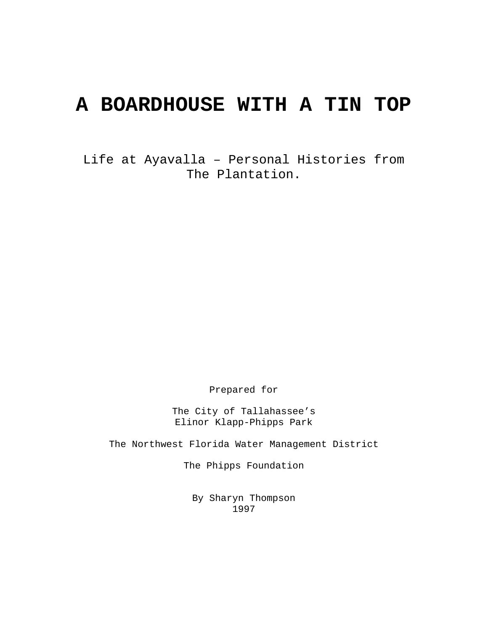# **A BOARDHOUSE WITH A TIN TOP**

Life at Ayavalla – Personal Histories from The Plantation.

Prepared for

The City of Tallahassee's Elinor Klapp-Phipps Park

The Northwest Florida Water Management District

The Phipps Foundation

By Sharyn Thompson 1997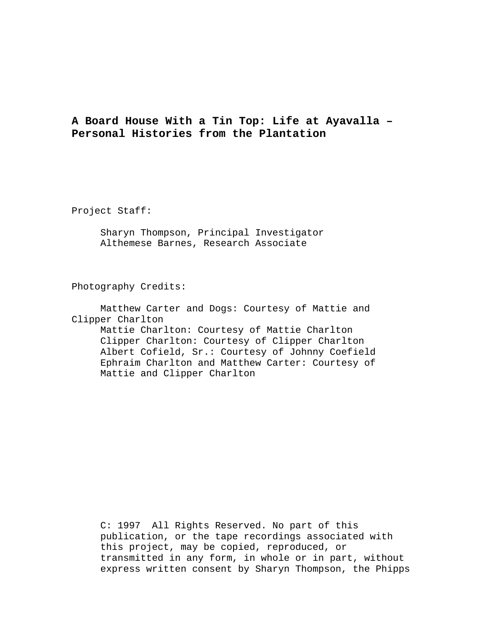## **A Board House With a Tin Top: Life at Ayavalla – Personal Histories from the Plantation**

Project Staff:

 Sharyn Thompson, Principal Investigator Althemese Barnes, Research Associate

Photography Credits:

 Matthew Carter and Dogs: Courtesy of Mattie and Clipper Charlton

 Mattie Charlton: Courtesy of Mattie Charlton Clipper Charlton: Courtesy of Clipper Charlton Albert Cofield, Sr.: Courtesy of Johnny Coefield Ephraim Charlton and Matthew Carter: Courtesy of Mattie and Clipper Charlton

C: 1997 All Rights Reserved. No part of this publication, or the tape recordings associated with this project, may be copied, reproduced, or transmitted in any form, in whole or in part, without express written consent by Sharyn Thompson, the Phipps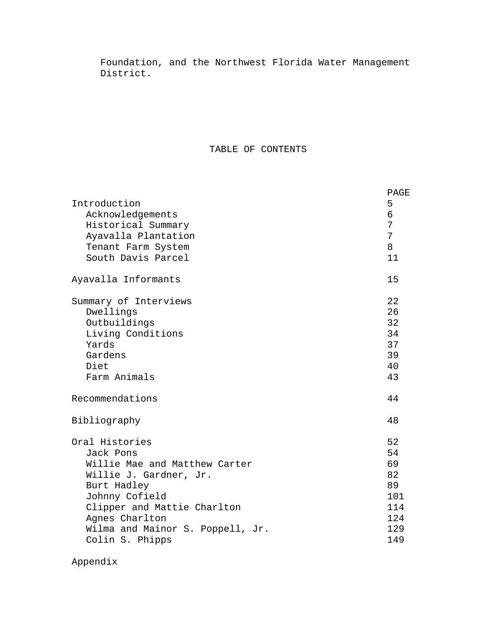Foundation, and the Northwest Florida Water Management District.

## TABLE OF CONTENTS

|                                  | PAGE |
|----------------------------------|------|
| Introduction                     | 5    |
| Acknowledgements                 | 6    |
| Historical Summary               | 7    |
| Ayavalla Plantation              | 7    |
| Tenant Farm System               | 8    |
| South Davis Parcel               | 11   |
| Ayavalla Informants              | 15   |
| Summary of Interviews            | 22   |
| Dwellings                        | 26   |
| Outbuildings                     | 32   |
| Living Conditions                | 34   |
| Yards                            | 37   |
| Gardens                          | 39   |
| Diet                             | 40   |
| Farm Animals                     | 43   |
| Recommendations                  | 44   |
| Bibliography                     | 48   |
| Oral Histories                   | 52   |
| Jack Pons                        | 54   |
| Willie Mae and Matthew Carter    | 69   |
| Willie J. Gardner, Jr.           | 82   |
| Burt Hadley                      | 89   |
| Johnny Cofield                   | 101  |
| Clipper and Mattie Charlton      | 114  |
| Agnes Charlton                   | 124  |
| Wilma and Mainor S. Poppell, Jr. | 129  |
| Colin S. Phipps                  | 149  |

Appendix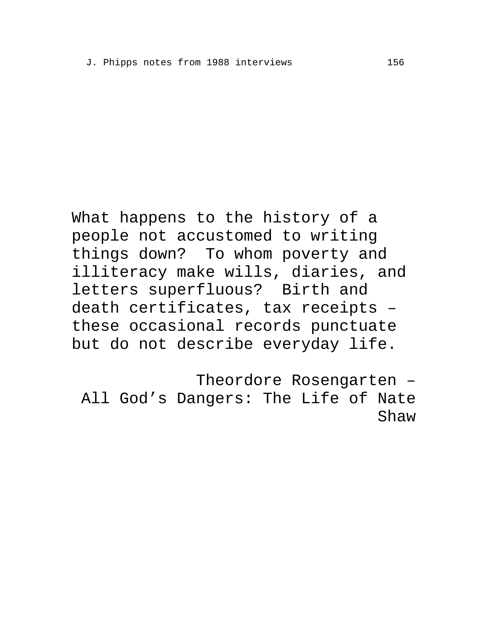What happens to the history of a people not accustomed to writing things down? To whom poverty and illiteracy make wills, diaries, and letters superfluous? Birth and death certificates, tax receipts – these occasional records punctuate but do not describe everyday life.

Theordore Rosengarten – All God's Dangers: The Life of Nate Shaw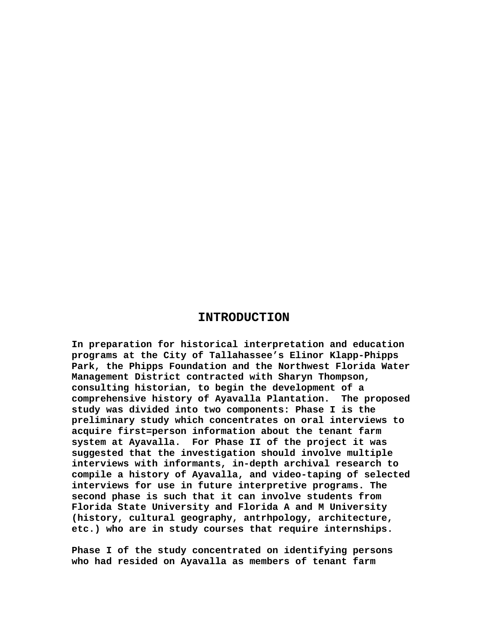#### **INTRODUCTION**

**In preparation for historical interpretation and education programs at the City of Tallahassee's Elinor Klapp-Phipps Park, the Phipps Foundation and the Northwest Florida Water Management District contracted with Sharyn Thompson, consulting historian, to begin the development of a comprehensive history of Ayavalla Plantation. The proposed study was divided into two components: Phase I is the preliminary study which concentrates on oral interviews to acquire first=person information about the tenant farm system at Ayavalla. For Phase II of the project it was suggested that the investigation should involve multiple interviews with informants, in-depth archival research to compile a history of Ayavalla, and video-taping of selected interviews for use in future interpretive programs. The second phase is such that it can involve students from Florida State University and Florida A and M University (history, cultural geography, antrhpology, architecture, etc.) who are in study courses that require internships.** 

**Phase I of the study concentrated on identifying persons who had resided on Ayavalla as members of tenant farm**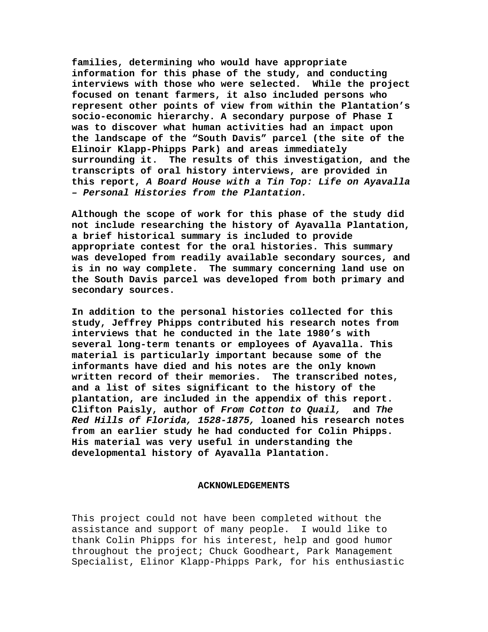**families, determining who would have appropriate information for this phase of the study, and conducting interviews with those who were selected. While the project focused on tenant farmers, it also included persons who represent other points of view from within the Plantation's socio-economic hierarchy. A secondary purpose of Phase I was to discover what human activities had an impact upon the landscape of the "South Davis" parcel (the site of the Elinoir Klapp-Phipps Park) and areas immediately surrounding it. The results of this investigation, and the transcripts of oral history interviews, are provided in this report,** *A Board House with a Tin Top: Life on Ayavalla – Personal Histories from the Plantation.* 

**Although the scope of work for this phase of the study did not include researching the history of Ayavalla Plantation, a brief historical summary is included to provide appropriate contest for the oral histories. This summary was developed from readily available secondary sources, and is in no way complete. The summary concerning land use on the South Davis parcel was developed from both primary and secondary sources.** 

**In addition to the personal histories collected for this study, Jeffrey Phipps contributed his research notes from interviews that he conducted in the late 1980's with several long-term tenants or employees of Ayavalla. This material is particularly important because some of the informants have died and his notes are the only known written record of their memories. The transcribed notes, and a list of sites significant to the history of the plantation, are included in the appendix of this report. Clifton Paisly, author of** *From Cotton to Quail,* **and** *The Red Hills of Florida, 1528-1875,* **loaned his research notes from an earlier study he had conducted for Colin Phipps. His material was very useful in understanding the developmental history of Ayavalla Plantation.** 

#### **ACKNOWLEDGEMENTS**

This project could not have been completed without the assistance and support of many people. I would like to thank Colin Phipps for his interest, help and good humor throughout the project; Chuck Goodheart, Park Management Specialist, Elinor Klapp-Phipps Park, for his enthusiastic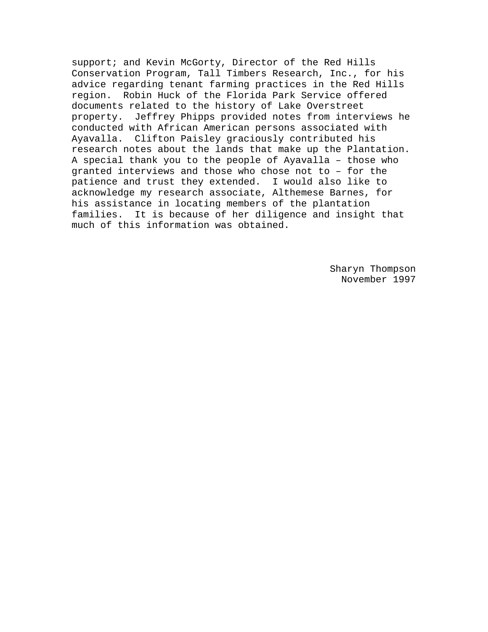support; and Kevin McGorty, Director of the Red Hills Conservation Program, Tall Timbers Research, Inc., for his advice regarding tenant farming practices in the Red Hills region. Robin Huck of the Florida Park Service offered documents related to the history of Lake Overstreet property. Jeffrey Phipps provided notes from interviews he conducted with African American persons associated with Ayavalla. Clifton Paisley graciously contributed his research notes about the lands that make up the Plantation. A special thank you to the people of Ayavalla – those who granted interviews and those who chose not to – for the patience and trust they extended. I would also like to acknowledge my research associate, Althemese Barnes, for his assistance in locating members of the plantation families. It is because of her diligence and insight that much of this information was obtained.

> Sharyn Thompson November 1997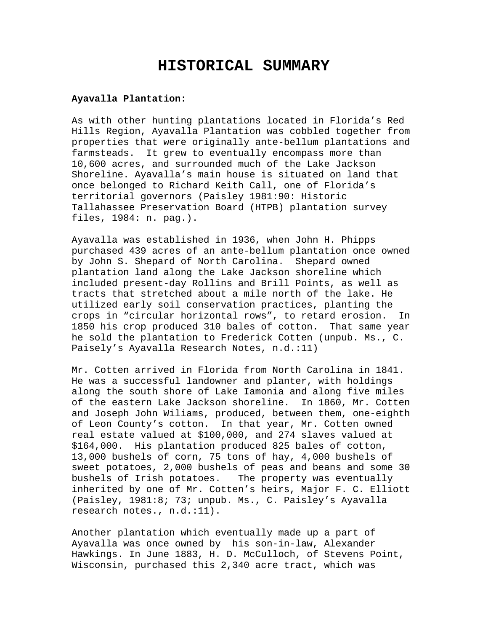# **HISTORICAL SUMMARY**

#### **Ayavalla Plantation:**

As with other hunting plantations located in Florida's Red Hills Region, Ayavalla Plantation was cobbled together from properties that were originally ante-bellum plantations and farmsteads. It grew to eventually encompass more than 10,600 acres, and surrounded much of the Lake Jackson Shoreline. Ayavalla's main house is situated on land that once belonged to Richard Keith Call, one of Florida's territorial governors (Paisley 1981:90: Historic Tallahassee Preservation Board (HTPB) plantation survey files, 1984: n. pag.).

Ayavalla was established in 1936, when John H. Phipps purchased 439 acres of an ante-bellum plantation once owned by John S. Shepard of North Carolina. Shepard owned plantation land along the Lake Jackson shoreline which included present-day Rollins and Brill Points, as well as tracts that stretched about a mile north of the lake. He utilized early soil conservation practices, planting the crops in "circular horizontal rows", to retard erosion. In 1850 his crop produced 310 bales of cotton. That same year he sold the plantation to Frederick Cotten (unpub. Ms., C. Paisely's Ayavalla Research Notes, n.d.:11)

Mr. Cotten arrived in Florida from North Carolina in 1841. He was a successful landowner and planter, with holdings along the south shore of Lake Iamonia and along five miles of the eastern Lake Jackson shoreline. In 1860, Mr. Cotten and Joseph John Wiliams, produced, between them, one-eighth of Leon County's cotton. In that year, Mr. Cotten owned real estate valued at \$100,000, and 274 slaves valued at \$164,000. His plantation produced 825 bales of cotton, 13,000 bushels of corn, 75 tons of hay, 4,000 bushels of sweet potatoes, 2,000 bushels of peas and beans and some 30 bushels of Irish potatoes. The property was eventually inherited by one of Mr. Cotten's heirs, Major F. C. Elliott (Paisley, 1981:8; 73; unpub. Ms., C. Paisley's Ayavalla research notes., n.d.:11).

Another plantation which eventually made up a part of Ayavalla was once owned by his son-in-law, Alexander Hawkings. In June 1883, H. D. McCulloch, of Stevens Point, Wisconsin, purchased this 2,340 acre tract, which was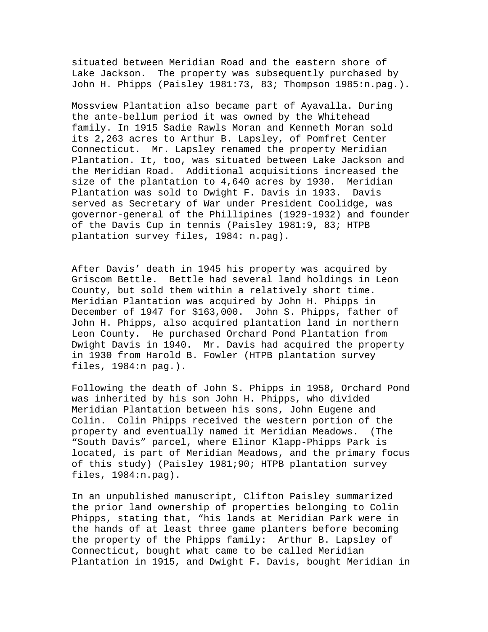situated between Meridian Road and the eastern shore of Lake Jackson. The property was subsequently purchased by John H. Phipps (Paisley 1981:73, 83; Thompson 1985:n.pag.).

Mossview Plantation also became part of Ayavalla. During the ante-bellum period it was owned by the Whitehead family. In 1915 Sadie Rawls Moran and Kenneth Moran sold its 2,263 acres to Arthur B. Lapsley, of Pomfret Center Connecticut. Mr. Lapsley renamed the property Meridian Plantation. It, too, was situated between Lake Jackson and the Meridian Road. Additional acquisitions increased the size of the plantation to 4,640 acres by 1930. Meridian Plantation was sold to Dwight F. Davis in 1933. Davis served as Secretary of War under President Coolidge, was governor-general of the Phillipines (1929-1932) and founder of the Davis Cup in tennis (Paisley 1981:9, 83; HTPB plantation survey files, 1984: n.pag).

After Davis' death in 1945 his property was acquired by Griscom Bettle. Bettle had several land holdings in Leon County, but sold them within a relatively short time. Meridian Plantation was acquired by John H. Phipps in December of 1947 for \$163,000. John S. Phipps, father of John H. Phipps, also acquired plantation land in northern Leon County. He purchased Orchard Pond Plantation from Dwight Davis in 1940. Mr. Davis had acquired the property in 1930 from Harold B. Fowler (HTPB plantation survey files, 1984:n pag.).

Following the death of John S. Phipps in 1958, Orchard Pond was inherited by his son John H. Phipps, who divided Meridian Plantation between his sons, John Eugene and Colin. Colin Phipps received the western portion of the property and eventually named it Meridian Meadows. (The "South Davis" parcel, where Elinor Klapp-Phipps Park is located, is part of Meridian Meadows, and the primary focus of this study) (Paisley 1981;90; HTPB plantation survey files, 1984:n.pag).

In an unpublished manuscript, Clifton Paisley summarized the prior land ownership of properties belonging to Colin Phipps, stating that, "his lands at Meridian Park were in the hands of at least three game planters before becoming the property of the Phipps family: Arthur B. Lapsley of Connecticut, bought what came to be called Meridian Plantation in 1915, and Dwight F. Davis, bought Meridian in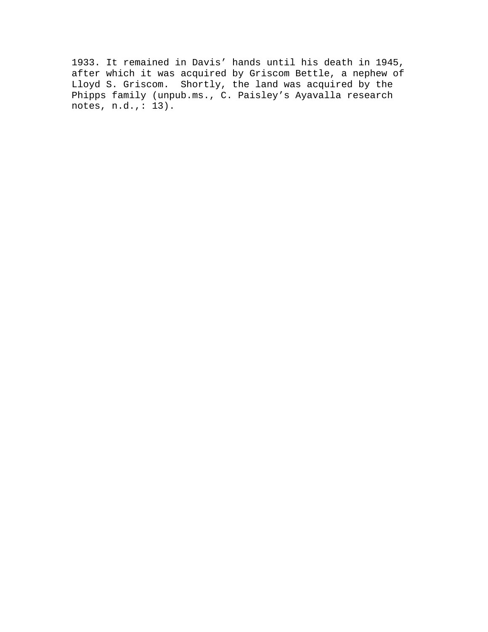1933. It remained in Davis' hands until his death in 1945, after which it was acquired by Griscom Bettle, a nephew of Lloyd S. Griscom. Shortly, the land was acquired by the Phipps family (unpub.ms., C. Paisley's Ayavalla research notes, n.d.,: 13).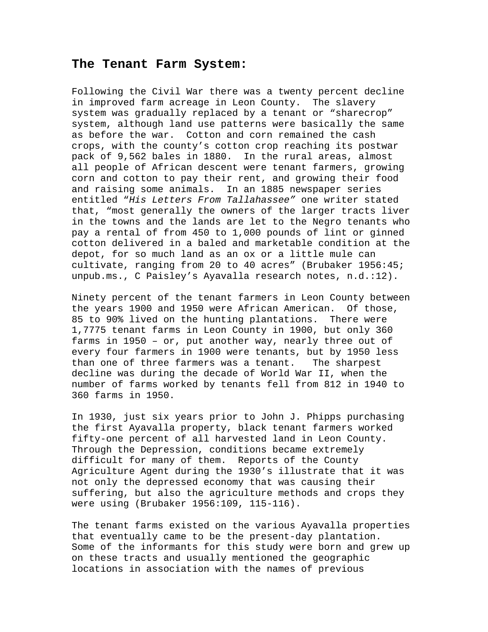#### **The Tenant Farm System:**

Following the Civil War there was a twenty percent decline in improved farm acreage in Leon County. The slavery system was gradually replaced by a tenant or "sharecrop" system, although land use patterns were basically the same as before the war. Cotton and corn remained the cash crops, with the county's cotton crop reaching its postwar pack of 9,562 bales in 1880. In the rural areas, almost all people of African descent were tenant farmers, growing corn and cotton to pay their rent, and growing their food and raising some animals. In an 1885 newspaper series entitled "*His Letters From Tallahassee"* one writer stated that, "most generally the owners of the larger tracts liver in the towns and the lands are let to the Negro tenants who pay a rental of from 450 to 1,000 pounds of lint or ginned cotton delivered in a baled and marketable condition at the depot, for so much land as an ox or a little mule can cultivate, ranging from 20 to 40 acres" (Brubaker 1956:45; unpub.ms., C Paisley's Ayavalla research notes, n.d.:12).

Ninety percent of the tenant farmers in Leon County between the years 1900 and 1950 were African American. Of those, 85 to 90% lived on the hunting plantations. There were 1,7775 tenant farms in Leon County in 1900, but only 360 farms in 1950 – or, put another way, nearly three out of every four farmers in 1900 were tenants, but by 1950 less than one of three farmers was a tenant. The sharpest decline was during the decade of World War II, when the number of farms worked by tenants fell from 812 in 1940 to 360 farms in 1950.

In 1930, just six years prior to John J. Phipps purchasing the first Ayavalla property, black tenant farmers worked fifty-one percent of all harvested land in Leon County. Through the Depression, conditions became extremely difficult for many of them. Reports of the County Agriculture Agent during the 1930's illustrate that it was not only the depressed economy that was causing their suffering, but also the agriculture methods and crops they were using (Brubaker 1956:109, 115-116).

The tenant farms existed on the various Ayavalla properties that eventually came to be the present-day plantation. Some of the informants for this study were born and grew up on these tracts and usually mentioned the geographic locations in association with the names of previous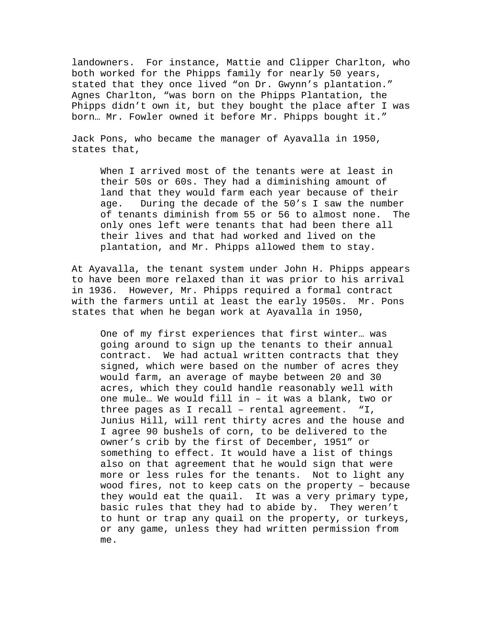landowners. For instance, Mattie and Clipper Charlton, who both worked for the Phipps family for nearly 50 years, stated that they once lived "on Dr. Gwynn's plantation." Agnes Charlton, "was born on the Phipps Plantation, the Phipps didn't own it, but they bought the place after I was born… Mr. Fowler owned it before Mr. Phipps bought it."

Jack Pons, who became the manager of Ayavalla in 1950, states that,

When I arrived most of the tenants were at least in their 50s or 60s. They had a diminishing amount of land that they would farm each year because of their age. During the decade of the 50's I saw the number of tenants diminish from 55 or 56 to almost none. The only ones left were tenants that had been there all their lives and that had worked and lived on the plantation, and Mr. Phipps allowed them to stay.

At Ayavalla, the tenant system under John H. Phipps appears to have been more relaxed than it was prior to his arrival in 1936. However, Mr. Phipps required a formal contract with the farmers until at least the early 1950s. Mr. Pons states that when he began work at Ayavalla in 1950,

One of my first experiences that first winter… was going around to sign up the tenants to their annual contract. We had actual written contracts that they signed, which were based on the number of acres they would farm, an average of maybe between 20 and 30 acres, which they could handle reasonably well with one mule… We would fill in – it was a blank, two or three pages as I recall – rental agreement. "I, Junius Hill, will rent thirty acres and the house and I agree 90 bushels of corn, to be delivered to the owner's crib by the first of December, 1951" or something to effect. It would have a list of things also on that agreement that he would sign that were more or less rules for the tenants. Not to light any wood fires, not to keep cats on the property – because they would eat the quail. It was a very primary type, basic rules that they had to abide by. They weren't to hunt or trap any quail on the property, or turkeys, or any game, unless they had written permission from me.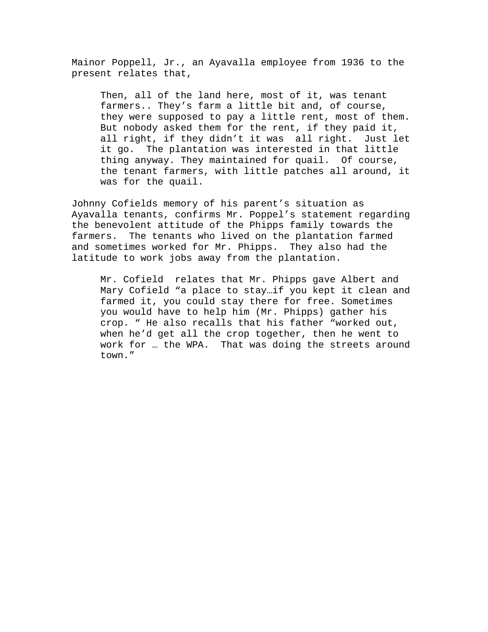Mainor Poppell, Jr., an Ayavalla employee from 1936 to the present relates that,

Then, all of the land here, most of it, was tenant farmers.. They's farm a little bit and, of course, they were supposed to pay a little rent, most of them. But nobody asked them for the rent, if they paid it, all right, if they didn't it was all right. Just let it go. The plantation was interested in that little thing anyway. They maintained for quail. Of course, the tenant farmers, with little patches all around, it was for the quail.

Johnny Cofields memory of his parent's situation as Ayavalla tenants, confirms Mr. Poppel's statement regarding the benevolent attitude of the Phipps family towards the farmers. The tenants who lived on the plantation farmed and sometimes worked for Mr. Phipps. They also had the latitude to work jobs away from the plantation.

Mr. Cofield relates that Mr. Phipps gave Albert and Mary Cofield "a place to stay…if you kept it clean and farmed it, you could stay there for free. Sometimes you would have to help him (Mr. Phipps) gather his crop. " He also recalls that his father "worked out, when he'd get all the crop together, then he went to work for … the WPA. That was doing the streets around town."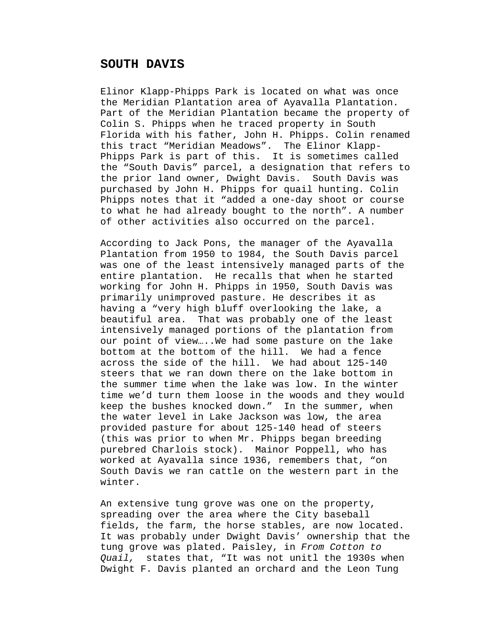### **SOUTH DAVIS**

Elinor Klapp-Phipps Park is located on what was once the Meridian Plantation area of Ayavalla Plantation. Part of the Meridian Plantation became the property of Colin S. Phipps when he traced property in South Florida with his father, John H. Phipps. Colin renamed this tract "Meridian Meadows". The Elinor Klapp-Phipps Park is part of this. It is sometimes called the "South Davis" parcel, a designation that refers to the prior land owner, Dwight Davis. South Davis was purchased by John H. Phipps for quail hunting. Colin Phipps notes that it "added a one-day shoot or course to what he had already bought to the north". A number of other activities also occurred on the parcel.

According to Jack Pons, the manager of the Ayavalla Plantation from 1950 to 1984, the South Davis parcel was one of the least intensively managed parts of the entire plantation. He recalls that when he started working for John H. Phipps in 1950, South Davis was primarily unimproved pasture. He describes it as having a "very high bluff overlooking the lake, a beautiful area. That was probably one of the least intensively managed portions of the plantation from our point of view…..We had some pasture on the lake bottom at the bottom of the hill. We had a fence across the side of the hill. We had about 125-140 steers that we ran down there on the lake bottom in the summer time when the lake was low. In the winter time we'd turn them loose in the woods and they would keep the bushes knocked down." In the summer, when the water level in Lake Jackson was low, the area provided pasture for about 125-140 head of steers (this was prior to when Mr. Phipps began breeding purebred Charlois stock). Mainor Poppell, who has worked at Ayavalla since 1936, remembers that, "on South Davis we ran cattle on the western part in the winter.

An extensive tung grove was one on the property, spreading over the area where the City baseball fields, the farm, the horse stables, are now located. It was probably under Dwight Davis' ownership that the tung grove was plated. Paisley, in *From Cotton to Quail,* states that, "It was not unitl the 1930s when Dwight F. Davis planted an orchard and the Leon Tung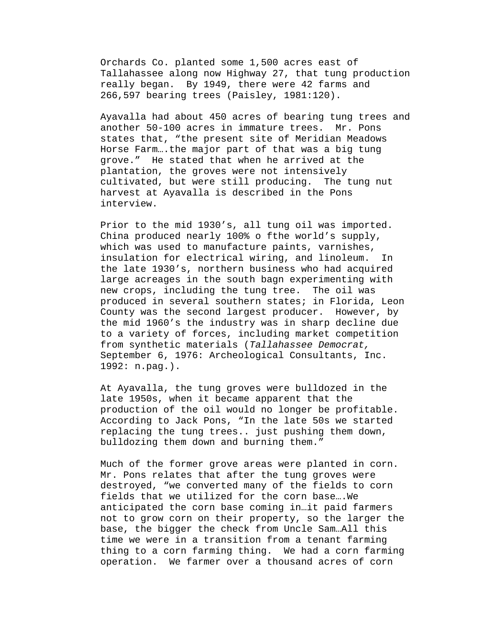Orchards Co. planted some 1,500 acres east of Tallahassee along now Highway 27, that tung production really began. By 1949, there were 42 farms and 266,597 bearing trees (Paisley, 1981:120).

Ayavalla had about 450 acres of bearing tung trees and another 50-100 acres in immature trees. Mr. Pons states that, "the present site of Meridian Meadows Horse Farm….the major part of that was a big tung grove." He stated that when he arrived at the plantation, the groves were not intensively cultivated, but were still producing. The tung nut harvest at Ayavalla is described in the Pons interview.

Prior to the mid 1930's, all tung oil was imported. China produced nearly 100% o fthe world's supply, which was used to manufacture paints, varnishes, insulation for electrical wiring, and linoleum. In the late 1930's, northern business who had acquired large acreages in the south bagn experimenting with new crops, including the tung tree. The oil was produced in several southern states; in Florida, Leon County was the second largest producer. However, by the mid 1960's the industry was in sharp decline due to a variety of forces, including market competition from synthetic materials (*Tallahassee Democrat,*  September 6, 1976: Archeological Consultants, Inc. 1992: n.pag.).

At Ayavalla, the tung groves were bulldozed in the late 1950s, when it became apparent that the production of the oil would no longer be profitable. According to Jack Pons, "In the late 50s we started replacing the tung trees.. just pushing them down, bulldozing them down and burning them."

Much of the former grove areas were planted in corn. Mr. Pons relates that after the tung groves were destroyed, "we converted many of the fields to corn fields that we utilized for the corn base….We anticipated the corn base coming in…it paid farmers not to grow corn on their property, so the larger the base, the bigger the check from Uncle Sam…All this time we were in a transition from a tenant farming thing to a corn farming thing. We had a corn farming operation. We farmer over a thousand acres of corn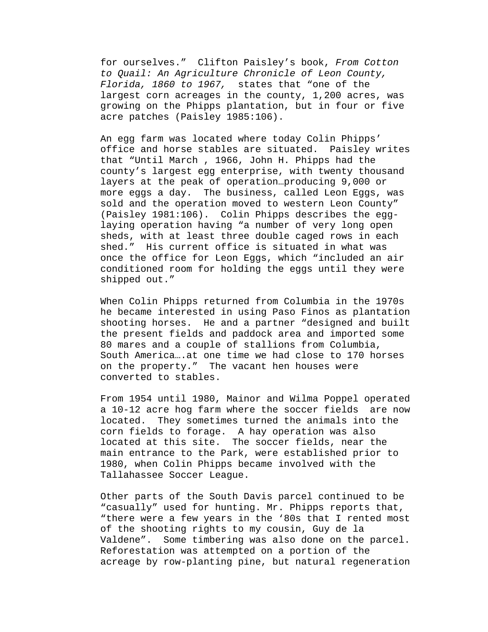for ourselves." Clifton Paisley's book, *From Cotton to Quail: An Agriculture Chronicle of Leon County, Florida, 1860 to 1967,* states that "one of the largest corn acreages in the county, 1,200 acres, was growing on the Phipps plantation, but in four or five acre patches (Paisley 1985:106).

An egg farm was located where today Colin Phipps' office and horse stables are situated. Paisley writes that "Until March , 1966, John H. Phipps had the county's largest egg enterprise, with twenty thousand layers at the peak of operation…producing 9,000 or more eggs a day. The business, called Leon Eggs, was sold and the operation moved to western Leon County" (Paisley 1981:106). Colin Phipps describes the egglaying operation having "a number of very long open sheds, with at least three double caged rows in each shed." His current office is situated in what was once the office for Leon Eggs, which "included an air conditioned room for holding the eggs until they were shipped out."

When Colin Phipps returned from Columbia in the 1970s he became interested in using Paso Finos as plantation shooting horses. He and a partner "designed and built the present fields and paddock area and imported some 80 mares and a couple of stallions from Columbia, South America….at one time we had close to 170 horses on the property." The vacant hen houses were converted to stables.

From 1954 until 1980, Mainor and Wilma Poppel operated a 10-12 acre hog farm where the soccer fields are now located. They sometimes turned the animals into the corn fields to forage. A hay operation was also located at this site. The soccer fields, near the main entrance to the Park, were established prior to 1980, when Colin Phipps became involved with the Tallahassee Soccer League.

Other parts of the South Davis parcel continued to be "casually" used for hunting. Mr. Phipps reports that, "there were a few years in the '80s that I rented most of the shooting rights to my cousin, Guy de la Valdene". Some timbering was also done on the parcel. Reforestation was attempted on a portion of the acreage by row-planting pine, but natural regeneration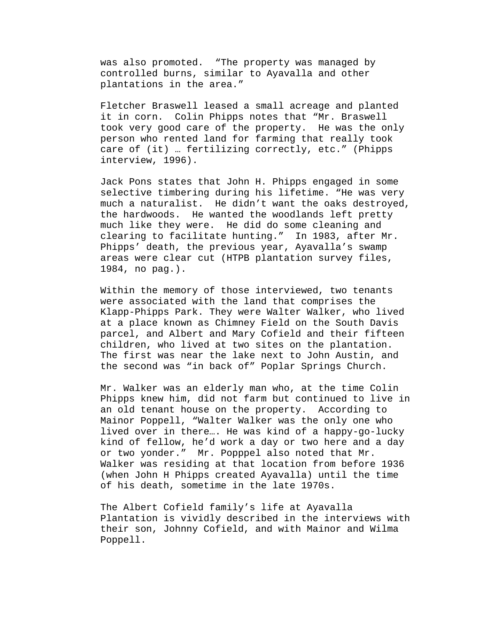was also promoted. "The property was managed by controlled burns, similar to Ayavalla and other plantations in the area."

Fletcher Braswell leased a small acreage and planted it in corn. Colin Phipps notes that "Mr. Braswell took very good care of the property. He was the only person who rented land for farming that really took care of (it) … fertilizing correctly, etc." (Phipps interview, 1996).

Jack Pons states that John H. Phipps engaged in some selective timbering during his lifetime. "He was very much a naturalist. He didn't want the oaks destroyed, the hardwoods. He wanted the woodlands left pretty much like they were. He did do some cleaning and clearing to facilitate hunting." In 1983, after Mr. Phipps' death, the previous year, Ayavalla's swamp areas were clear cut (HTPB plantation survey files, 1984, no pag.).

Within the memory of those interviewed, two tenants were associated with the land that comprises the Klapp-Phipps Park. They were Walter Walker, who lived at a place known as Chimney Field on the South Davis parcel, and Albert and Mary Cofield and their fifteen children, who lived at two sites on the plantation. The first was near the lake next to John Austin, and the second was "in back of" Poplar Springs Church.

Mr. Walker was an elderly man who, at the time Colin Phipps knew him, did not farm but continued to live in an old tenant house on the property. According to Mainor Poppell, "Walter Walker was the only one who lived over in there…. He was kind of a happy-go-lucky kind of fellow, he'd work a day or two here and a day or two yonder." Mr. Popppel also noted that Mr. Walker was residing at that location from before 1936 (when John H Phipps created Ayavalla) until the time of his death, sometime in the late 1970s.

The Albert Cofield family's life at Ayavalla Plantation is vividly described in the interviews with their son, Johnny Cofield, and with Mainor and Wilma Poppell.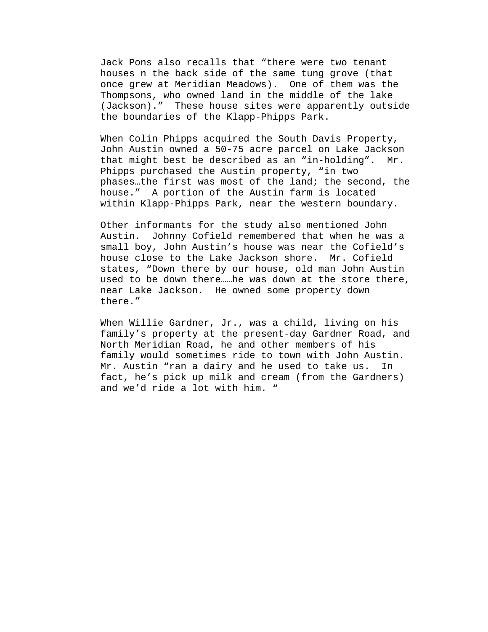Jack Pons also recalls that "there were two tenant houses n the back side of the same tung grove (that once grew at Meridian Meadows). One of them was the Thompsons, who owned land in the middle of the lake (Jackson)." These house sites were apparently outside the boundaries of the Klapp-Phipps Park.

When Colin Phipps acquired the South Davis Property, John Austin owned a 50-75 acre parcel on Lake Jackson that might best be described as an "in-holding". Mr. Phipps purchased the Austin property, "in two phases…the first was most of the land; the second, the house." A portion of the Austin farm is located within Klapp-Phipps Park, near the western boundary.

Other informants for the study also mentioned John Austin. Johnny Cofield remembered that when he was a small boy, John Austin's house was near the Cofield's house close to the Lake Jackson shore. Mr. Cofield states, "Down there by our house, old man John Austin used to be down there……he was down at the store there, near Lake Jackson. He owned some property down there."

When Willie Gardner, Jr., was a child, living on his family's property at the present-day Gardner Road, and North Meridian Road, he and other members of his family would sometimes ride to town with John Austin. Mr. Austin "ran a dairy and he used to take us. In fact, he's pick up milk and cream (from the Gardners) and we'd ride a lot with him. "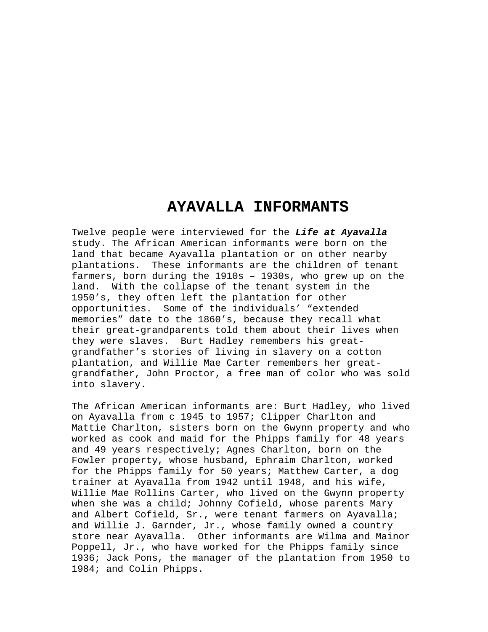## **AYAVALLA INFORMANTS**

Twelve people were interviewed for the *Life at Ayavalla* study. The African American informants were born on the land that became Ayavalla plantation or on other nearby plantations. These informants are the children of tenant farmers, born during the 1910s – 1930s, who grew up on the land. With the collapse of the tenant system in the 1950's, they often left the plantation for other opportunities. Some of the individuals' "extended memories" date to the 1860's, because they recall what their great-grandparents told them about their lives when they were slaves. Burt Hadley remembers his greatgrandfather's stories of living in slavery on a cotton plantation, and Willie Mae Carter remembers her greatgrandfather, John Proctor, a free man of color who was sold into slavery.

The African American informants are: Burt Hadley, who lived on Ayavalla from c 1945 to 1957; Clipper Charlton and Mattie Charlton, sisters born on the Gwynn property and who worked as cook and maid for the Phipps family for 48 years and 49 years respectively; Agnes Charlton, born on the Fowler property, whose husband, Ephraim Charlton, worked for the Phipps family for 50 years; Matthew Carter, a dog trainer at Ayavalla from 1942 until 1948, and his wife, Willie Mae Rollins Carter, who lived on the Gwynn property when she was a child; Johnny Cofield, whose parents Mary and Albert Cofield, Sr., were tenant farmers on Ayavalla; and Willie J. Garnder, Jr., whose family owned a country store near Ayavalla. Other informants are Wilma and Mainor Poppell, Jr., who have worked for the Phipps family since 1936; Jack Pons, the manager of the plantation from 1950 to 1984; and Colin Phipps.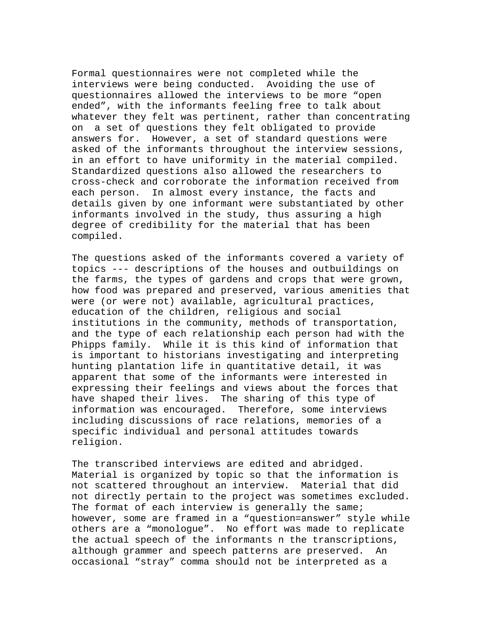Formal questionnaires were not completed while the interviews were being conducted. Avoiding the use of questionnaires allowed the interviews to be more "open ended", with the informants feeling free to talk about whatever they felt was pertinent, rather than concentrating on a set of questions they felt obligated to provide answers for. However, a set of standard questions were asked of the informants throughout the interview sessions, in an effort to have uniformity in the material compiled. Standardized questions also allowed the researchers to cross-check and corroborate the information received from each person. In almost every instance, the facts and details given by one informant were substantiated by other informants involved in the study, thus assuring a high degree of credibility for the material that has been compiled.

The questions asked of the informants covered a variety of topics --- descriptions of the houses and outbuildings on the farms, the types of gardens and crops that were grown, how food was prepared and preserved, various amenities that were (or were not) available, agricultural practices, education of the children, religious and social institutions in the community, methods of transportation, and the type of each relationship each person had with the Phipps family. While it is this kind of information that is important to historians investigating and interpreting hunting plantation life in quantitative detail, it was apparent that some of the informants were interested in expressing their feelings and views about the forces that have shaped their lives. The sharing of this type of information was encouraged. Therefore, some interviews including discussions of race relations, memories of a specific individual and personal attitudes towards religion.

The transcribed interviews are edited and abridged. Material is organized by topic so that the information is not scattered throughout an interview. Material that did not directly pertain to the project was sometimes excluded. The format of each interview is generally the same; however, some are framed in a "question=answer" style while others are a "monologue". No effort was made to replicate the actual speech of the informants n the transcriptions, although grammer and speech patterns are preserved. An occasional "stray" comma should not be interpreted as a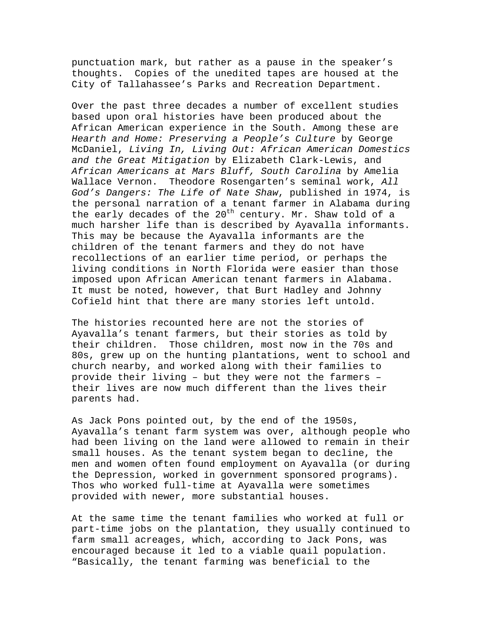punctuation mark, but rather as a pause in the speaker's thoughts. Copies of the unedited tapes are housed at the City of Tallahassee's Parks and Recreation Department.

Over the past three decades a number of excellent studies based upon oral histories have been produced about the African American experience in the South. Among these are *Hearth and Home: Preserving a People's Culture* by George McDaniel, *Living In, Living Out: African American Domestics and the Great Mitigation* by Elizabeth Clark-Lewis, and *African Americans at Mars Bluff, South Carolina* by Amelia Wallace Vernon. Theodore Rosengarten's seminal work, *All God's Dangers: The Life of Nate Shaw*, published in 1974, is the personal narration of a tenant farmer in Alabama during the early decades of the  $20^{th}$  century. Mr. Shaw told of a much harsher life than is described by Ayavalla informants. This may be because the Ayavalla informants are the children of the tenant farmers and they do not have recollections of an earlier time period, or perhaps the living conditions in North Florida were easier than those imposed upon African American tenant farmers in Alabama. It must be noted, however, that Burt Hadley and Johnny Cofield hint that there are many stories left untold.

The histories recounted here are not the stories of Ayavalla's tenant farmers, but their stories as told by their children. Those children, most now in the 70s and 80s, grew up on the hunting plantations, went to school and church nearby, and worked along with their families to provide their living – but they were not the farmers – their lives are now much different than the lives their parents had.

As Jack Pons pointed out, by the end of the 1950s, Ayavalla's tenant farm system was over, although people who had been living on the land were allowed to remain in their small houses. As the tenant system began to decline, the men and women often found employment on Ayavalla (or during the Depression, worked in government sponsored programs). Thos who worked full-time at Ayavalla were sometimes provided with newer, more substantial houses.

At the same time the tenant families who worked at full or part-time jobs on the plantation, they usually continued to farm small acreages, which, according to Jack Pons, was encouraged because it led to a viable quail population. "Basically, the tenant farming was beneficial to the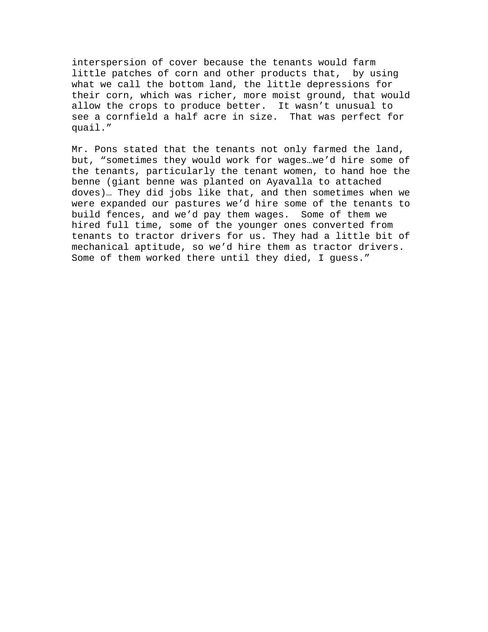interspersion of cover because the tenants would farm little patches of corn and other products that, by using what we call the bottom land, the little depressions for their corn, which was richer, more moist ground, that would allow the crops to produce better. It wasn't unusual to see a cornfield a half acre in size. That was perfect for quail."

Mr. Pons stated that the tenants not only farmed the land, but, "sometimes they would work for wages…we'd hire some of the tenants, particularly the tenant women, to hand hoe the benne (giant benne was planted on Ayavalla to attached doves)… They did jobs like that, and then sometimes when we were expanded our pastures we'd hire some of the tenants to build fences, and we'd pay them wages. Some of them we hired full time, some of the younger ones converted from tenants to tractor drivers for us. They had a little bit of mechanical aptitude, so we'd hire them as tractor drivers. Some of them worked there until they died, I guess."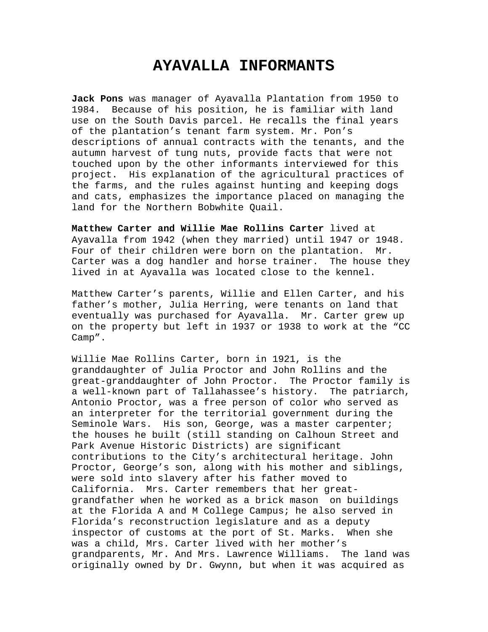## **AYAVALLA INFORMANTS**

**Jack Pons** was manager of Ayavalla Plantation from 1950 to 1984. Because of his position, he is familiar with land use on the South Davis parcel. He recalls the final years of the plantation's tenant farm system. Mr. Pon's descriptions of annual contracts with the tenants, and the autumn harvest of tung nuts, provide facts that were not touched upon by the other informants interviewed for this project. His explanation of the agricultural practices of the farms, and the rules against hunting and keeping dogs and cats, emphasizes the importance placed on managing the land for the Northern Bobwhite Quail.

**Matthew Carter and Willie Mae Rollins Carter** lived at Ayavalla from 1942 (when they married) until 1947 or 1948. Four of their children were born on the plantation. Mr. Carter was a dog handler and horse trainer. The house they lived in at Ayavalla was located close to the kennel.

Matthew Carter's parents, Willie and Ellen Carter, and his father's mother, Julia Herring, were tenants on land that eventually was purchased for Ayavalla. Mr. Carter grew up on the property but left in 1937 or 1938 to work at the "CC Camp".

Willie Mae Rollins Carter, born in 1921, is the granddaughter of Julia Proctor and John Rollins and the great-granddaughter of John Proctor. The Proctor family is a well-known part of Tallahassee's history. The patriarch, Antonio Proctor, was a free person of color who served as an interpreter for the territorial government during the Seminole Wars. His son, George, was a master carpenter; the houses he built (still standing on Calhoun Street and Park Avenue Historic Districts) are significant contributions to the City's architectural heritage. John Proctor, George's son, along with his mother and siblings, were sold into slavery after his father moved to California. Mrs. Carter remembers that her greatgrandfather when he worked as a brick mason on buildings at the Florida A and M College Campus; he also served in Florida's reconstruction legislature and as a deputy inspector of customs at the port of St. Marks. When she was a child, Mrs. Carter lived with her mother's grandparents, Mr. And Mrs. Lawrence Williams. The land was originally owned by Dr. Gwynn, but when it was acquired as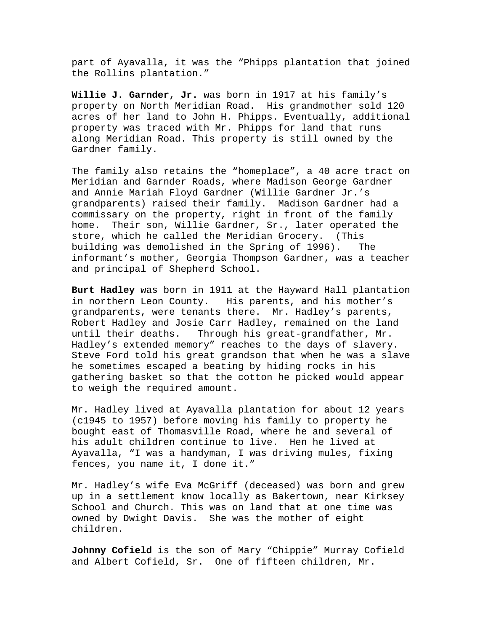part of Ayavalla, it was the "Phipps plantation that joined the Rollins plantation."

**Willie J. Garnder, Jr.** was born in 1917 at his family's property on North Meridian Road. His grandmother sold 120 acres of her land to John H. Phipps. Eventually, additional property was traced with Mr. Phipps for land that runs along Meridian Road. This property is still owned by the Gardner family.

The family also retains the "homeplace", a 40 acre tract on Meridian and Garnder Roads, where Madison George Gardner and Annie Mariah Floyd Gardner (Willie Gardner Jr.'s grandparents) raised their family. Madison Gardner had a commissary on the property, right in front of the family home. Their son, Willie Gardner, Sr., later operated the store, which he called the Meridian Grocery. (This building was demolished in the Spring of 1996). The informant's mother, Georgia Thompson Gardner, was a teacher and principal of Shepherd School.

**Burt Hadley** was born in 1911 at the Hayward Hall plantation in northern Leon County. His parents, and his mother's grandparents, were tenants there. Mr. Hadley's parents, Robert Hadley and Josie Carr Hadley, remained on the land until their deaths. Through his great-grandfather, Mr. Hadley's extended memory" reaches to the days of slavery. Steve Ford told his great grandson that when he was a slave he sometimes escaped a beating by hiding rocks in his gathering basket so that the cotton he picked would appear to weigh the required amount.

Mr. Hadley lived at Ayavalla plantation for about 12 years (c1945 to 1957) before moving his family to property he bought east of Thomasville Road, where he and several of his adult children continue to live. Hen he lived at Ayavalla, "I was a handyman, I was driving mules, fixing fences, you name it, I done it."

Mr. Hadley's wife Eva McGriff (deceased) was born and grew up in a settlement know locally as Bakertown, near Kirksey School and Church. This was on land that at one time was owned by Dwight Davis. She was the mother of eight children.

**Johnny Cofield** is the son of Mary "Chippie" Murray Cofield and Albert Cofield, Sr. One of fifteen children, Mr.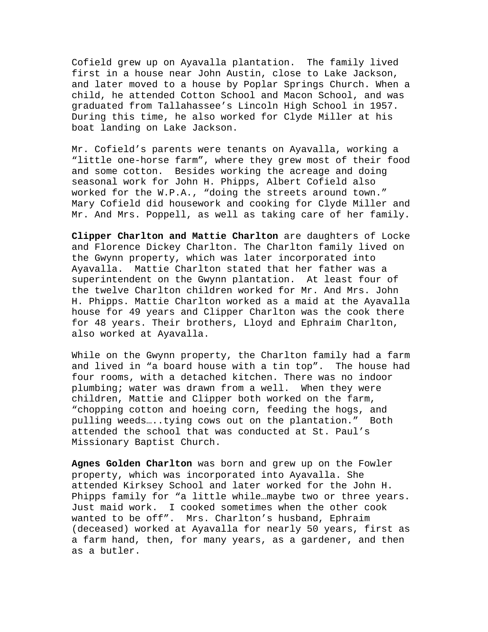Cofield grew up on Ayavalla plantation. The family lived first in a house near John Austin, close to Lake Jackson, and later moved to a house by Poplar Springs Church. When a child, he attended Cotton School and Macon School, and was graduated from Tallahassee's Lincoln High School in 1957. During this time, he also worked for Clyde Miller at his boat landing on Lake Jackson.

Mr. Cofield's parents were tenants on Ayavalla, working a "little one-horse farm", where they grew most of their food and some cotton. Besides working the acreage and doing seasonal work for John H. Phipps, Albert Cofield also worked for the W.P.A., "doing the streets around town." Mary Cofield did housework and cooking for Clyde Miller and Mr. And Mrs. Poppell, as well as taking care of her family.

**Clipper Charlton and Mattie Charlton** are daughters of Locke and Florence Dickey Charlton. The Charlton family lived on the Gwynn property, which was later incorporated into Ayavalla. Mattie Charlton stated that her father was a superintendent on the Gwynn plantation. At least four of the twelve Charlton children worked for Mr. And Mrs. John H. Phipps. Mattie Charlton worked as a maid at the Ayavalla house for 49 years and Clipper Charlton was the cook there for 48 years. Their brothers, Lloyd and Ephraim Charlton, also worked at Ayavalla.

While on the Gwynn property, the Charlton family had a farm and lived in "a board house with a tin top". The house had four rooms, with a detached kitchen. There was no indoor plumbing; water was drawn from a well. When they were children, Mattie and Clipper both worked on the farm, "chopping cotton and hoeing corn, feeding the hogs, and pulling weeds…..tying cows out on the plantation." Both attended the school that was conducted at St. Paul's Missionary Baptist Church.

**Agnes Golden Charlton** was born and grew up on the Fowler property, which was incorporated into Ayavalla. She attended Kirksey School and later worked for the John H. Phipps family for "a little while…maybe two or three years. Just maid work. I cooked sometimes when the other cook wanted to be off". Mrs. Charlton's husband, Ephraim (deceased) worked at Ayavalla for nearly 50 years, first as a farm hand, then, for many years, as a gardener, and then as a butler.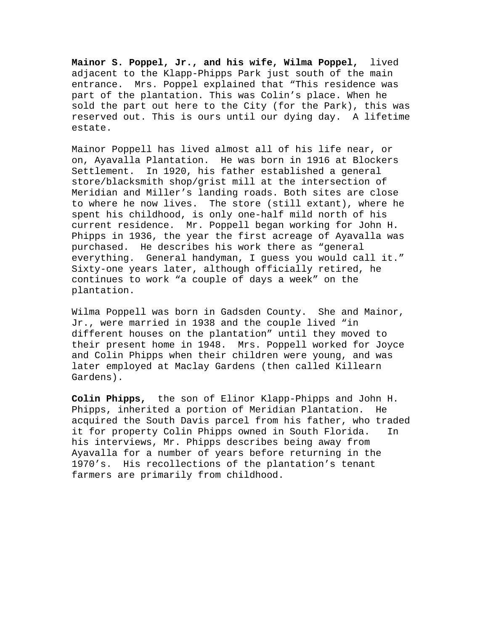**Mainor S. Poppel, Jr., and his wife, Wilma Poppel,** lived adjacent to the Klapp-Phipps Park just south of the main entrance. Mrs. Poppel explained that "This residence was part of the plantation. This was Colin's place. When he sold the part out here to the City (for the Park), this was reserved out. This is ours until our dying day. A lifetime estate.

Mainor Poppell has lived almost all of his life near, or on, Ayavalla Plantation. He was born in 1916 at Blockers Settlement. In 1920, his father established a general store/blacksmith shop/grist mill at the intersection of Meridian and Miller's landing roads. Both sites are close to where he now lives. The store (still extant), where he spent his childhood, is only one-half mild north of his current residence. Mr. Poppell began working for John H. Phipps in 1936, the year the first acreage of Ayavalla was purchased. He describes his work there as "general everything. General handyman, I guess you would call it." Sixty-one years later, although officially retired, he continues to work "a couple of days a week" on the plantation.

Wilma Poppell was born in Gadsden County. She and Mainor, Jr., were married in 1938 and the couple lived "in different houses on the plantation" until they moved to their present home in 1948. Mrs. Poppell worked for Joyce and Colin Phipps when their children were young, and was later employed at Maclay Gardens (then called Killearn Gardens).

**Colin Phipps,** the son of Elinor Klapp-Phipps and John H. Phipps, inherited a portion of Meridian Plantation. He acquired the South Davis parcel from his father, who traded it for property Colin Phipps owned in South Florida. In his interviews, Mr. Phipps describes being away from Ayavalla for a number of years before returning in the 1970's. His recollections of the plantation's tenant farmers are primarily from childhood.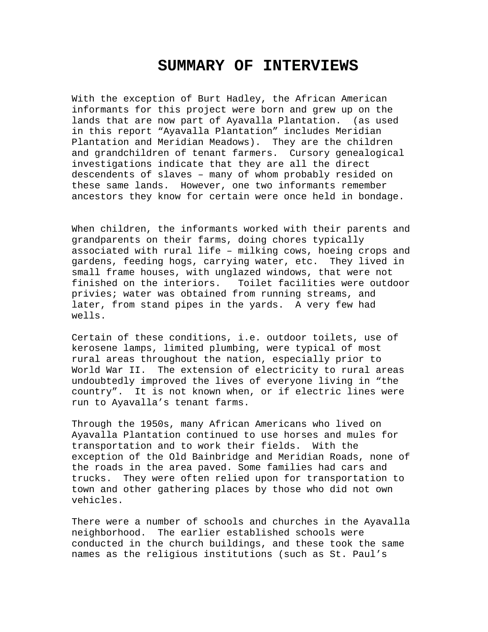## **SUMMARY OF INTERVIEWS**

With the exception of Burt Hadley, the African American informants for this project were born and grew up on the lands that are now part of Ayavalla Plantation. (as used in this report "Ayavalla Plantation" includes Meridian Plantation and Meridian Meadows). They are the children and grandchildren of tenant farmers. Cursory genealogical investigations indicate that they are all the direct descendents of slaves – many of whom probably resided on these same lands. However, one two informants remember ancestors they know for certain were once held in bondage.

When children, the informants worked with their parents and grandparents on their farms, doing chores typically associated with rural life – milking cows, hoeing crops and gardens, feeding hogs, carrying water, etc. They lived in small frame houses, with unglazed windows, that were not finished on the interiors. Toilet facilities were outdoor privies; water was obtained from running streams, and later, from stand pipes in the yards. A very few had wells.

Certain of these conditions, i.e. outdoor toilets, use of kerosene lamps, limited plumbing, were typical of most rural areas throughout the nation, especially prior to World War II. The extension of electricity to rural areas undoubtedly improved the lives of everyone living in "the country". It is not known when, or if electric lines were run to Ayavalla's tenant farms.

Through the 1950s, many African Americans who lived on Ayavalla Plantation continued to use horses and mules for transportation and to work their fields. With the exception of the Old Bainbridge and Meridian Roads, none of the roads in the area paved. Some families had cars and trucks. They were often relied upon for transportation to town and other gathering places by those who did not own vehicles.

There were a number of schools and churches in the Ayavalla neighborhood. The earlier established schools were conducted in the church buildings, and these took the same names as the religious institutions (such as St. Paul's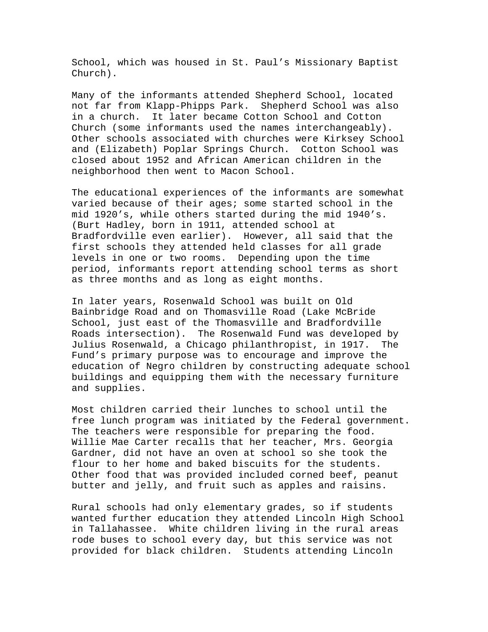School, which was housed in St. Paul's Missionary Baptist Church).

Many of the informants attended Shepherd School, located not far from Klapp-Phipps Park. Shepherd School was also in a church. It later became Cotton School and Cotton Church (some informants used the names interchangeably). Other schools associated with churches were Kirksey School and (Elizabeth) Poplar Springs Church. Cotton School was closed about 1952 and African American children in the neighborhood then went to Macon School.

The educational experiences of the informants are somewhat varied because of their ages; some started school in the mid 1920's, while others started during the mid 1940's. (Burt Hadley, born in 1911, attended school at Bradfordville even earlier). However, all said that the first schools they attended held classes for all grade levels in one or two rooms. Depending upon the time period, informants report attending school terms as short as three months and as long as eight months.

In later years, Rosenwald School was built on Old Bainbridge Road and on Thomasville Road (Lake McBride School, just east of the Thomasville and Bradfordville Roads intersection). The Rosenwald Fund was developed by Julius Rosenwald, a Chicago philanthropist, in 1917. The Fund's primary purpose was to encourage and improve the education of Negro children by constructing adequate school buildings and equipping them with the necessary furniture and supplies.

Most children carried their lunches to school until the free lunch program was initiated by the Federal government. The teachers were responsible for preparing the food. Willie Mae Carter recalls that her teacher, Mrs. Georgia Gardner, did not have an oven at school so she took the flour to her home and baked biscuits for the students. Other food that was provided included corned beef, peanut butter and jelly, and fruit such as apples and raisins.

Rural schools had only elementary grades, so if students wanted further education they attended Lincoln High School in Tallahassee. White children living in the rural areas rode buses to school every day, but this service was not provided for black children. Students attending Lincoln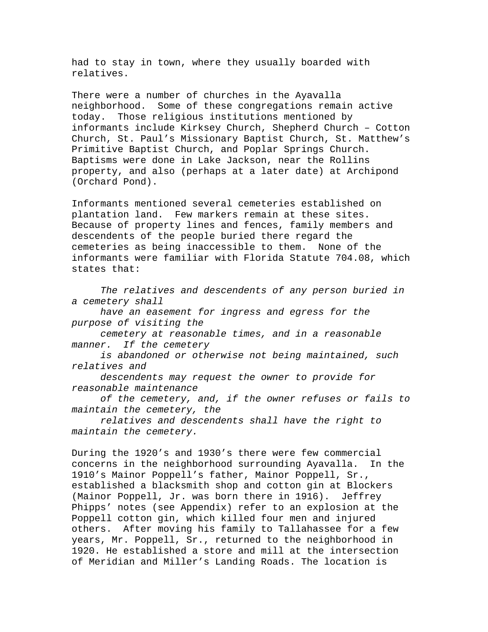had to stay in town, where they usually boarded with relatives.

There were a number of churches in the Ayavalla neighborhood. Some of these congregations remain active today. Those religious institutions mentioned by informants include Kirksey Church, Shepherd Church – Cotton Church, St. Paul's Missionary Baptist Church, St. Matthew's Primitive Baptist Church, and Poplar Springs Church. Baptisms were done in Lake Jackson, near the Rollins property, and also (perhaps at a later date) at Archipond (Orchard Pond).

Informants mentioned several cemeteries established on plantation land. Few markers remain at these sites. Because of property lines and fences, family members and descendents of the people buried there regard the cemeteries as being inaccessible to them. None of the informants were familiar with Florida Statute 704.08, which states that:

*The relatives and descendents of any person buried in a cemetery shall* 

 *have an easement for ingress and egress for the purpose of visiting the* 

 *cemetery at reasonable times, and in a reasonable manner. If the cemetery* 

 *is abandoned or otherwise not being maintained, such relatives and* 

 *descendents may request the owner to provide for reasonable maintenance* 

 *of the cemetery, and, if the owner refuses or fails to maintain the cemetery, the* 

 *relatives and descendents shall have the right to maintain the cemetery.* 

During the 1920's and 1930's there were few commercial concerns in the neighborhood surrounding Ayavalla. In the 1910's Mainor Poppell's father, Mainor Poppell, Sr., established a blacksmith shop and cotton gin at Blockers (Mainor Poppell, Jr. was born there in 1916). Jeffrey Phipps' notes (see Appendix) refer to an explosion at the Poppell cotton gin, which killed four men and injured others. After moving his family to Tallahassee for a few years, Mr. Poppell, Sr., returned to the neighborhood in 1920. He established a store and mill at the intersection of Meridian and Miller's Landing Roads. The location is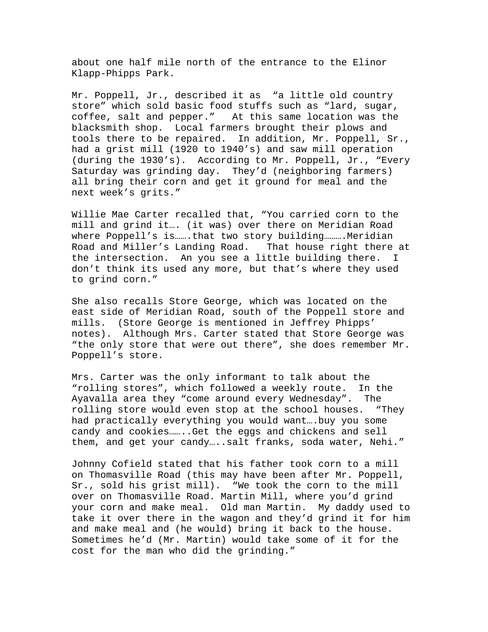about one half mile north of the entrance to the Elinor Klapp-Phipps Park.

Mr. Poppell, Jr., described it as "a little old country store" which sold basic food stuffs such as "lard, sugar, coffee, salt and pepper." At this same location was the blacksmith shop. Local farmers brought their plows and tools there to be repaired. In addition, Mr. Poppell, Sr., had a grist mill (1920 to 1940's) and saw mill operation (during the 1930's). According to Mr. Poppell, Jr., "Every Saturday was grinding day. They'd (neighboring farmers) all bring their corn and get it ground for meal and the next week's grits."

Willie Mae Carter recalled that, "You carried corn to the mill and grind it…. (it was) over there on Meridian Road where Poppell's is.......that two story building.......... Meridian Road and Miller's Landing Road. That house right there at the intersection. An you see a little building there. I don't think its used any more, but that's where they used to grind corn."

She also recalls Store George, which was located on the east side of Meridian Road, south of the Poppell store and mills. (Store George is mentioned in Jeffrey Phipps' notes). Although Mrs. Carter stated that Store George was "the only store that were out there", she does remember Mr. Poppell's store.

Mrs. Carter was the only informant to talk about the "rolling stores", which followed a weekly route. In the Ayavalla area they "come around every Wednesday". The rolling store would even stop at the school houses. "They had practically everything you would want….buy you some candy and cookies……..Get the eggs and chickens and sell them, and get your candy…..salt franks, soda water, Nehi."

Johnny Cofield stated that his father took corn to a mill on Thomasville Road (this may have been after Mr. Poppell, Sr., sold his grist mill). "We took the corn to the mill over on Thomasville Road. Martin Mill, where you'd grind your corn and make meal. Old man Martin. My daddy used to take it over there in the wagon and they'd grind it for him and make meal and (he would) bring it back to the house. Sometimes he'd (Mr. Martin) would take some of it for the cost for the man who did the grinding."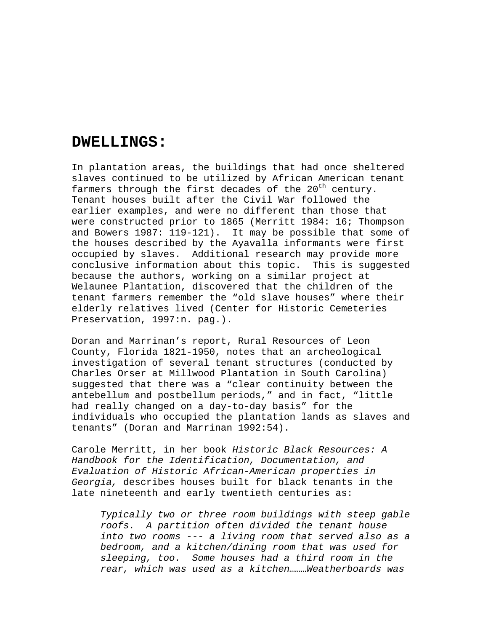## **DWELLINGS:**

In plantation areas, the buildings that had once sheltered slaves continued to be utilized by African American tenant farmers through the first decades of the  $20<sup>th</sup>$  century. Tenant houses built after the Civil War followed the earlier examples, and were no different than those that were constructed prior to 1865 (Merritt 1984: 16; Thompson and Bowers 1987: 119-121). It may be possible that some of the houses described by the Ayavalla informants were first occupied by slaves. Additional research may provide more conclusive information about this topic. This is suggested because the authors, working on a similar project at Welaunee Plantation, discovered that the children of the tenant farmers remember the "old slave houses" where their elderly relatives lived (Center for Historic Cemeteries Preservation, 1997:n. pag.).

Doran and Marrinan's report, Rural Resources of Leon County, Florida 1821-1950, notes that an archeological investigation of several tenant structures (conducted by Charles Orser at Millwood Plantation in South Carolina) suggested that there was a "clear continuity between the antebellum and postbellum periods," and in fact, "little had really changed on a day-to-day basis" for the individuals who occupied the plantation lands as slaves and tenants" (Doran and Marrinan 1992:54).

Carole Merritt, in her book *Historic Black Resources: A Handbook for the Identification, Documentation, and Evaluation of Historic African-American properties in Georgia,* describes houses built for black tenants in the late nineteenth and early twentieth centuries as:

*Typically two or three room buildings with steep gable roofs. A partition often divided the tenant house into two rooms --- a living room that served also as a bedroom, and a kitchen/dining room that was used for sleeping, too. Some houses had a third room in the rear, which was used as a kitchen………Weatherboards was*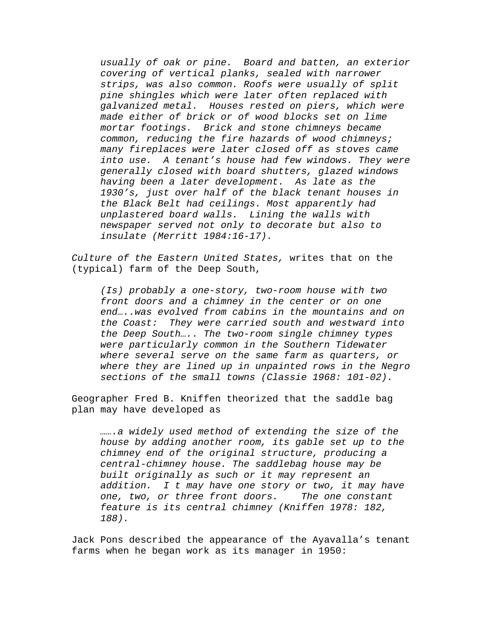*usually of oak or pine. Board and batten, an exterior covering of vertical planks, sealed with narrower strips, was also common. Roofs were usually of split pine shingles which were later often replaced with galvanized metal. Houses rested on piers, which were made either of brick or of wood blocks set on lime mortar footings. Brick and stone chimneys became common, reducing the fire hazards of wood chimneys; many fireplaces were later closed off as stoves came into use. A tenant's house had few windows. They were generally closed with board shutters, glazed windows having been a later development. As late as the 1930's, just over half of the black tenant houses in the Black Belt had ceilings. Most apparently had unplastered board walls. Lining the walls with newspaper served not only to decorate but also to insulate (Merritt 1984:16-17).* 

*Culture of the Eastern United States,* writes that on the (typical) farm of the Deep South,

*(Is) probably a one-story, two-room house with two front doors and a chimney in the center or on one end…..was evolved from cabins in the mountains and on the Coast: They were carried south and westward into the Deep South….. The two-room single chimney types were particularly common in the Southern Tidewater where several serve on the same farm as quarters, or where they are lined up in unpainted rows in the Negro sections of the small towns (Classie 1968: 101-02).* 

Geographer Fred B. Kniffen theorized that the saddle bag plan may have developed as

*…….a widely used method of extending the size of the house by adding another room, its gable set up to the chimney end of the original structure, producing a central-chimney house. The saddlebag house may be built originally as such or it may represent an addition. I t may have one story or two, it may have one, two, or three front doors. The one constant feature is its central chimney (Kniffen 1978: 182, 188).* 

Jack Pons described the appearance of the Ayavalla's tenant farms when he began work as its manager in 1950: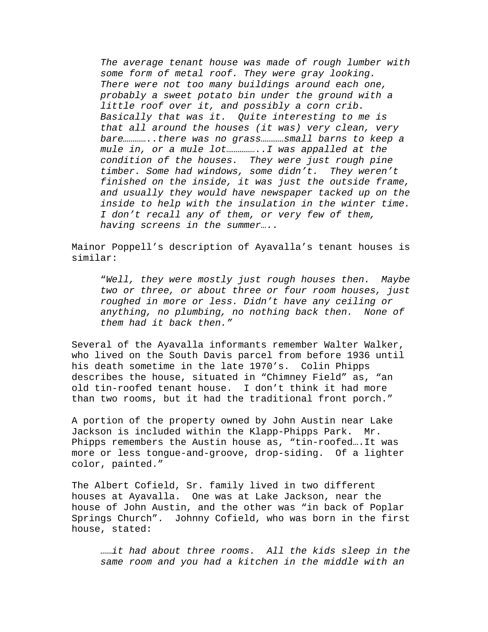*The average tenant house was made of rough lumber with some form of metal roof. They were gray looking. There were not too many buildings around each one, probably a sweet potato bin under the ground with a little roof over it, and possibly a corn crib. Basically that was it. Quite interesting to me is that all around the houses (it was) very clean, very bare…………..there was no grass…………small barns to keep a mule in, or a mule lot……………..I was appalled at the condition of the houses. They were just rough pine timber. Some had windows, some didn't. They weren't finished on the inside, it was just the outside frame, and usually they would have newspaper tacked up on the inside to help with the insulation in the winter time. I don't recall any of them, or very few of them, having screens in the summer…..* 

Mainor Poppell's description of Ayavalla's tenant houses is similar:

"*Well, they were mostly just rough houses then. Maybe two or three, or about three or four room houses, just roughed in more or less. Didn't have any ceiling or anything, no plumbing, no nothing back then. None of them had it back then."* 

Several of the Ayavalla informants remember Walter Walker, who lived on the South Davis parcel from before 1936 until his death sometime in the late 1970's. Colin Phipps describes the house, situated in "Chimney Field" as, "an old tin-roofed tenant house. I don't think it had more than two rooms, but it had the traditional front porch."

A portion of the property owned by John Austin near Lake Jackson is included within the Klapp-Phipps Park. Mr. Phipps remembers the Austin house as, "tin-roofed….It was more or less tongue-and-groove, drop-siding. Of a lighter color, painted."

The Albert Cofield, Sr. family lived in two different houses at Ayavalla. One was at Lake Jackson, near the house of John Austin, and the other was "in back of Poplar Springs Church". Johnny Cofield, who was born in the first house, stated:

……*it had about three rooms. All the kids sleep in the same room and you had a kitchen in the middle with an*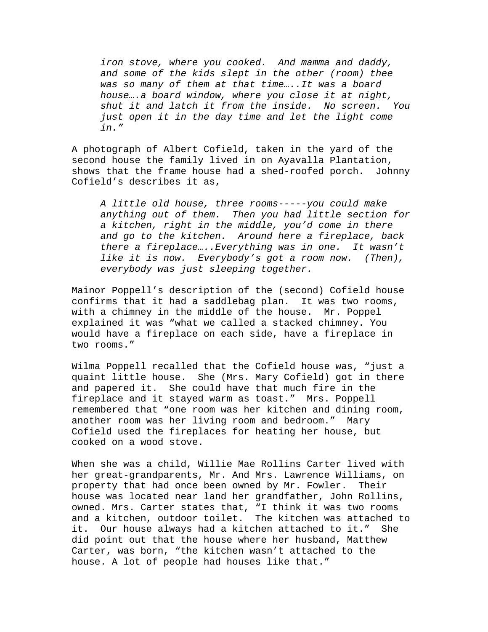*iron stove, where you cooked. And mamma and daddy, and some of the kids slept in the other (room) thee was so many of them at that time…..It was a board house….a board window, where you close it at night, shut it and latch it from the inside. No screen. You just open it in the day time and let the light come in."* 

A photograph of Albert Cofield, taken in the yard of the second house the family lived in on Ayavalla Plantation, shows that the frame house had a shed-roofed porch. Johnny Cofield's describes it as,

*A little old house, three rooms-----you could make anything out of them. Then you had little section for a kitchen, right in the middle, you'd come in there and go to the kitchen. Around here a fireplace, back there a fireplace…..Everything was in one. It wasn't like it is now. Everybody's got a room now. (Then), everybody was just sleeping together.* 

Mainor Poppell's description of the (second) Cofield house confirms that it had a saddlebag plan. It was two rooms, with a chimney in the middle of the house. Mr. Poppel explained it was "what we called a stacked chimney. You would have a fireplace on each side, have a fireplace in two rooms."

Wilma Poppell recalled that the Cofield house was, "just a quaint little house. She (Mrs. Mary Cofield) got in there and papered it. She could have that much fire in the fireplace and it stayed warm as toast." Mrs. Poppell remembered that "one room was her kitchen and dining room, another room was her living room and bedroom." Mary Cofield used the fireplaces for heating her house, but cooked on a wood stove.

When she was a child, Willie Mae Rollins Carter lived with her great-grandparents, Mr. And Mrs. Lawrence Williams, on property that had once been owned by Mr. Fowler. Their house was located near land her grandfather, John Rollins, owned. Mrs. Carter states that, "I think it was two rooms and a kitchen, outdoor toilet. The kitchen was attached to it. Our house always had a kitchen attached to it." She did point out that the house where her husband, Matthew Carter, was born, "the kitchen wasn't attached to the house. A lot of people had houses like that."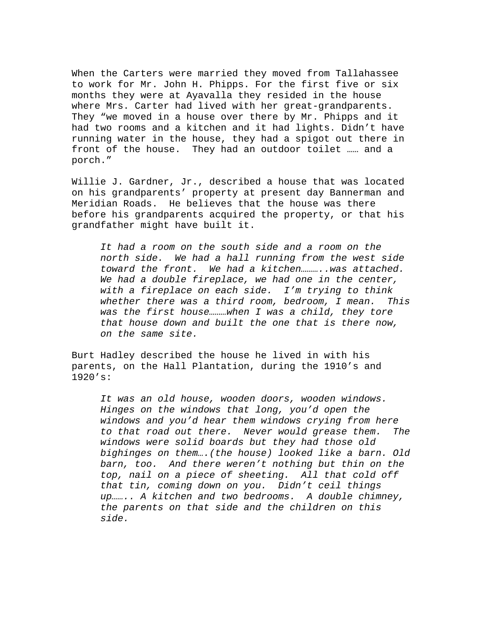When the Carters were married they moved from Tallahassee to work for Mr. John H. Phipps. For the first five or six months they were at Ayavalla they resided in the house where Mrs. Carter had lived with her great-grandparents. They "we moved in a house over there by Mr. Phipps and it had two rooms and a kitchen and it had lights. Didn't have running water in the house, they had a spigot out there in front of the house. They had an outdoor toilet …… and a porch."

Willie J. Gardner, Jr., described a house that was located on his grandparents' property at present day Bannerman and Meridian Roads. He believes that the house was there before his grandparents acquired the property, or that his grandfather might have built it.

*It had a room on the south side and a room on the north side. We had a hall running from the west side toward the front. We had a kitchen………..was attached. We had a double fireplace, we had one in the center, with a fireplace on each side. I'm trying to think whether there was a third room, bedroom, I mean. This was the first house………when I was a child, they tore that house down and built the one that is there now, on the same site.* 

Burt Hadley described the house he lived in with his parents, on the Hall Plantation, during the 1910's and 1920's:

*It was an old house, wooden doors, wooden windows. Hinges on the windows that long, you'd open the windows and you'd hear them windows crying from here to that road out there. Never would grease them. The windows were solid boards but they had those old bighinges on them….(the house) looked like a barn. Old barn, too. And there weren't nothing but thin on the top, nail on a piece of sheeting. All that cold off that tin, coming down on you. Didn't ceil things up…….. A kitchen and two bedrooms. A double chimney, the parents on that side and the children on this side.*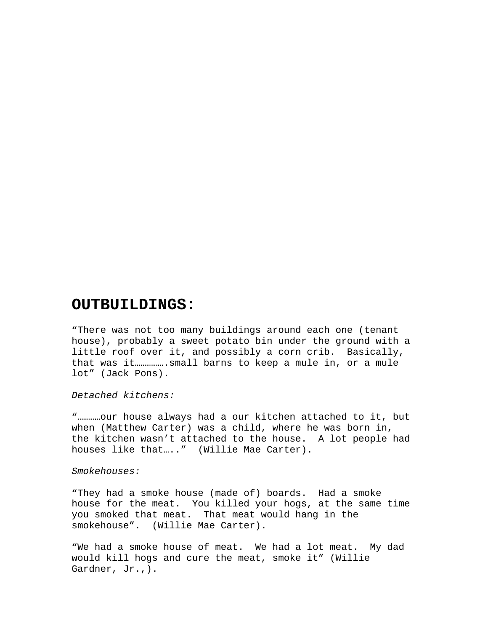# **OUTBUILDINGS:**

"There was not too many buildings around each one (tenant house), probably a sweet potato bin under the ground with a little roof over it, and possibly a corn crib. Basically, that was it…………….small barns to keep a mule in, or a mule lot" (Jack Pons).

*Detached kitchens:* 

"…………our house always had a our kitchen attached to it, but when (Matthew Carter) was a child, where he was born in, the kitchen wasn't attached to the house. A lot people had houses like that...." (Willie Mae Carter).

*Smokehouses:* 

"They had a smoke house (made of) boards. Had a smoke house for the meat. You killed your hogs, at the same time you smoked that meat. That meat would hang in the smokehouse". (Willie Mae Carter).

"We had a smoke house of meat. We had a lot meat. My dad would kill hogs and cure the meat, smoke it" (Willie Gardner, Jr.,).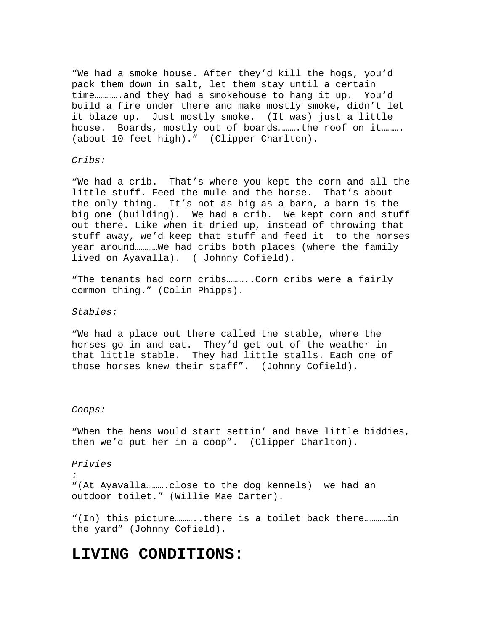"We had a smoke house. After they'd kill the hogs, you'd pack them down in salt, let them stay until a certain time………….and they had a smokehouse to hang it up. You'd build a fire under there and make mostly smoke, didn't let it blaze up. Just mostly smoke. (It was) just a little house. Boards, mostly out of boards……….the roof on it………. (about 10 feet high)." (Clipper Charlton).

*Cribs:* 

"We had a crib. That's where you kept the corn and all the little stuff. Feed the mule and the horse. That's about the only thing. It's not as big as a barn, a barn is the big one (building). We had a crib. We kept corn and stuff out there. Like when it dried up, instead of throwing that stuff away, we'd keep that stuff and feed it to the horses year around…………We had cribs both places (where the family lived on Ayavalla). ( Johnny Cofield).

"The tenants had corn cribs...........Corn cribs were a fairly common thing." (Colin Phipps).

*Stables:* 

"We had a place out there called the stable, where the horses go in and eat. They'd get out of the weather in that little stable. They had little stalls. Each one of those horses knew their staff". (Johnny Cofield).

### *Coops:*

"When the hens would start settin' and have little biddies, then we'd put her in a coop". (Clipper Charlton).

*Privies* 

*:*  "(At Ayavalla……….close to the dog kennels) we had an outdoor toilet." (Willie Mae Carter).

"(In) this picture………..there is a toilet back there…………in the yard" (Johnny Cofield).

# **LIVING CONDITIONS:**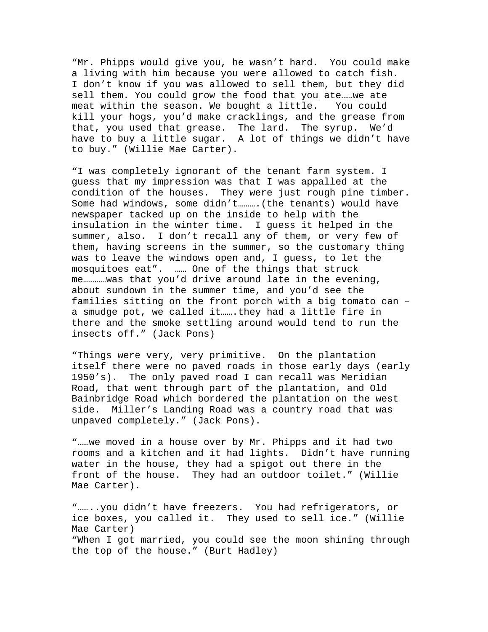"Mr. Phipps would give you, he wasn't hard. You could make a living with him because you were allowed to catch fish. I don't know if you was allowed to sell them, but they did sell them. You could grow the food that you ate……we ate meat within the season. We bought a little. You could kill your hogs, you'd make cracklings, and the grease from that, you used that grease. The lard. The syrup. We'd have to buy a little sugar. A lot of things we didn't have to buy." (Willie Mae Carter).

"I was completely ignorant of the tenant farm system. I guess that my impression was that I was appalled at the condition of the houses. They were just rough pine timber. Some had windows, some didn't……….(the tenants) would have newspaper tacked up on the inside to help with the insulation in the winter time. I guess it helped in the summer, also. I don't recall any of them, or very few of them, having screens in the summer, so the customary thing was to leave the windows open and, I guess, to let the mosquitoes eat". …… One of the things that struck me…………was that you'd drive around late in the evening, about sundown in the summer time, and you'd see the families sitting on the front porch with a big tomato can – a smudge pot, we called it…….they had a little fire in there and the smoke settling around would tend to run the insects off." (Jack Pons)

"Things were very, very primitive. On the plantation itself there were no paved roads in those early days (early 1950's). The only paved road I can recall was Meridian Road, that went through part of the plantation, and Old Bainbridge Road which bordered the plantation on the west side. Miller's Landing Road was a country road that was unpaved completely." (Jack Pons).

"……we moved in a house over by Mr. Phipps and it had two rooms and a kitchen and it had lights. Didn't have running water in the house, they had a spigot out there in the front of the house. They had an outdoor toilet." (Willie Mae Carter).

"……..you didn't have freezers. You had refrigerators, or ice boxes, you called it. They used to sell ice." (Willie Mae Carter) "When I got married, you could see the moon shining through the top of the house." (Burt Hadley)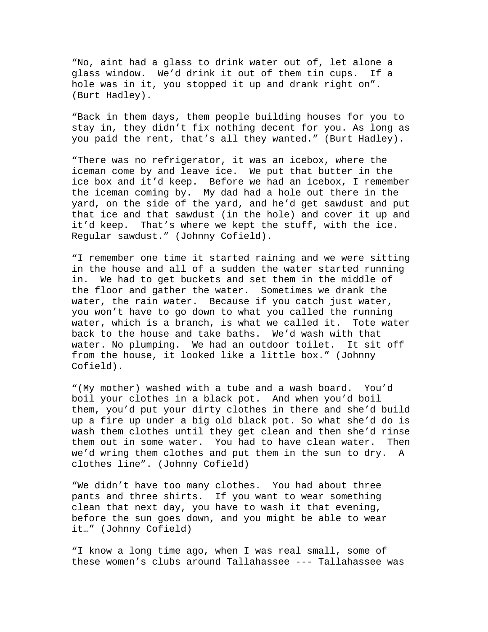"No, aint had a glass to drink water out of, let alone a glass window. We'd drink it out of them tin cups. If a hole was in it, you stopped it up and drank right on". (Burt Hadley).

"Back in them days, them people building houses for you to stay in, they didn't fix nothing decent for you. As long as you paid the rent, that's all they wanted." (Burt Hadley).

"There was no refrigerator, it was an icebox, where the iceman come by and leave ice. We put that butter in the ice box and it'd keep. Before we had an icebox, I remember the iceman coming by. My dad had a hole out there in the yard, on the side of the yard, and he'd get sawdust and put that ice and that sawdust (in the hole) and cover it up and it'd keep. That's where we kept the stuff, with the ice. Regular sawdust." (Johnny Cofield).

"I remember one time it started raining and we were sitting in the house and all of a sudden the water started running in. We had to get buckets and set them in the middle of the floor and gather the water. Sometimes we drank the water, the rain water. Because if you catch just water, you won't have to go down to what you called the running water, which is a branch, is what we called it. Tote water back to the house and take baths. We'd wash with that water. No plumping. We had an outdoor toilet. It sit off from the house, it looked like a little box." (Johnny Cofield).

"(My mother) washed with a tube and a wash board. You'd boil your clothes in a black pot. And when you'd boil them, you'd put your dirty clothes in there and she'd build up a fire up under a big old black pot. So what she'd do is wash them clothes until they get clean and then she'd rinse them out in some water. You had to have clean water. Then we'd wring them clothes and put them in the sun to dry. A clothes line". (Johnny Cofield)

"We didn't have too many clothes. You had about three pants and three shirts. If you want to wear something clean that next day, you have to wash it that evening, before the sun goes down, and you might be able to wear it…" (Johnny Cofield)

"I know a long time ago, when I was real small, some of these women's clubs around Tallahassee --- Tallahassee was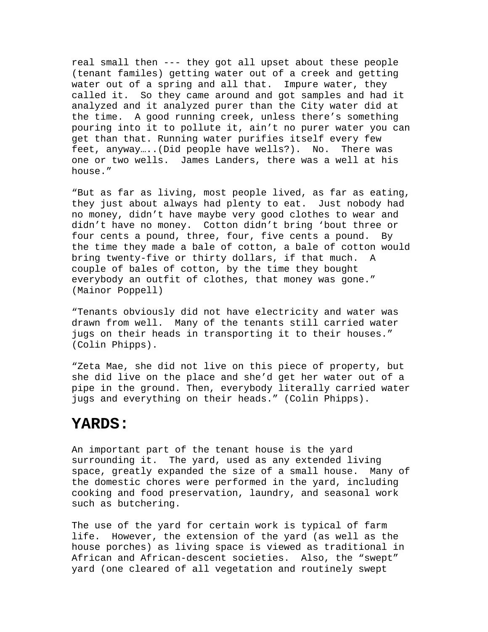real small then --- they got all upset about these people (tenant familes) getting water out of a creek and getting water out of a spring and all that. Impure water, they called it. So they came around and got samples and had it analyzed and it analyzed purer than the City water did at the time. A good running creek, unless there's something pouring into it to pollute it, ain't no purer water you can get than that. Running water purifies itself every few feet, anyway…..(Did people have wells?). No. There was one or two wells. James Landers, there was a well at his house."

"But as far as living, most people lived, as far as eating, they just about always had plenty to eat. Just nobody had no money, didn't have maybe very good clothes to wear and didn't have no money. Cotton didn't bring 'bout three or four cents a pound, three, four, five cents a pound. By the time they made a bale of cotton, a bale of cotton would bring twenty-five or thirty dollars, if that much. A couple of bales of cotton, by the time they bought everybody an outfit of clothes, that money was gone." (Mainor Poppell)

"Tenants obviously did not have electricity and water was drawn from well. Many of the tenants still carried water jugs on their heads in transporting it to their houses." (Colin Phipps).

"Zeta Mae, she did not live on this piece of property, but she did live on the place and she'd get her water out of a pipe in the ground. Then, everybody literally carried water jugs and everything on their heads." (Colin Phipps).

## **YARDS:**

An important part of the tenant house is the yard surrounding it. The yard, used as any extended living space, greatly expanded the size of a small house. Many of the domestic chores were performed in the yard, including cooking and food preservation, laundry, and seasonal work such as butchering.

The use of the yard for certain work is typical of farm life. However, the extension of the yard (as well as the house porches) as living space is viewed as traditional in African and African-descent societies. Also, the "swept" yard (one cleared of all vegetation and routinely swept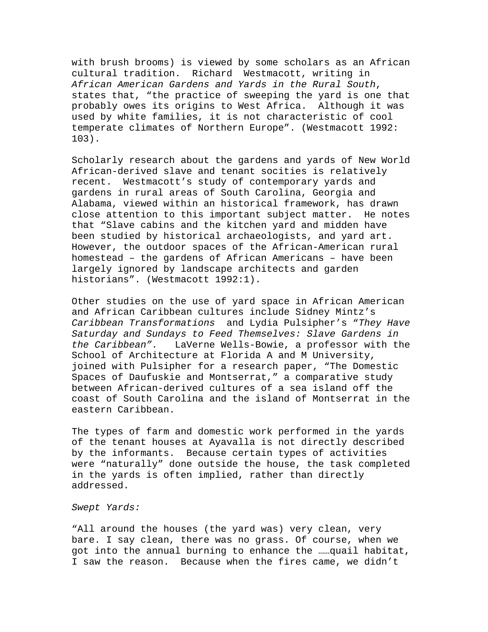with brush brooms) is viewed by some scholars as an African cultural tradition. Richard Westmacott, writing in *African American Gardens and Yards in the Rural South*, states that, "the practice of sweeping the yard is one that probably owes its origins to West Africa. Although it was used by white families, it is not characteristic of cool temperate climates of Northern Europe". (Westmacott 1992: 103).

Scholarly research about the gardens and yards of New World African-derived slave and tenant socities is relatively recent. Westmacott's study of contemporary yards and gardens in rural areas of South Carolina, Georgia and Alabama, viewed within an historical framework, has drawn close attention to this important subject matter. He notes that "Slave cabins and the kitchen yard and midden have been studied by historical archaeologists, and yard art. However, the outdoor spaces of the African-American rural homestead – the gardens of African Americans – have been largely ignored by landscape architects and garden historians". (Westmacott 1992:1).

Other studies on the use of yard space in African American and African Caribbean cultures include Sidney Mintz's *Caribbean Transformations* and Lydia Pulsipher's "*They Have Saturday and Sundays to Feed Themselves: Slave Gardens in the Caribbean".* LaVerne Wells-Bowie, a professor with the School of Architecture at Florida A and M University, joined with Pulsipher for a research paper, "The Domestic Spaces of Daufuskie and Montserrat," a comparative study between African-derived cultures of a sea island off the coast of South Carolina and the island of Montserrat in the eastern Caribbean.

The types of farm and domestic work performed in the yards of the tenant houses at Ayavalla is not directly described by the informants. Because certain types of activities were "naturally" done outside the house, the task completed in the yards is often implied, rather than directly addressed.

#### *Swept Yards:*

"All around the houses (the yard was) very clean, very bare. I say clean, there was no grass. Of course, when we got into the annual burning to enhance the ……quail habitat, I saw the reason. Because when the fires came, we didn't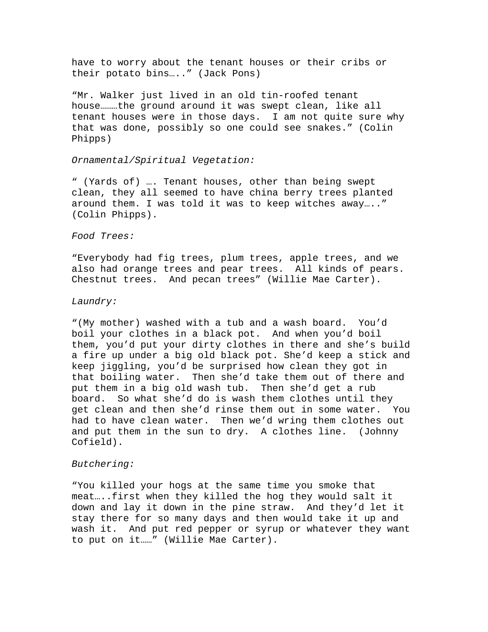have to worry about the tenant houses or their cribs or their potato bins….." (Jack Pons)

"Mr. Walker just lived in an old tin-roofed tenant house………the ground around it was swept clean, like all tenant houses were in those days. I am not quite sure why that was done, possibly so one could see snakes." (Colin Phipps)

### *Ornamental/Spiritual Vegetation:*

" (Yards of) …. Tenant houses, other than being swept clean, they all seemed to have china berry trees planted around them. I was told it was to keep witches away….." (Colin Phipps).

### *Food Trees:*

"Everybody had fig trees, plum trees, apple trees, and we also had orange trees and pear trees. All kinds of pears. Chestnut trees. And pecan trees" (Willie Mae Carter).

#### *Laundry:*

"(My mother) washed with a tub and a wash board. You'd boil your clothes in a black pot. And when you'd boil them, you'd put your dirty clothes in there and she's build a fire up under a big old black pot. She'd keep a stick and keep jiggling, you'd be surprised how clean they got in that boiling water. Then she'd take them out of there and put them in a big old wash tub. Then she'd get a rub board. So what she'd do is wash them clothes until they get clean and then she'd rinse them out in some water. You had to have clean water. Then we'd wring them clothes out and put them in the sun to dry. A clothes line. (Johnny Cofield).

#### *Butchering:*

"You killed your hogs at the same time you smoke that meat…..first when they killed the hog they would salt it down and lay it down in the pine straw. And they'd let it stay there for so many days and then would take it up and wash it. And put red pepper or syrup or whatever they want to put on it……" (Willie Mae Carter).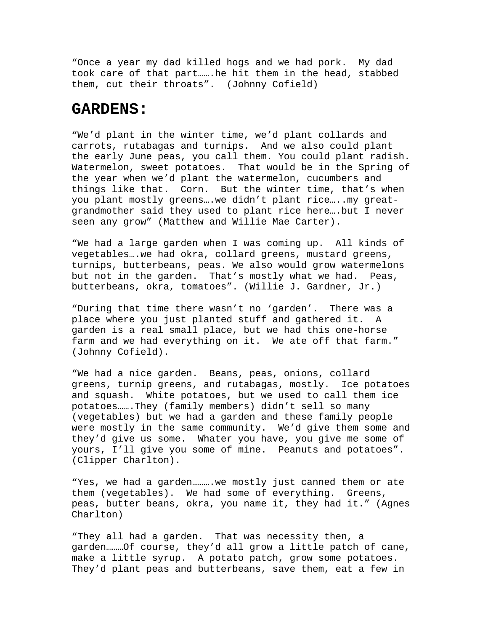"Once a year my dad killed hogs and we had pork. My dad took care of that part…….he hit them in the head, stabbed them, cut their throats". (Johnny Cofield)

## **GARDENS:**

"We'd plant in the winter time, we'd plant collards and carrots, rutabagas and turnips. And we also could plant the early June peas, you call them. You could plant radish. Watermelon, sweet potatoes. That would be in the Spring of the year when we'd plant the watermelon, cucumbers and things like that. Corn. But the winter time, that's when you plant mostly greens….we didn't plant rice…..my greatgrandmother said they used to plant rice here….but I never seen any grow" (Matthew and Willie Mae Carter).

"We had a large garden when I was coming up. All kinds of vegetables….we had okra, collard greens, mustard greens, turnips, butterbeans, peas. We also would grow watermelons but not in the garden. That's mostly what we had. Peas, butterbeans, okra, tomatoes". (Willie J. Gardner, Jr.)

"During that time there wasn't no 'garden'. There was a place where you just planted stuff and gathered it. A garden is a real small place, but we had this one-horse farm and we had everything on it. We ate off that farm." (Johnny Cofield).

"We had a nice garden. Beans, peas, onions, collard greens, turnip greens, and rutabagas, mostly. Ice potatoes and squash. White potatoes, but we used to call them ice potatoes…….They (family members) didn't sell so many (vegetables) but we had a garden and these family people were mostly in the same community. We'd give them some and they'd give us some. Whater you have, you give me some of yours, I'll give you some of mine. Peanuts and potatoes". (Clipper Charlton).

"Yes, we had a garden............ we mostly just canned them or ate them (vegetables). We had some of everything. Greens, peas, butter beans, okra, you name it, they had it." (Agnes Charlton)

"They all had a garden. That was necessity then, a garden………Of course, they'd all grow a little patch of cane, make a little syrup. A potato patch, grow some potatoes. They'd plant peas and butterbeans, save them, eat a few in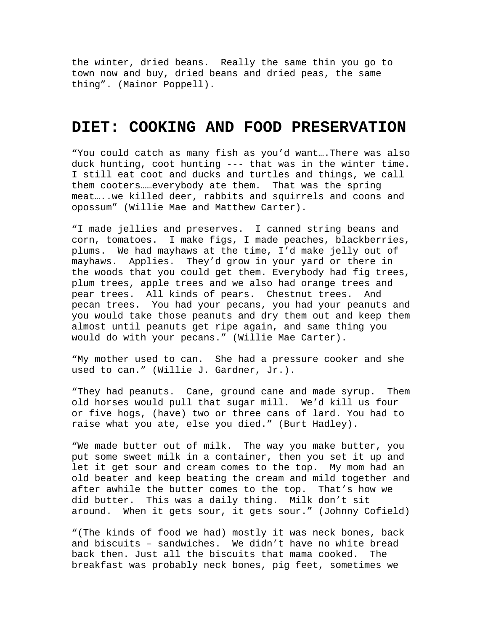the winter, dried beans. Really the same thin you go to town now and buy, dried beans and dried peas, the same thing". (Mainor Poppell).

## **DIET: COOKING AND FOOD PRESERVATION**

"You could catch as many fish as you'd want….There was also duck hunting, coot hunting --- that was in the winter time. I still eat coot and ducks and turtles and things, we call them cooters……everybody ate them. That was the spring meat…..we killed deer, rabbits and squirrels and coons and opossum" (Willie Mae and Matthew Carter).

"I made jellies and preserves. I canned string beans and corn, tomatoes. I make figs, I made peaches, blackberries, plums. We had mayhaws at the time, I'd make jelly out of mayhaws. Applies. They'd grow in your yard or there in the woods that you could get them. Everybody had fig trees, plum trees, apple trees and we also had orange trees and pear trees. All kinds of pears. Chestnut trees. And pecan trees. You had your pecans, you had your peanuts and you would take those peanuts and dry them out and keep them almost until peanuts get ripe again, and same thing you would do with your pecans." (Willie Mae Carter).

"My mother used to can. She had a pressure cooker and she used to can." (Willie J. Gardner, Jr.).

"They had peanuts. Cane, ground cane and made syrup. Them old horses would pull that sugar mill. We'd kill us four or five hogs, (have) two or three cans of lard. You had to raise what you ate, else you died." (Burt Hadley).

"We made butter out of milk. The way you make butter, you put some sweet milk in a container, then you set it up and let it get sour and cream comes to the top. My mom had an old beater and keep beating the cream and mild together and after awhile the butter comes to the top. That's how we did butter. This was a daily thing. Milk don't sit around. When it gets sour, it gets sour." (Johnny Cofield)

"(The kinds of food we had) mostly it was neck bones, back and biscuits – sandwiches. We didn't have no white bread back then. Just all the biscuits that mama cooked. The breakfast was probably neck bones, pig feet, sometimes we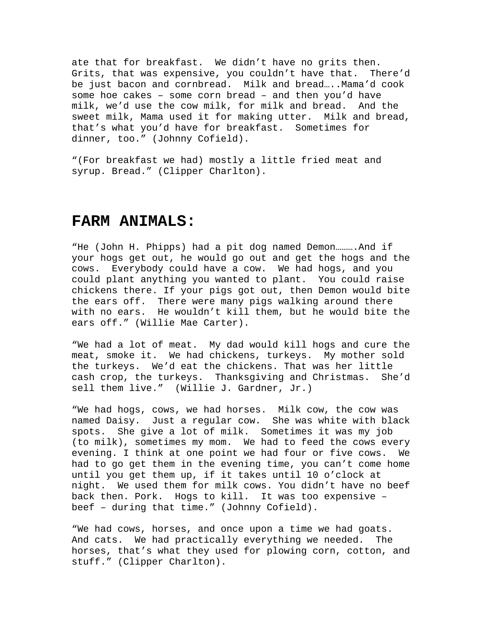ate that for breakfast. We didn't have no grits then. Grits, that was expensive, you couldn't have that. There'd be just bacon and cornbread. Milk and bread…..Mama'd cook some hoe cakes – some corn bread – and then you'd have milk, we'd use the cow milk, for milk and bread. And the sweet milk, Mama used it for making utter. Milk and bread, that's what you'd have for breakfast. Sometimes for dinner, too." (Johnny Cofield).

"(For breakfast we had) mostly a little fried meat and syrup. Bread." (Clipper Charlton).

## **FARM ANIMALS:**

"He (John H. Phipps) had a pit dog named Demon..........And if your hogs get out, he would go out and get the hogs and the cows. Everybody could have a cow. We had hogs, and you could plant anything you wanted to plant. You could raise chickens there. If your pigs got out, then Demon would bite the ears off. There were many pigs walking around there with no ears. He wouldn't kill them, but he would bite the ears off." (Willie Mae Carter).

"We had a lot of meat. My dad would kill hogs and cure the meat, smoke it. We had chickens, turkeys. My mother sold the turkeys. We'd eat the chickens. That was her little cash crop, the turkeys. Thanksgiving and Christmas. She'd sell them live." (Willie J. Gardner, Jr.)

"We had hogs, cows, we had horses. Milk cow, the cow was named Daisy. Just a regular cow. She was white with black spots. She give a lot of milk. Sometimes it was my job (to milk), sometimes my mom. We had to feed the cows every evening. I think at one point we had four or five cows. We had to go get them in the evening time, you can't come home until you get them up, if it takes until 10 o'clock at night. We used them for milk cows. You didn't have no beef back then. Pork. Hogs to kill. It was too expensive – beef – during that time." (Johnny Cofield).

"We had cows, horses, and once upon a time we had goats. And cats. We had practically everything we needed. The horses, that's what they used for plowing corn, cotton, and stuff." (Clipper Charlton).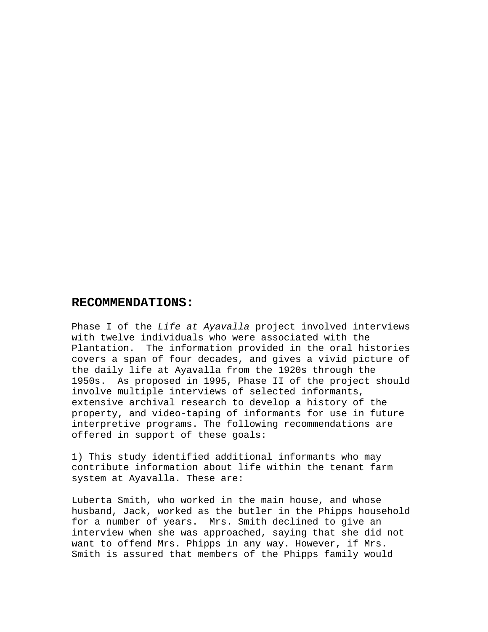## **RECOMMENDATIONS:**

Phase I of the *Life at Ayavalla* project involved interviews with twelve individuals who were associated with the Plantation. The information provided in the oral histories covers a span of four decades, and gives a vivid picture of the daily life at Ayavalla from the 1920s through the 1950s. As proposed in 1995, Phase II of the project should involve multiple interviews of selected informants, extensive archival research to develop a history of the property, and video-taping of informants for use in future interpretive programs. The following recommendations are offered in support of these goals:

1) This study identified additional informants who may contribute information about life within the tenant farm system at Ayavalla. These are:

Luberta Smith, who worked in the main house, and whose husband, Jack, worked as the butler in the Phipps household for a number of years. Mrs. Smith declined to give an interview when she was approached, saying that she did not want to offend Mrs. Phipps in any way. However, if Mrs. Smith is assured that members of the Phipps family would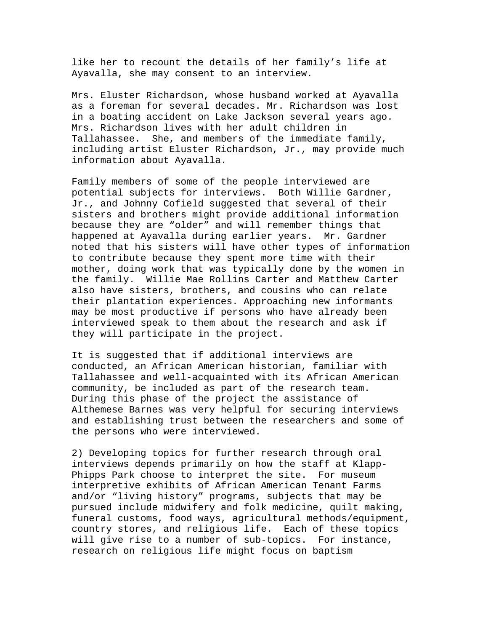like her to recount the details of her family's life at Ayavalla, she may consent to an interview.

Mrs. Eluster Richardson, whose husband worked at Ayavalla as a foreman for several decades. Mr. Richardson was lost in a boating accident on Lake Jackson several years ago. Mrs. Richardson lives with her adult children in Tallahassee. She, and members of the immediate family, including artist Eluster Richardson, Jr., may provide much information about Ayavalla.

Family members of some of the people interviewed are potential subjects for interviews. Both Willie Gardner, Jr., and Johnny Cofield suggested that several of their sisters and brothers might provide additional information because they are "older" and will remember things that happened at Ayavalla during earlier years. Mr. Gardner noted that his sisters will have other types of information to contribute because they spent more time with their mother, doing work that was typically done by the women in the family. Willie Mae Rollins Carter and Matthew Carter also have sisters, brothers, and cousins who can relate their plantation experiences. Approaching new informants may be most productive if persons who have already been interviewed speak to them about the research and ask if they will participate in the project.

It is suggested that if additional interviews are conducted, an African American historian, familiar with Tallahassee and well-acquainted with its African American community, be included as part of the research team. During this phase of the project the assistance of Althemese Barnes was very helpful for securing interviews and establishing trust between the researchers and some of the persons who were interviewed.

2) Developing topics for further research through oral interviews depends primarily on how the staff at Klapp-Phipps Park choose to interpret the site. For museum interpretive exhibits of African American Tenant Farms and/or "living history" programs, subjects that may be pursued include midwifery and folk medicine, quilt making, funeral customs, food ways, agricultural methods/equipment, country stores, and religious life. Each of these topics will give rise to a number of sub-topics. For instance, research on religious life might focus on baptism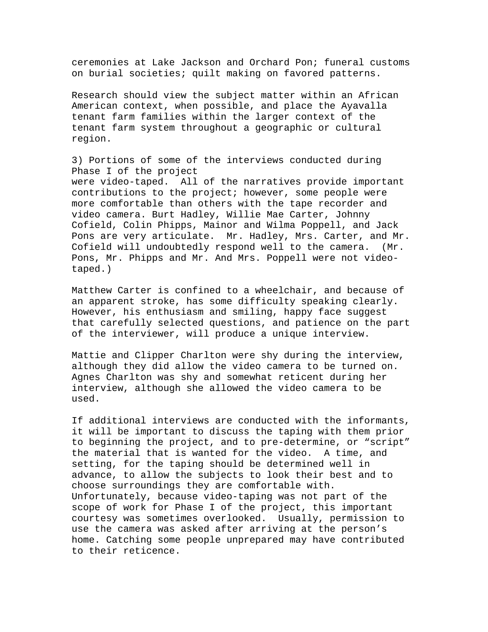ceremonies at Lake Jackson and Orchard Pon; funeral customs on burial societies; quilt making on favored patterns.

Research should view the subject matter within an African American context, when possible, and place the Ayavalla tenant farm families within the larger context of the tenant farm system throughout a geographic or cultural region.

3) Portions of some of the interviews conducted during Phase I of the project were video-taped. All of the narratives provide important contributions to the project; however, some people were more comfortable than others with the tape recorder and video camera. Burt Hadley, Willie Mae Carter, Johnny Cofield, Colin Phipps, Mainor and Wilma Poppell, and Jack Pons are very articulate. Mr. Hadley, Mrs. Carter, and Mr. Cofield will undoubtedly respond well to the camera. (Mr. Pons, Mr. Phipps and Mr. And Mrs. Poppell were not videotaped.)

Matthew Carter is confined to a wheelchair, and because of an apparent stroke, has some difficulty speaking clearly. However, his enthusiasm and smiling, happy face suggest that carefully selected questions, and patience on the part of the interviewer, will produce a unique interview.

Mattie and Clipper Charlton were shy during the interview, although they did allow the video camera to be turned on. Agnes Charlton was shy and somewhat reticent during her interview, although she allowed the video camera to be used.

If additional interviews are conducted with the informants, it will be important to discuss the taping with them prior to beginning the project, and to pre-determine, or "script" the material that is wanted for the video. A time, and setting, for the taping should be determined well in advance, to allow the subjects to look their best and to choose surroundings they are comfortable with. Unfortunately, because video-taping was not part of the scope of work for Phase I of the project, this important courtesy was sometimes overlooked. Usually, permission to use the camera was asked after arriving at the person's home. Catching some people unprepared may have contributed to their reticence.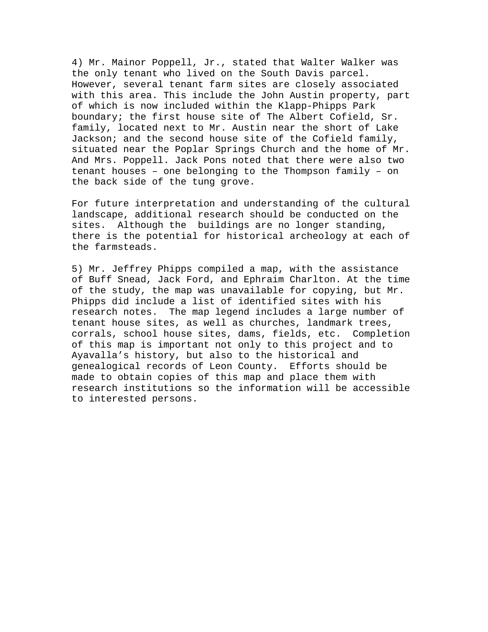4) Mr. Mainor Poppell, Jr., stated that Walter Walker was the only tenant who lived on the South Davis parcel. However, several tenant farm sites are closely associated with this area. This include the John Austin property, part of which is now included within the Klapp-Phipps Park boundary; the first house site of The Albert Cofield, Sr. family, located next to Mr. Austin near the short of Lake Jackson; and the second house site of the Cofield family, situated near the Poplar Springs Church and the home of Mr. And Mrs. Poppell. Jack Pons noted that there were also two tenant houses – one belonging to the Thompson family – on the back side of the tung grove.

For future interpretation and understanding of the cultural landscape, additional research should be conducted on the sites. Although the buildings are no longer standing, there is the potential for historical archeology at each of the farmsteads.

5) Mr. Jeffrey Phipps compiled a map, with the assistance of Buff Snead, Jack Ford, and Ephraim Charlton. At the time of the study, the map was unavailable for copying, but Mr. Phipps did include a list of identified sites with his research notes. The map legend includes a large number of tenant house sites, as well as churches, landmark trees, corrals, school house sites, dams, fields, etc. Completion of this map is important not only to this project and to Ayavalla's history, but also to the historical and genealogical records of Leon County. Efforts should be made to obtain copies of this map and place them with research institutions so the information will be accessible to interested persons.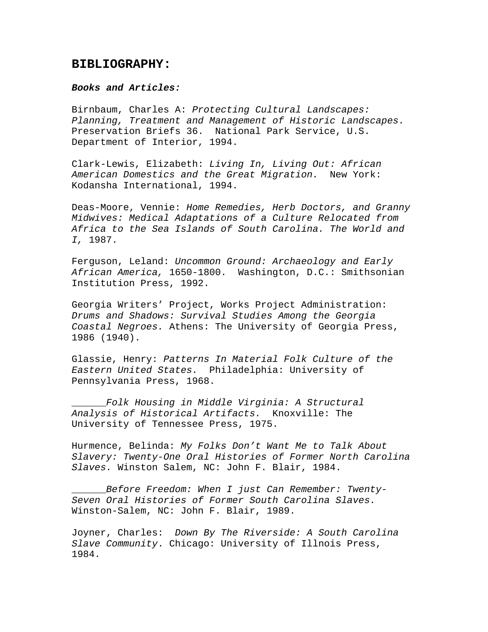## **BIBLIOGRAPHY:**

### *Books and Articles:*

Birnbaum, Charles A: *Protecting Cultural Landscapes: Planning, Treatment and Management of Historic Landscapes.* Preservation Briefs 36. National Park Service, U.S. Department of Interior, 1994.

Clark-Lewis, Elizabeth: *Living In, Living Out: African American Domestics and the Great Migration.* New York: Kodansha International, 1994.

Deas-Moore, Vennie: *Home Remedies, Herb Doctors, and Granny Midwives: Medical Adaptations of a Culture Relocated from Africa to the Sea Islands of South Carolina. The World and I,* 1987.

Ferguson, Leland: *Uncommon Ground: Archaeology and Early African America,* 1650-1800. Washington, D.C.: Smithsonian Institution Press, 1992.

Georgia Writers' Project, Works Project Administration: *Drums and Shadows: Survival Studies Among the Georgia Coastal Negroes.* Athens: The University of Georgia Press, 1986 (1940).

Glassie, Henry: *Patterns In Material Folk Culture of the Eastern United States.* Philadelphia: University of Pennsylvania Press, 1968.

\_\_\_\_\_\_*Folk Housing in Middle Virginia: A Structural Analysis of Historical Artifacts.* Knoxville: The University of Tennessee Press, 1975.

Hurmence, Belinda: *My Folks Don't Want Me to Talk About Slavery: Twenty-One Oral Histories of Former North Carolina Slaves.* Winston Salem, NC: John F. Blair, 1984.

\_\_\_\_\_\_*Before Freedom: When I just Can Remember: Twenty-Seven Oral Histories of Former South Carolina Slaves.*  Winston-Salem, NC: John F. Blair, 1989.

Joyner, Charles: *Down By The Riverside: A South Carolina Slave Community*. Chicago: University of Illnois Press, 1984.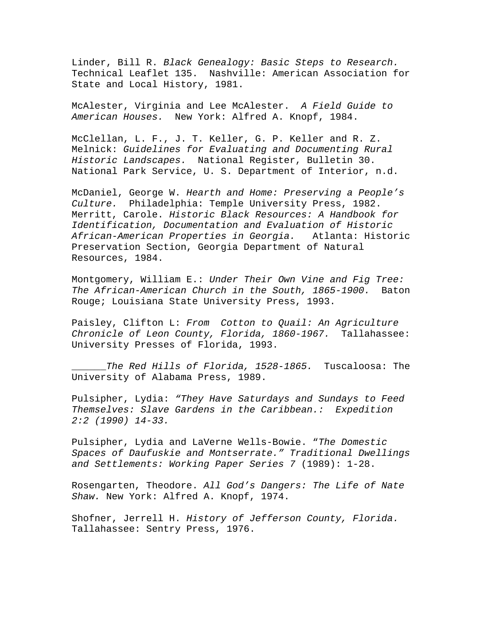Linder, Bill R. *Black Genealogy: Basic Steps to Research.*  Technical Leaflet 135. Nashville: American Association for State and Local History, 1981.

McAlester, Virginia and Lee McAlester. *A Field Guide to American Houses.* New York: Alfred A. Knopf, 1984.

McClellan, L. F., J. T. Keller, G. P. Keller and R. Z. Melnick: *Guidelines for Evaluating and Documenting Rural Historic Landscapes.* National Register, Bulletin 30. National Park Service, U. S. Department of Interior, n.d.

McDaniel, George W. *Hearth and Home: Preserving a People's Culture.* Philadelphia: Temple University Press, 1982. Merritt, Carole. *Historic Black Resources: A Handbook for Identification, Documentation and Evaluation of Historic African-American Properties in Georgia.* Atlanta: Historic Preservation Section, Georgia Department of Natural Resources, 1984.

Montgomery, William E.: *Under Their Own Vine and Fig Tree: The African-American Church in the South, 1865-1900.* Baton Rouge; Louisiana State University Press, 1993.

Paisley, Clifton L: *From Cotton to Quail: An Agriculture Chronicle of Leon County, Florida, 1860-1967.* Tallahassee: University Presses of Florida, 1993.

\_\_\_\_\_\_*The Red Hills of Florida, 1528-1865.* Tuscaloosa: The University of Alabama Press, 1989.

Pulsipher, Lydia: *"They Have Saturdays and Sundays to Feed Themselves: Slave Gardens in the Caribbean.: Expedition 2:2 (1990) 14-33.* 

Pulsipher, Lydia and LaVerne Wells-Bowie. "*The Domestic Spaces of Daufuskie and Montserrate." Traditional Dwellings and Settlements: Working Paper Series 7* (1989): 1-28.

Rosengarten, Theodore. *All God's Dangers: The Life of Nate Shaw.* New York: Alfred A. Knopf, 1974.

Shofner, Jerrell H. *History of Jefferson County, Florida.*  Tallahassee: Sentry Press, 1976.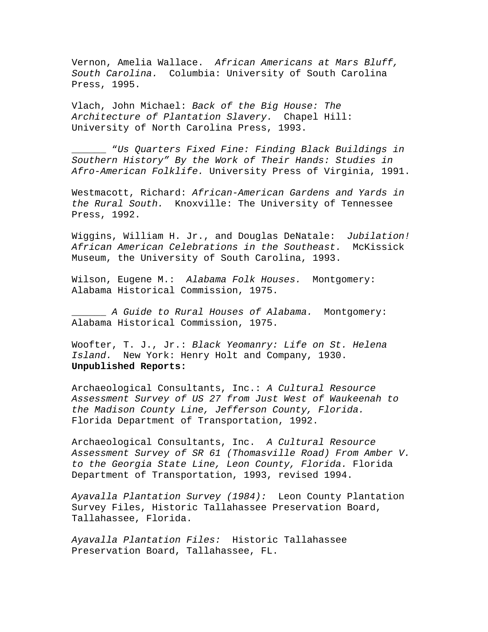Vernon, Amelia Wallace. *African Americans at Mars Bluff, South Carolina.* Columbia: University of South Carolina Press, 1995.

Vlach, John Michael: *Back of the Big House: The Architecture of Plantation Slavery.* Chapel Hill: University of North Carolina Press, 1993.

\_\_\_\_\_\_ "*Us Quarters Fixed Fine: Finding Black Buildings in Southern History" By the Work of Their Hands: Studies in Afro-American Folklife.* University Press of Virginia, 1991.

Westmacott, Richard: *African-American Gardens and Yards in the Rural South.* Knoxville: The University of Tennessee Press, 1992.

Wiggins, William H. Jr., and Douglas DeNatale: *Jubilation! African American Celebrations in the Southeast.* McKissick Museum, the University of South Carolina, 1993.

Wilson, Eugene M.: *Alabama Folk Houses.* Montgomery: Alabama Historical Commission, 1975.

\_\_\_\_\_\_ *A Guide to Rural Houses of Alabama.* Montgomery: Alabama Historical Commission, 1975.

Woofter, T. J., Jr.: *Black Yeomanry: Life on St. Helena Island.* New York: Henry Holt and Company, 1930. **Unpublished Reports:** 

Archaeological Consultants, Inc.: *A Cultural Resource Assessment Survey of US 27 from Just West of Waukeenah to the Madison County Line, Jefferson County, Florida.*  Florida Department of Transportation, 1992.

Archaeological Consultants, Inc. *A Cultural Resource Assessment Survey of SR 61 (Thomasville Road) From Amber V. to the Georgia State Line, Leon County, Florida.* Florida Department of Transportation, 1993, revised 1994.

*Ayavalla Plantation Survey (1984):* Leon County Plantation Survey Files, Historic Tallahassee Preservation Board, Tallahassee, Florida.

*Ayavalla Plantation Files:* Historic Tallahassee Preservation Board, Tallahassee, FL.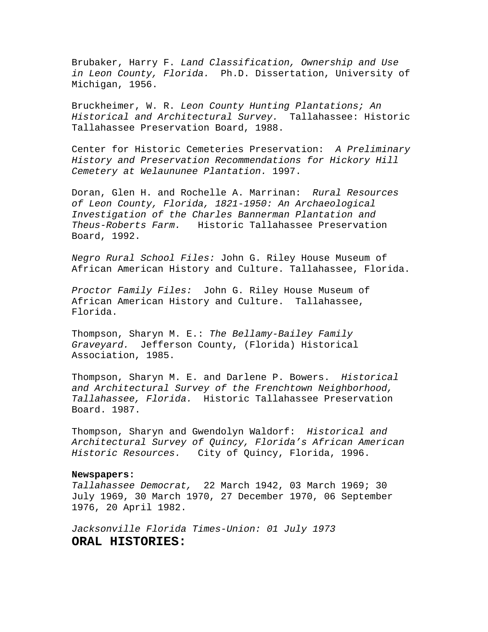Brubaker, Harry F. *Land Classification, Ownership and Use in Leon County, Florida.* Ph.D. Dissertation, University of Michigan, 1956.

Bruckheimer, W. R. *Leon County Hunting Plantations; An Historical and Architectural Survey.* Tallahassee: Historic Tallahassee Preservation Board, 1988.

Center for Historic Cemeteries Preservation: *A Preliminary History and Preservation Recommendations for Hickory Hill Cemetery at Welaununee Plantation.* 1997.

Doran, Glen H. and Rochelle A. Marrinan: *Rural Resources of Leon County, Florida, 1821-1950: An Archaeological Investigation of the Charles Bannerman Plantation and Theus-Roberts Farm.* Historic Tallahassee Preservation Board, 1992.

*Negro Rural School Files:* John G. Riley House Museum of African American History and Culture. Tallahassee, Florida.

*Proctor Family Files:* John G. Riley House Museum of African American History and Culture. Tallahassee, Florida.

Thompson, Sharyn M. E.: *The Bellamy-Bailey Family Graveyard.* Jefferson County, (Florida) Historical Association, 1985.

Thompson, Sharyn M. E. and Darlene P. Bowers. *Historical and Architectural Survey of the Frenchtown Neighborhood, Tallahassee, Florida.* Historic Tallahassee Preservation Board. 1987.

Thompson, Sharyn and Gwendolyn Waldorf: *Historical and Architectural Survey of Quincy, Florida's African American Historic Resources.* City of Quincy, Florida, 1996.

### **Newspapers:**

*Tallahassee Democrat,* 22 March 1942, 03 March 1969; 30 July 1969, 30 March 1970, 27 December 1970, 06 September 1976, 20 April 1982.

*Jacksonville Florida Times-Union: 01 July 1973*  **ORAL HISTORIES:**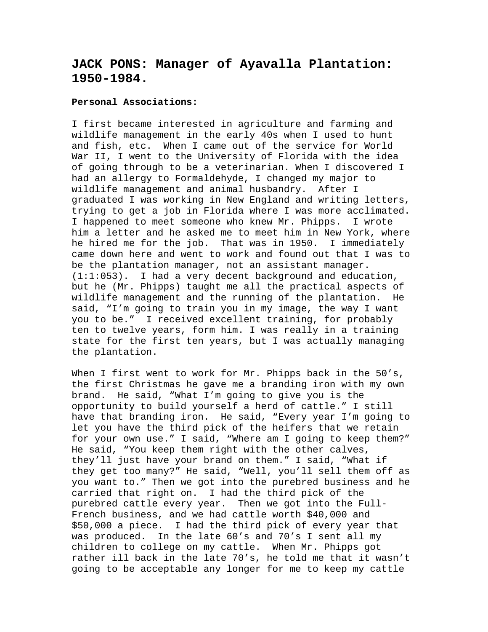# **JACK PONS: Manager of Ayavalla Plantation: 1950-1984.**

### **Personal Associations:**

I first became interested in agriculture and farming and wildlife management in the early 40s when I used to hunt and fish, etc. When I came out of the service for World War II, I went to the University of Florida with the idea of going through to be a veterinarian. When I discovered I had an allergy to Formaldehyde, I changed my major to wildlife management and animal husbandry. After I graduated I was working in New England and writing letters, trying to get a job in Florida where I was more acclimated. I happened to meet someone who knew Mr. Phipps. I wrote him a letter and he asked me to meet him in New York, where he hired me for the job. That was in 1950. I immediately came down here and went to work and found out that I was to be the plantation manager, not an assistant manager. (1:1:053). I had a very decent background and education, but he (Mr. Phipps) taught me all the practical aspects of wildlife management and the running of the plantation. He said, "I'm going to train you in my image, the way I want you to be." I received excellent training, for probably ten to twelve years, form him. I was really in a training state for the first ten years, but I was actually managing the plantation.

When I first went to work for Mr. Phipps back in the 50's, the first Christmas he gave me a branding iron with my own brand. He said, "What I'm going to give you is the opportunity to build yourself a herd of cattle." I still have that branding iron. He said, "Every year I'm going to let you have the third pick of the heifers that we retain for your own use." I said, "Where am I going to keep them?" He said, "You keep them right with the other calves, they'll just have your brand on them." I said, "What if they get too many?" He said, "Well, you'll sell them off as you want to." Then we got into the purebred business and he carried that right on. I had the third pick of the purebred cattle every year. Then we got into the Full-French business, and we had cattle worth \$40,000 and \$50,000 a piece. I had the third pick of every year that was produced. In the late 60's and 70's I sent all my children to college on my cattle. When Mr. Phipps got rather ill back in the late 70's, he told me that it wasn't going to be acceptable any longer for me to keep my cattle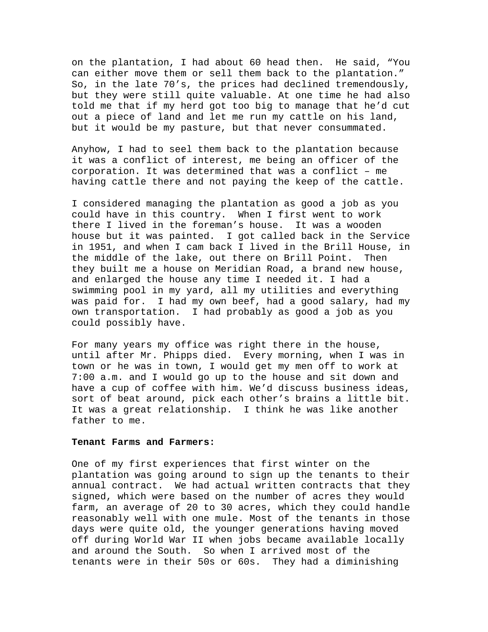on the plantation, I had about 60 head then. He said, "You can either move them or sell them back to the plantation." So, in the late 70's, the prices had declined tremendously, but they were still quite valuable. At one time he had also told me that if my herd got too big to manage that he'd cut out a piece of land and let me run my cattle on his land, but it would be my pasture, but that never consummated.

Anyhow, I had to seel them back to the plantation because it was a conflict of interest, me being an officer of the corporation. It was determined that was a conflict – me having cattle there and not paying the keep of the cattle.

I considered managing the plantation as good a job as you could have in this country. When I first went to work there I lived in the foreman's house. It was a wooden house but it was painted. I got called back in the Service in 1951, and when I cam back I lived in the Brill House, in the middle of the lake, out there on Brill Point. Then they built me a house on Meridian Road, a brand new house, and enlarged the house any time I needed it. I had a swimming pool in my yard, all my utilities and everything was paid for. I had my own beef, had a good salary, had my own transportation. I had probably as good a job as you could possibly have.

For many years my office was right there in the house, until after Mr. Phipps died. Every morning, when I was in town or he was in town, I would get my men off to work at 7:00 a.m. and I would go up to the house and sit down and have a cup of coffee with him. We'd discuss business ideas, sort of beat around, pick each other's brains a little bit. It was a great relationship. I think he was like another father to me.

### **Tenant Farms and Farmers:**

One of my first experiences that first winter on the plantation was going around to sign up the tenants to their annual contract. We had actual written contracts that they signed, which were based on the number of acres they would farm, an average of 20 to 30 acres, which they could handle reasonably well with one mule. Most of the tenants in those days were quite old, the younger generations having moved off during World War II when jobs became available locally and around the South. So when I arrived most of the tenants were in their 50s or 60s. They had a diminishing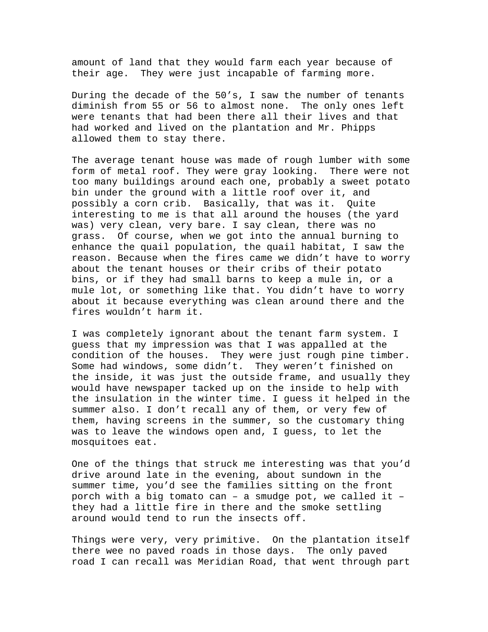amount of land that they would farm each year because of their age. They were just incapable of farming more.

During the decade of the 50's, I saw the number of tenants diminish from 55 or 56 to almost none. The only ones left were tenants that had been there all their lives and that had worked and lived on the plantation and Mr. Phipps allowed them to stay there.

The average tenant house was made of rough lumber with some form of metal roof. They were gray looking. There were not too many buildings around each one, probably a sweet potato bin under the ground with a little roof over it, and possibly a corn crib. Basically, that was it. Quite interesting to me is that all around the houses (the yard was) very clean, very bare. I say clean, there was no grass. Of course, when we got into the annual burning to enhance the quail population, the quail habitat, I saw the reason. Because when the fires came we didn't have to worry about the tenant houses or their cribs of their potato bins, or if they had small barns to keep a mule in, or a mule lot, or something like that. You didn't have to worry about it because everything was clean around there and the fires wouldn't harm it.

I was completely ignorant about the tenant farm system. I guess that my impression was that I was appalled at the condition of the houses. They were just rough pine timber. Some had windows, some didn't. They weren't finished on the inside, it was just the outside frame, and usually they would have newspaper tacked up on the inside to help with the insulation in the winter time. I guess it helped in the summer also. I don't recall any of them, or very few of them, having screens in the summer, so the customary thing was to leave the windows open and, I guess, to let the mosquitoes eat.

One of the things that struck me interesting was that you'd drive around late in the evening, about sundown in the summer time, you'd see the families sitting on the front porch with a big tomato can – a smudge pot, we called it – they had a little fire in there and the smoke settling around would tend to run the insects off.

Things were very, very primitive. On the plantation itself there wee no paved roads in those days. The only paved road I can recall was Meridian Road, that went through part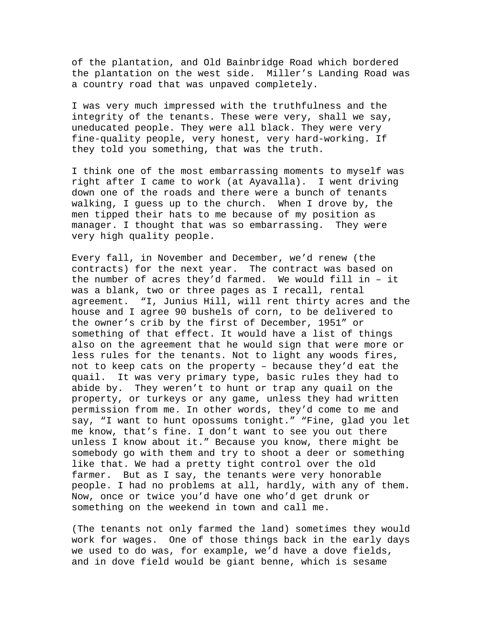of the plantation, and Old Bainbridge Road which bordered the plantation on the west side. Miller's Landing Road was a country road that was unpaved completely.

I was very much impressed with the truthfulness and the integrity of the tenants. These were very, shall we say, uneducated people. They were all black. They were very fine-quality people, very honest, very hard-working. If they told you something, that was the truth.

I think one of the most embarrassing moments to myself was right after I came to work (at Ayavalla). I went driving down one of the roads and there were a bunch of tenants walking, I guess up to the church. When I drove by, the men tipped their hats to me because of my position as manager. I thought that was so embarrassing. They were very high quality people.

Every fall, in November and December, we'd renew (the contracts) for the next year. The contract was based on the number of acres they'd farmed. We would fill in – it was a blank, two or three pages as I recall, rental agreement. "I, Junius Hill, will rent thirty acres and the house and I agree 90 bushels of corn, to be delivered to the owner's crib by the first of December, 1951" or something of that effect. It would have a list of things also on the agreement that he would sign that were more or less rules for the tenants. Not to light any woods fires, not to keep cats on the property – because they'd eat the quail. It was very primary type, basic rules they had to abide by. They weren't to hunt or trap any quail on the property, or turkeys or any game, unless they had written permission from me. In other words, they'd come to me and say, "I want to hunt opossums tonight." "Fine, glad you let me know, that's fine. I don't want to see you out there unless I know about it." Because you know, there might be somebody go with them and try to shoot a deer or something like that. We had a pretty tight control over the old farmer. But as I say, the tenants were very honorable people. I had no problems at all, hardly, with any of them. Now, once or twice you'd have one who'd get drunk or something on the weekend in town and call me.

(The tenants not only farmed the land) sometimes they would work for wages. One of those things back in the early days we used to do was, for example, we'd have a dove fields, and in dove field would be giant benne, which is sesame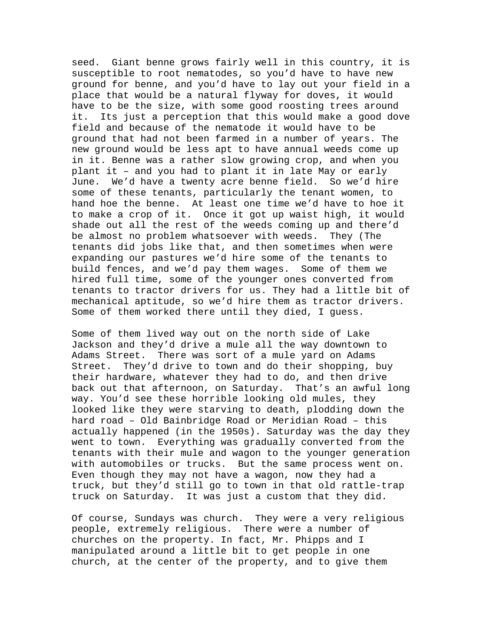seed. Giant benne grows fairly well in this country, it is susceptible to root nematodes, so you'd have to have new ground for benne, and you'd have to lay out your field in a place that would be a natural flyway for doves, it would have to be the size, with some good roosting trees around it. Its just a perception that this would make a good dove field and because of the nematode it would have to be ground that had not been farmed in a number of years. The new ground would be less apt to have annual weeds come up in it. Benne was a rather slow growing crop, and when you plant it – and you had to plant it in late May or early June. We'd have a twenty acre benne field. So we'd hire some of these tenants, particularly the tenant women, to hand hoe the benne. At least one time we'd have to hoe it to make a crop of it. Once it got up waist high, it would shade out all the rest of the weeds coming up and there'd be almost no problem whatsoever with weeds. They (The tenants did jobs like that, and then sometimes when were expanding our pastures we'd hire some of the tenants to build fences, and we'd pay them wages. Some of them we hired full time, some of the younger ones converted from tenants to tractor drivers for us. They had a little bit of mechanical aptitude, so we'd hire them as tractor drivers. Some of them worked there until they died, I guess.

Some of them lived way out on the north side of Lake Jackson and they'd drive a mule all the way downtown to Adams Street. There was sort of a mule yard on Adams Street. They'd drive to town and do their shopping, buy their hardware, whatever they had to do, and then drive back out that afternoon, on Saturday. That's an awful long way. You'd see these horrible looking old mules, they looked like they were starving to death, plodding down the hard road – Old Bainbridge Road or Meridian Road – this actually happened (in the 1950s). Saturday was the day they went to town. Everything was gradually converted from the tenants with their mule and wagon to the younger generation with automobiles or trucks. But the same process went on. Even though they may not have a wagon, now they had a truck, but they'd still go to town in that old rattle-trap truck on Saturday. It was just a custom that they did.

Of course, Sundays was church. They were a very religious people, extremely religious. There were a number of churches on the property. In fact, Mr. Phipps and I manipulated around a little bit to get people in one church, at the center of the property, and to give them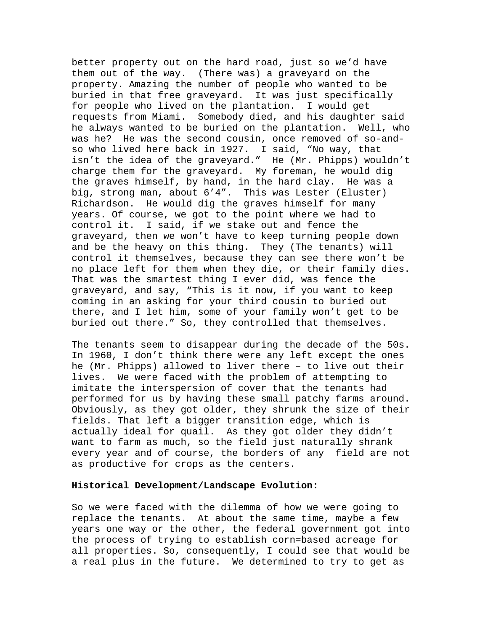better property out on the hard road, just so we'd have them out of the way. (There was) a graveyard on the property. Amazing the number of people who wanted to be buried in that free graveyard. It was just specifically for people who lived on the plantation. I would get requests from Miami. Somebody died, and his daughter said he always wanted to be buried on the plantation. Well, who was he? He was the second cousin, once removed of so-andso who lived here back in 1927. I said, "No way, that isn't the idea of the graveyard." He (Mr. Phipps) wouldn't charge them for the graveyard. My foreman, he would dig the graves himself, by hand, in the hard clay. He was a big, strong man, about 6'4". This was Lester (Eluster) Richardson. He would dig the graves himself for many years. Of course, we got to the point where we had to control it. I said, if we stake out and fence the graveyard, then we won't have to keep turning people down and be the heavy on this thing. They (The tenants) will control it themselves, because they can see there won't be no place left for them when they die, or their family dies. That was the smartest thing I ever did, was fence the graveyard, and say, "This is it now, if you want to keep coming in an asking for your third cousin to buried out there, and I let him, some of your family won't get to be buried out there." So, they controlled that themselves.

The tenants seem to disappear during the decade of the 50s. In 1960, I don't think there were any left except the ones he (Mr. Phipps) allowed to liver there – to live out their lives. We were faced with the problem of attempting to imitate the interspersion of cover that the tenants had performed for us by having these small patchy farms around. Obviously, as they got older, they shrunk the size of their fields. That left a bigger transition edge, which is actually ideal for quail. As they got older they didn't want to farm as much, so the field just naturally shrank every year and of course, the borders of any field are not as productive for crops as the centers.

### **Historical Development/Landscape Evolution:**

So we were faced with the dilemma of how we were going to replace the tenants. At about the same time, maybe a few years one way or the other, the federal government got into the process of trying to establish corn=based acreage for all properties. So, consequently, I could see that would be a real plus in the future. We determined to try to get as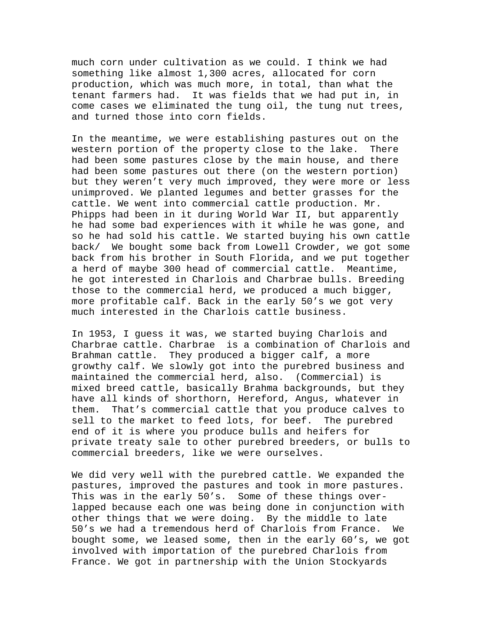much corn under cultivation as we could. I think we had something like almost 1,300 acres, allocated for corn production, which was much more, in total, than what the tenant farmers had. It was fields that we had put in, in come cases we eliminated the tung oil, the tung nut trees, and turned those into corn fields.

In the meantime, we were establishing pastures out on the western portion of the property close to the lake. There had been some pastures close by the main house, and there had been some pastures out there (on the western portion) but they weren't very much improved, they were more or less unimproved. We planted legumes and better grasses for the cattle. We went into commercial cattle production. Mr. Phipps had been in it during World War II, but apparently he had some bad experiences with it while he was gone, and so he had sold his cattle. We started buying his own cattle back/ We bought some back from Lowell Crowder, we got some back from his brother in South Florida, and we put together a herd of maybe 300 head of commercial cattle. Meantime, he got interested in Charlois and Charbrae bulls. Breeding those to the commercial herd, we produced a much bigger, more profitable calf. Back in the early 50's we got very much interested in the Charlois cattle business.

In 1953, I guess it was, we started buying Charlois and Charbrae cattle. Charbrae is a combination of Charlois and Brahman cattle. They produced a bigger calf, a more growthy calf. We slowly got into the purebred business and maintained the commercial herd, also. (Commercial) is mixed breed cattle, basically Brahma backgrounds, but they have all kinds of shorthorn, Hereford, Angus, whatever in them. That's commercial cattle that you produce calves to sell to the market to feed lots, for beef. The purebred end of it is where you produce bulls and heifers for private treaty sale to other purebred breeders, or bulls to commercial breeders, like we were ourselves.

We did very well with the purebred cattle. We expanded the pastures, improved the pastures and took in more pastures. This was in the early 50's. Some of these things overlapped because each one was being done in conjunction with other things that we were doing. By the middle to late 50's we had a tremendous herd of Charlois from France. We bought some, we leased some, then in the early 60's, we got involved with importation of the purebred Charlois from France. We got in partnership with the Union Stockyards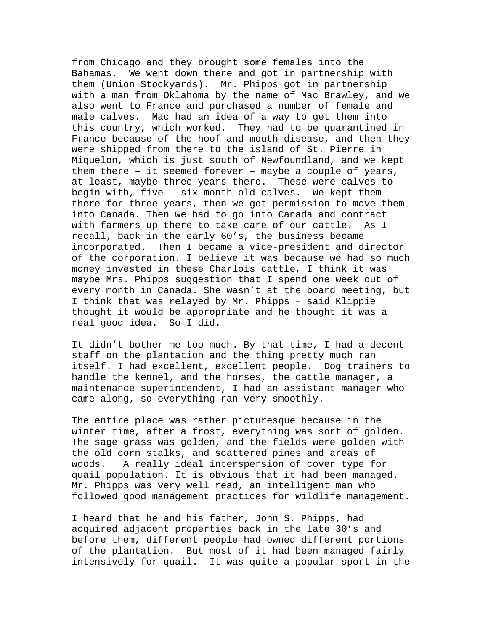from Chicago and they brought some females into the Bahamas. We went down there and got in partnership with them (Union Stockyards). Mr. Phipps got in partnership with a man from Oklahoma by the name of Mac Brawley, and we also went to France and purchased a number of female and male calves. Mac had an idea of a way to get them into this country, which worked. They had to be quarantined in France because of the hoof and mouth disease, and then they were shipped from there to the island of St. Pierre in Miquelon, which is just south of Newfoundland, and we kept them there – it seemed forever – maybe a couple of years, at least, maybe three years there. These were calves to begin with, five – six month old calves. We kept them there for three years, then we got permission to move them into Canada. Then we had to go into Canada and contract with farmers up there to take care of our cattle. As I recall, back in the early 60's, the business became incorporated. Then I became a vice-president and director of the corporation. I believe it was because we had so much money invested in these Charlois cattle, I think it was maybe Mrs. Phipps suggestion that I spend one week out of every month in Canada. She wasn't at the board meeting, but I think that was relayed by Mr. Phipps – said Klippie thought it would be appropriate and he thought it was a real good idea. So I did.

It didn't bother me too much. By that time, I had a decent staff on the plantation and the thing pretty much ran itself. I had excellent, excellent people. Dog trainers to handle the kennel, and the horses, the cattle manager, a maintenance superintendent, I had an assistant manager who came along, so everything ran very smoothly.

The entire place was rather picturesque because in the winter time, after a frost, everything was sort of golden. The sage grass was golden, and the fields were golden with the old corn stalks, and scattered pines and areas of woods. A really ideal interspersion of cover type for quail population. It is obvious that it had been managed. Mr. Phipps was very well read, an intelligent man who followed good management practices for wildlife management.

I heard that he and his father, John S. Phipps, had acquired adjacent properties back in the late 30's and before them, different people had owned different portions of the plantation. But most of it had been managed fairly intensively for quail. It was quite a popular sport in the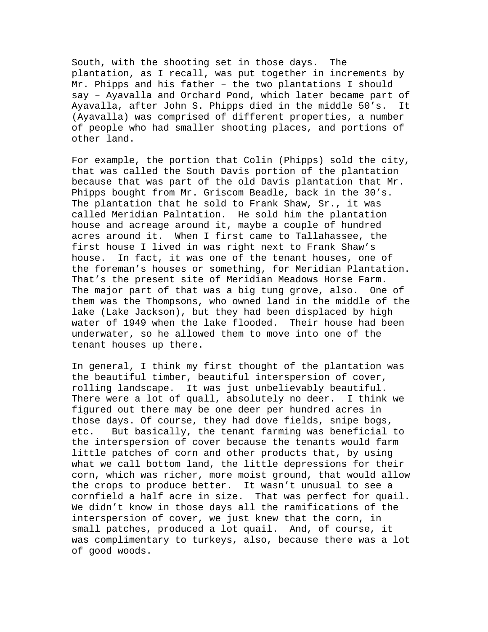South, with the shooting set in those days. The plantation, as I recall, was put together in increments by Mr. Phipps and his father – the two plantations I should say – Ayavalla and Orchard Pond, which later became part of Ayavalla, after John S. Phipps died in the middle 50's. It (Ayavalla) was comprised of different properties, a number of people who had smaller shooting places, and portions of other land.

For example, the portion that Colin (Phipps) sold the city, that was called the South Davis portion of the plantation because that was part of the old Davis plantation that Mr. Phipps bought from Mr. Griscom Beadle, back in the 30's. The plantation that he sold to Frank Shaw, Sr., it was called Meridian Palntation. He sold him the plantation house and acreage around it, maybe a couple of hundred acres around it. When I first came to Tallahassee, the first house I lived in was right next to Frank Shaw's house. In fact, it was one of the tenant houses, one of the foreman's houses or something, for Meridian Plantation. That's the present site of Meridian Meadows Horse Farm. The major part of that was a big tung grove, also. One of them was the Thompsons, who owned land in the middle of the lake (Lake Jackson), but they had been displaced by high water of 1949 when the lake flooded. Their house had been underwater, so he allowed them to move into one of the tenant houses up there.

In general, I think my first thought of the plantation was the beautiful timber, beautiful interspersion of cover, rolling landscape. It was just unbelievably beautiful. There were a lot of quall, absolutely no deer. I think we figured out there may be one deer per hundred acres in those days. Of course, they had dove fields, snipe bogs, etc. But basically, the tenant farming was beneficial to the interspersion of cover because the tenants would farm little patches of corn and other products that, by using what we call bottom land, the little depressions for their corn, which was richer, more moist ground, that would allow the crops to produce better. It wasn't unusual to see a cornfield a half acre in size. That was perfect for quail. We didn't know in those days all the ramifications of the interspersion of cover, we just knew that the corn, in small patches, produced a lot quail. And, of course, it was complimentary to turkeys, also, because there was a lot of good woods.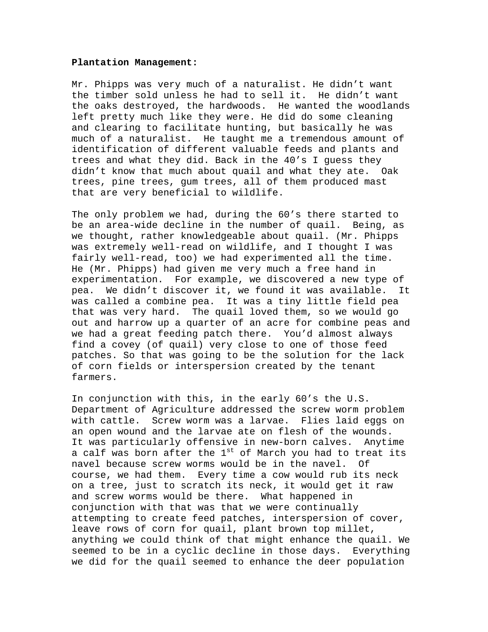#### **Plantation Management:**

Mr. Phipps was very much of a naturalist. He didn't want the timber sold unless he had to sell it. He didn't want the oaks destroyed, the hardwoods. He wanted the woodlands left pretty much like they were. He did do some cleaning and clearing to facilitate hunting, but basically he was much of a naturalist. He taught me a tremendous amount of identification of different valuable feeds and plants and trees and what they did. Back in the 40's I guess they didn't know that much about quail and what they ate. Oak trees, pine trees, gum trees, all of them produced mast that are very beneficial to wildlife.

The only problem we had, during the 60's there started to be an area-wide decline in the number of quail. Being, as we thought, rather knowledgeable about quail. (Mr. Phipps was extremely well-read on wildlife, and I thought I was fairly well-read, too) we had experimented all the time. He (Mr. Phipps) had given me very much a free hand in experimentation. For example, we discovered a new type of pea. We didn't discover it, we found it was available. It was called a combine pea. It was a tiny little field pea that was very hard. The quail loved them, so we would go out and harrow up a quarter of an acre for combine peas and we had a great feeding patch there. You'd almost always find a covey (of quail) very close to one of those feed patches. So that was going to be the solution for the lack of corn fields or interspersion created by the tenant farmers.

In conjunction with this, in the early 60's the U.S. Department of Agriculture addressed the screw worm problem with cattle. Screw worm was a larvae. Flies laid eggs on an open wound and the larvae ate on flesh of the wounds. It was particularly offensive in new-born calves. Anytime a calf was born after the  $1^\text{st}$  of March you had to treat its navel because screw worms would be in the navel. Of course, we had them. Every time a cow would rub its neck on a tree, just to scratch its neck, it would get it raw and screw worms would be there. What happened in conjunction with that was that we were continually attempting to create feed patches, interspersion of cover, leave rows of corn for quail, plant brown top millet, anything we could think of that might enhance the quail. We seemed to be in a cyclic decline in those days. Everything we did for the quail seemed to enhance the deer population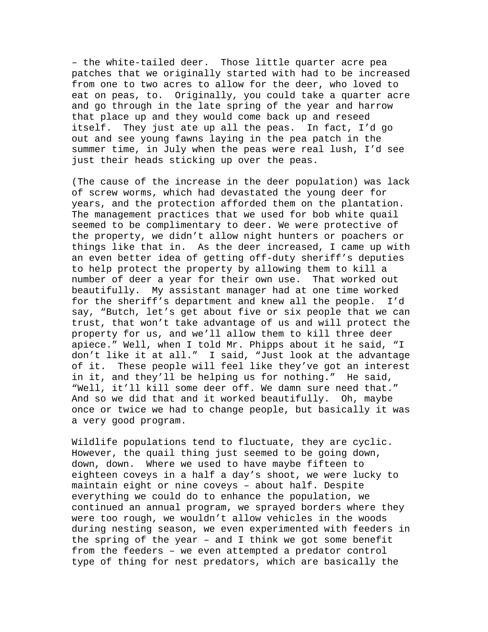– the white-tailed deer. Those little quarter acre pea patches that we originally started with had to be increased from one to two acres to allow for the deer, who loved to eat on peas, to. Originally, you could take a quarter acre and go through in the late spring of the year and harrow that place up and they would come back up and reseed itself. They just ate up all the peas. In fact, I'd go out and see young fawns laying in the pea patch in the summer time, in July when the peas were real lush, I'd see just their heads sticking up over the peas.

(The cause of the increase in the deer population) was lack of screw worms, which had devastated the young deer for years, and the protection afforded them on the plantation. The management practices that we used for bob white quail seemed to be complimentary to deer. We were protective of the property, we didn't allow night hunters or poachers or things like that in. As the deer increased, I came up with an even better idea of getting off-duty sheriff's deputies to help protect the property by allowing them to kill a number of deer a year for their own use. That worked out beautifully. My assistant manager had at one time worked for the sheriff's department and knew all the people. I'd say, "Butch, let's get about five or six people that we can trust, that won't take advantage of us and will protect the property for us, and we'll allow them to kill three deer apiece." Well, when I told Mr. Phipps about it he said, "I don't like it at all." I said, "Just look at the advantage of it. These people will feel like they've got an interest in it, and they'll be helping us for nothing." He said, "Well, it'll kill some deer off. We damn sure need that." And so we did that and it worked beautifully. Oh, maybe once or twice we had to change people, but basically it was a very good program.

Wildlife populations tend to fluctuate, they are cyclic. However, the quail thing just seemed to be going down, down, down. Where we used to have maybe fifteen to eighteen coveys in a half a day's shoot, we were lucky to maintain eight or nine coveys – about half. Despite everything we could do to enhance the population, we continued an annual program, we sprayed borders where they were too rough, we wouldn't allow vehicles in the woods during nesting season, we even experimented with feeders in the spring of the year – and I think we got some benefit from the feeders – we even attempted a predator control type of thing for nest predators, which are basically the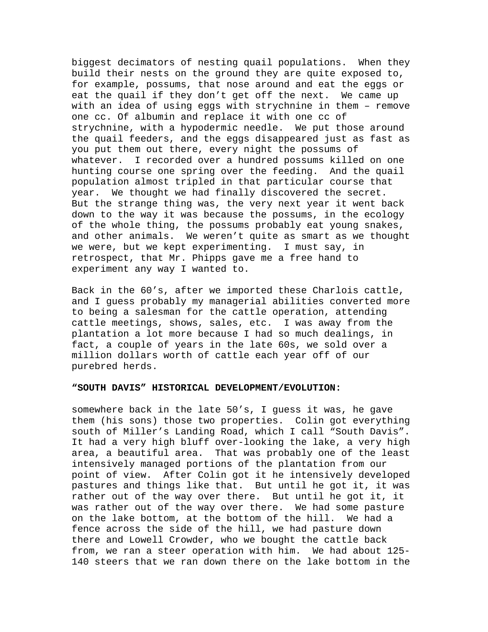biggest decimators of nesting quail populations. When they build their nests on the ground they are quite exposed to, for example, possums, that nose around and eat the eggs or eat the quail if they don't get off the next. We came up with an idea of using eggs with strychnine in them – remove one cc. Of albumin and replace it with one cc of strychnine, with a hypodermic needle. We put those around the quail feeders, and the eggs disappeared just as fast as you put them out there, every night the possums of whatever. I recorded over a hundred possums killed on one hunting course one spring over the feeding. And the quail population almost tripled in that particular course that year. We thought we had finally discovered the secret. But the strange thing was, the very next year it went back down to the way it was because the possums, in the ecology of the whole thing, the possums probably eat young snakes, and other animals. We weren't quite as smart as we thought we were, but we kept experimenting. I must say, in retrospect, that Mr. Phipps gave me a free hand to experiment any way I wanted to.

Back in the 60's, after we imported these Charlois cattle, and I guess probably my managerial abilities converted more to being a salesman for the cattle operation, attending cattle meetings, shows, sales, etc. I was away from the plantation a lot more because I had so much dealings, in fact, a couple of years in the late 60s, we sold over a million dollars worth of cattle each year off of our purebred herds.

### **"SOUTH DAVIS" HISTORICAL DEVELOPMENT/EVOLUTION:**

somewhere back in the late 50's, I guess it was, he gave them (his sons) those two properties. Colin got everything south of Miller's Landing Road, which I call "South Davis". It had a very high bluff over-looking the lake, a very high area, a beautiful area. That was probably one of the least intensively managed portions of the plantation from our point of view. After Colin got it he intensively developed pastures and things like that. But until he got it, it was rather out of the way over there. But until he got it, it was rather out of the way over there. We had some pasture on the lake bottom, at the bottom of the hill. We had a fence across the side of the hill, we had pasture down there and Lowell Crowder, who we bought the cattle back from, we ran a steer operation with him. We had about 125- 140 steers that we ran down there on the lake bottom in the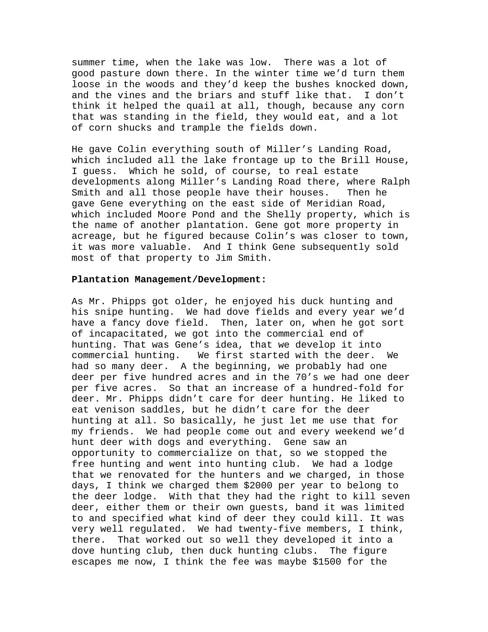summer time, when the lake was low. There was a lot of good pasture down there. In the winter time we'd turn them loose in the woods and they'd keep the bushes knocked down, and the vines and the briars and stuff like that. I don't think it helped the quail at all, though, because any corn that was standing in the field, they would eat, and a lot of corn shucks and trample the fields down.

He gave Colin everything south of Miller's Landing Road, which included all the lake frontage up to the Brill House, I guess. Which he sold, of course, to real estate developments along Miller's Landing Road there, where Ralph Smith and all those people have their houses. Then he gave Gene everything on the east side of Meridian Road, which included Moore Pond and the Shelly property, which is the name of another plantation. Gene got more property in acreage, but he figured because Colin's was closer to town, it was more valuable. And I think Gene subsequently sold most of that property to Jim Smith.

#### **Plantation Management/Development:**

As Mr. Phipps got older, he enjoyed his duck hunting and his snipe hunting. We had dove fields and every year we'd have a fancy dove field. Then, later on, when he got sort of incapacitated, we got into the commercial end of hunting. That was Gene's idea, that we develop it into commercial hunting. We first started with the deer. We had so many deer. A the beginning, we probably had one deer per five hundred acres and in the 70's we had one deer per five acres. So that an increase of a hundred-fold for deer. Mr. Phipps didn't care for deer hunting. He liked to eat venison saddles, but he didn't care for the deer hunting at all. So basically, he just let me use that for my friends. We had people come out and every weekend we'd hunt deer with dogs and everything. Gene saw an opportunity to commercialize on that, so we stopped the free hunting and went into hunting club. We had a lodge that we renovated for the hunters and we charged, in those days, I think we charged them \$2000 per year to belong to the deer lodge. With that they had the right to kill seven deer, either them or their own guests, band it was limited to and specified what kind of deer they could kill. It was very well regulated. We had twenty-five members, I think, there. That worked out so well they developed it into a dove hunting club, then duck hunting clubs. The figure escapes me now, I think the fee was maybe \$1500 for the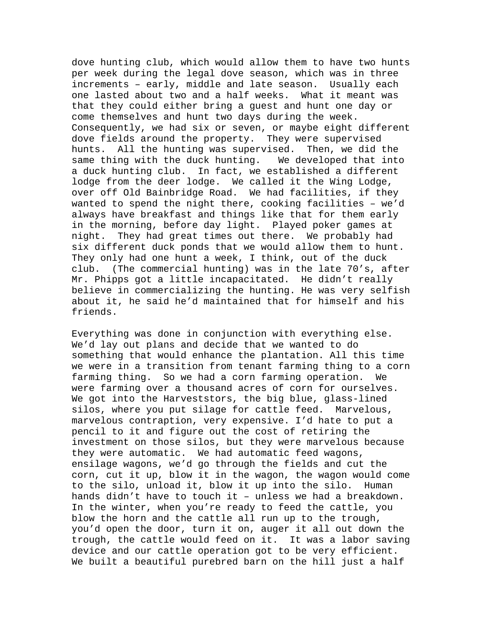dove hunting club, which would allow them to have two hunts per week during the legal dove season, which was in three increments – early, middle and late season. Usually each one lasted about two and a half weeks. What it meant was that they could either bring a guest and hunt one day or come themselves and hunt two days during the week. Consequently, we had six or seven, or maybe eight different dove fields around the property. They were supervised hunts. All the hunting was supervised. Then, we did the same thing with the duck hunting. We developed that into a duck hunting club. In fact, we established a different lodge from the deer lodge. We called it the Wing Lodge, over off Old Bainbridge Road. We had facilities, if they wanted to spend the night there, cooking facilities – we'd always have breakfast and things like that for them early in the morning, before day light. Played poker games at night. They had great times out there. We probably had six different duck ponds that we would allow them to hunt. They only had one hunt a week, I think, out of the duck club. (The commercial hunting) was in the late 70's, after Mr. Phipps got a little incapacitated. He didn't really believe in commercializing the hunting. He was very selfish about it, he said he'd maintained that for himself and his friends.

Everything was done in conjunction with everything else. We'd lay out plans and decide that we wanted to do something that would enhance the plantation. All this time we were in a transition from tenant farming thing to a corn farming thing. So we had a corn farming operation. We were farming over a thousand acres of corn for ourselves. We got into the Harveststors, the big blue, glass-lined silos, where you put silage for cattle feed. Marvelous, marvelous contraption, very expensive. I'd hate to put a pencil to it and figure out the cost of retiring the investment on those silos, but they were marvelous because they were automatic. We had automatic feed wagons, ensilage wagons, we'd go through the fields and cut the corn, cut it up, blow it in the wagon, the wagon would come to the silo, unload it, blow it up into the silo. Human hands didn't have to touch it – unless we had a breakdown. In the winter, when you're ready to feed the cattle, you blow the horn and the cattle all run up to the trough, you'd open the door, turn it on, auger it all out down the trough, the cattle would feed on it. It was a labor saving device and our cattle operation got to be very efficient. We built a beautiful purebred barn on the hill just a half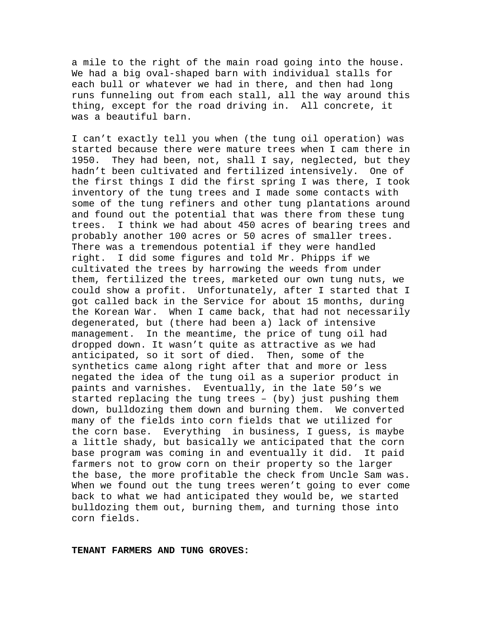a mile to the right of the main road going into the house. We had a big oval-shaped barn with individual stalls for each bull or whatever we had in there, and then had long runs funneling out from each stall, all the way around this thing, except for the road driving in. All concrete, it was a beautiful barn.

I can't exactly tell you when (the tung oil operation) was started because there were mature trees when I cam there in 1950. They had been, not, shall I say, neglected, but they hadn't been cultivated and fertilized intensively. One of the first things I did the first spring I was there, I took inventory of the tung trees and I made some contacts with some of the tung refiners and other tung plantations around and found out the potential that was there from these tung trees. I think we had about 450 acres of bearing trees and probably another 100 acres or 50 acres of smaller trees. There was a tremendous potential if they were handled right. I did some figures and told Mr. Phipps if we cultivated the trees by harrowing the weeds from under them, fertilized the trees, marketed our own tung nuts, we could show a profit. Unfortunately, after I started that I got called back in the Service for about 15 months, during the Korean War. When I came back, that had not necessarily degenerated, but (there had been a) lack of intensive management. In the meantime, the price of tung oil had dropped down. It wasn't quite as attractive as we had anticipated, so it sort of died. Then, some of the synthetics came along right after that and more or less negated the idea of the tung oil as a superior product in paints and varnishes. Eventually, in the late 50's we started replacing the tung trees – (by) just pushing them down, bulldozing them down and burning them. We converted many of the fields into corn fields that we utilized for the corn base. Everything in business, I guess, is maybe a little shady, but basically we anticipated that the corn base program was coming in and eventually it did. It paid farmers not to grow corn on their property so the larger the base, the more profitable the check from Uncle Sam was. When we found out the tung trees weren't going to ever come back to what we had anticipated they would be, we started bulldozing them out, burning them, and turning those into corn fields.

**TENANT FARMERS AND TUNG GROVES:**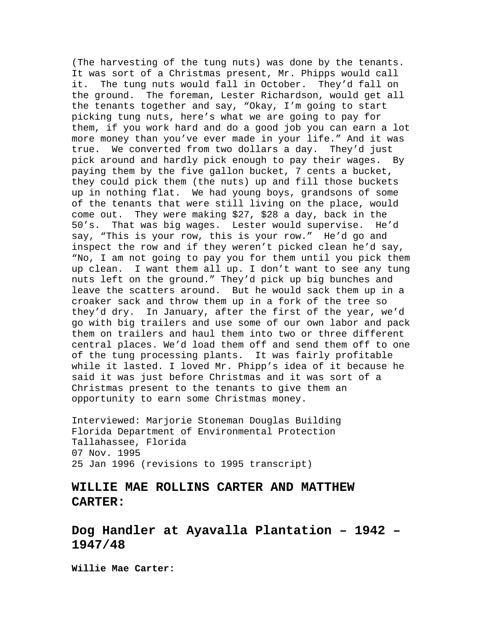(The harvesting of the tung nuts) was done by the tenants. It was sort of a Christmas present, Mr. Phipps would call it. The tung nuts would fall in October. They'd fall on the ground. The foreman, Lester Richardson, would get all the tenants together and say, "Okay, I'm going to start picking tung nuts, here's what we are going to pay for them, if you work hard and do a good job you can earn a lot more money than you've ever made in your life." And it was true. We converted from two dollars a day. They'd just pick around and hardly pick enough to pay their wages. By paying them by the five gallon bucket, 7 cents a bucket, they could pick them (the nuts) up and fill those buckets up in nothing flat. We had young boys, grandsons of some of the tenants that were still living on the place, would come out. They were making \$27, \$28 a day, back in the 50's. That was big wages. Lester would supervise. He'd say, "This is your row, this is your row." He'd go and inspect the row and if they weren't picked clean he'd say, "No, I am not going to pay you for them until you pick them up clean. I want them all up. I don't want to see any tung nuts left on the ground." They'd pick up big bunches and leave the scatters around. But he would sack them up in a croaker sack and throw them up in a fork of the tree so they'd dry. In January, after the first of the year, we'd go with big trailers and use some of our own labor and pack them on trailers and haul them into two or three different central places. We'd load them off and send them off to one of the tung processing plants. It was fairly profitable while it lasted. I loved Mr. Phipp's idea of it because he said it was just before Christmas and it was sort of a Christmas present to the tenants to give them an opportunity to earn some Christmas money.

Interviewed: Marjorie Stoneman Douglas Building Florida Department of Environmental Protection Tallahassee, Florida 07 Nov. 1995 25 Jan 1996 (revisions to 1995 transcript)

## **WILLIE MAE ROLLINS CARTER AND MATTHEW CARTER:**

**Dog Handler at Ayavalla Plantation – 1942 – 1947/48** 

**Willie Mae Carter:**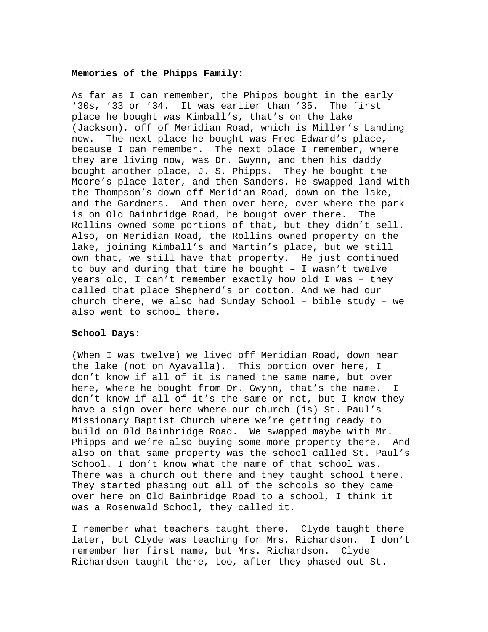### **Memories of the Phipps Family:**

As far as I can remember, the Phipps bought in the early '30s, '33 or '34. It was earlier than '35. The first place he bought was Kimball's, that's on the lake (Jackson), off of Meridian Road, which is Miller's Landing now. The next place he bought was Fred Edward's place, because I can remember. The next place I remember, where they are living now, was Dr. Gwynn, and then his daddy bought another place, J. S. Phipps. They he bought the Moore's place later, and then Sanders. He swapped land with the Thompson's down off Meridian Road, down on the lake, and the Gardners. And then over here, over where the park is on Old Bainbridge Road, he bought over there. The Rollins owned some portions of that, but they didn't sell. Also, on Meridian Road, the Rollins owned property on the lake, joining Kimball's and Martin's place, but we still own that, we still have that property. He just continued to buy and during that time he bought – I wasn't twelve years old, I can't remember exactly how old I was – they called that place Shepherd's or cotton. And we had our church there, we also had Sunday School – bible study – we also went to school there.

### **School Days:**

(When I was twelve) we lived off Meridian Road, down near the lake (not on Ayavalla). This portion over here, I don't know if all of it is named the same name, but over here, where he bought from Dr. Gwynn, that's the name. I don't know if all of it's the same or not, but I know they have a sign over here where our church (is) St. Paul's Missionary Baptist Church where we're getting ready to build on Old Bainbridge Road. We swapped maybe with Mr. Phipps and we're also buying some more property there. And also on that same property was the school called St. Paul's School. I don't know what the name of that school was. There was a church out there and they taught school there. They started phasing out all of the schools so they came over here on Old Bainbridge Road to a school, I think it was a Rosenwald School, they called it.

I remember what teachers taught there. Clyde taught there later, but Clyde was teaching for Mrs. Richardson. I don't remember her first name, but Mrs. Richardson. Clyde Richardson taught there, too, after they phased out St.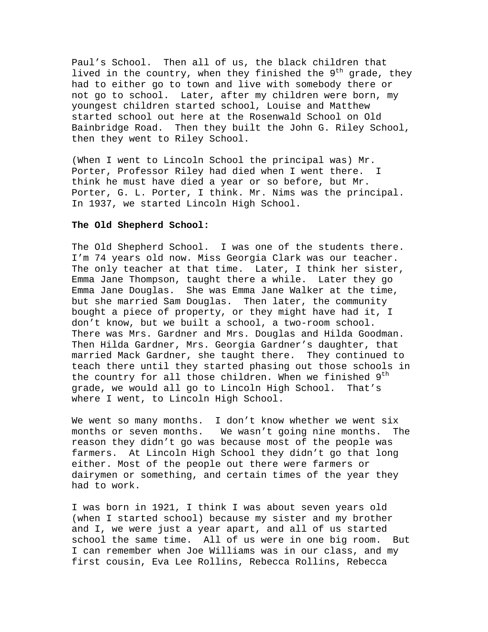Paul's School. Then all of us, the black children that lived in the country, when they finished the  $9^{th}$  grade, they had to either go to town and live with somebody there or not go to school. Later, after my children were born, my youngest children started school, Louise and Matthew started school out here at the Rosenwald School on Old Bainbridge Road. Then they built the John G. Riley School, then they went to Riley School.

(When I went to Lincoln School the principal was) Mr. Porter, Professor Riley had died when I went there. I think he must have died a year or so before, but Mr. Porter, G. L. Porter, I think. Mr. Nims was the principal. In 1937, we started Lincoln High School.

### **The Old Shepherd School:**

The Old Shepherd School. I was one of the students there. I'm 74 years old now. Miss Georgia Clark was our teacher. The only teacher at that time. Later, I think her sister, Emma Jane Thompson, taught there a while. Later they go Emma Jane Douglas. She was Emma Jane Walker at the time, but she married Sam Douglas. Then later, the community bought a piece of property, or they might have had it, I don't know, but we built a school, a two-room school. There was Mrs. Gardner and Mrs. Douglas and Hilda Goodman. Then Hilda Gardner, Mrs. Georgia Gardner's daughter, that married Mack Gardner, she taught there. They continued to teach there until they started phasing out those schools in the country for all those children. When we finished  $9<sup>th</sup>$ grade, we would all go to Lincoln High School. That's where I went, to Lincoln High School.

We went so many months. I don't know whether we went six months or seven months. We wasn't going nine months. The reason they didn't go was because most of the people was farmers. At Lincoln High School they didn't go that long either. Most of the people out there were farmers or dairymen or something, and certain times of the year they had to work.

I was born in 1921, I think I was about seven years old (when I started school) because my sister and my brother and I, we were just a year apart, and all of us started school the same time. All of us were in one big room. But I can remember when Joe Williams was in our class, and my first cousin, Eva Lee Rollins, Rebecca Rollins, Rebecca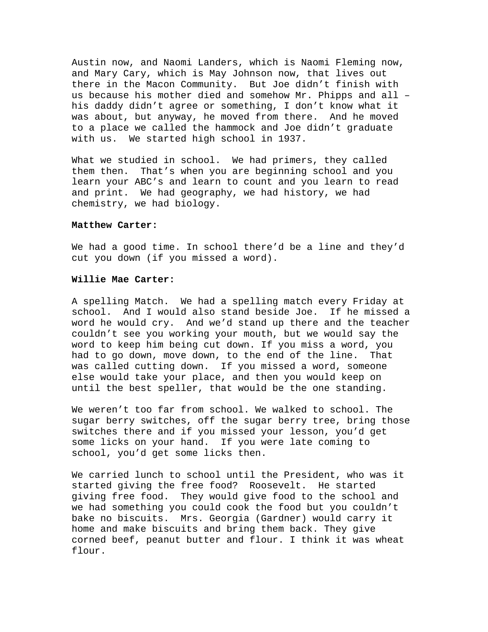Austin now, and Naomi Landers, which is Naomi Fleming now, and Mary Cary, which is May Johnson now, that lives out there in the Macon Community. But Joe didn't finish with us because his mother died and somehow Mr. Phipps and all – his daddy didn't agree or something, I don't know what it was about, but anyway, he moved from there. And he moved to a place we called the hammock and Joe didn't graduate with us. We started high school in 1937.

What we studied in school. We had primers, they called them then. That's when you are beginning school and you learn your ABC's and learn to count and you learn to read and print. We had geography, we had history, we had chemistry, we had biology.

#### **Matthew Carter:**

We had a good time. In school there'd be a line and they'd cut you down (if you missed a word).

#### **Willie Mae Carter:**

A spelling Match. We had a spelling match every Friday at school. And I would also stand beside Joe. If he missed a word he would cry. And we'd stand up there and the teacher couldn't see you working your mouth, but we would say the word to keep him being cut down. If you miss a word, you had to go down, move down, to the end of the line. That was called cutting down. If you missed a word, someone else would take your place, and then you would keep on until the best speller, that would be the one standing.

We weren't too far from school. We walked to school. The sugar berry switches, off the sugar berry tree, bring those switches there and if you missed your lesson, you'd get some licks on your hand. If you were late coming to school, you'd get some licks then.

We carried lunch to school until the President, who was it started giving the free food? Roosevelt. He started giving free food. They would give food to the school and we had something you could cook the food but you couldn't bake no biscuits. Mrs. Georgia (Gardner) would carry it home and make biscuits and bring them back. They give corned beef, peanut butter and flour. I think it was wheat flour.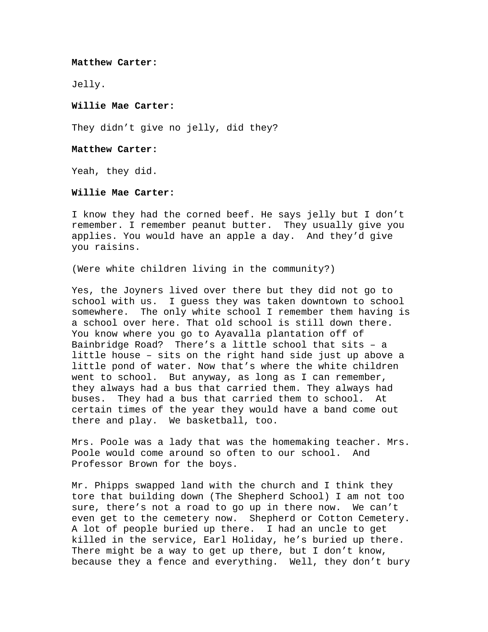#### **Matthew Carter:**

Jelly.

# **Willie Mae Carter:**

They didn't give no jelly, did they?

## **Matthew Carter:**

Yeah, they did.

# **Willie Mae Carter:**

I know they had the corned beef. He says jelly but I don't remember. I remember peanut butter. They usually give you applies. You would have an apple a day. And they'd give you raisins.

(Were white children living in the community?)

Yes, the Joyners lived over there but they did not go to school with us. I guess they was taken downtown to school somewhere. The only white school I remember them having is a school over here. That old school is still down there. You know where you go to Ayavalla plantation off of Bainbridge Road? There's a little school that sits – a little house – sits on the right hand side just up above a little pond of water. Now that's where the white children went to school. But anyway, as long as I can remember, they always had a bus that carried them. They always had buses. They had a bus that carried them to school. At certain times of the year they would have a band come out there and play. We basketball, too.

Mrs. Poole was a lady that was the homemaking teacher. Mrs. Poole would come around so often to our school. And Professor Brown for the boys.

Mr. Phipps swapped land with the church and I think they tore that building down (The Shepherd School) I am not too sure, there's not a road to go up in there now. We can't even get to the cemetery now. Shepherd or Cotton Cemetery. A lot of people buried up there. I had an uncle to get killed in the service, Earl Holiday, he's buried up there. There might be a way to get up there, but I don't know, because they a fence and everything. Well, they don't bury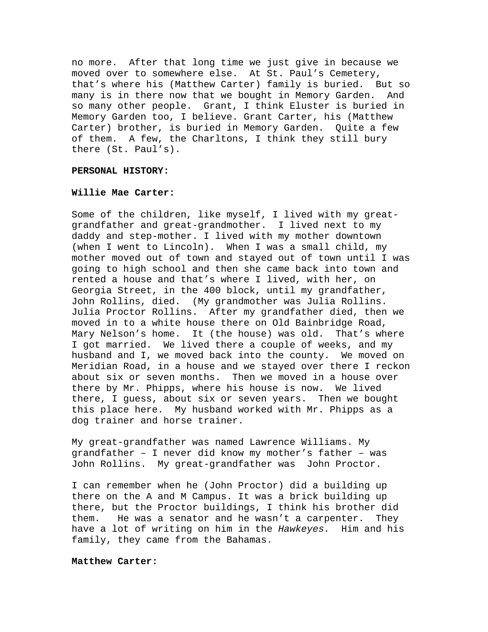no more. After that long time we just give in because we moved over to somewhere else. At St. Paul's Cemetery, that's where his (Matthew Carter) family is buried. But so many is in there now that we bought in Memory Garden. And so many other people. Grant, I think Eluster is buried in Memory Garden too, I believe. Grant Carter, his (Matthew Carter) brother, is buried in Memory Garden. Quite a few of them. A few, the Charltons, I think they still bury there (St. Paul's).

#### **PERSONAL HISTORY:**

# **Willie Mae Carter:**

Some of the children, like myself, I lived with my greatgrandfather and great-grandmother. I lived next to my daddy and step-mother. I lived with my mother downtown (when I went to Lincoln). When I was a small child, my mother moved out of town and stayed out of town until I was going to high school and then she came back into town and rented a house and that's where I lived, with her, on Georgia Street, in the 400 block, until my grandfather, John Rollins, died. (My grandmother was Julia Rollins. Julia Proctor Rollins. After my grandfather died, then we moved in to a white house there on Old Bainbridge Road, Mary Nelson's home. It (the house) was old. That's where I got married. We lived there a couple of weeks, and my husband and I, we moved back into the county. We moved on Meridian Road, in a house and we stayed over there I reckon about six or seven months. Then we moved in a house over there by Mr. Phipps, where his house is now. We lived there, I guess, about six or seven years. Then we bought this place here. My husband worked with Mr. Phipps as a dog trainer and horse trainer.

My great-grandfather was named Lawrence Williams. My grandfather – I never did know my mother's father – was John Rollins. My great-grandfather was John Proctor.

I can remember when he (John Proctor) did a building up there on the A and M Campus. It was a brick building up there, but the Proctor buildings, I think his brother did them. He was a senator and he wasn't a carpenter. They have a lot of writing on him in the *Hawkeyes.* Him and his family, they came from the Bahamas.

## **Matthew Carter:**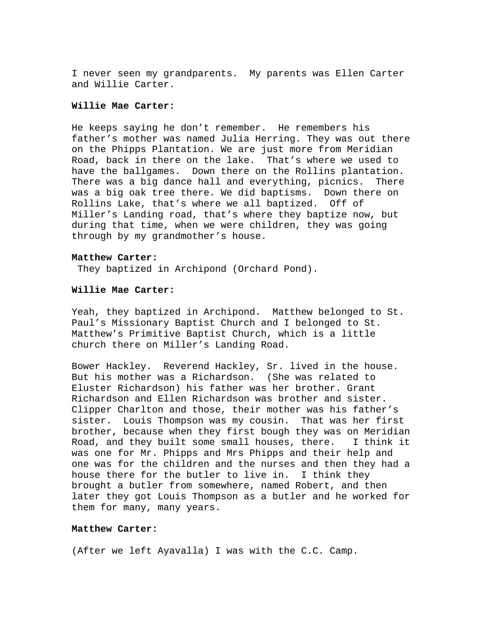I never seen my grandparents. My parents was Ellen Carter and Willie Carter.

# **Willie Mae Carter:**

He keeps saying he don't remember. He remembers his father's mother was named Julia Herring. They was out there on the Phipps Plantation. We are just more from Meridian Road, back in there on the lake. That's where we used to have the ballgames. Down there on the Rollins plantation. There was a big dance hall and everything, picnics. There was a big oak tree there. We did baptisms. Down there on Rollins Lake, that's where we all baptized. Off of Miller's Landing road, that's where they baptize now, but during that time, when we were children, they was going through by my grandmother's house.

#### **Matthew Carter:**

They baptized in Archipond (Orchard Pond).

# **Willie Mae Carter:**

Yeah, they baptized in Archipond. Matthew belonged to St. Paul's Missionary Baptist Church and I belonged to St. Matthew's Primitive Baptist Church, which is a little church there on Miller's Landing Road.

Bower Hackley. Reverend Hackley, Sr. lived in the house. But his mother was a Richardson. (She was related to Eluster Richardson) his father was her brother. Grant Richardson and Ellen Richardson was brother and sister. Clipper Charlton and those, their mother was his father's sister. Louis Thompson was my cousin. That was her first brother, because when they first bough they was on Meridian Road, and they built some small houses, there. I think it was one for Mr. Phipps and Mrs Phipps and their help and one was for the children and the nurses and then they had a house there for the butler to live in. I think they brought a butler from somewhere, named Robert, and then later they got Louis Thompson as a butler and he worked for them for many, many years.

#### **Matthew Carter:**

(After we left Ayavalla) I was with the C.C. Camp.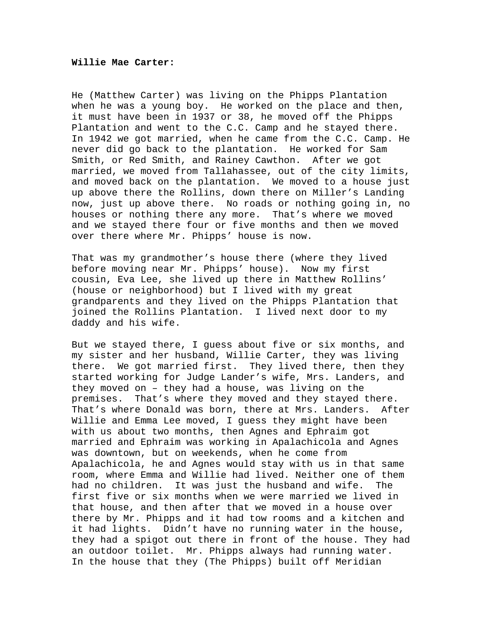#### **Willie Mae Carter:**

He (Matthew Carter) was living on the Phipps Plantation when he was a young boy. He worked on the place and then, it must have been in 1937 or 38, he moved off the Phipps Plantation and went to the C.C. Camp and he stayed there. In 1942 we got married, when he came from the C.C. Camp. He never did go back to the plantation. He worked for Sam Smith, or Red Smith, and Rainey Cawthon. After we got married, we moved from Tallahassee, out of the city limits, and moved back on the plantation. We moved to a house just up above there the Rollins, down there on Miller's Landing now, just up above there. No roads or nothing going in, no houses or nothing there any more. That's where we moved and we stayed there four or five months and then we moved over there where Mr. Phipps' house is now.

That was my grandmother's house there (where they lived before moving near Mr. Phipps' house). Now my first cousin, Eva Lee, she lived up there in Matthew Rollins' (house or neighborhood) but I lived with my great grandparents and they lived on the Phipps Plantation that joined the Rollins Plantation. I lived next door to my daddy and his wife.

But we stayed there, I guess about five or six months, and my sister and her husband, Willie Carter, they was living there. We got married first. They lived there, then they started working for Judge Lander's wife, Mrs. Landers, and they moved on – they had a house, was living on the premises. That's where they moved and they stayed there. That's where Donald was born, there at Mrs. Landers. After Willie and Emma Lee moved, I guess they might have been with us about two months, then Agnes and Ephraim got married and Ephraim was working in Apalachicola and Agnes was downtown, but on weekends, when he come from Apalachicola, he and Agnes would stay with us in that same room, where Emma and Willie had lived. Neither one of them had no children. It was just the husband and wife. The first five or six months when we were married we lived in that house, and then after that we moved in a house over there by Mr. Phipps and it had tow rooms and a kitchen and it had lights. Didn't have no running water in the house, they had a spigot out there in front of the house. They had an outdoor toilet. Mr. Phipps always had running water. In the house that they (The Phipps) built off Meridian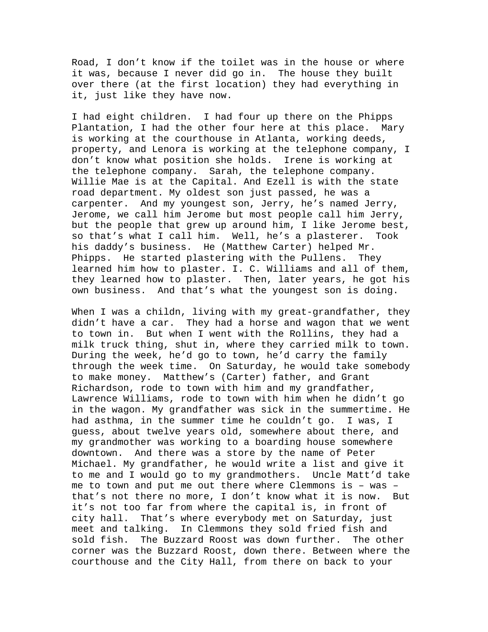Road, I don't know if the toilet was in the house or where it was, because I never did go in. The house they built over there (at the first location) they had everything in it, just like they have now.

I had eight children. I had four up there on the Phipps Plantation, I had the other four here at this place. Mary is working at the courthouse in Atlanta, working deeds, property, and Lenora is working at the telephone company, I don't know what position she holds. Irene is working at the telephone company. Sarah, the telephone company. Willie Mae is at the Capital. And Ezell is with the state road department. My oldest son just passed, he was a carpenter. And my youngest son, Jerry, he's named Jerry, Jerome, we call him Jerome but most people call him Jerry, but the people that grew up around him, I like Jerome best, so that's what I call him. Well, he's a plasterer. Took his daddy's business. He (Matthew Carter) helped Mr. Phipps. He started plastering with the Pullens. They learned him how to plaster. I. C. Williams and all of them, they learned how to plaster. Then, later years, he got his own business. And that's what the youngest son is doing.

When I was a childn, living with my great-grandfather, they didn't have a car. They had a horse and wagon that we went to town in. But when I went with the Rollins, they had a milk truck thing, shut in, where they carried milk to town. During the week, he'd go to town, he'd carry the family through the week time. On Saturday, he would take somebody to make money. Matthew's (Carter) father, and Grant Richardson, rode to town with him and my grandfather, Lawrence Williams, rode to town with him when he didn't go in the wagon. My grandfather was sick in the summertime. He had asthma, in the summer time he couldn't go. I was, I guess, about twelve years old, somewhere about there, and my grandmother was working to a boarding house somewhere downtown. And there was a store by the name of Peter Michael. My grandfather, he would write a list and give it to me and I would go to my grandmothers. Uncle Matt'd take me to town and put me out there where Clemmons is – was – that's not there no more, I don't know what it is now. But it's not too far from where the capital is, in front of city hall. That's where everybody met on Saturday, just meet and talking. In Clemmons they sold fried fish and sold fish. The Buzzard Roost was down further. The other corner was the Buzzard Roost, down there. Between where the courthouse and the City Hall, from there on back to your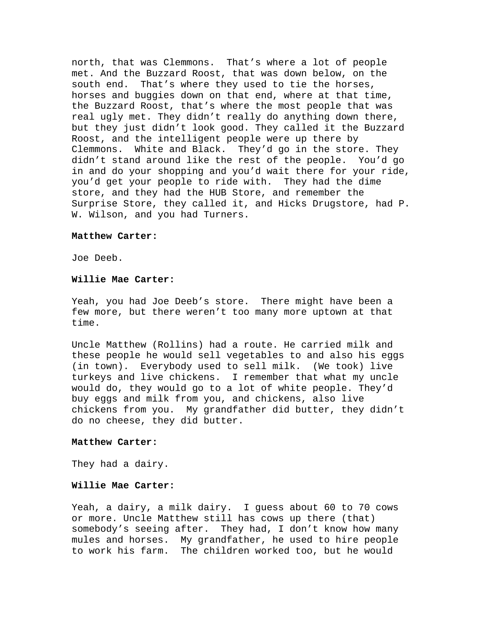north, that was Clemmons. That's where a lot of people met. And the Buzzard Roost, that was down below, on the south end. That's where they used to tie the horses, horses and buggies down on that end, where at that time, the Buzzard Roost, that's where the most people that was real ugly met. They didn't really do anything down there, but they just didn't look good. They called it the Buzzard Roost, and the intelligent people were up there by Clemmons. White and Black. They'd go in the store. They didn't stand around like the rest of the people. You'd go in and do your shopping and you'd wait there for your ride, you'd get your people to ride with. They had the dime store, and they had the HUB Store, and remember the Surprise Store, they called it, and Hicks Drugstore, had P. W. Wilson, and you had Turners.

# **Matthew Carter:**

Joe Deeb.

# **Willie Mae Carter:**

Yeah, you had Joe Deeb's store. There might have been a few more, but there weren't too many more uptown at that time.

Uncle Matthew (Rollins) had a route. He carried milk and these people he would sell vegetables to and also his eggs (in town). Everybody used to sell milk. (We took) live turkeys and live chickens. I remember that what my uncle would do, they would go to a lot of white people. They'd buy eggs and milk from you, and chickens, also live chickens from you. My grandfather did butter, they didn't do no cheese, they did butter.

## **Matthew Carter:**

They had a dairy.

## **Willie Mae Carter:**

Yeah, a dairy, a milk dairy. I guess about 60 to 70 cows or more. Uncle Matthew still has cows up there (that) somebody's seeing after. They had, I don't know how many mules and horses. My grandfather, he used to hire people to work his farm. The children worked too, but he would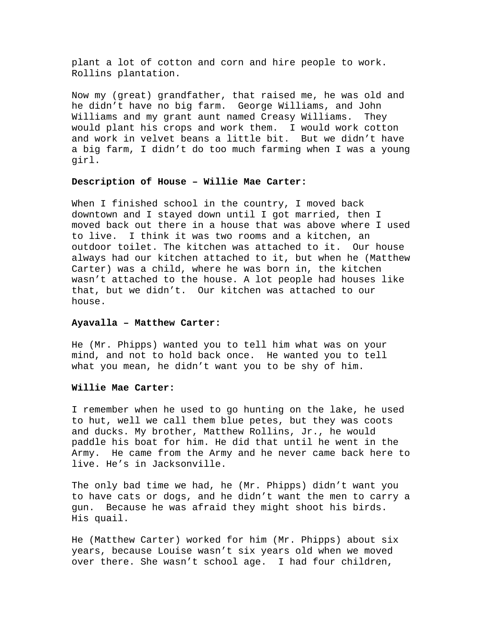plant a lot of cotton and corn and hire people to work. Rollins plantation.

Now my (great) grandfather, that raised me, he was old and he didn't have no big farm. George Williams, and John Williams and my grant aunt named Creasy Williams. They would plant his crops and work them. I would work cotton and work in velvet beans a little bit. But we didn't have a big farm, I didn't do too much farming when I was a young girl.

## **Description of House – Willie Mae Carter:**

When I finished school in the country, I moved back downtown and I stayed down until I got married, then I moved back out there in a house that was above where I used to live. I think it was two rooms and a kitchen, an outdoor toilet. The kitchen was attached to it. Our house always had our kitchen attached to it, but when he (Matthew Carter) was a child, where he was born in, the kitchen wasn't attached to the house. A lot people had houses like that, but we didn't. Our kitchen was attached to our house.

# **Ayavalla – Matthew Carter:**

He (Mr. Phipps) wanted you to tell him what was on your mind, and not to hold back once. He wanted you to tell what you mean, he didn't want you to be shy of him.

#### **Willie Mae Carter:**

I remember when he used to go hunting on the lake, he used to hut, well we call them blue petes, but they was coots and ducks. My brother, Matthew Rollins, Jr., he would paddle his boat for him. He did that until he went in the Army. He came from the Army and he never came back here to live. He's in Jacksonville.

The only bad time we had, he (Mr. Phipps) didn't want you to have cats or dogs, and he didn't want the men to carry a gun. Because he was afraid they might shoot his birds. His quail.

He (Matthew Carter) worked for him (Mr. Phipps) about six years, because Louise wasn't six years old when we moved over there. She wasn't school age. I had four children,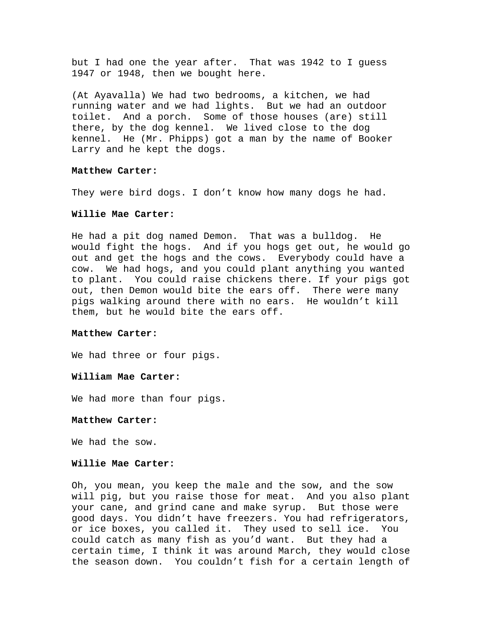but I had one the year after. That was 1942 to I guess 1947 or 1948, then we bought here.

(At Ayavalla) We had two bedrooms, a kitchen, we had running water and we had lights. But we had an outdoor toilet. And a porch. Some of those houses (are) still there, by the dog kennel. We lived close to the dog kennel. He (Mr. Phipps) got a man by the name of Booker Larry and he kept the dogs.

## **Matthew Carter:**

They were bird dogs. I don't know how many dogs he had.

#### **Willie Mae Carter:**

He had a pit dog named Demon. That was a bulldog. He would fight the hogs. And if you hogs get out, he would go out and get the hogs and the cows. Everybody could have a cow. We had hogs, and you could plant anything you wanted to plant. You could raise chickens there. If your pigs got out, then Demon would bite the ears off. There were many pigs walking around there with no ears. He wouldn't kill them, but he would bite the ears off.

## **Matthew Carter:**

We had three or four pigs.

#### **William Mae Carter:**

We had more than four pigs.

### **Matthew Carter:**

We had the sow.

## **Willie Mae Carter:**

Oh, you mean, you keep the male and the sow, and the sow will pig, but you raise those for meat. And you also plant your cane, and grind cane and make syrup. But those were good days. You didn't have freezers. You had refrigerators, or ice boxes, you called it. They used to sell ice. You could catch as many fish as you'd want. But they had a certain time, I think it was around March, they would close the season down. You couldn't fish for a certain length of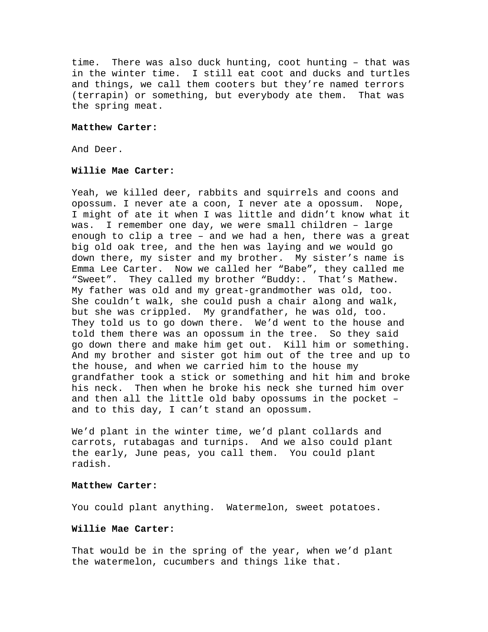time. There was also duck hunting, coot hunting – that was in the winter time. I still eat coot and ducks and turtles and things, we call them cooters but they're named terrors (terrapin) or something, but everybody ate them. That was the spring meat.

## **Matthew Carter:**

And Deer.

# **Willie Mae Carter:**

Yeah, we killed deer, rabbits and squirrels and coons and opossum. I never ate a coon, I never ate a opossum. Nope, I might of ate it when I was little and didn't know what it was. I remember one day, we were small children – large enough to clip a tree – and we had a hen, there was a great big old oak tree, and the hen was laying and we would go down there, my sister and my brother. My sister's name is Emma Lee Carter. Now we called her "Babe", they called me "Sweet". They called my brother "Buddy:. That's Mathew. My father was old and my great-grandmother was old, too. She couldn't walk, she could push a chair along and walk, but she was crippled. My grandfather, he was old, too. They told us to go down there. We'd went to the house and told them there was an opossum in the tree. So they said go down there and make him get out. Kill him or something. And my brother and sister got him out of the tree and up to the house, and when we carried him to the house my grandfather took a stick or something and hit him and broke his neck. Then when he broke his neck she turned him over and then all the little old baby opossums in the pocket – and to this day, I can't stand an opossum.

We'd plant in the winter time, we'd plant collards and carrots, rutabagas and turnips. And we also could plant the early, June peas, you call them. You could plant radish.

## **Matthew Carter:**

You could plant anything. Watermelon, sweet potatoes.

# **Willie Mae Carter:**

That would be in the spring of the year, when we'd plant the watermelon, cucumbers and things like that.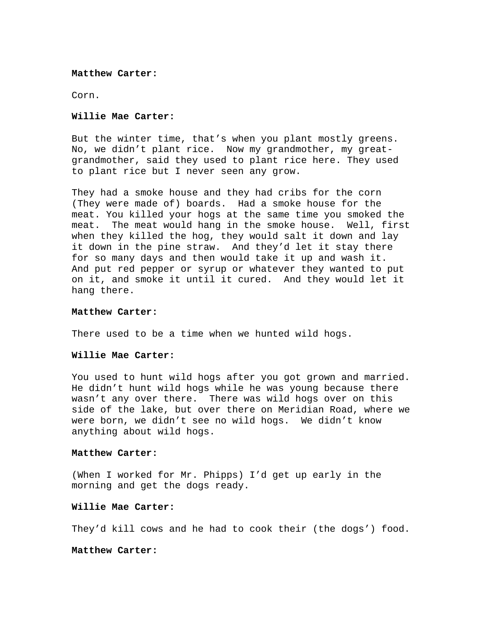#### **Matthew Carter:**

Corn.

# **Willie Mae Carter:**

But the winter time, that's when you plant mostly greens. No, we didn't plant rice. Now my grandmother, my greatgrandmother, said they used to plant rice here. They used to plant rice but I never seen any grow.

They had a smoke house and they had cribs for the corn (They were made of) boards. Had a smoke house for the meat. You killed your hogs at the same time you smoked the meat. The meat would hang in the smoke house. Well, first when they killed the hog, they would salt it down and lay it down in the pine straw. And they'd let it stay there for so many days and then would take it up and wash it. And put red pepper or syrup or whatever they wanted to put on it, and smoke it until it cured. And they would let it hang there.

### **Matthew Carter:**

There used to be a time when we hunted wild hogs.

## **Willie Mae Carter:**

You used to hunt wild hogs after you got grown and married. He didn't hunt wild hogs while he was young because there wasn't any over there. There was wild hogs over on this side of the lake, but over there on Meridian Road, where we were born, we didn't see no wild hogs. We didn't know anything about wild hogs.

## **Matthew Carter:**

(When I worked for Mr. Phipps) I'd get up early in the morning and get the dogs ready.

# **Willie Mae Carter:**

They'd kill cows and he had to cook their (the dogs') food.

## **Matthew Carter:**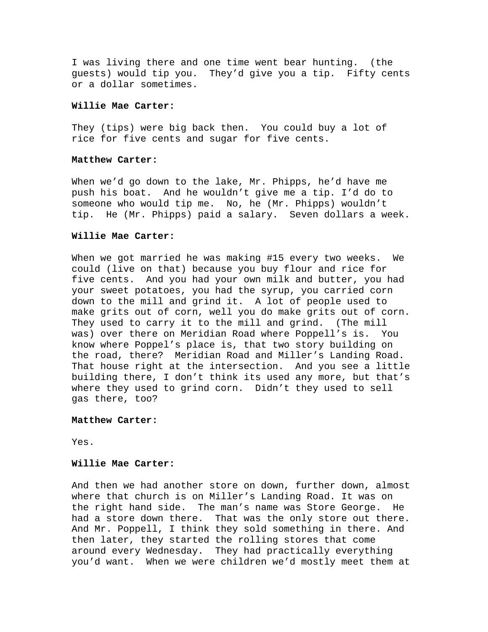I was living there and one time went bear hunting. (the guests) would tip you. They'd give you a tip. Fifty cents or a dollar sometimes.

# **Willie Mae Carter:**

They (tips) were big back then. You could buy a lot of rice for five cents and sugar for five cents.

#### **Matthew Carter:**

When we'd go down to the lake, Mr. Phipps, he'd have me push his boat. And he wouldn't give me a tip. I'd do to someone who would tip me. No, he (Mr. Phipps) wouldn't tip. He (Mr. Phipps) paid a salary. Seven dollars a week.

# **Willie Mae Carter:**

When we got married he was making #15 every two weeks. We could (live on that) because you buy flour and rice for five cents. And you had your own milk and butter, you had your sweet potatoes, you had the syrup, you carried corn down to the mill and grind it. A lot of people used to make grits out of corn, well you do make grits out of corn. They used to carry it to the mill and grind. (The mill was) over there on Meridian Road where Poppell's is. You know where Poppel's place is, that two story building on the road, there? Meridian Road and Miller's Landing Road. That house right at the intersection. And you see a little building there, I don't think its used any more, but that's where they used to grind corn. Didn't they used to sell gas there, too?

# **Matthew Carter:**

Yes.

# **Willie Mae Carter:**

And then we had another store on down, further down, almost where that church is on Miller's Landing Road. It was on the right hand side. The man's name was Store George. He had a store down there. That was the only store out there. And Mr. Poppell, I think they sold something in there. And then later, they started the rolling stores that come around every Wednesday. They had practically everything you'd want. When we were children we'd mostly meet them at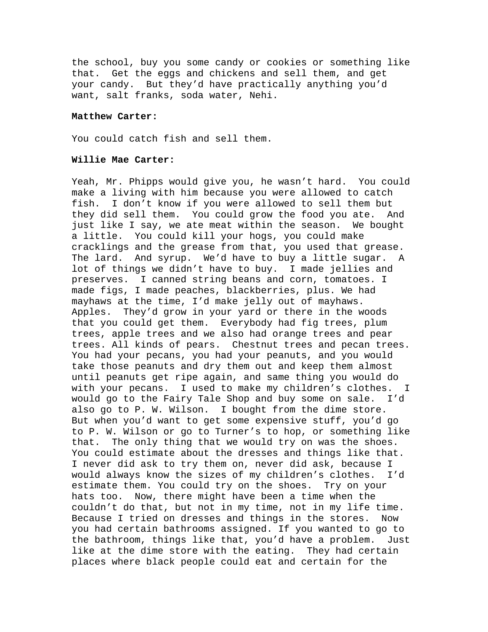the school, buy you some candy or cookies or something like that. Get the eggs and chickens and sell them, and get your candy. But they'd have practically anything you'd want, salt franks, soda water, Nehi.

#### **Matthew Carter:**

You could catch fish and sell them.

## **Willie Mae Carter:**

Yeah, Mr. Phipps would give you, he wasn't hard. You could make a living with him because you were allowed to catch fish. I don't know if you were allowed to sell them but they did sell them. You could grow the food you ate. And just like I say, we ate meat within the season. We bought a little. You could kill your hogs, you could make cracklings and the grease from that, you used that grease. The lard. And syrup. We'd have to buy a little sugar. A lot of things we didn't have to buy. I made jellies and preserves. I canned string beans and corn, tomatoes. I made figs, I made peaches, blackberries, plus. We had mayhaws at the time, I'd make jelly out of mayhaws. Apples. They'd grow in your yard or there in the woods that you could get them. Everybody had fig trees, plum trees, apple trees and we also had orange trees and pear trees. All kinds of pears. Chestnut trees and pecan trees. You had your pecans, you had your peanuts, and you would take those peanuts and dry them out and keep them almost until peanuts get ripe again, and same thing you would do with your pecans. I used to make my children's clothes. I would go to the Fairy Tale Shop and buy some on sale. I'd also go to P. W. Wilson. I bought from the dime store. But when you'd want to get some expensive stuff, you'd go to P. W. Wilson or go to Turner's to hop, or something like that. The only thing that we would try on was the shoes. You could estimate about the dresses and things like that. I never did ask to try them on, never did ask, because I would always know the sizes of my children's clothes. I'd estimate them. You could try on the shoes. Try on your hats too. Now, there might have been a time when the couldn't do that, but not in my time, not in my life time. Because I tried on dresses and things in the stores. Now you had certain bathrooms assigned. If you wanted to go to the bathroom, things like that, you'd have a problem. Just like at the dime store with the eating. They had certain places where black people could eat and certain for the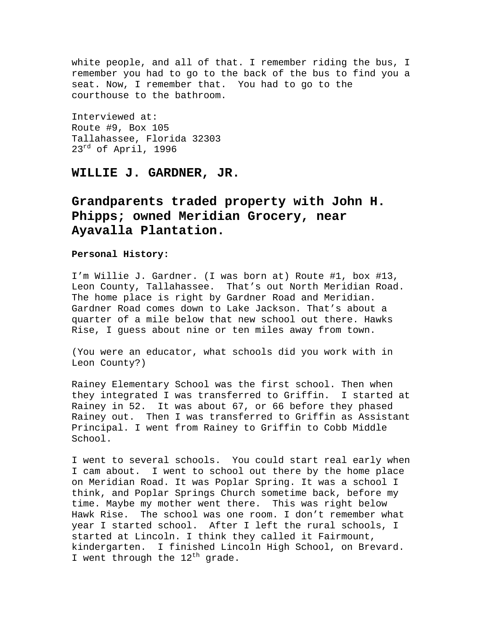white people, and all of that. I remember riding the bus, I remember you had to go to the back of the bus to find you a seat. Now, I remember that. You had to go to the courthouse to the bathroom.

Interviewed at: Route #9, Box 105 Tallahassee, Florida 32303  $23^{rd}$  of April, 1996

**WILLIE J. GARDNER, JR.** 

**Grandparents traded property with John H. Phipps; owned Meridian Grocery, near Ayavalla Plantation.** 

# **Personal History:**

I'm Willie J. Gardner. (I was born at) Route #1, box #13, Leon County, Tallahassee. That's out North Meridian Road. The home place is right by Gardner Road and Meridian. Gardner Road comes down to Lake Jackson. That's about a quarter of a mile below that new school out there. Hawks Rise, I guess about nine or ten miles away from town.

(You were an educator, what schools did you work with in Leon County?)

Rainey Elementary School was the first school. Then when they integrated I was transferred to Griffin. I started at Rainey in 52. It was about 67, or 66 before they phased Rainey out. Then I was transferred to Griffin as Assistant Principal. I went from Rainey to Griffin to Cobb Middle School.

I went to several schools. You could start real early when I cam about. I went to school out there by the home place on Meridian Road. It was Poplar Spring. It was a school I think, and Poplar Springs Church sometime back, before my time. Maybe my mother went there. This was right below Hawk Rise. The school was one room. I don't remember what year I started school. After I left the rural schools, I started at Lincoln. I think they called it Fairmount, kindergarten. I finished Lincoln High School, on Brevard. I went through the  $12^{\text{th}}$  grade.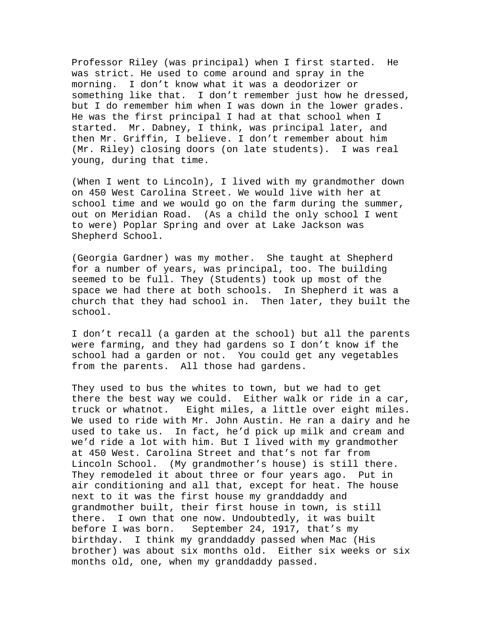Professor Riley (was principal) when I first started. He was strict. He used to come around and spray in the morning. I don't know what it was a deodorizer or something like that. I don't remember just how he dressed, but I do remember him when I was down in the lower grades. He was the first principal I had at that school when I started. Mr. Dabney, I think, was principal later, and then Mr. Griffin, I believe. I don't remember about him (Mr. Riley) closing doors (on late students). I was real young, during that time.

(When I went to Lincoln), I lived with my grandmother down on 450 West Carolina Street. We would live with her at school time and we would go on the farm during the summer, out on Meridian Road. (As a child the only school I went to were) Poplar Spring and over at Lake Jackson was Shepherd School.

(Georgia Gardner) was my mother. She taught at Shepherd for a number of years, was principal, too. The building seemed to be full. They (Students) took up most of the space we had there at both schools. In Shepherd it was a church that they had school in. Then later, they built the school.

I don't recall (a garden at the school) but all the parents were farming, and they had gardens so I don't know if the school had a garden or not. You could get any vegetables from the parents. All those had gardens.

They used to bus the whites to town, but we had to get there the best way we could. Either walk or ride in a car, truck or whatnot. Eight miles, a little over eight miles. We used to ride with Mr. John Austin. He ran a dairy and he used to take us. In fact, he'd pick up milk and cream and we'd ride a lot with him. But I lived with my grandmother at 450 West. Carolina Street and that's not far from Lincoln School. (My grandmother's house) is still there. They remodeled it about three or four years ago. Put in air conditioning and all that, except for heat. The house next to it was the first house my granddaddy and grandmother built, their first house in town, is still there. I own that one now. Undoubtedly, it was built before I was born. September 24, 1917, that's my birthday. I think my granddaddy passed when Mac (His brother) was about six months old. Either six weeks or six months old, one, when my granddaddy passed.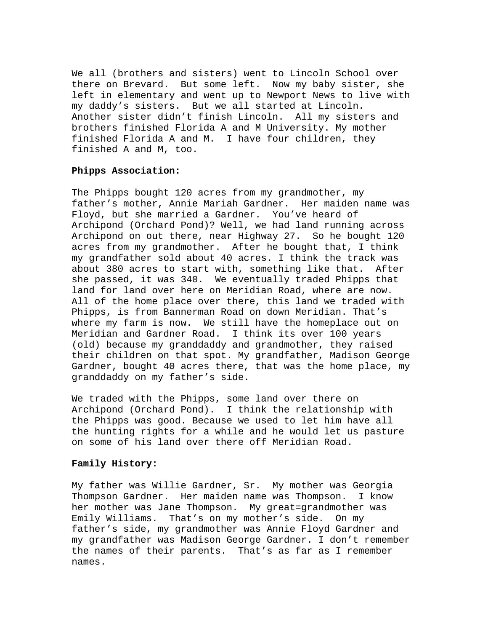We all (brothers and sisters) went to Lincoln School over there on Brevard. But some left. Now my baby sister, she left in elementary and went up to Newport News to live with my daddy's sisters. But we all started at Lincoln. Another sister didn't finish Lincoln. All my sisters and brothers finished Florida A and M University. My mother finished Florida A and M. I have four children, they finished A and M, too.

# **Phipps Association:**

The Phipps bought 120 acres from my grandmother, my father's mother, Annie Mariah Gardner. Her maiden name was Floyd, but she married a Gardner. You've heard of Archipond (Orchard Pond)? Well, we had land running across Archipond on out there, near Highway 27. So he bought 120 acres from my grandmother. After he bought that, I think my grandfather sold about 40 acres. I think the track was about 380 acres to start with, something like that. After she passed, it was 340. We eventually traded Phipps that land for land over here on Meridian Road, where are now. All of the home place over there, this land we traded with Phipps, is from Bannerman Road on down Meridian. That's where my farm is now. We still have the homeplace out on Meridian and Gardner Road. I think its over 100 years (old) because my granddaddy and grandmother, they raised their children on that spot. My grandfather, Madison George Gardner, bought 40 acres there, that was the home place, my granddaddy on my father's side.

We traded with the Phipps, some land over there on Archipond (Orchard Pond). I think the relationship with the Phipps was good. Because we used to let him have all the hunting rights for a while and he would let us pasture on some of his land over there off Meridian Road.

#### **Family History:**

My father was Willie Gardner, Sr. My mother was Georgia Thompson Gardner. Her maiden name was Thompson. I know her mother was Jane Thompson. My great=grandmother was Emily Williams. That's on my mother's side. On my father's side, my grandmother was Annie Floyd Gardner and my grandfather was Madison George Gardner. I don't remember the names of their parents. That's as far as I remember names.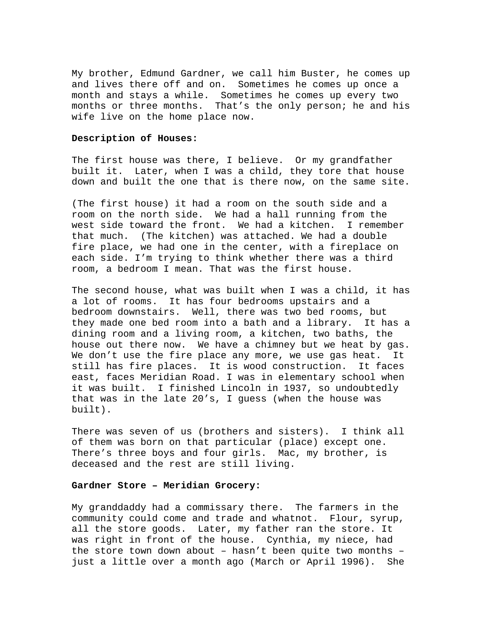My brother, Edmund Gardner, we call him Buster, he comes up and lives there off and on. Sometimes he comes up once a month and stays a while. Sometimes he comes up every two months or three months. That's the only person; he and his wife live on the home place now.

#### **Description of Houses:**

The first house was there, I believe. Or my grandfather built it. Later, when I was a child, they tore that house down and built the one that is there now, on the same site.

(The first house) it had a room on the south side and a room on the north side. We had a hall running from the west side toward the front. We had a kitchen. I remember that much. (The kitchen) was attached. We had a double fire place, we had one in the center, with a fireplace on each side. I'm trying to think whether there was a third room, a bedroom I mean. That was the first house.

The second house, what was built when I was a child, it has a lot of rooms. It has four bedrooms upstairs and a bedroom downstairs. Well, there was two bed rooms, but they made one bed room into a bath and a library. It has a dining room and a living room, a kitchen, two baths, the house out there now. We have a chimney but we heat by gas. We don't use the fire place any more, we use gas heat. It still has fire places. It is wood construction. It faces east, faces Meridian Road. I was in elementary school when it was built. I finished Lincoln in 1937, so undoubtedly that was in the late 20's, I guess (when the house was built).

There was seven of us (brothers and sisters). I think all of them was born on that particular (place) except one. There's three boys and four girls. Mac, my brother, is deceased and the rest are still living.

# **Gardner Store – Meridian Grocery:**

My granddaddy had a commissary there. The farmers in the community could come and trade and whatnot. Flour, syrup, all the store goods. Later, my father ran the store. It was right in front of the house. Cynthia, my niece, had the store town down about – hasn't been quite two months – just a little over a month ago (March or April 1996). She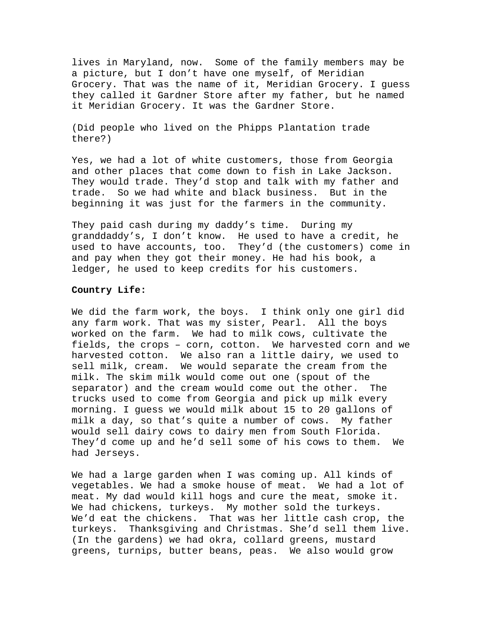lives in Maryland, now. Some of the family members may be a picture, but I don't have one myself, of Meridian Grocery. That was the name of it, Meridian Grocery. I guess they called it Gardner Store after my father, but he named it Meridian Grocery. It was the Gardner Store.

(Did people who lived on the Phipps Plantation trade there?)

Yes, we had a lot of white customers, those from Georgia and other places that come down to fish in Lake Jackson. They would trade. They'd stop and talk with my father and trade. So we had white and black business. But in the beginning it was just for the farmers in the community.

They paid cash during my daddy's time. During my granddaddy's, I don't know. He used to have a credit, he used to have accounts, too. They'd (the customers) come in and pay when they got their money. He had his book, a ledger, he used to keep credits for his customers.

# **Country Life:**

We did the farm work, the boys. I think only one girl did any farm work. That was my sister, Pearl. All the boys worked on the farm. We had to milk cows, cultivate the fields, the crops – corn, cotton. We harvested corn and we harvested cotton. We also ran a little dairy, we used to sell milk, cream. We would separate the cream from the milk. The skim milk would come out one (spout of the separator) and the cream would come out the other. The trucks used to come from Georgia and pick up milk every morning. I guess we would milk about 15 to 20 gallons of milk a day, so that's quite a number of cows. My father would sell dairy cows to dairy men from South Florida. They'd come up and he'd sell some of his cows to them. We had Jerseys.

We had a large garden when I was coming up. All kinds of vegetables. We had a smoke house of meat. We had a lot of meat. My dad would kill hogs and cure the meat, smoke it. We had chickens, turkeys. My mother sold the turkeys. We'd eat the chickens. That was her little cash crop, the turkeys. Thanksgiving and Christmas. She'd sell them live. (In the gardens) we had okra, collard greens, mustard greens, turnips, butter beans, peas. We also would grow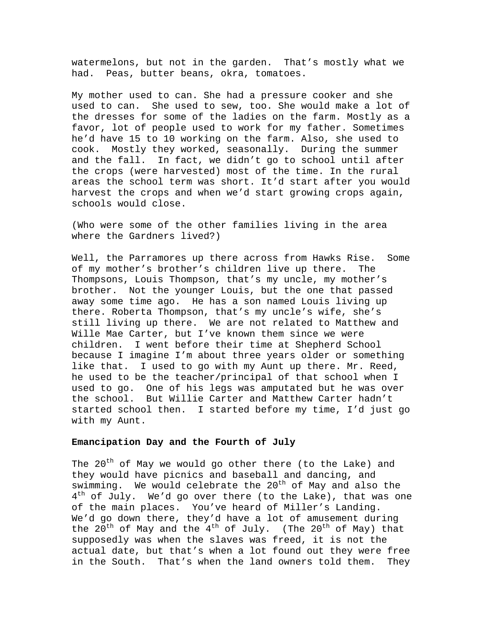watermelons, but not in the garden. That's mostly what we had. Peas, butter beans, okra, tomatoes.

My mother used to can. She had a pressure cooker and she used to can. She used to sew, too. She would make a lot of the dresses for some of the ladies on the farm. Mostly as a favor, lot of people used to work for my father. Sometimes he'd have 15 to 10 working on the farm. Also, she used to cook. Mostly they worked, seasonally. During the summer and the fall. In fact, we didn't go to school until after the crops (were harvested) most of the time. In the rural areas the school term was short. It'd start after you would harvest the crops and when we'd start growing crops again, schools would close.

(Who were some of the other families living in the area where the Gardners lived?)

Well, the Parramores up there across from Hawks Rise. Some of my mother's brother's children live up there. The Thompsons, Louis Thompson, that's my uncle, my mother's brother. Not the younger Louis, but the one that passed away some time ago. He has a son named Louis living up there. Roberta Thompson, that's my uncle's wife, she's still living up there. We are not related to Matthew and Wille Mae Carter, but I've known them since we were children. I went before their time at Shepherd School because I imagine I'm about three years older or something like that. I used to go with my Aunt up there. Mr. Reed, he used to be the teacher/principal of that school when I used to go. One of his legs was amputated but he was over the school. But Willie Carter and Matthew Carter hadn't started school then. I started before my time, I'd just go with my Aunt.

## **Emancipation Day and the Fourth of July**

The 20<sup>th</sup> of May we would go other there (to the Lake) and they would have picnics and baseball and dancing, and swimming. We would celebrate the  $20^{th}$  of May and also the  $4<sup>th</sup>$  of July. We'd go over there (to the Lake), that was one of the main places. You've heard of Miller's Landing. We'd go down there, they'd have a lot of amusement during the  $20^{th}$  of May and the  $4^{th}$  of July. (The  $20^{th}$  of May) that supposedly was when the slaves was freed, it is not the actual date, but that's when a lot found out they were free in the South. That's when the land owners told them. They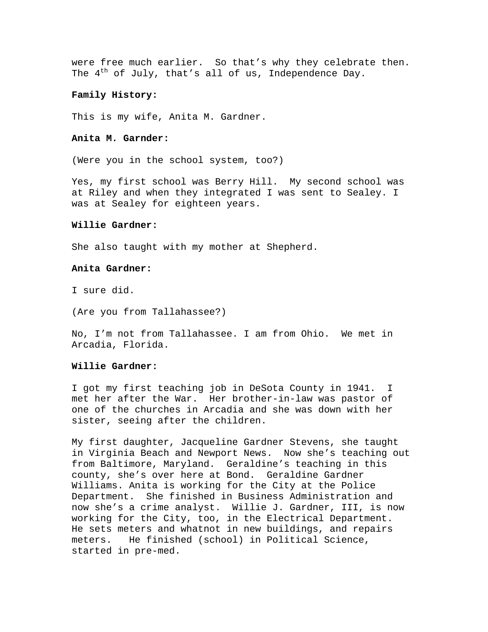were free much earlier. So that's why they celebrate then. The  $4^{th}$  of July, that's all of us, Independence Day.

# **Family History:**

This is my wife, Anita M. Gardner.

## **Anita M. Garnder:**

(Were you in the school system, too?)

Yes, my first school was Berry Hill. My second school was at Riley and when they integrated I was sent to Sealey. I was at Sealey for eighteen years.

#### **Willie Gardner:**

She also taught with my mother at Shepherd.

# **Anita Gardner:**

I sure did.

(Are you from Tallahassee?)

No, I'm not from Tallahassee. I am from Ohio. We met in Arcadia, Florida.

#### **Willie Gardner:**

I got my first teaching job in DeSota County in 1941. I met her after the War. Her brother-in-law was pastor of one of the churches in Arcadia and she was down with her sister, seeing after the children.

My first daughter, Jacqueline Gardner Stevens, she taught in Virginia Beach and Newport News. Now she's teaching out from Baltimore, Maryland. Geraldine's teaching in this county, she's over here at Bond. Geraldine Gardner Williams. Anita is working for the City at the Police Department. She finished in Business Administration and now she's a crime analyst. Willie J. Gardner, III, is now working for the City, too, in the Electrical Department. He sets meters and whatnot in new buildings, and repairs meters. He finished (school) in Political Science, started in pre-med.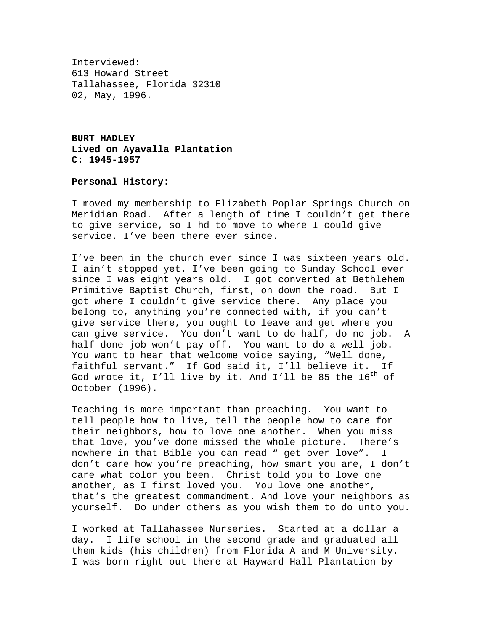Interviewed: 613 Howard Street Tallahassee, Florida 32310 02, May, 1996.

**BURT HADLEY Lived on Ayavalla Plantation C: 1945-1957** 

# **Personal History:**

I moved my membership to Elizabeth Poplar Springs Church on Meridian Road. After a length of time I couldn't get there to give service, so I hd to move to where I could give service. I've been there ever since.

I've been in the church ever since I was sixteen years old. I ain't stopped yet. I've been going to Sunday School ever since I was eight years old. I got converted at Bethlehem Primitive Baptist Church, first, on down the road. But I got where I couldn't give service there. Any place you belong to, anything you're connected with, if you can't give service there, you ought to leave and get where you can give service. You don't want to do half, do no job. A half done job won't pay off. You want to do a well job. You want to hear that welcome voice saying, "Well done, faithful servant." If God said it, I'll believe it. If God wrote it, I'll live by it. And I'll be 85 the  $16^{th}$  of October (1996).

Teaching is more important than preaching. You want to tell people how to live, tell the people how to care for their neighbors, how to love one another. When you miss that love, you've done missed the whole picture. There's nowhere in that Bible you can read " get over love". I don't care how you're preaching, how smart you are, I don't care what color you been. Christ told you to love one another, as I first loved you. You love one another, that's the greatest commandment. And love your neighbors as yourself. Do under others as you wish them to do unto you.

I worked at Tallahassee Nurseries. Started at a dollar a day. I life school in the second grade and graduated all them kids (his children) from Florida A and M University. I was born right out there at Hayward Hall Plantation by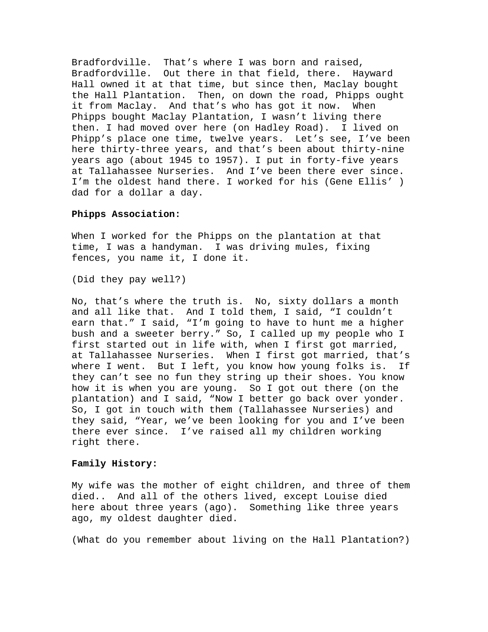Bradfordville. That's where I was born and raised, Bradfordville. Out there in that field, there. Hayward Hall owned it at that time, but since then, Maclay bought the Hall Plantation. Then, on down the road, Phipps ought it from Maclay. And that's who has got it now. When Phipps bought Maclay Plantation, I wasn't living there then. I had moved over here (on Hadley Road). I lived on Phipp's place one time, twelve years. Let's see, I've been here thirty-three years, and that's been about thirty-nine years ago (about 1945 to 1957). I put in forty-five years at Tallahassee Nurseries. And I've been there ever since. I'm the oldest hand there. I worked for his (Gene Ellis' ) dad for a dollar a day.

## **Phipps Association:**

When I worked for the Phipps on the plantation at that time, I was a handyman. I was driving mules, fixing fences, you name it, I done it.

(Did they pay well?)

No, that's where the truth is. No, sixty dollars a month and all like that. And I told them, I said, "I couldn't earn that." I said, "I'm going to have to hunt me a higher bush and a sweeter berry." So, I called up my people who I first started out in life with, when I first got married, at Tallahassee Nurseries. When I first got married, that's where I went. But I left, you know how young folks is. If they can't see no fun they string up their shoes. You know how it is when you are young. So I got out there (on the plantation) and I said, "Now I better go back over yonder. So, I got in touch with them (Tallahassee Nurseries) and they said, "Year, we've been looking for you and I've been there ever since. I've raised all my children working right there.

#### **Family History:**

My wife was the mother of eight children, and three of them died.. And all of the others lived, except Louise died here about three years (ago). Something like three years ago, my oldest daughter died.

(What do you remember about living on the Hall Plantation?)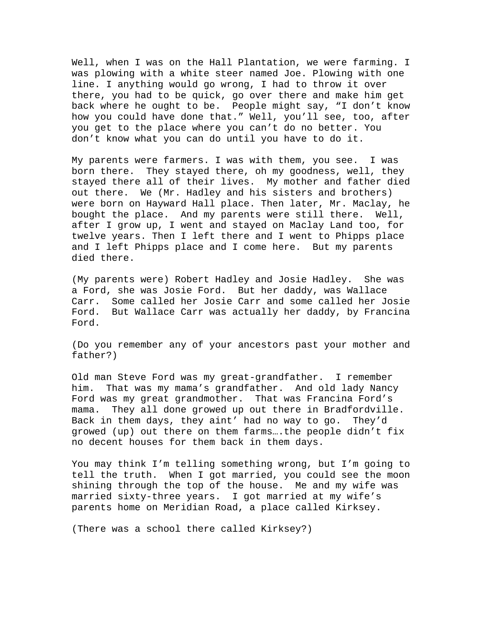Well, when I was on the Hall Plantation, we were farming. I was plowing with a white steer named Joe. Plowing with one line. I anything would go wrong, I had to throw it over there, you had to be quick, go over there and make him get back where he ought to be. People might say, "I don't know how you could have done that." Well, you'll see, too, after you get to the place where you can't do no better. You don't know what you can do until you have to do it.

My parents were farmers. I was with them, you see. I was born there. They stayed there, oh my goodness, well, they stayed there all of their lives. My mother and father died out there. We (Mr. Hadley and his sisters and brothers) were born on Hayward Hall place. Then later, Mr. Maclay, he bought the place. And my parents were still there. Well, after I grow up, I went and stayed on Maclay Land too, for twelve years. Then I left there and I went to Phipps place and I left Phipps place and I come here. But my parents died there.

(My parents were) Robert Hadley and Josie Hadley. She was a Ford, she was Josie Ford. But her daddy, was Wallace Carr. Some called her Josie Carr and some called her Josie Ford. But Wallace Carr was actually her daddy, by Francina Ford.

(Do you remember any of your ancestors past your mother and father?)

Old man Steve Ford was my great-grandfather. I remember him. That was my mama's grandfather. And old lady Nancy Ford was my great grandmother. That was Francina Ford's mama. They all done growed up out there in Bradfordville. Back in them days, they aint' had no way to go. They'd growed (up) out there on them farms….the people didn't fix no decent houses for them back in them days.

You may think I'm telling something wrong, but I'm going to tell the truth. When I got married, you could see the moon shining through the top of the house. Me and my wife was married sixty-three years. I got married at my wife's parents home on Meridian Road, a place called Kirksey.

(There was a school there called Kirksey?)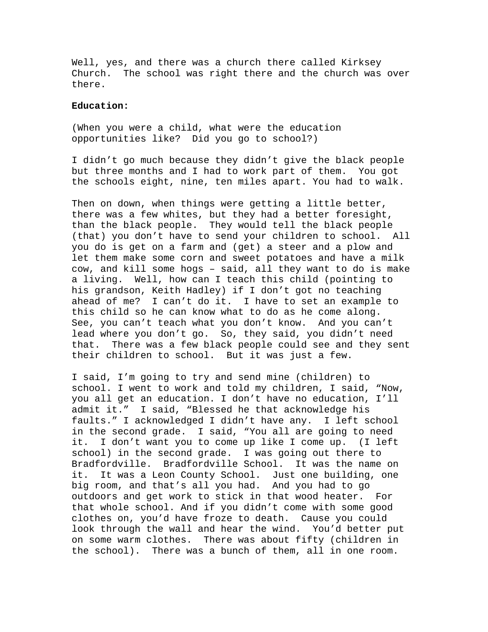Well, yes, and there was a church there called Kirksey Church. The school was right there and the church was over there.

## **Education:**

(When you were a child, what were the education opportunities like? Did you go to school?)

I didn't go much because they didn't give the black people but three months and I had to work part of them. You got the schools eight, nine, ten miles apart. You had to walk.

Then on down, when things were getting a little better, there was a few whites, but they had a better foresight, than the black people. They would tell the black people (that) you don't have to send your children to school. All you do is get on a farm and (get) a steer and a plow and let them make some corn and sweet potatoes and have a milk cow, and kill some hogs – said, all they want to do is make a living. Well, how can I teach this child (pointing to his grandson, Keith Hadley) if I don't got no teaching ahead of me? I can't do it. I have to set an example to this child so he can know what to do as he come along. See, you can't teach what you don't know. And you can't lead where you don't go. So, they said, you didn't need that. There was a few black people could see and they sent their children to school. But it was just a few.

I said, I'm going to try and send mine (children) to school. I went to work and told my children, I said, "Now, you all get an education. I don't have no education, I'll admit it." I said, "Blessed he that acknowledge his faults." I acknowledged I didn't have any. I left school in the second grade. I said, "You all are going to need it. I don't want you to come up like I come up. (I left school) in the second grade. I was going out there to Bradfordville. Bradfordville School. It was the name on it. It was a Leon County School. Just one building, one big room, and that's all you had. And you had to go outdoors and get work to stick in that wood heater. For that whole school. And if you didn't come with some good clothes on, you'd have froze to death. Cause you could look through the wall and hear the wind. You'd better put on some warm clothes. There was about fifty (children in the school). There was a bunch of them, all in one room.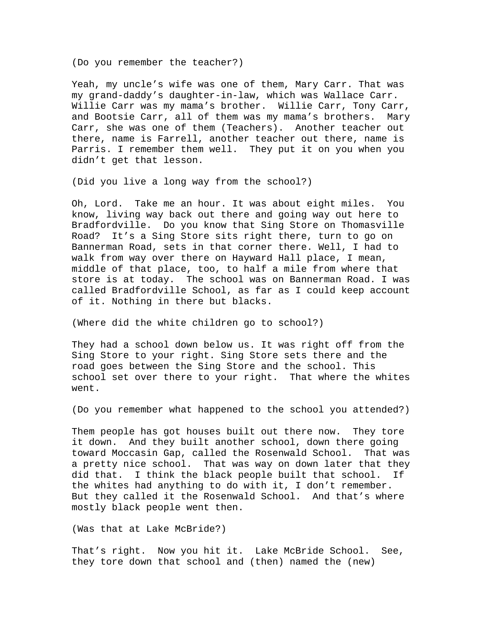(Do you remember the teacher?)

Yeah, my uncle's wife was one of them, Mary Carr. That was my grand-daddy's daughter-in-law, which was Wallace Carr. Willie Carr was my mama's brother. Willie Carr, Tony Carr, and Bootsie Carr, all of them was my mama's brothers. Mary Carr, she was one of them (Teachers). Another teacher out there, name is Farrell, another teacher out there, name is Parris. I remember them well. They put it on you when you didn't get that lesson.

(Did you live a long way from the school?)

Oh, Lord. Take me an hour. It was about eight miles. You know, living way back out there and going way out here to Bradfordville. Do you know that Sing Store on Thomasville Road? It's a Sing Store sits right there, turn to go on Bannerman Road, sets in that corner there. Well, I had to walk from way over there on Hayward Hall place, I mean, middle of that place, too, to half a mile from where that store is at today. The school was on Bannerman Road. I was called Bradfordville School, as far as I could keep account of it. Nothing in there but blacks.

(Where did the white children go to school?)

They had a school down below us. It was right off from the Sing Store to your right. Sing Store sets there and the road goes between the Sing Store and the school. This school set over there to your right. That where the whites went.

(Do you remember what happened to the school you attended?)

Them people has got houses built out there now. They tore it down. And they built another school, down there going toward Moccasin Gap, called the Rosenwald School. That was a pretty nice school. That was way on down later that they did that. I think the black people built that school. If the whites had anything to do with it, I don't remember. But they called it the Rosenwald School. And that's where mostly black people went then.

(Was that at Lake McBride?)

That's right. Now you hit it. Lake McBride School. See, they tore down that school and (then) named the (new)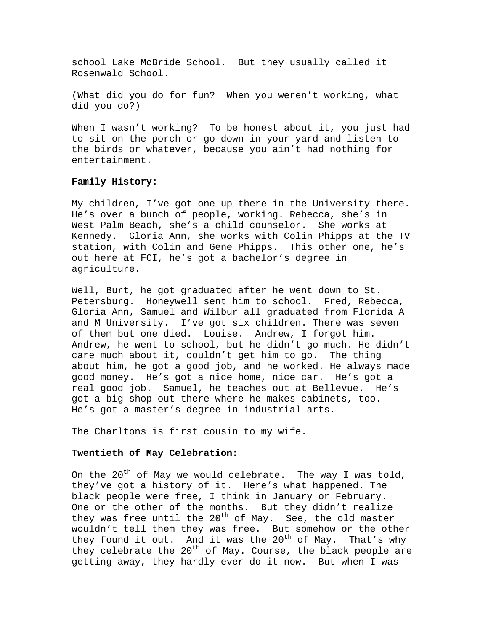school Lake McBride School. But they usually called it Rosenwald School.

(What did you do for fun? When you weren't working, what did you do?)

When I wasn't working? To be honest about it, you just had to sit on the porch or go down in your yard and listen to the birds or whatever, because you ain't had nothing for entertainment.

# **Family History:**

My children, I've got one up there in the University there. He's over a bunch of people, working. Rebecca, she's in West Palm Beach, she's a child counselor. She works at Kennedy. Gloria Ann, she works with Colin Phipps at the TV station, with Colin and Gene Phipps. This other one, he's out here at FCI, he's got a bachelor's degree in agriculture.

Well, Burt, he got graduated after he went down to St. Petersburg. Honeywell sent him to school. Fred, Rebecca, Gloria Ann, Samuel and Wilbur all graduated from Florida A and M University. I've got six children. There was seven of them but one died. Louise. Andrew, I forgot him. Andrew, he went to school, but he didn't go much. He didn't care much about it, couldn't get him to go. The thing about him, he got a good job, and he worked. He always made good money. He's got a nice home, nice car. He's got a real good job. Samuel, he teaches out at Bellevue. He's got a big shop out there where he makes cabinets, too. He's got a master's degree in industrial arts.

The Charltons is first cousin to my wife.

## **Twentieth of May Celebration:**

On the 20<sup>th</sup> of May we would celebrate. The way I was told, they've got a history of it. Here's what happened. The black people were free, I think in January or February. One or the other of the months. But they didn't realize they was free until the  $20^{th}$  of May. See, the old master wouldn't tell them they was free. But somehow or the other they found it out. And it was the  $20^{th}$  of May. That's why they celebrate the  $20^{th}$  of May. Course, the black people are getting away, they hardly ever do it now. But when I was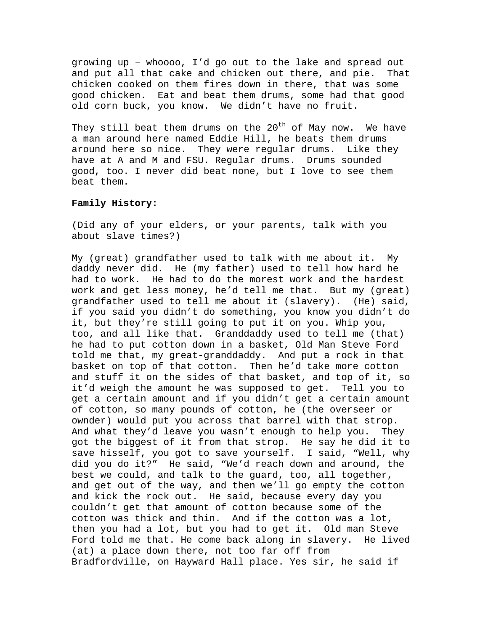growing up – whoooo, I'd go out to the lake and spread out and put all that cake and chicken out there, and pie. That chicken cooked on them fires down in there, that was some good chicken. Eat and beat them drums, some had that good old corn buck, you know. We didn't have no fruit.

They still beat them drums on the  $20^{th}$  of May now. We have a man around here named Eddie Hill, he beats them drums around here so nice. They were regular drums. Like they have at A and M and FSU. Regular drums. Drums sounded good, too. I never did beat none, but I love to see them beat them.

# **Family History:**

(Did any of your elders, or your parents, talk with you about slave times?)

My (great) grandfather used to talk with me about it. My daddy never did. He (my father) used to tell how hard he had to work. He had to do the morest work and the hardest work and get less money, he'd tell me that. But my (great) grandfather used to tell me about it (slavery). (He) said, if you said you didn't do something, you know you didn't do it, but they're still going to put it on you. Whip you, too, and all like that. Granddaddy used to tell me (that) he had to put cotton down in a basket, Old Man Steve Ford told me that, my great-granddaddy. And put a rock in that basket on top of that cotton. Then he'd take more cotton and stuff it on the sides of that basket, and top of it, so it'd weigh the amount he was supposed to get. Tell you to get a certain amount and if you didn't get a certain amount of cotton, so many pounds of cotton, he (the overseer or ownder) would put you across that barrel with that strop. And what they'd leave you wasn't enough to help you. They got the biggest of it from that strop. He say he did it to save hisself, you got to save yourself. I said, "Well, why did you do it?" He said, "We'd reach down and around, the best we could, and talk to the guard, too, all together, and get out of the way, and then we'll go empty the cotton and kick the rock out. He said, because every day you couldn't get that amount of cotton because some of the cotton was thick and thin. And if the cotton was a lot, then you had a lot, but you had to get it. Old man Steve Ford told me that. He come back along in slavery. He lived (at) a place down there, not too far off from Bradfordville, on Hayward Hall place. Yes sir, he said if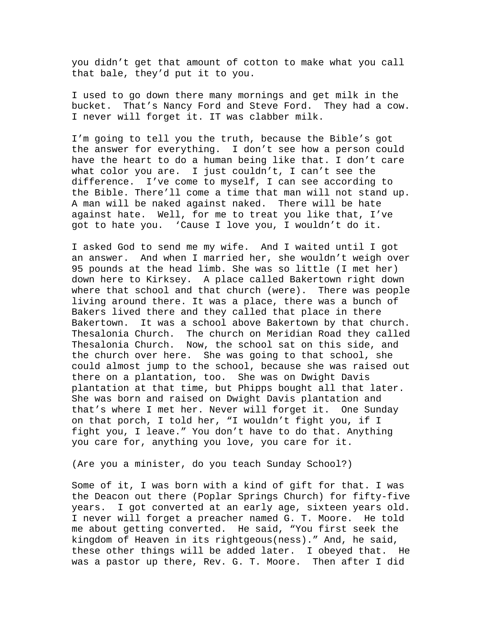you didn't get that amount of cotton to make what you call that bale, they'd put it to you.

I used to go down there many mornings and get milk in the bucket. That's Nancy Ford and Steve Ford. They had a cow. I never will forget it. IT was clabber milk.

I'm going to tell you the truth, because the Bible's got the answer for everything. I don't see how a person could have the heart to do a human being like that. I don't care what color you are. I just couldn't, I can't see the difference. I've come to myself, I can see according to the Bible. There'll come a time that man will not stand up. A man will be naked against naked. There will be hate against hate. Well, for me to treat you like that, I've got to hate you. 'Cause I love you, I wouldn't do it.

I asked God to send me my wife. And I waited until I got an answer. And when I married her, she wouldn't weigh over 95 pounds at the head limb. She was so little (I met her) down here to Kirksey. A place called Bakertown right down where that school and that church (were). There was people living around there. It was a place, there was a bunch of Bakers lived there and they called that place in there Bakertown. It was a school above Bakertown by that church. Thesalonia Church. The church on Meridian Road they called Thesalonia Church. Now, the school sat on this side, and the church over here. She was going to that school, she could almost jump to the school, because she was raised out there on a plantation, too. She was on Dwight Davis plantation at that time, but Phipps bought all that later. She was born and raised on Dwight Davis plantation and that's where I met her. Never will forget it. One Sunday on that porch, I told her, "I wouldn't fight you, if I fight you, I leave." You don't have to do that. Anything you care for, anything you love, you care for it.

(Are you a minister, do you teach Sunday School?)

Some of it, I was born with a kind of gift for that. I was the Deacon out there (Poplar Springs Church) for fifty-five years. I got converted at an early age, sixteen years old. I never will forget a preacher named G. T. Moore. He told me about getting converted. He said, "You first seek the kingdom of Heaven in its rightgeous(ness)." And, he said, these other things will be added later. I obeyed that. He was a pastor up there, Rev. G. T. Moore. Then after I did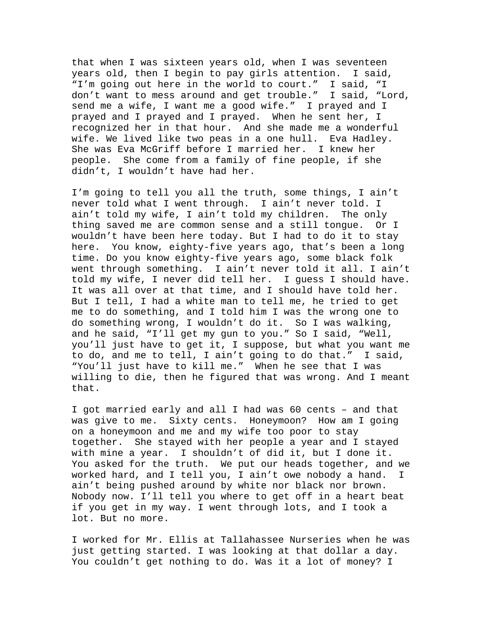that when I was sixteen years old, when I was seventeen years old, then I begin to pay girls attention. I said, "I'm going out here in the world to court." I said, "I don't want to mess around and get trouble." I said, "Lord, send me a wife, I want me a good wife." I prayed and I prayed and I prayed and I prayed. When he sent her, I recognized her in that hour. And she made me a wonderful wife. We lived like two peas in a one hull. Eva Hadley. She was Eva McGriff before I married her. I knew her people. She come from a family of fine people, if she didn't, I wouldn't have had her.

I'm going to tell you all the truth, some things, I ain't never told what I went through. I ain't never told. I ain't told my wife, I ain't told my children. The only thing saved me are common sense and a still tongue. Or I wouldn't have been here today. But I had to do it to stay here. You know, eighty-five years ago, that's been a long time. Do you know eighty-five years ago, some black folk went through something. I ain't never told it all. I ain't told my wife, I never did tell her. I guess I should have. It was all over at that time, and I should have told her. But I tell, I had a white man to tell me, he tried to get me to do something, and I told him I was the wrong one to do something wrong, I wouldn't do it. So I was walking, and he said, "I'll get my gun to you." So I said, "Well, you'll just have to get it, I suppose, but what you want me to do, and me to tell, I ain't going to do that." I said, "You'll just have to kill me." When he see that I was willing to die, then he figured that was wrong. And I meant that.

I got married early and all I had was 60 cents – and that was give to me. Sixty cents. Honeymoon? How am I going on a honeymoon and me and my wife too poor to stay together. She stayed with her people a year and I stayed with mine a year. I shouldn't of did it, but I done it. You asked for the truth. We put our heads together, and we worked hard, and I tell you, I ain't owe nobody a hand. I ain't being pushed around by white nor black nor brown. Nobody now. I'll tell you where to get off in a heart beat if you get in my way. I went through lots, and I took a lot. But no more.

I worked for Mr. Ellis at Tallahassee Nurseries when he was just getting started. I was looking at that dollar a day. You couldn't get nothing to do. Was it a lot of money? I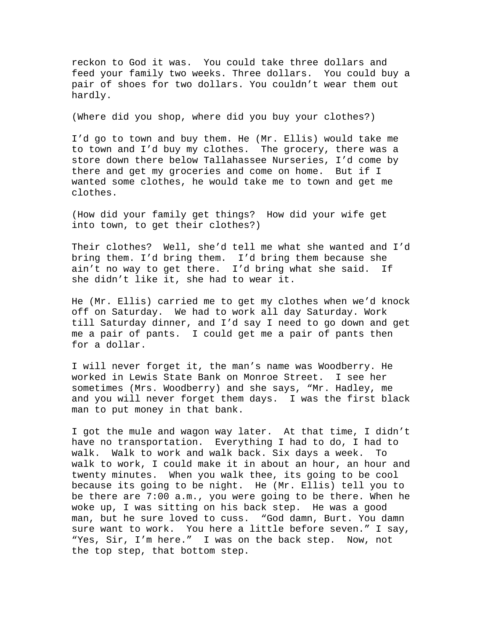reckon to God it was. You could take three dollars and feed your family two weeks. Three dollars. You could buy a pair of shoes for two dollars. You couldn't wear them out hardly.

(Where did you shop, where did you buy your clothes?)

I'd go to town and buy them. He (Mr. Ellis) would take me to town and I'd buy my clothes. The grocery, there was a store down there below Tallahassee Nurseries, I'd come by there and get my groceries and come on home. But if I wanted some clothes, he would take me to town and get me clothes.

(How did your family get things? How did your wife get into town, to get their clothes?)

Their clothes? Well, she'd tell me what she wanted and I'd bring them. I'd bring them. I'd bring them because she ain't no way to get there. I'd bring what she said. If she didn't like it, she had to wear it.

He (Mr. Ellis) carried me to get my clothes when we'd knock off on Saturday. We had to work all day Saturday. Work till Saturday dinner, and I'd say I need to go down and get me a pair of pants. I could get me a pair of pants then for a dollar.

I will never forget it, the man's name was Woodberry. He worked in Lewis State Bank on Monroe Street. I see her sometimes (Mrs. Woodberry) and she says, "Mr. Hadley, me and you will never forget them days. I was the first black man to put money in that bank.

I got the mule and wagon way later. At that time, I didn't have no transportation. Everything I had to do, I had to walk. Walk to work and walk back. Six days a week. To walk to work, I could make it in about an hour, an hour and twenty minutes. When you walk thee, its going to be cool because its going to be night. He (Mr. Ellis) tell you to be there are 7:00 a.m., you were going to be there. When he woke up, I was sitting on his back step. He was a good man, but he sure loved to cuss. "God damn, Burt. You damn sure want to work. You here a little before seven." I say, "Yes, Sir, I'm here." I was on the back step. Now, not the top step, that bottom step.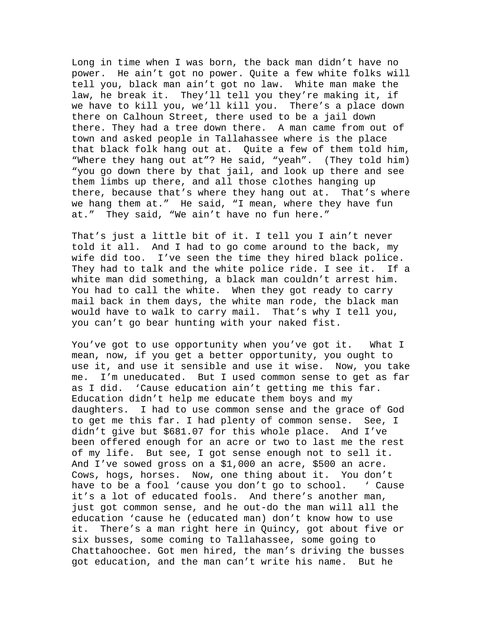Long in time when I was born, the back man didn't have no power. He ain't got no power. Quite a few white folks will tell you, black man ain't got no law. White man make the law, he break it. They'll tell you they're making it, if we have to kill you, we'll kill you. There's a place down there on Calhoun Street, there used to be a jail down there. They had a tree down there. A man came from out of town and asked people in Tallahassee where is the place that black folk hang out at. Quite a few of them told him, "Where they hang out at"? He said, "yeah". (They told him) "you go down there by that jail, and look up there and see them limbs up there, and all those clothes hanging up there, because that's where they hang out at. That's where we hang them at." He said, "I mean, where they have fun at." They said, "We ain't have no fun here."

That's just a little bit of it. I tell you I ain't never told it all. And I had to go come around to the back, my wife did too. I've seen the time they hired black police. They had to talk and the white police ride. I see it. If a white man did something, a black man couldn't arrest him. You had to call the white. When they got ready to carry mail back in them days, the white man rode, the black man would have to walk to carry mail. That's why I tell you, you can't go bear hunting with your naked fist.

You've got to use opportunity when you've got it. What I mean, now, if you get a better opportunity, you ought to use it, and use it sensible and use it wise. Now, you take me. I'm uneducated. But I used common sense to get as far as I did. 'Cause education ain't getting me this far. Education didn't help me educate them boys and my daughters. I had to use common sense and the grace of God to get me this far. I had plenty of common sense. See, I didn't give but \$681.07 for this whole place. And I've been offered enough for an acre or two to last me the rest of my life. But see, I got sense enough not to sell it. And I've sowed gross on a \$1,000 an acre, \$500 an acre. Cows, hogs, horses. Now, one thing about it. You don't have to be a fool 'cause you don't go to school. ' Cause it's a lot of educated fools. And there's another man, just got common sense, and he out-do the man will all the education 'cause he (educated man) don't know how to use it. There's a man right here in Quincy, got about five or six busses, some coming to Tallahassee, some going to Chattahoochee. Got men hired, the man's driving the busses got education, and the man can't write his name. But he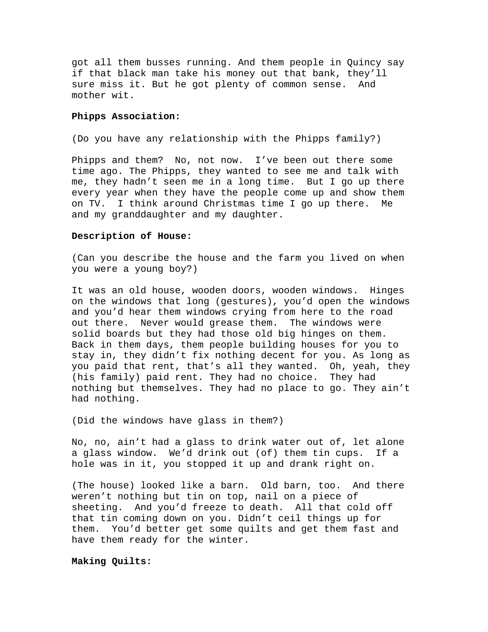got all them busses running. And them people in Quincy say if that black man take his money out that bank, they'll sure miss it. But he got plenty of common sense. And mother wit.

# **Phipps Association:**

(Do you have any relationship with the Phipps family?)

Phipps and them? No, not now. I've been out there some time ago. The Phipps, they wanted to see me and talk with me, they hadn't seen me in a long time. But I go up there every year when they have the people come up and show them on TV. I think around Christmas time I go up there. Me and my granddaughter and my daughter.

# **Description of House:**

(Can you describe the house and the farm you lived on when you were a young boy?)

It was an old house, wooden doors, wooden windows. Hinges on the windows that long (gestures), you'd open the windows and you'd hear them windows crying from here to the road out there. Never would grease them. The windows were solid boards but they had those old big hinges on them. Back in them days, them people building houses for you to stay in, they didn't fix nothing decent for you. As long as you paid that rent, that's all they wanted. Oh, yeah, they (his family) paid rent. They had no choice. They had nothing but themselves. They had no place to go. They ain't had nothing.

(Did the windows have glass in them?)

No, no, ain't had a glass to drink water out of, let alone a glass window. We'd drink out (of) them tin cups. If a hole was in it, you stopped it up and drank right on.

(The house) looked like a barn. Old barn, too. And there weren't nothing but tin on top, nail on a piece of sheeting. And you'd freeze to death. All that cold off that tin coming down on you. Didn't ceil things up for them. You'd better get some quilts and get them fast and have them ready for the winter.

# **Making Quilts:**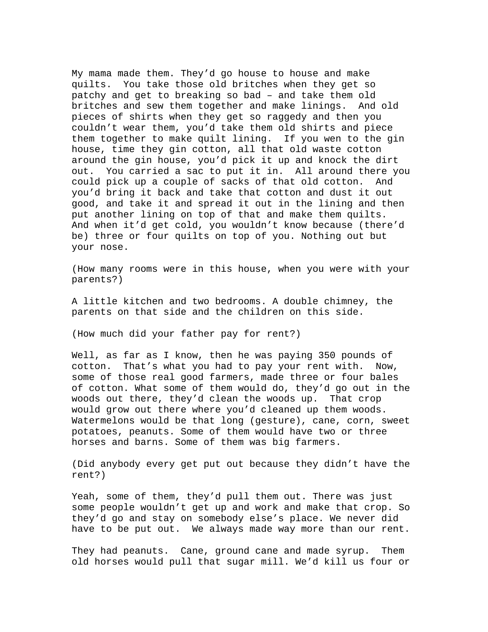My mama made them. They'd go house to house and make quilts. You take those old britches when they get so patchy and get to breaking so bad – and take them old britches and sew them together and make linings. And old pieces of shirts when they get so raggedy and then you couldn't wear them, you'd take them old shirts and piece them together to make quilt lining. If you wen to the gin house, time they gin cotton, all that old waste cotton around the gin house, you'd pick it up and knock the dirt out. You carried a sac to put it in. All around there you could pick up a couple of sacks of that old cotton. And you'd bring it back and take that cotton and dust it out good, and take it and spread it out in the lining and then put another lining on top of that and make them quilts. And when it'd get cold, you wouldn't know because (there'd be) three or four quilts on top of you. Nothing out but your nose.

(How many rooms were in this house, when you were with your parents?)

A little kitchen and two bedrooms. A double chimney, the parents on that side and the children on this side.

(How much did your father pay for rent?)

Well, as far as I know, then he was paying 350 pounds of cotton. That's what you had to pay your rent with. Now, some of those real good farmers, made three or four bales of cotton. What some of them would do, they'd go out in the woods out there, they'd clean the woods up. That crop would grow out there where you'd cleaned up them woods. Watermelons would be that long (gesture), cane, corn, sweet potatoes, peanuts. Some of them would have two or three horses and barns. Some of them was big farmers.

(Did anybody every get put out because they didn't have the rent?)

Yeah, some of them, they'd pull them out. There was just some people wouldn't get up and work and make that crop. So they'd go and stay on somebody else's place. We never did have to be put out. We always made way more than our rent.

They had peanuts. Cane, ground cane and made syrup. Them old horses would pull that sugar mill. We'd kill us four or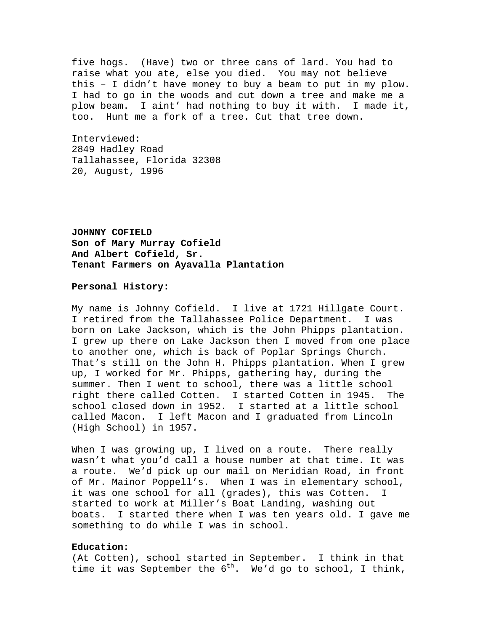five hogs. (Have) two or three cans of lard. You had to raise what you ate, else you died. You may not believe this – I didn't have money to buy a beam to put in my plow. I had to go in the woods and cut down a tree and make me a plow beam. I aint' had nothing to buy it with. I made it, too. Hunt me a fork of a tree. Cut that tree down.

Interviewed: 2849 Hadley Road Tallahassee, Florida 32308 20, August, 1996

**JOHNNY COFIELD Son of Mary Murray Cofield And Albert Cofield, Sr. Tenant Farmers on Ayavalla Plantation** 

# **Personal History:**

My name is Johnny Cofield. I live at 1721 Hillgate Court. I retired from the Tallahassee Police Department. I was born on Lake Jackson, which is the John Phipps plantation. I grew up there on Lake Jackson then I moved from one place to another one, which is back of Poplar Springs Church. That's still on the John H. Phipps plantation. When I grew up, I worked for Mr. Phipps, gathering hay, during the summer. Then I went to school, there was a little school right there called Cotten. I started Cotten in 1945. The school closed down in 1952. I started at a little school called Macon. I left Macon and I graduated from Lincoln (High School) in 1957.

When I was growing up, I lived on a route. There really wasn't what you'd call a house number at that time. It was a route. We'd pick up our mail on Meridian Road, in front of Mr. Mainor Poppell's. When I was in elementary school, it was one school for all (grades), this was Cotten. I started to work at Miller's Boat Landing, washing out boats. I started there when I was ten years old. I gave me something to do while I was in school.

# **Education:**

(At Cotten), school started in September. I think in that time it was September the  $6^{th}$ . We'd go to school, I think,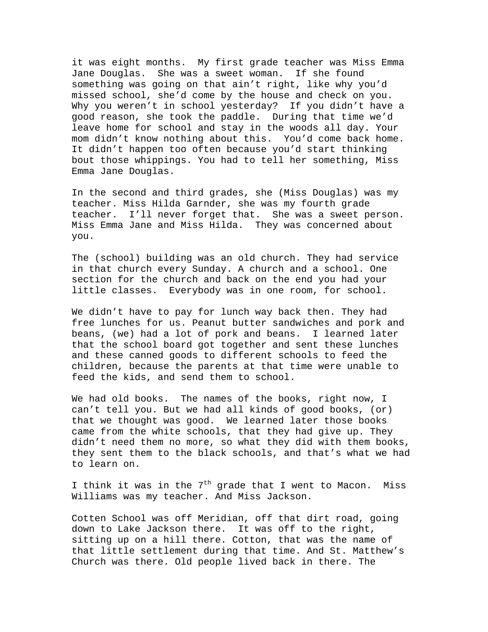it was eight months. My first grade teacher was Miss Emma Jane Douglas. She was a sweet woman. If she found something was going on that ain't right, like why you'd missed school, she'd come by the house and check on you. Why you weren't in school yesterday? If you didn't have a good reason, she took the paddle. During that time we'd leave home for school and stay in the woods all day. Your mom didn't know nothing about this. You'd come back home. It didn't happen too often because you'd start thinking bout those whippings. You had to tell her something, Miss Emma Jane Douglas.

In the second and third grades, she (Miss Douglas) was my teacher. Miss Hilda Garnder, she was my fourth grade teacher. I'll never forget that. She was a sweet person. Miss Emma Jane and Miss Hilda. They was concerned about you.

The (school) building was an old church. They had service in that church every Sunday. A church and a school. One section for the church and back on the end you had your little classes. Everybody was in one room, for school.

We didn't have to pay for lunch way back then. They had free lunches for us. Peanut butter sandwiches and pork and beans, (we) had a lot of pork and beans. I learned later that the school board got together and sent these lunches and these canned goods to different schools to feed the children, because the parents at that time were unable to feed the kids, and send them to school.

We had old books. The names of the books, right now, I can't tell you. But we had all kinds of good books, (or) that we thought was good. We learned later those books came from the white schools, that they had give up. They didn't need them no more, so what they did with them books, they sent them to the black schools, and that's what we had to learn on.

I think it was in the  $7<sup>th</sup>$  grade that I went to Macon. Miss Williams was my teacher. And Miss Jackson.

Cotten School was off Meridian, off that dirt road, going down to Lake Jackson there. It was off to the right, sitting up on a hill there. Cotton, that was the name of that little settlement during that time. And St. Matthew's Church was there. Old people lived back in there. The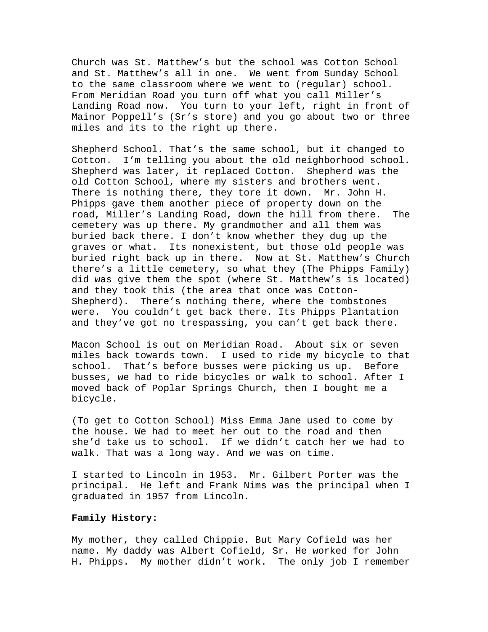Church was St. Matthew's but the school was Cotton School and St. Matthew's all in one. We went from Sunday School to the same classroom where we went to (regular) school. From Meridian Road you turn off what you call Miller's Landing Road now. You turn to your left, right in front of Mainor Poppell's (Sr's store) and you go about two or three miles and its to the right up there.

Shepherd School. That's the same school, but it changed to Cotton. I'm telling you about the old neighborhood school. Shepherd was later, it replaced Cotton. Shepherd was the old Cotton School, where my sisters and brothers went. There is nothing there, they tore it down. Mr. John H. Phipps gave them another piece of property down on the road, Miller's Landing Road, down the hill from there. The cemetery was up there. My grandmother and all them was buried back there. I don't know whether they dug up the graves or what. Its nonexistent, but those old people was buried right back up in there. Now at St. Matthew's Church there's a little cemetery, so what they (The Phipps Family) did was give them the spot (where St. Matthew's is located) and they took this (the area that once was Cotton-Shepherd). There's nothing there, where the tombstones were. You couldn't get back there. Its Phipps Plantation and they've got no trespassing, you can't get back there.

Macon School is out on Meridian Road. About six or seven miles back towards town. I used to ride my bicycle to that school. That's before busses were picking us up. Before busses, we had to ride bicycles or walk to school. After I moved back of Poplar Springs Church, then I bought me a bicycle.

(To get to Cotton School) Miss Emma Jane used to come by the house. We had to meet her out to the road and then she'd take us to school. If we didn't catch her we had to walk. That was a long way. And we was on time.

I started to Lincoln in 1953. Mr. Gilbert Porter was the principal. He left and Frank Nims was the principal when I graduated in 1957 from Lincoln.

# **Family History:**

My mother, they called Chippie. But Mary Cofield was her name. My daddy was Albert Cofield, Sr. He worked for John H. Phipps. My mother didn't work. The only job I remember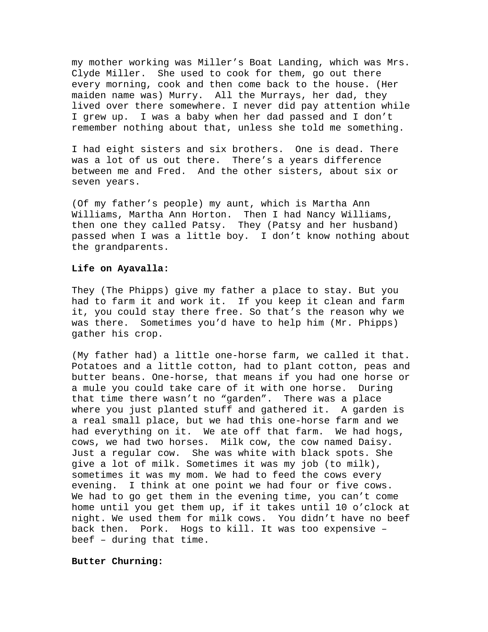my mother working was Miller's Boat Landing, which was Mrs. Clyde Miller. She used to cook for them, go out there every morning, cook and then come back to the house. (Her maiden name was) Murry. All the Murrays, her dad, they lived over there somewhere. I never did pay attention while I grew up. I was a baby when her dad passed and I don't remember nothing about that, unless she told me something.

I had eight sisters and six brothers. One is dead. There was a lot of us out there. There's a years difference between me and Fred. And the other sisters, about six or seven years.

(Of my father's people) my aunt, which is Martha Ann Williams, Martha Ann Horton. Then I had Nancy Williams, then one they called Patsy. They (Patsy and her husband) passed when I was a little boy. I don't know nothing about the grandparents.

# **Life on Ayavalla:**

They (The Phipps) give my father a place to stay. But you had to farm it and work it. If you keep it clean and farm it, you could stay there free. So that's the reason why we was there. Sometimes you'd have to help him (Mr. Phipps) gather his crop.

(My father had) a little one-horse farm, we called it that. Potatoes and a little cotton, had to plant cotton, peas and butter beans. One-horse, that means if you had one horse or a mule you could take care of it with one horse. During that time there wasn't no "garden". There was a place where you just planted stuff and gathered it. A garden is a real small place, but we had this one-horse farm and we had everything on it. We ate off that farm. We had hogs, cows, we had two horses. Milk cow, the cow named Daisy. Just a regular cow. She was white with black spots. She give a lot of milk. Sometimes it was my job (to milk), sometimes it was my mom. We had to feed the cows every evening. I think at one point we had four or five cows. We had to go get them in the evening time, you can't come home until you get them up, if it takes until 10 o'clock at night. We used them for milk cows. You didn't have no beef back then. Pork. Hogs to kill. It was too expensive – beef – during that time.

## **Butter Churning:**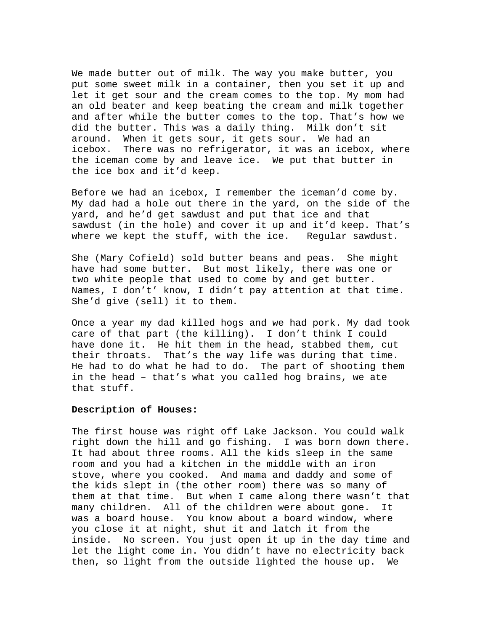We made butter out of milk. The way you make butter, you put some sweet milk in a container, then you set it up and let it get sour and the cream comes to the top. My mom had an old beater and keep beating the cream and milk together and after while the butter comes to the top. That's how we did the butter. This was a daily thing. Milk don't sit around. When it gets sour, it gets sour. We had an icebox. There was no refrigerator, it was an icebox, where the iceman come by and leave ice. We put that butter in the ice box and it'd keep.

Before we had an icebox, I remember the iceman'd come by. My dad had a hole out there in the yard, on the side of the yard, and he'd get sawdust and put that ice and that sawdust (in the hole) and cover it up and it'd keep. That's where we kept the stuff, with the ice. Regular sawdust.

She (Mary Cofield) sold butter beans and peas. She might have had some butter. But most likely, there was one or two white people that used to come by and get butter. Names, I don't' know, I didn't pay attention at that time. She'd give (sell) it to them.

Once a year my dad killed hogs and we had pork. My dad took care of that part (the killing). I don't think I could have done it. He hit them in the head, stabbed them, cut their throats. That's the way life was during that time. He had to do what he had to do. The part of shooting them in the head – that's what you called hog brains, we ate that stuff.

# **Description of Houses:**

The first house was right off Lake Jackson. You could walk right down the hill and go fishing. I was born down there. It had about three rooms. All the kids sleep in the same room and you had a kitchen in the middle with an iron stove, where you cooked. And mama and daddy and some of the kids slept in (the other room) there was so many of them at that time. But when I came along there wasn't that many children. All of the children were about gone. It was a board house. You know about a board window, where you close it at night, shut it and latch it from the inside. No screen. You just open it up in the day time and let the light come in. You didn't have no electricity back then, so light from the outside lighted the house up. We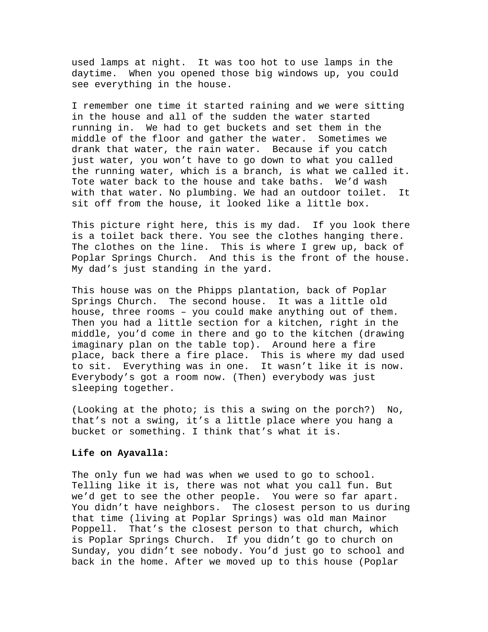used lamps at night. It was too hot to use lamps in the daytime. When you opened those big windows up, you could see everything in the house.

I remember one time it started raining and we were sitting in the house and all of the sudden the water started running in. We had to get buckets and set them in the middle of the floor and gather the water. Sometimes we drank that water, the rain water. Because if you catch just water, you won't have to go down to what you called the running water, which is a branch, is what we called it. Tote water back to the house and take baths. We'd wash with that water. No plumbing. We had an outdoor toilet. It sit off from the house, it looked like a little box.

This picture right here, this is my dad. If you look there is a toilet back there. You see the clothes hanging there. The clothes on the line. This is where I grew up, back of Poplar Springs Church. And this is the front of the house. My dad's just standing in the yard.

This house was on the Phipps plantation, back of Poplar Springs Church. The second house. It was a little old house, three rooms – you could make anything out of them. Then you had a little section for a kitchen, right in the middle, you'd come in there and go to the kitchen (drawing imaginary plan on the table top). Around here a fire place, back there a fire place. This is where my dad used to sit. Everything was in one. It wasn't like it is now. Everybody's got a room now. (Then) everybody was just sleeping together.

(Looking at the photo; is this a swing on the porch?) No, that's not a swing, it's a little place where you hang a bucket or something. I think that's what it is.

# **Life on Ayavalla:**

The only fun we had was when we used to go to school. Telling like it is, there was not what you call fun. But we'd get to see the other people. You were so far apart. You didn't have neighbors. The closest person to us during that time (living at Poplar Springs) was old man Mainor Poppell. That's the closest person to that church, which is Poplar Springs Church. If you didn't go to church on Sunday, you didn't see nobody. You'd just go to school and back in the home. After we moved up to this house (Poplar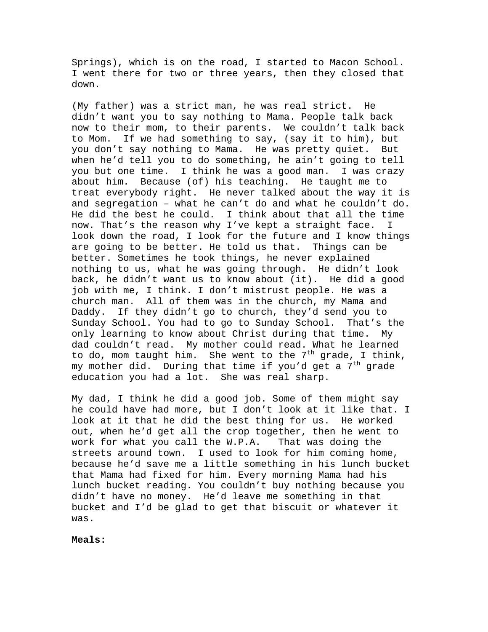Springs), which is on the road, I started to Macon School. I went there for two or three years, then they closed that down.

(My father) was a strict man, he was real strict. He didn't want you to say nothing to Mama. People talk back now to their mom, to their parents. We couldn't talk back to Mom. If we had something to say, (say it to him), but you don't say nothing to Mama. He was pretty quiet. But when he'd tell you to do something, he ain't going to tell you but one time. I think he was a good man. I was crazy about him. Because (of) his teaching. He taught me to treat everybody right. He never talked about the way it is and segregation – what he can't do and what he couldn't do. He did the best he could. I think about that all the time now. That's the reason why I've kept a straight face. I look down the road, I look for the future and I know things are going to be better. He told us that. Things can be better. Sometimes he took things, he never explained nothing to us, what he was going through. He didn't look back, he didn't want us to know about (it). He did a good job with me, I think. I don't mistrust people. He was a church man. All of them was in the church, my Mama and Daddy. If they didn't go to church, they'd send you to Sunday School. You had to go to Sunday School. That's the only learning to know about Christ during that time. My dad couldn't read. My mother could read. What he learned to do, mom taught him. She went to the  $7<sup>th</sup>$  grade, I think, my mother did. During that time if you'd get a  $7<sup>th</sup>$  grade education you had a lot. She was real sharp.

My dad, I think he did a good job. Some of them might say he could have had more, but I don't look at it like that. I look at it that he did the best thing for us. He worked out, when he'd get all the crop together, then he went to work for what you call the W.P.A. That was doing the streets around town. I used to look for him coming home, because he'd save me a little something in his lunch bucket that Mama had fixed for him. Every morning Mama had his lunch bucket reading. You couldn't buy nothing because you didn't have no money. He'd leave me something in that bucket and I'd be glad to get that biscuit or whatever it was.

**Meals:**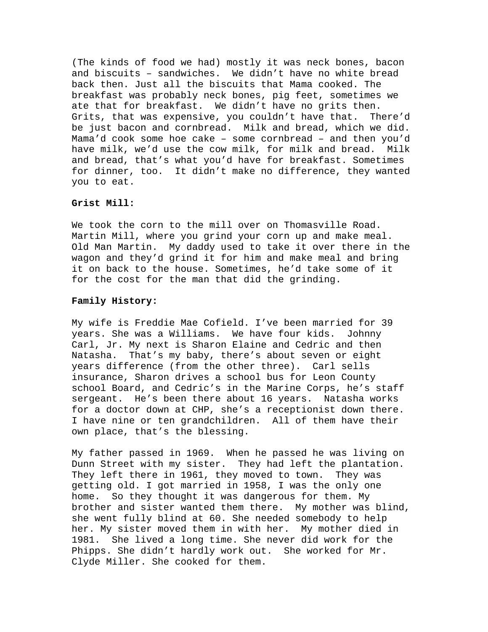(The kinds of food we had) mostly it was neck bones, bacon and biscuits – sandwiches. We didn't have no white bread back then. Just all the biscuits that Mama cooked. The breakfast was probably neck bones, pig feet, sometimes we ate that for breakfast. We didn't have no grits then. Grits, that was expensive, you couldn't have that. There'd be just bacon and cornbread. Milk and bread, which we did. Mama'd cook some hoe cake – some cornbread – and then you'd have milk, we'd use the cow milk, for milk and bread. Milk and bread, that's what you'd have for breakfast. Sometimes for dinner, too. It didn't make no difference, they wanted you to eat.

# **Grist Mill:**

We took the corn to the mill over on Thomasville Road. Martin Mill, where you grind your corn up and make meal. Old Man Martin. My daddy used to take it over there in the wagon and they'd grind it for him and make meal and bring it on back to the house. Sometimes, he'd take some of it for the cost for the man that did the grinding.

# **Family History:**

My wife is Freddie Mae Cofield. I've been married for 39 years. She was a Williams. We have four kids. Johnny Carl, Jr. My next is Sharon Elaine and Cedric and then Natasha. That's my baby, there's about seven or eight years difference (from the other three). Carl sells insurance, Sharon drives a school bus for Leon County school Board, and Cedric's in the Marine Corps, he's staff sergeant. He's been there about 16 years. Natasha works for a doctor down at CHP, she's a receptionist down there. I have nine or ten grandchildren. All of them have their own place, that's the blessing.

My father passed in 1969. When he passed he was living on Dunn Street with my sister. They had left the plantation. They left there in 1961, they moved to town. They was getting old. I got married in 1958, I was the only one home. So they thought it was dangerous for them. My brother and sister wanted them there. My mother was blind, she went fully blind at 60. She needed somebody to help her. My sister moved them in with her. My mother died in 1981. She lived a long time. She never did work for the Phipps. She didn't hardly work out. She worked for Mr. Clyde Miller. She cooked for them.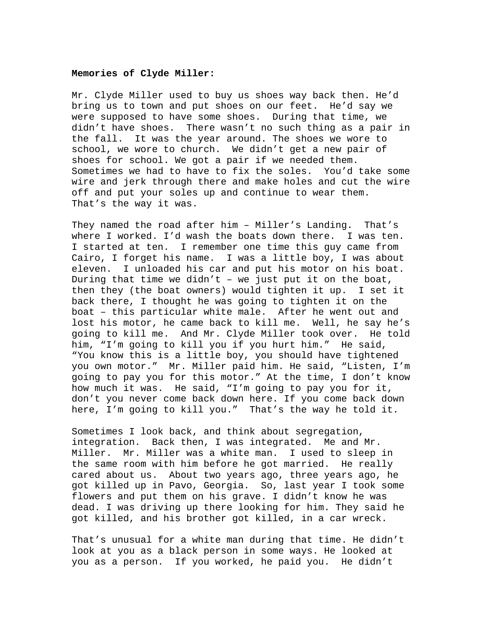#### **Memories of Clyde Miller:**

Mr. Clyde Miller used to buy us shoes way back then. He'd bring us to town and put shoes on our feet. He'd say we were supposed to have some shoes. During that time, we didn't have shoes. There wasn't no such thing as a pair in the fall. It was the year around. The shoes we wore to school, we wore to church. We didn't get a new pair of shoes for school. We got a pair if we needed them. Sometimes we had to have to fix the soles. You'd take some wire and jerk through there and make holes and cut the wire off and put your soles up and continue to wear them. That's the way it was.

They named the road after him – Miller's Landing. That's where I worked. I'd wash the boats down there. I was ten. I started at ten. I remember one time this guy came from Cairo, I forget his name. I was a little boy, I was about eleven. I unloaded his car and put his motor on his boat. During that time we didn't – we just put it on the boat, then they (the boat owners) would tighten it up. I set it back there, I thought he was going to tighten it on the boat – this particular white male. After he went out and lost his motor, he came back to kill me. Well, he say he's going to kill me. And Mr. Clyde Miller took over. He told him, "I'm going to kill you if you hurt him." He said, "You know this is a little boy, you should have tightened you own motor." Mr. Miller paid him. He said, "Listen, I'm going to pay you for this motor." At the time, I don't know how much it was. He said, "I'm going to pay you for it, don't you never come back down here. If you come back down here, I'm going to kill you." That's the way he told it.

Sometimes I look back, and think about segregation, integration. Back then, I was integrated. Me and Mr. Miller. Mr. Miller was a white man. I used to sleep in the same room with him before he got married. He really cared about us. About two years ago, three years ago, he got killed up in Pavo, Georgia. So, last year I took some flowers and put them on his grave. I didn't know he was dead. I was driving up there looking for him. They said he got killed, and his brother got killed, in a car wreck.

That's unusual for a white man during that time. He didn't look at you as a black person in some ways. He looked at you as a person. If you worked, he paid you. He didn't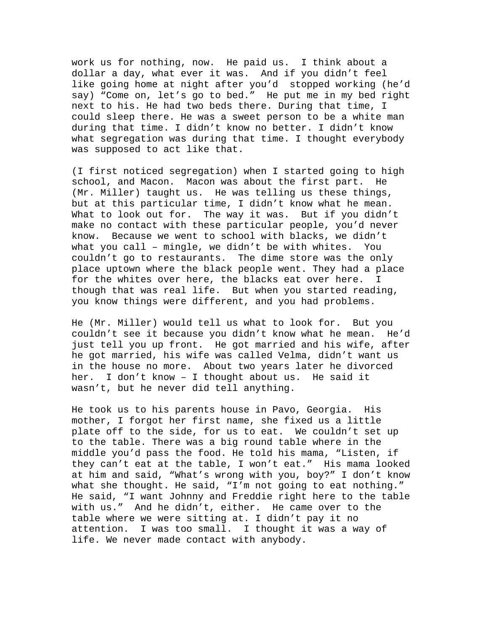work us for nothing, now. He paid us. I think about a dollar a day, what ever it was. And if you didn't feel like going home at night after you'd stopped working (he'd say) "Come on, let's go to bed." He put me in my bed right next to his. He had two beds there. During that time, I could sleep there. He was a sweet person to be a white man during that time. I didn't know no better. I didn't know what segregation was during that time. I thought everybody was supposed to act like that.

(I first noticed segregation) when I started going to high school, and Macon. Macon was about the first part. He (Mr. Miller) taught us. He was telling us these things, but at this particular time, I didn't know what he mean. What to look out for. The way it was. But if you didn't make no contact with these particular people, you'd never know. Because we went to school with blacks, we didn't what you call – mingle, we didn't be with whites. You couldn't go to restaurants. The dime store was the only place uptown where the black people went. They had a place for the whites over here, the blacks eat over here. I though that was real life. But when you started reading, you know things were different, and you had problems.

He (Mr. Miller) would tell us what to look for. But you couldn't see it because you didn't know what he mean. He'd just tell you up front. He got married and his wife, after he got married, his wife was called Velma, didn't want us in the house no more. About two years later he divorced her. I don't know – I thought about us. He said it wasn't, but he never did tell anything.

He took us to his parents house in Pavo, Georgia. His mother, I forgot her first name, she fixed us a little plate off to the side, for us to eat. We couldn't set up to the table. There was a big round table where in the middle you'd pass the food. He told his mama, "Listen, if they can't eat at the table, I won't eat." His mama looked at him and said, "What's wrong with you, boy?" I don't know what she thought. He said, "I'm not going to eat nothing." He said, "I want Johnny and Freddie right here to the table with us." And he didn't, either. He came over to the table where we were sitting at. I didn't pay it no attention. I was too small. I thought it was a way of life. We never made contact with anybody.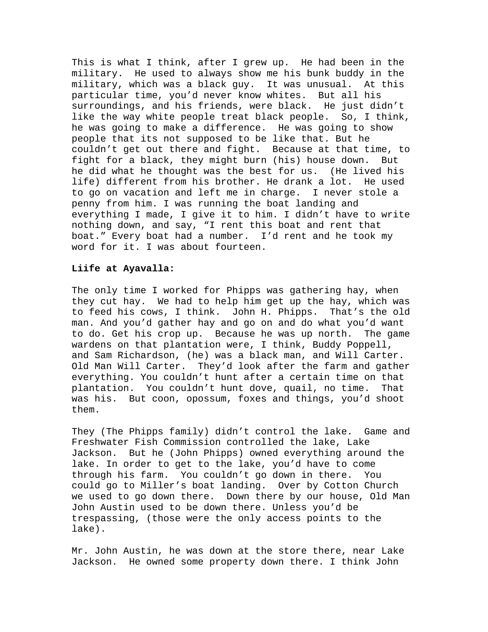This is what I think, after I grew up. He had been in the military. He used to always show me his bunk buddy in the military, which was a black guy. It was unusual. At this particular time, you'd never know whites. But all his surroundings, and his friends, were black. He just didn't like the way white people treat black people. So, I think, he was going to make a difference. He was going to show people that its not supposed to be like that. But he couldn't get out there and fight. Because at that time, to fight for a black, they might burn (his) house down. But he did what he thought was the best for us. (He lived his life) different from his brother. He drank a lot. He used to go on vacation and left me in charge. I never stole a penny from him. I was running the boat landing and everything I made, I give it to him. I didn't have to write nothing down, and say, "I rent this boat and rent that boat." Every boat had a number. I'd rent and he took my word for it. I was about fourteen.

## **Liife at Ayavalla:**

The only time I worked for Phipps was gathering hay, when they cut hay. We had to help him get up the hay, which was to feed his cows, I think. John H. Phipps. That's the old man. And you'd gather hay and go on and do what you'd want to do. Get his crop up. Because he was up north. The game wardens on that plantation were, I think, Buddy Poppell, and Sam Richardson, (he) was a black man, and Will Carter. Old Man Will Carter. They'd look after the farm and gather everything. You couldn't hunt after a certain time on that plantation. You couldn't hunt dove, quail, no time. That was his. But coon, opossum, foxes and things, you'd shoot them.

They (The Phipps family) didn't control the lake. Game and Freshwater Fish Commission controlled the lake, Lake Jackson. But he (John Phipps) owned everything around the lake. In order to get to the lake, you'd have to come through his farm. You couldn't go down in there. You could go to Miller's boat landing. Over by Cotton Church we used to go down there. Down there by our house, Old Man John Austin used to be down there. Unless you'd be trespassing, (those were the only access points to the lake).

Mr. John Austin, he was down at the store there, near Lake Jackson. He owned some property down there. I think John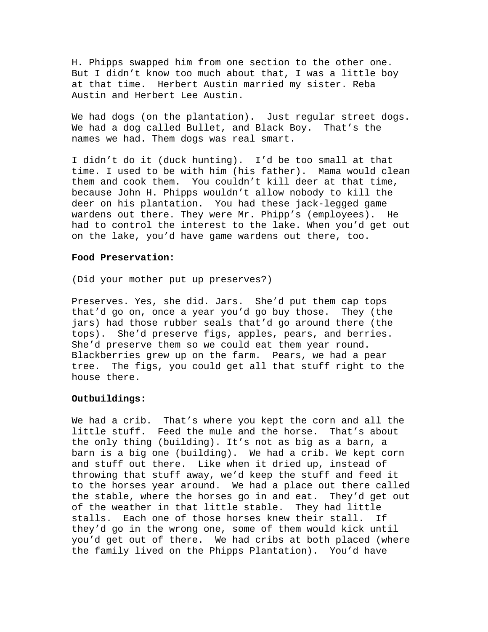H. Phipps swapped him from one section to the other one. But I didn't know too much about that, I was a little boy at that time. Herbert Austin married my sister. Reba Austin and Herbert Lee Austin.

We had dogs (on the plantation). Just regular street dogs. We had a dog called Bullet, and Black Boy. That's the names we had. Them dogs was real smart.

I didn't do it (duck hunting). I'd be too small at that time. I used to be with him (his father). Mama would clean them and cook them. You couldn't kill deer at that time, because John H. Phipps wouldn't allow nobody to kill the deer on his plantation. You had these jack-legged game wardens out there. They were Mr. Phipp's (employees). He had to control the interest to the lake. When you'd get out on the lake, you'd have game wardens out there, too.

## **Food Preservation:**

(Did your mother put up preserves?)

Preserves. Yes, she did. Jars. She'd put them cap tops that'd go on, once a year you'd go buy those. They (the jars) had those rubber seals that'd go around there (the tops). She'd preserve figs, apples, pears, and berries. She'd preserve them so we could eat them year round. Blackberries grew up on the farm. Pears, we had a pear tree. The figs, you could get all that stuff right to the house there.

# **Outbuildings:**

We had a crib. That's where you kept the corn and all the little stuff. Feed the mule and the horse. That's about the only thing (building). It's not as big as a barn, a barn is a big one (building). We had a crib. We kept corn and stuff out there. Like when it dried up, instead of throwing that stuff away, we'd keep the stuff and feed it to the horses year around. We had a place out there called the stable, where the horses go in and eat. They'd get out of the weather in that little stable. They had little stalls. Each one of those horses knew their stall. If they'd go in the wrong one, some of them would kick until you'd get out of there. We had cribs at both placed (where the family lived on the Phipps Plantation). You'd have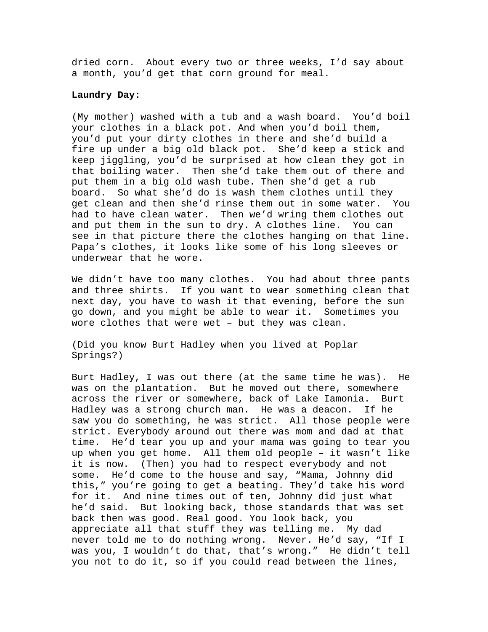dried corn. About every two or three weeks, I'd say about a month, you'd get that corn ground for meal.

### **Laundry Day:**

(My mother) washed with a tub and a wash board. You'd boil your clothes in a black pot. And when you'd boil them, you'd put your dirty clothes in there and she'd build a fire up under a big old black pot. She'd keep a stick and keep jiggling, you'd be surprised at how clean they got in that boiling water. Then she'd take them out of there and put them in a big old wash tube. Then she'd get a rub board. So what she'd do is wash them clothes until they get clean and then she'd rinse them out in some water. You had to have clean water. Then we'd wring them clothes out and put them in the sun to dry. A clothes line. You can see in that picture there the clothes hanging on that line. Papa's clothes, it looks like some of his long sleeves or underwear that he wore.

We didn't have too many clothes. You had about three pants and three shirts. If you want to wear something clean that next day, you have to wash it that evening, before the sun go down, and you might be able to wear it. Sometimes you wore clothes that were wet – but they was clean.

(Did you know Burt Hadley when you lived at Poplar Springs?)

Burt Hadley, I was out there (at the same time he was). He was on the plantation. But he moved out there, somewhere across the river or somewhere, back of Lake Iamonia. Burt Hadley was a strong church man. He was a deacon. If he saw you do something, he was strict. All those people were strict. Everybody around out there was mom and dad at that time. He'd tear you up and your mama was going to tear you up when you get home. All them old people – it wasn't like it is now. (Then) you had to respect everybody and not some. He'd come to the house and say, "Mama, Johnny did this," you're going to get a beating. They'd take his word for it. And nine times out of ten, Johnny did just what he'd said. But looking back, those standards that was set back then was good. Real good. You look back, you appreciate all that stuff they was telling me. My dad never told me to do nothing wrong. Never. He'd say, "If I was you, I wouldn't do that, that's wrong." He didn't tell you not to do it, so if you could read between the lines,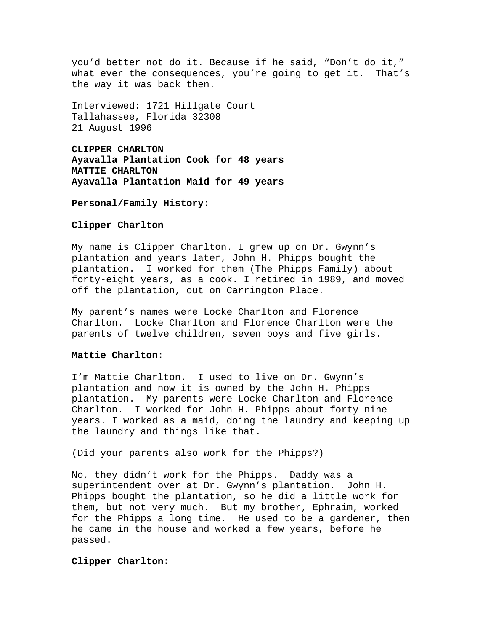you'd better not do it. Because if he said, "Don't do it," what ever the consequences, you're going to get it. That's the way it was back then.

Interviewed: 1721 Hillgate Court Tallahassee, Florida 32308 21 August 1996

**CLIPPER CHARLTON Ayavalla Plantation Cook for 48 years MATTIE CHARLTON Ayavalla Plantation Maid for 49 years** 

#### **Personal/Family History:**

# **Clipper Charlton**

My name is Clipper Charlton. I grew up on Dr. Gwynn's plantation and years later, John H. Phipps bought the plantation. I worked for them (The Phipps Family) about forty-eight years, as a cook. I retired in 1989, and moved off the plantation, out on Carrington Place.

My parent's names were Locke Charlton and Florence Charlton. Locke Charlton and Florence Charlton were the parents of twelve children, seven boys and five girls.

# **Mattie Charlton:**

I'm Mattie Charlton. I used to live on Dr. Gwynn's plantation and now it is owned by the John H. Phipps plantation. My parents were Locke Charlton and Florence Charlton. I worked for John H. Phipps about forty-nine years. I worked as a maid, doing the laundry and keeping up the laundry and things like that.

(Did your parents also work for the Phipps?)

No, they didn't work for the Phipps. Daddy was a superintendent over at Dr. Gwynn's plantation. John H. Phipps bought the plantation, so he did a little work for them, but not very much. But my brother, Ephraim, worked for the Phipps a long time. He used to be a gardener, then he came in the house and worked a few years, before he passed.

# **Clipper Charlton:**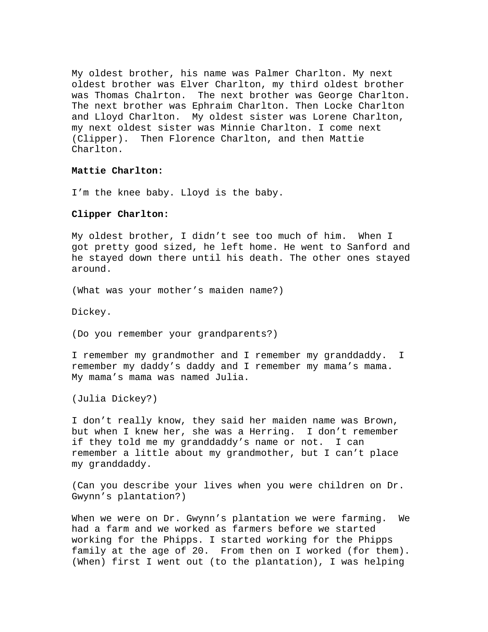My oldest brother, his name was Palmer Charlton. My next oldest brother was Elver Charlton, my third oldest brother was Thomas Chalrton. The next brother was George Charlton. The next brother was Ephraim Charlton. Then Locke Charlton and Lloyd Charlton. My oldest sister was Lorene Charlton, my next oldest sister was Minnie Charlton. I come next (Clipper). Then Florence Charlton, and then Mattie Charlton.

# **Mattie Charlton:**

I'm the knee baby. Lloyd is the baby.

# **Clipper Charlton:**

My oldest brother, I didn't see too much of him. When I got pretty good sized, he left home. He went to Sanford and he stayed down there until his death. The other ones stayed around.

(What was your mother's maiden name?)

Dickey.

(Do you remember your grandparents?)

I remember my grandmother and I remember my granddaddy. I remember my daddy's daddy and I remember my mama's mama. My mama's mama was named Julia.

(Julia Dickey?)

I don't really know, they said her maiden name was Brown, but when I knew her, she was a Herring. I don't remember if they told me my granddaddy's name or not. I can remember a little about my grandmother, but I can't place my granddaddy.

(Can you describe your lives when you were children on Dr. Gwynn's plantation?)

When we were on Dr. Gwynn's plantation we were farming. We had a farm and we worked as farmers before we started working for the Phipps. I started working for the Phipps family at the age of 20. From then on I worked (for them). (When) first I went out (to the plantation), I was helping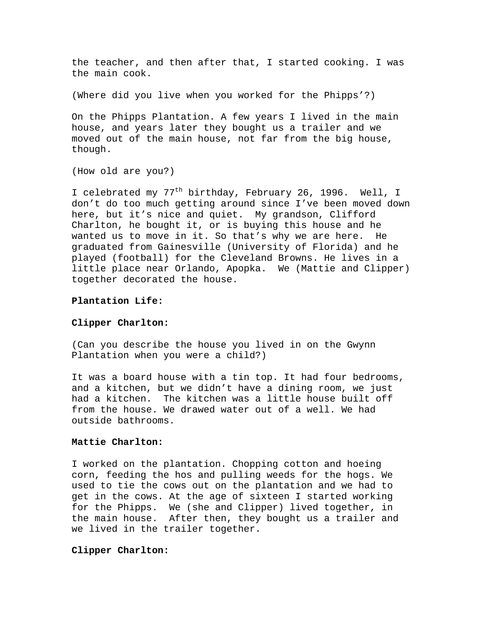the teacher, and then after that, I started cooking. I was the main cook.

(Where did you live when you worked for the Phipps'?)

On the Phipps Plantation. A few years I lived in the main house, and years later they bought us a trailer and we moved out of the main house, not far from the big house, though.

(How old are you?)

I celebrated my 77<sup>th</sup> birthday, February 26, 1996. Well, I don't do too much getting around since I've been moved down here, but it's nice and quiet. My grandson, Clifford Charlton, he bought it, or is buying this house and he wanted us to move in it. So that's why we are here. He graduated from Gainesville (University of Florida) and he played (football) for the Cleveland Browns. He lives in a little place near Orlando, Apopka. We (Mattie and Clipper) together decorated the house.

### **Plantation Life:**

## **Clipper Charlton:**

(Can you describe the house you lived in on the Gwynn Plantation when you were a child?)

It was a board house with a tin top. It had four bedrooms, and a kitchen, but we didn't have a dining room, we just had a kitchen. The kitchen was a little house built off from the house. We drawed water out of a well. We had outside bathrooms.

# **Mattie Charlton:**

I worked on the plantation. Chopping cotton and hoeing corn, feeding the hos and pulling weeds for the hogs. We used to tie the cows out on the plantation and we had to get in the cows. At the age of sixteen I started working for the Phipps. We (she and Clipper) lived together, in the main house. After then, they bought us a trailer and we lived in the trailer together.

# **Clipper Charlton:**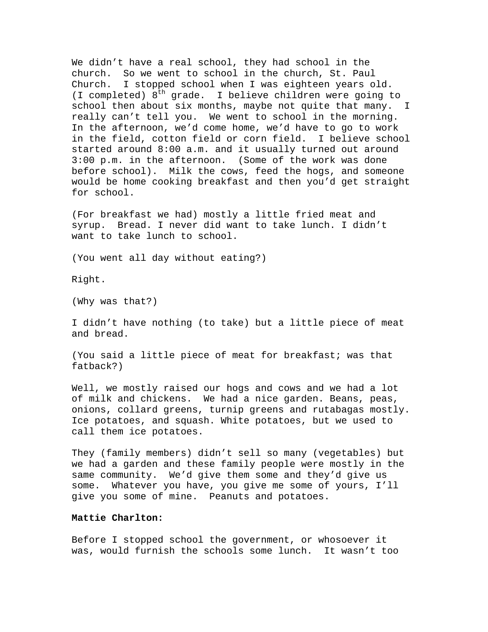We didn't have a real school, they had school in the church. So we went to school in the church, St. Paul Church. I stopped school when I was eighteen years old. (I completed)  $8<sup>th</sup>$  grade. I believe children were going to school then about six months, maybe not quite that many. I really can't tell you. We went to school in the morning. In the afternoon, we'd come home, we'd have to go to work in the field, cotton field or corn field. I believe school started around 8:00 a.m. and it usually turned out around 3:00 p.m. in the afternoon. (Some of the work was done before school). Milk the cows, feed the hogs, and someone would be home cooking breakfast and then you'd get straight for school.

(For breakfast we had) mostly a little fried meat and syrup. Bread. I never did want to take lunch. I didn't want to take lunch to school.

(You went all day without eating?)

Right.

(Why was that?)

I didn't have nothing (to take) but a little piece of meat and bread.

(You said a little piece of meat for breakfast; was that fatback?)

Well, we mostly raised our hogs and cows and we had a lot of milk and chickens. We had a nice garden. Beans, peas, onions, collard greens, turnip greens and rutabagas mostly. Ice potatoes, and squash. White potatoes, but we used to call them ice potatoes.

They (family members) didn't sell so many (vegetables) but we had a garden and these family people were mostly in the same community. We'd give them some and they'd give us some. Whatever you have, you give me some of yours, I'll give you some of mine. Peanuts and potatoes.

# **Mattie Charlton:**

Before I stopped school the government, or whosoever it was, would furnish the schools some lunch. It wasn't too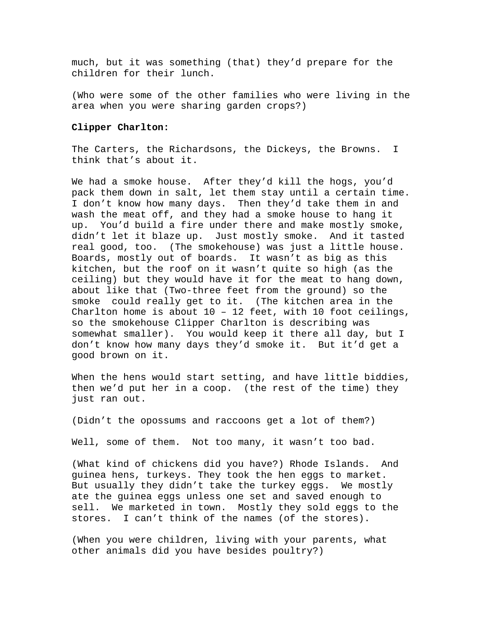much, but it was something (that) they'd prepare for the children for their lunch.

(Who were some of the other families who were living in the area when you were sharing garden crops?)

### **Clipper Charlton:**

The Carters, the Richardsons, the Dickeys, the Browns. I think that's about it.

We had a smoke house. After they'd kill the hogs, you'd pack them down in salt, let them stay until a certain time. I don't know how many days. Then they'd take them in and wash the meat off, and they had a smoke house to hang it up. You'd build a fire under there and make mostly smoke, didn't let it blaze up. Just mostly smoke. And it tasted real good, too. (The smokehouse) was just a little house. Boards, mostly out of boards. It wasn't as big as this kitchen, but the roof on it wasn't quite so high (as the ceiling) but they would have it for the meat to hang down, about like that (Two-three feet from the ground) so the smoke could really get to it. (The kitchen area in the Charlton home is about 10 – 12 feet, with 10 foot ceilings, so the smokehouse Clipper Charlton is describing was somewhat smaller). You would keep it there all day, but I don't know how many days they'd smoke it. But it'd get a good brown on it.

When the hens would start setting, and have little biddies, then we'd put her in a coop. (the rest of the time) they just ran out.

(Didn't the opossums and raccoons get a lot of them?)

Well, some of them. Not too many, it wasn't too bad.

(What kind of chickens did you have?) Rhode Islands. And guinea hens, turkeys. They took the hen eggs to market. But usually they didn't take the turkey eggs. We mostly ate the guinea eggs unless one set and saved enough to sell. We marketed in town. Mostly they sold eggs to the stores. I can't think of the names (of the stores).

(When you were children, living with your parents, what other animals did you have besides poultry?)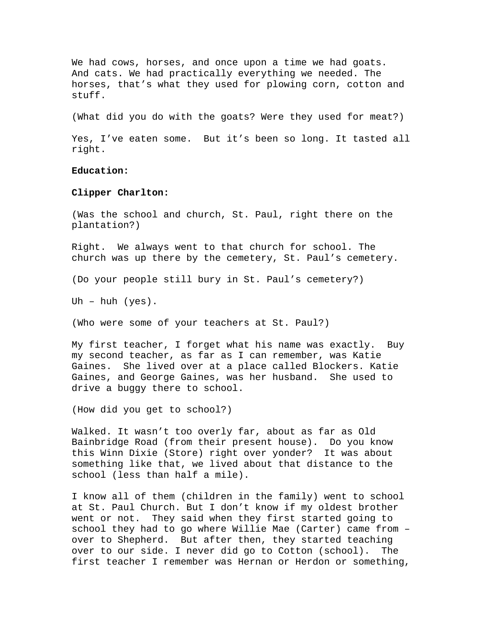We had cows, horses, and once upon a time we had goats. And cats. We had practically everything we needed. The horses, that's what they used for plowing corn, cotton and stuff.

(What did you do with the goats? Were they used for meat?)

Yes, I've eaten some. But it's been so long. It tasted all right.

### **Education:**

# **Clipper Charlton:**

(Was the school and church, St. Paul, right there on the plantation?)

Right. We always went to that church for school. The church was up there by the cemetery, St. Paul's cemetery.

(Do your people still bury in St. Paul's cemetery?)

Uh – huh  $(yes)$ .

(Who were some of your teachers at St. Paul?)

My first teacher, I forget what his name was exactly. Buy my second teacher, as far as I can remember, was Katie Gaines. She lived over at a place called Blockers. Katie Gaines, and George Gaines, was her husband. She used to drive a buggy there to school.

(How did you get to school?)

Walked. It wasn't too overly far, about as far as Old Bainbridge Road (from their present house). Do you know this Winn Dixie (Store) right over yonder? It was about something like that, we lived about that distance to the school (less than half a mile).

I know all of them (children in the family) went to school at St. Paul Church. But I don't know if my oldest brother went or not. They said when they first started going to school they had to go where Willie Mae (Carter) came from – over to Shepherd. But after then, they started teaching over to our side. I never did go to Cotton (school). The first teacher I remember was Hernan or Herdon or something,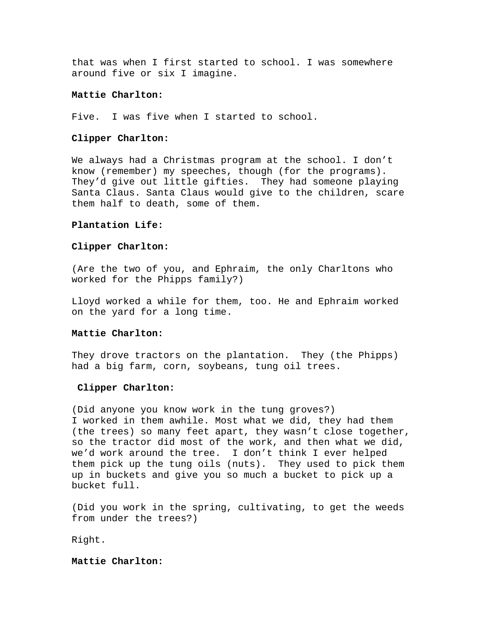that was when I first started to school. I was somewhere around five or six I imagine.

## **Mattie Charlton:**

Five. I was five when I started to school.

#### **Clipper Charlton:**

We always had a Christmas program at the school. I don't know (remember) my speeches, though (for the programs). They'd give out little gifties. They had someone playing Santa Claus. Santa Claus would give to the children, scare them half to death, some of them.

# **Plantation Life:**

# **Clipper Charlton:**

(Are the two of you, and Ephraim, the only Charltons who worked for the Phipps family?)

Lloyd worked a while for them, too. He and Ephraim worked on the yard for a long time.

# **Mattie Charlton:**

They drove tractors on the plantation. They (the Phipps) had a big farm, corn, soybeans, tung oil trees.

# **Clipper Charlton:**

(Did anyone you know work in the tung groves?) I worked in them awhile. Most what we did, they had them (the trees) so many feet apart, they wasn't close together, so the tractor did most of the work, and then what we did, we'd work around the tree. I don't think I ever helped them pick up the tung oils (nuts). They used to pick them up in buckets and give you so much a bucket to pick up a bucket full.

(Did you work in the spring, cultivating, to get the weeds from under the trees?)

Right.

# **Mattie Charlton:**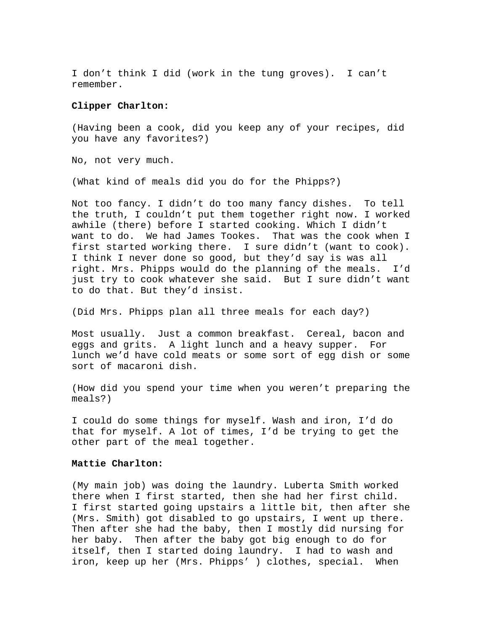I don't think I did (work in the tung groves). I can't remember.

# **Clipper Charlton:**

(Having been a cook, did you keep any of your recipes, did you have any favorites?)

No, not very much.

(What kind of meals did you do for the Phipps?)

Not too fancy. I didn't do too many fancy dishes. To tell the truth, I couldn't put them together right now. I worked awhile (there) before I started cooking. Which I didn't want to do. We had James Tookes. That was the cook when I first started working there. I sure didn't (want to cook). I think I never done so good, but they'd say is was all right. Mrs. Phipps would do the planning of the meals. I'd just try to cook whatever she said. But I sure didn't want to do that. But they'd insist.

(Did Mrs. Phipps plan all three meals for each day?)

Most usually. Just a common breakfast. Cereal, bacon and eggs and grits. A light lunch and a heavy supper. For lunch we'd have cold meats or some sort of egg dish or some sort of macaroni dish.

(How did you spend your time when you weren't preparing the meals?)

I could do some things for myself. Wash and iron, I'd do that for myself. A lot of times, I'd be trying to get the other part of the meal together.

# **Mattie Charlton:**

(My main job) was doing the laundry. Luberta Smith worked there when I first started, then she had her first child. I first started going upstairs a little bit, then after she (Mrs. Smith) got disabled to go upstairs, I went up there. Then after she had the baby, then I mostly did nursing for her baby. Then after the baby got big enough to do for itself, then I started doing laundry. I had to wash and iron, keep up her (Mrs. Phipps' ) clothes, special. When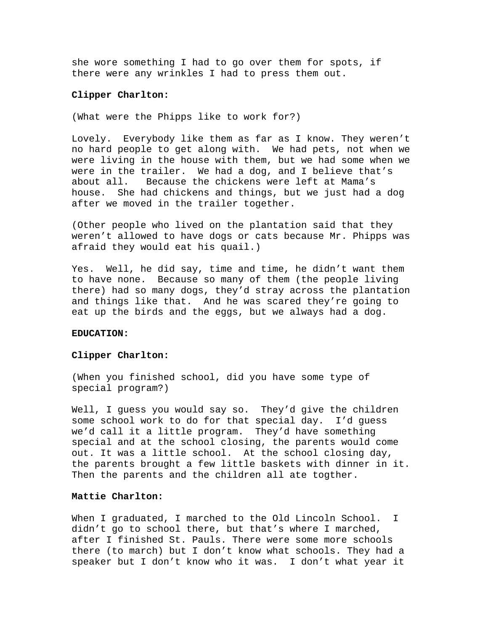she wore something I had to go over them for spots, if there were any wrinkles I had to press them out.

# **Clipper Charlton:**

(What were the Phipps like to work for?)

Lovely. Everybody like them as far as I know. They weren't no hard people to get along with. We had pets, not when we were living in the house with them, but we had some when we were in the trailer. We had a dog, and I believe that's about all. Because the chickens were left at Mama's house. She had chickens and things, but we just had a dog after we moved in the trailer together.

(Other people who lived on the plantation said that they weren't allowed to have dogs or cats because Mr. Phipps was afraid they would eat his quail.)

Yes. Well, he did say, time and time, he didn't want them to have none. Because so many of them (the people living there) had so many dogs, they'd stray across the plantation and things like that. And he was scared they're going to eat up the birds and the eggs, but we always had a dog.

## **EDUCATION:**

#### **Clipper Charlton:**

(When you finished school, did you have some type of special program?)

Well, I guess you would say so. They'd give the children some school work to do for that special day. I'd guess we'd call it a little program. They'd have something special and at the school closing, the parents would come out. It was a little school. At the school closing day, the parents brought a few little baskets with dinner in it. Then the parents and the children all ate togther.

# **Mattie Charlton:**

When I graduated, I marched to the Old Lincoln School. I didn't go to school there, but that's where I marched, after I finished St. Pauls. There were some more schools there (to march) but I don't know what schools. They had a speaker but I don't know who it was. I don't what year it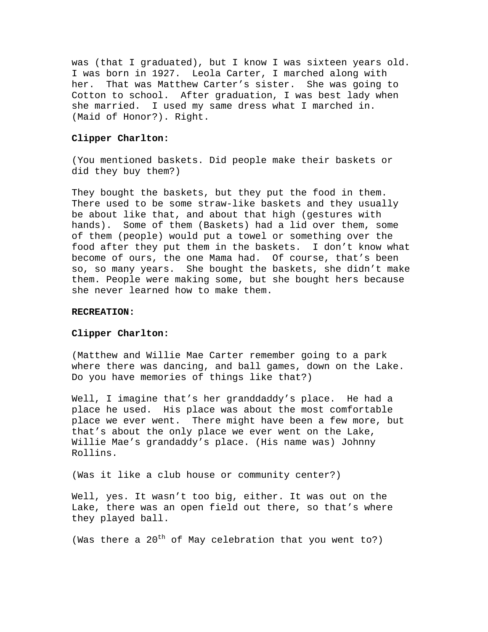was (that I graduated), but I know I was sixteen years old. I was born in 1927. Leola Carter, I marched along with her. That was Matthew Carter's sister. She was going to Cotton to school. After graduation, I was best lady when she married. I used my same dress what I marched in. (Maid of Honor?). Right.

#### **Clipper Charlton:**

(You mentioned baskets. Did people make their baskets or did they buy them?)

They bought the baskets, but they put the food in them. There used to be some straw-like baskets and they usually be about like that, and about that high (gestures with hands). Some of them (Baskets) had a lid over them, some of them (people) would put a towel or something over the food after they put them in the baskets. I don't know what become of ours, the one Mama had. Of course, that's been so, so many years. She bought the baskets, she didn't make them. People were making some, but she bought hers because she never learned how to make them.

## **RECREATION:**

# **Clipper Charlton:**

(Matthew and Willie Mae Carter remember going to a park where there was dancing, and ball games, down on the Lake. Do you have memories of things like that?)

Well, I imagine that's her granddaddy's place. He had a place he used. His place was about the most comfortable place we ever went. There might have been a few more, but that's about the only place we ever went on the Lake, Willie Mae's grandaddy's place. (His name was) Johnny Rollins.

(Was it like a club house or community center?)

Well, yes. It wasn't too big, either. It was out on the Lake, there was an open field out there, so that's where they played ball.

(Was there a  $20^{th}$  of May celebration that you went to?)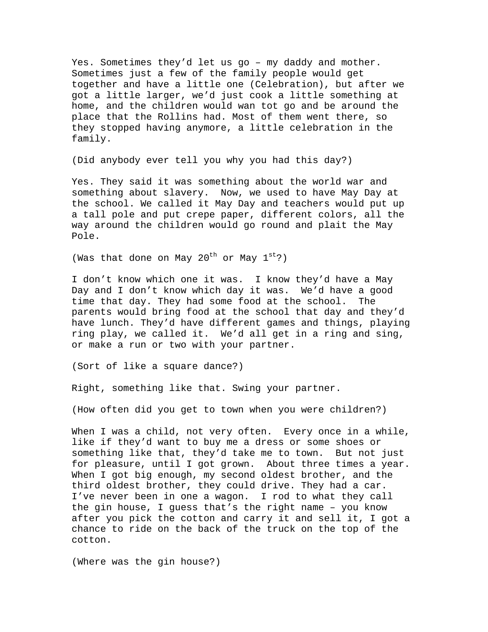Yes. Sometimes they'd let us go – my daddy and mother. Sometimes just a few of the family people would get together and have a little one (Celebration), but after we got a little larger, we'd just cook a little something at home, and the children would wan tot go and be around the place that the Rollins had. Most of them went there, so they stopped having anymore, a little celebration in the family.

(Did anybody ever tell you why you had this day?)

Yes. They said it was something about the world war and something about slavery. Now, we used to have May Day at the school. We called it May Day and teachers would put up a tall pole and put crepe paper, different colors, all the way around the children would go round and plait the May Pole.

(Was that done on May  $20^{\text{th}}$  or May  $1^{\text{st}}$ ?)

I don't know which one it was. I know they'd have a May Day and I don't know which day it was. We'd have a good time that day. They had some food at the school. The parents would bring food at the school that day and they'd have lunch. They'd have different games and things, playing ring play, we called it. We'd all get in a ring and sing, or make a run or two with your partner.

(Sort of like a square dance?)

Right, something like that. Swing your partner.

(How often did you get to town when you were children?)

When I was a child, not very often. Every once in a while, like if they'd want to buy me a dress or some shoes or something like that, they'd take me to town. But not just for pleasure, until I got grown. About three times a year. When I got big enough, my second oldest brother, and the third oldest brother, they could drive. They had a car. I've never been in one a wagon. I rod to what they call the gin house, I guess that's the right name – you know after you pick the cotton and carry it and sell it, I got a chance to ride on the back of the truck on the top of the cotton.

(Where was the gin house?)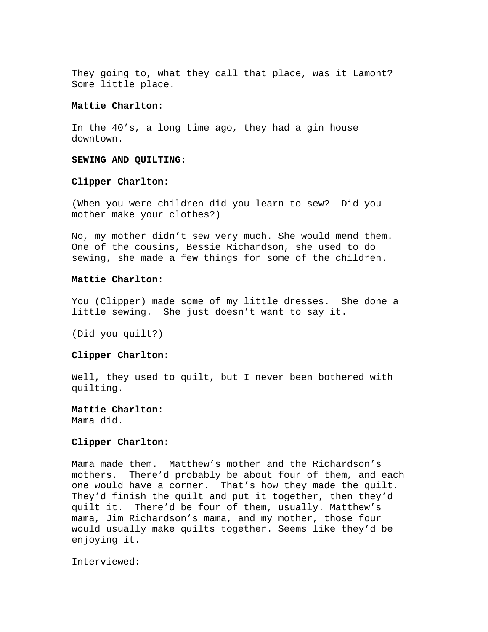They going to, what they call that place, was it Lamont? Some little place.

# **Mattie Charlton:**

In the 40's, a long time ago, they had a gin house downtown.

### **SEWING AND QUILTING:**

# **Clipper Charlton:**

(When you were children did you learn to sew? Did you mother make your clothes?)

No, my mother didn't sew very much. She would mend them. One of the cousins, Bessie Richardson, she used to do sewing, she made a few things for some of the children.

## **Mattie Charlton:**

You (Clipper) made some of my little dresses. She done a little sewing. She just doesn't want to say it.

(Did you quilt?)

# **Clipper Charlton:**

Well, they used to quilt, but I never been bothered with quilting.

**Mattie Charlton:**  Mama did.

#### **Clipper Charlton:**

Mama made them. Matthew's mother and the Richardson's mothers. There'd probably be about four of them, and each one would have a corner. That's how they made the quilt. They'd finish the quilt and put it together, then they'd quilt it. There'd be four of them, usually. Matthew's mama, Jim Richardson's mama, and my mother, those four would usually make quilts together. Seems like they'd be enjoying it.

Interviewed: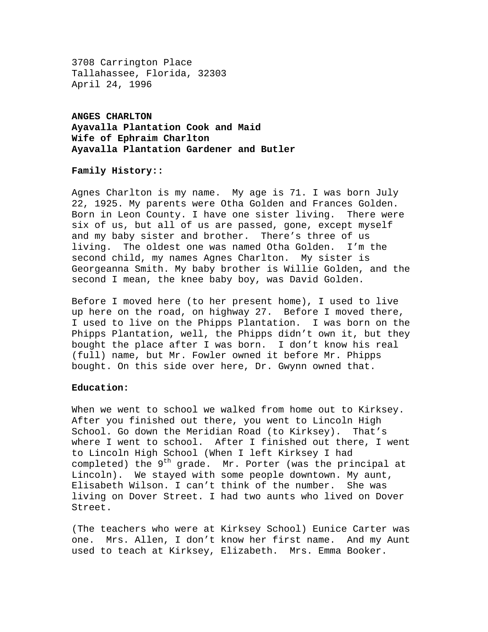3708 Carrington Place Tallahassee, Florida, 32303 April 24, 1996

**ANGES CHARLTON Ayavalla Plantation Cook and Maid Wife of Ephraim Charlton Ayavalla Plantation Gardener and Butler** 

# **Family History::**

Agnes Charlton is my name. My age is 71. I was born July 22, 1925. My parents were Otha Golden and Frances Golden. Born in Leon County. I have one sister living. There were six of us, but all of us are passed, gone, except myself and my baby sister and brother. There's three of us living. The oldest one was named Otha Golden. I'm the second child, my names Agnes Charlton. My sister is Georgeanna Smith. My baby brother is Willie Golden, and the second I mean, the knee baby boy, was David Golden.

Before I moved here (to her present home), I used to live up here on the road, on highway 27. Before I moved there, I used to live on the Phipps Plantation. I was born on the Phipps Plantation, well, the Phipps didn't own it, but they bought the place after I was born. I don't know his real (full) name, but Mr. Fowler owned it before Mr. Phipps bought. On this side over here, Dr. Gwynn owned that.

### **Education:**

When we went to school we walked from home out to Kirksey. After you finished out there, you went to Lincoln High School. Go down the Meridian Road (to Kirksey). That's where I went to school. After I finished out there, I went to Lincoln High School (When I left Kirksey I had completed) the  $9<sup>th</sup>$  grade. Mr. Porter (was the principal at Lincoln). We stayed with some people downtown. My aunt, Elisabeth Wilson. I can't think of the number. She was living on Dover Street. I had two aunts who lived on Dover Street.

(The teachers who were at Kirksey School) Eunice Carter was one. Mrs. Allen, I don't know her first name. And my Aunt used to teach at Kirksey, Elizabeth. Mrs. Emma Booker.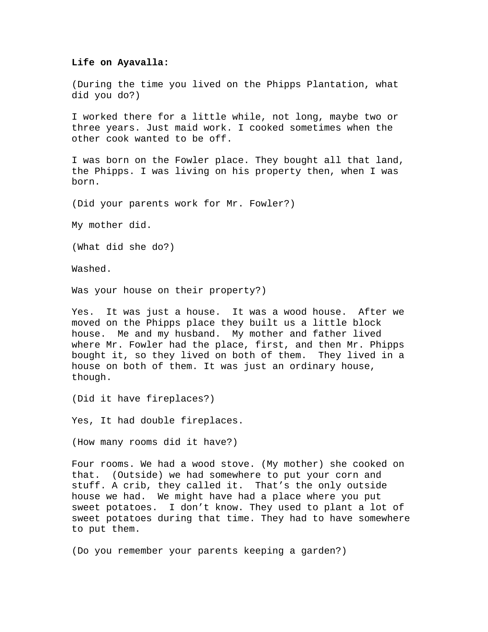### **Life on Ayavalla:**

(During the time you lived on the Phipps Plantation, what did you do?)

I worked there for a little while, not long, maybe two or three years. Just maid work. I cooked sometimes when the other cook wanted to be off.

I was born on the Fowler place. They bought all that land, the Phipps. I was living on his property then, when I was born.

(Did your parents work for Mr. Fowler?)

My mother did.

(What did she do?)

Washed.

Was your house on their property?)

Yes. It was just a house. It was a wood house. After we moved on the Phipps place they built us a little block house. Me and my husband. My mother and father lived where Mr. Fowler had the place, first, and then Mr. Phipps bought it, so they lived on both of them. They lived in a house on both of them. It was just an ordinary house, though.

(Did it have fireplaces?)

Yes, It had double fireplaces.

(How many rooms did it have?)

Four rooms. We had a wood stove. (My mother) she cooked on that. (Outside) we had somewhere to put your corn and stuff. A crib, they called it. That's the only outside house we had. We might have had a place where you put sweet potatoes. I don't know. They used to plant a lot of sweet potatoes during that time. They had to have somewhere to put them.

(Do you remember your parents keeping a garden?)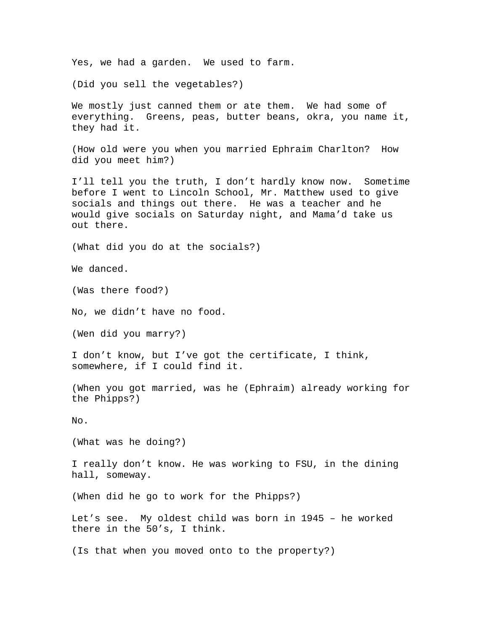Yes, we had a garden. We used to farm.

(Did you sell the vegetables?)

We mostly just canned them or ate them. We had some of everything. Greens, peas, butter beans, okra, you name it, they had it.

(How old were you when you married Ephraim Charlton? How did you meet him?)

I'll tell you the truth, I don't hardly know now. Sometime before I went to Lincoln School, Mr. Matthew used to give socials and things out there. He was a teacher and he would give socials on Saturday night, and Mama'd take us out there.

(What did you do at the socials?)

We danced.

(Was there food?)

No, we didn't have no food.

(Wen did you marry?)

I don't know, but I've got the certificate, I think, somewhere, if I could find it.

(When you got married, was he (Ephraim) already working for the Phipps?)

No.

(What was he doing?)

I really don't know. He was working to FSU, in the dining hall, someway.

(When did he go to work for the Phipps?)

Let's see. My oldest child was born in 1945 – he worked there in the 50's, I think.

(Is that when you moved onto to the property?)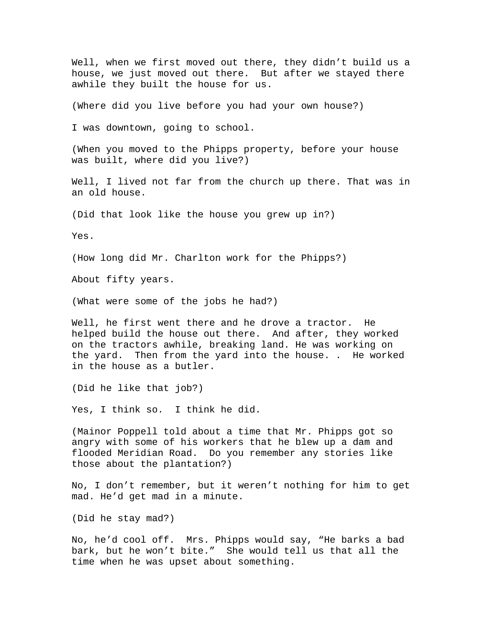Well, when we first moved out there, they didn't build us a house, we just moved out there. But after we stayed there awhile they built the house for us.

(Where did you live before you had your own house?)

I was downtown, going to school.

(When you moved to the Phipps property, before your house was built, where did you live?)

Well, I lived not far from the church up there. That was in an old house.

(Did that look like the house you grew up in?)

Yes.

(How long did Mr. Charlton work for the Phipps?)

About fifty years.

(What were some of the jobs he had?)

Well, he first went there and he drove a tractor. He helped build the house out there. And after, they worked on the tractors awhile, breaking land. He was working on the yard. Then from the yard into the house. . He worked in the house as a butler.

(Did he like that job?)

Yes, I think so. I think he did.

(Mainor Poppell told about a time that Mr. Phipps got so angry with some of his workers that he blew up a dam and flooded Meridian Road. Do you remember any stories like those about the plantation?)

No, I don't remember, but it weren't nothing for him to get mad. He'd get mad in a minute.

(Did he stay mad?)

No, he'd cool off. Mrs. Phipps would say, "He barks a bad bark, but he won't bite." She would tell us that all the time when he was upset about something.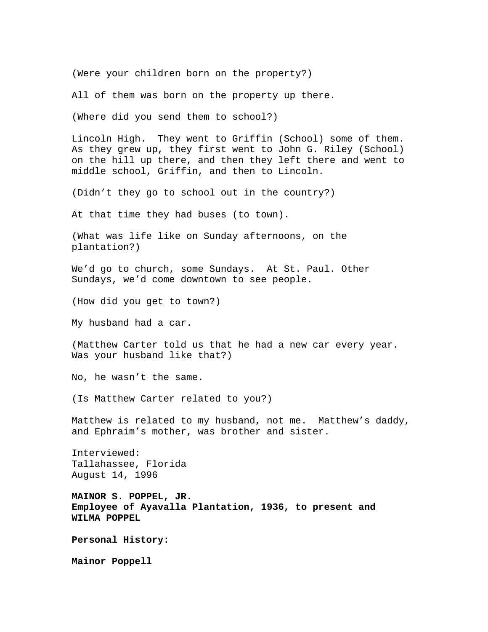(Were your children born on the property?)

All of them was born on the property up there.

(Where did you send them to school?)

Lincoln High. They went to Griffin (School) some of them. As they grew up, they first went to John G. Riley (School) on the hill up there, and then they left there and went to middle school, Griffin, and then to Lincoln.

(Didn't they go to school out in the country?)

At that time they had buses (to town).

(What was life like on Sunday afternoons, on the plantation?)

We'd go to church, some Sundays. At St. Paul. Other Sundays, we'd come downtown to see people.

(How did you get to town?)

My husband had a car.

(Matthew Carter told us that he had a new car every year. Was your husband like that?)

No, he wasn't the same.

(Is Matthew Carter related to you?)

Matthew is related to my husband, not me. Matthew's daddy, and Ephraim's mother, was brother and sister.

Interviewed: Tallahassee, Florida August 14, 1996

**MAINOR S. POPPEL, JR. Employee of Ayavalla Plantation, 1936, to present and WILMA POPPEL** 

**Personal History:** 

**Mainor Poppell**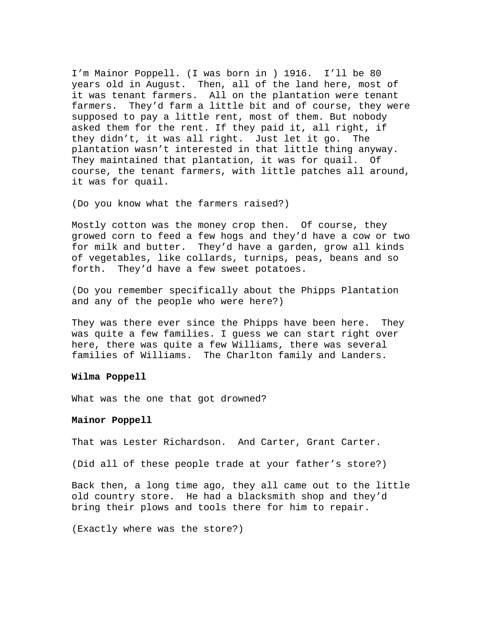I'm Mainor Poppell. (I was born in ) 1916. I'll be 80 years old in August. Then, all of the land here, most of it was tenant farmers. All on the plantation were tenant farmers. They'd farm a little bit and of course, they were supposed to pay a little rent, most of them. But nobody asked them for the rent. If they paid it, all right, if they didn't, it was all right. Just let it go. The plantation wasn't interested in that little thing anyway. They maintained that plantation, it was for quail. Of course, the tenant farmers, with little patches all around, it was for quail.

(Do you know what the farmers raised?)

Mostly cotton was the money crop then. Of course, they growed corn to feed a few hogs and they'd have a cow or two for milk and butter. They'd have a garden, grow all kinds of vegetables, like collards, turnips, peas, beans and so forth. They'd have a few sweet potatoes.

(Do you remember specifically about the Phipps Plantation and any of the people who were here?)

They was there ever since the Phipps have been here. They was quite a few families. I guess we can start right over here, there was quite a few Williams, there was several families of Williams. The Charlton family and Landers.

### **Wilma Poppell**

What was the one that got drowned?

### **Mainor Poppell**

That was Lester Richardson. And Carter, Grant Carter.

(Did all of these people trade at your father's store?)

Back then, a long time ago, they all came out to the little old country store. He had a blacksmith shop and they'd bring their plows and tools there for him to repair.

(Exactly where was the store?)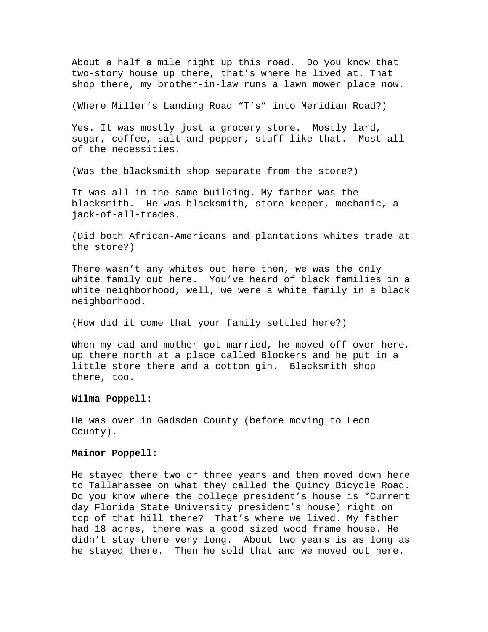About a half a mile right up this road. Do you know that two-story house up there, that's where he lived at. That shop there, my brother-in-law runs a lawn mower place now.

(Where Miller's Landing Road "T's" into Meridian Road?)

Yes. It was mostly just a grocery store. Mostly lard, sugar, coffee, salt and pepper, stuff like that. Most all of the necessities.

(Was the blacksmith shop separate from the store?)

It was all in the same building. My father was the blacksmith. He was blacksmith, store keeper, mechanic, a jack-of-all-trades.

(Did both African-Americans and plantations whites trade at the store?)

There wasn't any whites out here then, we was the only white family out here. You've heard of black families in a white neighborhood, well, we were a white family in a black neighborhood.

(How did it come that your family settled here?)

When my dad and mother got married, he moved off over here, up there north at a place called Blockers and he put in a little store there and a cotton gin. Blacksmith shop there, too.

# **Wilma Poppell:**

He was over in Gadsden County (before moving to Leon County).

# **Mainor Poppell:**

He stayed there two or three years and then moved down here to Tallahassee on what they called the Quincy Bicycle Road. Do you know where the college president's house is \*Current day Florida State University president's house) right on top of that hill there? That's where we lived. My father had 18 acres, there was a good sized wood frame house. He didn't stay there very long. About two years is as long as he stayed there. Then he sold that and we moved out here.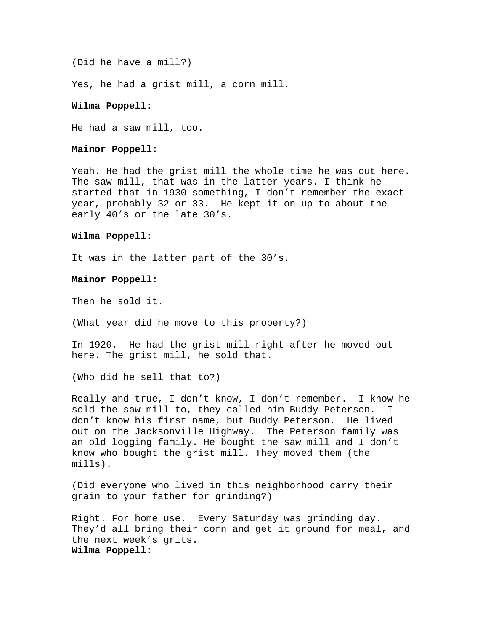(Did he have a mill?)

Yes, he had a grist mill, a corn mill.

# **Wilma Poppell:**

He had a saw mill, too.

# **Mainor Poppell:**

Yeah. He had the grist mill the whole time he was out here. The saw mill, that was in the latter years. I think he started that in 1930-something, I don't remember the exact year, probably 32 or 33. He kept it on up to about the early 40's or the late 30's.

### **Wilma Poppell:**

It was in the latter part of the 30's.

## **Mainor Poppell:**

Then he sold it.

(What year did he move to this property?)

In 1920. He had the grist mill right after he moved out here. The grist mill, he sold that.

(Who did he sell that to?)

Really and true, I don't know, I don't remember. I know he sold the saw mill to, they called him Buddy Peterson. I don't know his first name, but Buddy Peterson. He lived out on the Jacksonville Highway. The Peterson family was an old logging family. He bought the saw mill and I don't know who bought the grist mill. They moved them (the mills).

(Did everyone who lived in this neighborhood carry their grain to your father for grinding?)

Right. For home use. Every Saturday was grinding day. They'd all bring their corn and get it ground for meal, and the next week's grits. **Wilma Poppell:**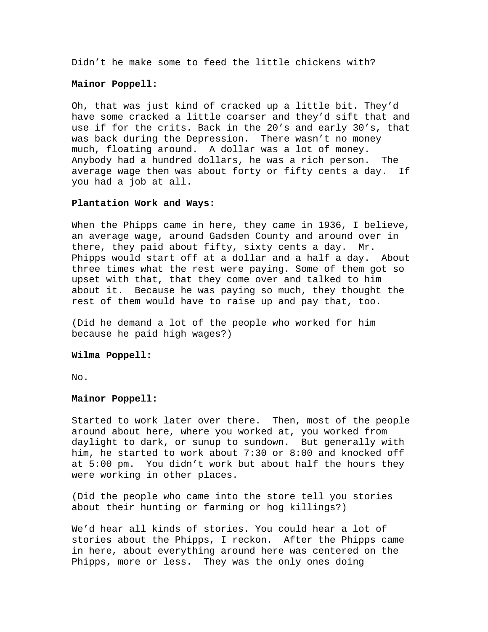Didn't he make some to feed the little chickens with?

## **Mainor Poppell:**

Oh, that was just kind of cracked up a little bit. They'd have some cracked a little coarser and they'd sift that and use if for the crits. Back in the 20's and early 30's, that was back during the Depression. There wasn't no money much, floating around. A dollar was a lot of money. Anybody had a hundred dollars, he was a rich person. The average wage then was about forty or fifty cents a day. If you had a job at all.

#### **Plantation Work and Ways:**

When the Phipps came in here, they came in 1936, I believe, an average wage, around Gadsden County and around over in there, they paid about fifty, sixty cents a day. Mr. Phipps would start off at a dollar and a half a day. About three times what the rest were paying. Some of them got so upset with that, that they come over and talked to him about it. Because he was paying so much, they thought the rest of them would have to raise up and pay that, too.

(Did he demand a lot of the people who worked for him because he paid high wages?)

# **Wilma Poppell:**

No.

# **Mainor Poppell:**

Started to work later over there. Then, most of the people around about here, where you worked at, you worked from daylight to dark, or sunup to sundown. But generally with him, he started to work about 7:30 or 8:00 and knocked off at 5:00 pm. You didn't work but about half the hours they were working in other places.

(Did the people who came into the store tell you stories about their hunting or farming or hog killings?)

We'd hear all kinds of stories. You could hear a lot of stories about the Phipps, I reckon. After the Phipps came in here, about everything around here was centered on the Phipps, more or less. They was the only ones doing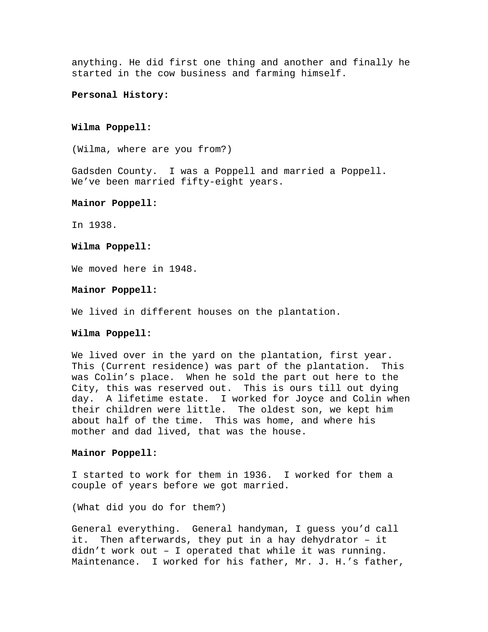anything. He did first one thing and another and finally he started in the cow business and farming himself.

### **Personal History:**

# **Wilma Poppell:**

(Wilma, where are you from?)

Gadsden County. I was a Poppell and married a Poppell. We've been married fifty-eight years.

## **Mainor Poppell:**

In 1938.

# **Wilma Poppell:**

We moved here in 1948.

### **Mainor Poppell:**

We lived in different houses on the plantation.

## **Wilma Poppell:**

We lived over in the yard on the plantation, first year. This (Current residence) was part of the plantation. This was Colin's place. When he sold the part out here to the City, this was reserved out. This is ours till out dying day. A lifetime estate. I worked for Joyce and Colin when their children were little. The oldest son, we kept him about half of the time. This was home, and where his mother and dad lived, that was the house.

# **Mainor Poppell:**

I started to work for them in 1936. I worked for them a couple of years before we got married.

(What did you do for them?)

General everything. General handyman, I guess you'd call it. Then afterwards, they put in a hay dehydrator – it didn't work out – I operated that while it was running. Maintenance. I worked for his father, Mr. J. H.'s father,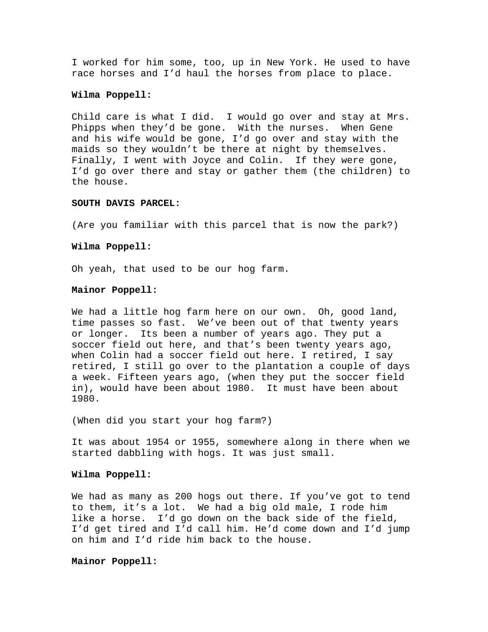I worked for him some, too, up in New York. He used to have race horses and I'd haul the horses from place to place.

# **Wilma Poppell:**

Child care is what I did. I would go over and stay at Mrs. Phipps when they'd be gone. With the nurses. When Gene and his wife would be gone, I'd go over and stay with the maids so they wouldn't be there at night by themselves. Finally, I went with Joyce and Colin. If they were gone, I'd go over there and stay or gather them (the children) to the house.

## **SOUTH DAVIS PARCEL:**

(Are you familiar with this parcel that is now the park?)

### **Wilma Poppell:**

Oh yeah, that used to be our hog farm.

# **Mainor Poppell:**

We had a little hog farm here on our own. Oh, good land, time passes so fast. We've been out of that twenty years or longer. Its been a number of years ago. They put a soccer field out here, and that's been twenty years ago, when Colin had a soccer field out here. I retired, I say retired, I still go over to the plantation a couple of days a week. Fifteen years ago, (when they put the soccer field in), would have been about 1980. It must have been about 1980.

(When did you start your hog farm?)

It was about 1954 or 1955, somewhere along in there when we started dabbling with hogs. It was just small.

### **Wilma Poppell:**

We had as many as 200 hogs out there. If you've got to tend to them, it's a lot. We had a big old male, I rode him like a horse. I'd go down on the back side of the field, I'd get tired and I'd call him. He'd come down and I'd jump on him and I'd ride him back to the house.

**Mainor Poppell:**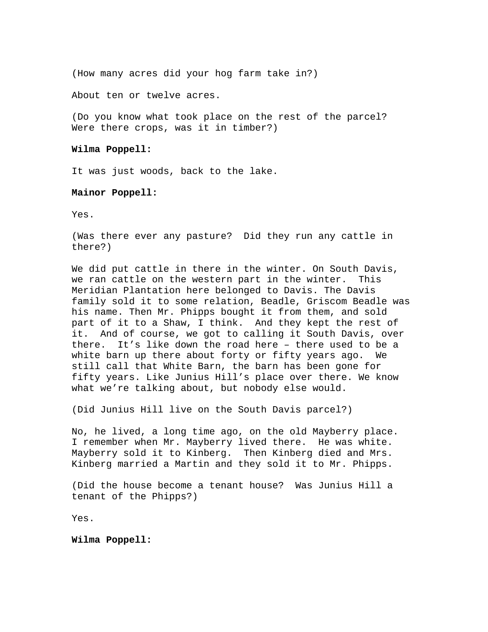(How many acres did your hog farm take in?)

About ten or twelve acres.

(Do you know what took place on the rest of the parcel? Were there crops, was it in timber?)

# **Wilma Poppell:**

It was just woods, back to the lake.

# **Mainor Poppell:**

Yes.

(Was there ever any pasture? Did they run any cattle in there?)

We did put cattle in there in the winter. On South Davis, we ran cattle on the western part in the winter. This Meridian Plantation here belonged to Davis. The Davis family sold it to some relation, Beadle, Griscom Beadle was his name. Then Mr. Phipps bought it from them, and sold part of it to a Shaw, I think. And they kept the rest of it. And of course, we got to calling it South Davis, over there. It's like down the road here – there used to be a white barn up there about forty or fifty years ago. We still call that White Barn, the barn has been gone for fifty years. Like Junius Hill's place over there. We know what we're talking about, but nobody else would.

(Did Junius Hill live on the South Davis parcel?)

No, he lived, a long time ago, on the old Mayberry place. I remember when Mr. Mayberry lived there. He was white. Mayberry sold it to Kinberg. Then Kinberg died and Mrs. Kinberg married a Martin and they sold it to Mr. Phipps.

(Did the house become a tenant house? Was Junius Hill a tenant of the Phipps?)

Yes.

**Wilma Poppell:**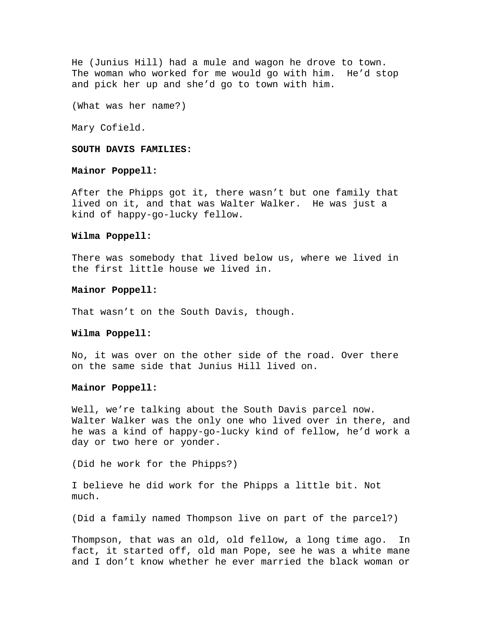He (Junius Hill) had a mule and wagon he drove to town. The woman who worked for me would go with him. He'd stop and pick her up and she'd go to town with him.

(What was her name?)

Mary Cofield.

# **SOUTH DAVIS FAMILIES:**

### **Mainor Poppell:**

After the Phipps got it, there wasn't but one family that lived on it, and that was Walter Walker. He was just a kind of happy-go-lucky fellow.

### **Wilma Poppell:**

There was somebody that lived below us, where we lived in the first little house we lived in.

#### **Mainor Poppell:**

That wasn't on the South Davis, though.

## **Wilma Poppell:**

No, it was over on the other side of the road. Over there on the same side that Junius Hill lived on.

### **Mainor Poppell:**

Well, we're talking about the South Davis parcel now. Walter Walker was the only one who lived over in there, and he was a kind of happy-go-lucky kind of fellow, he'd work a day or two here or yonder.

(Did he work for the Phipps?)

I believe he did work for the Phipps a little bit. Not much.

(Did a family named Thompson live on part of the parcel?)

Thompson, that was an old, old fellow, a long time ago. In fact, it started off, old man Pope, see he was a white mane and I don't know whether he ever married the black woman or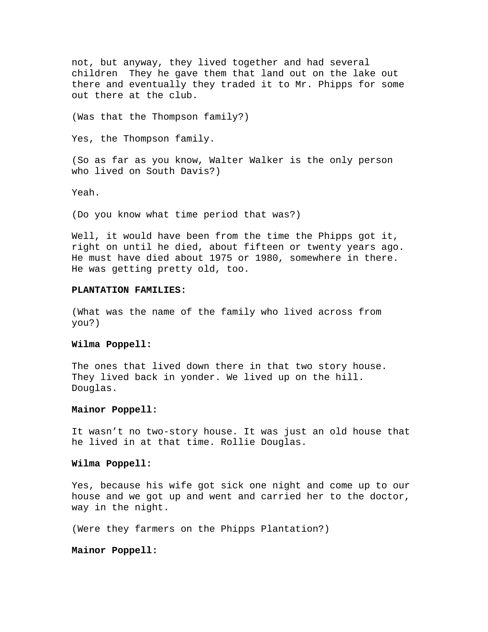not, but anyway, they lived together and had several children They he gave them that land out on the lake out there and eventually they traded it to Mr. Phipps for some out there at the club.

(Was that the Thompson family?)

Yes, the Thompson family.

(So as far as you know, Walter Walker is the only person who lived on South Davis?)

Yeah.

(Do you know what time period that was?)

Well, it would have been from the time the Phipps got it, right on until he died, about fifteen or twenty years ago. He must have died about 1975 or 1980, somewhere in there. He was getting pretty old, too.

# **PLANTATION FAMILIES:**

(What was the name of the family who lived across from you?)

#### **Wilma Poppell:**

The ones that lived down there in that two story house. They lived back in yonder. We lived up on the hill. Douglas.

### **Mainor Poppell:**

It wasn't no two-story house. It was just an old house that he lived in at that time. Rollie Douglas.

#### **Wilma Poppell:**

Yes, because his wife got sick one night and come up to our house and we got up and went and carried her to the doctor, way in the night.

(Were they farmers on the Phipps Plantation?)

### **Mainor Poppell:**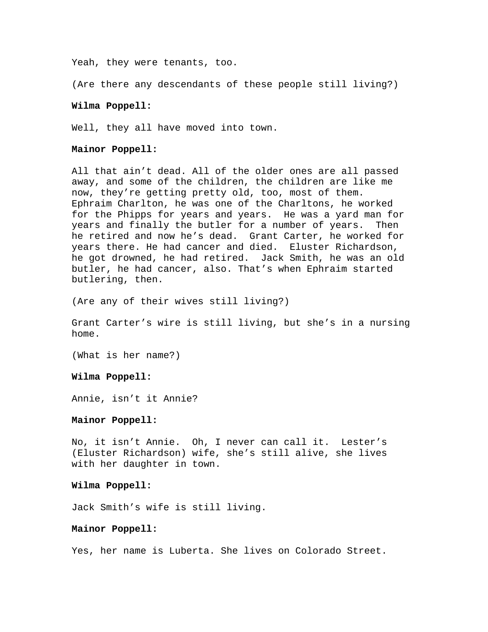Yeah, they were tenants, too.

(Are there any descendants of these people still living?)

### **Wilma Poppell:**

Well, they all have moved into town.

# **Mainor Poppell:**

All that ain't dead. All of the older ones are all passed away, and some of the children, the children are like me now, they're getting pretty old, too, most of them. Ephraim Charlton, he was one of the Charltons, he worked for the Phipps for years and years. He was a yard man for years and finally the butler for a number of years. Then he retired and now he's dead. Grant Carter, he worked for years there. He had cancer and died. Eluster Richardson, he got drowned, he had retired. Jack Smith, he was an old butler, he had cancer, also. That's when Ephraim started butlering, then.

(Are any of their wives still living?)

Grant Carter's wire is still living, but she's in a nursing home.

(What is her name?)

### **Wilma Poppell:**

Annie, isn't it Annie?

### **Mainor Poppell:**

No, it isn't Annie. Oh, I never can call it. Lester's (Eluster Richardson) wife, she's still alive, she lives with her daughter in town.

### **Wilma Poppell:**

Jack Smith's wife is still living.

# **Mainor Poppell:**

Yes, her name is Luberta. She lives on Colorado Street.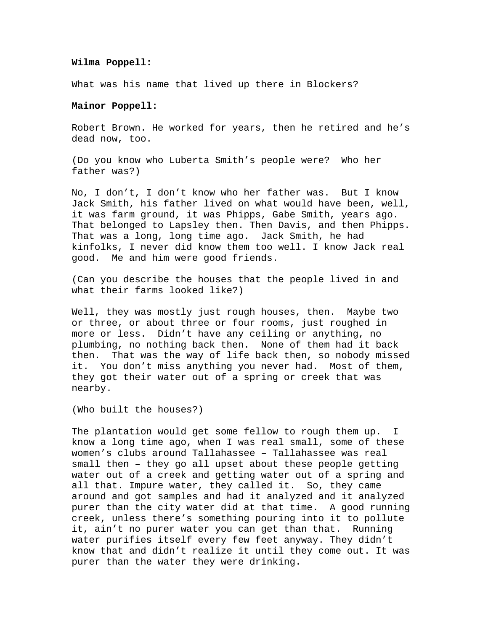### **Wilma Poppell:**

What was his name that lived up there in Blockers?

# **Mainor Poppell:**

Robert Brown. He worked for years, then he retired and he's dead now, too.

(Do you know who Luberta Smith's people were? Who her father was?)

No, I don't, I don't know who her father was. But I know Jack Smith, his father lived on what would have been, well, it was farm ground, it was Phipps, Gabe Smith, years ago. That belonged to Lapsley then. Then Davis, and then Phipps. That was a long, long time ago. Jack Smith, he had kinfolks, I never did know them too well. I know Jack real good. Me and him were good friends.

(Can you describe the houses that the people lived in and what their farms looked like?)

Well, they was mostly just rough houses, then. Maybe two or three, or about three or four rooms, just roughed in more or less. Didn't have any ceiling or anything, no plumbing, no nothing back then. None of them had it back then. That was the way of life back then, so nobody missed it. You don't miss anything you never had. Most of them, they got their water out of a spring or creek that was nearby.

(Who built the houses?)

The plantation would get some fellow to rough them up. I know a long time ago, when I was real small, some of these women's clubs around Tallahassee – Tallahassee was real small then – they go all upset about these people getting water out of a creek and getting water out of a spring and all that. Impure water, they called it. So, they came around and got samples and had it analyzed and it analyzed purer than the city water did at that time. A good running creek, unless there's something pouring into it to pollute it, ain't no purer water you can get than that. Running water purifies itself every few feet anyway. They didn't know that and didn't realize it until they come out. It was purer than the water they were drinking.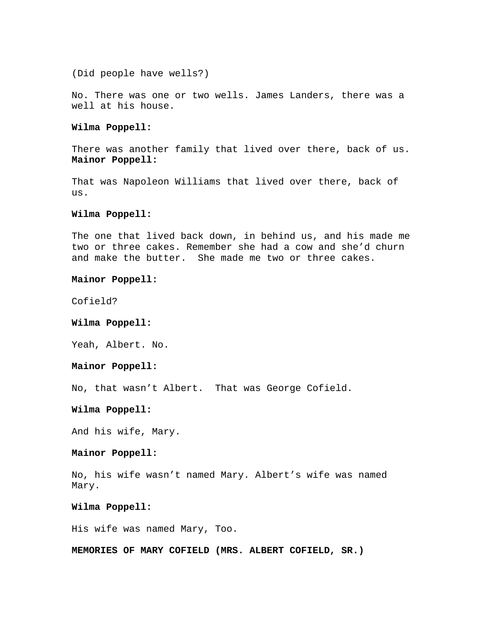(Did people have wells?)

No. There was one or two wells. James Landers, there was a well at his house.

# **Wilma Poppell:**

There was another family that lived over there, back of us. **Mainor Poppell:** 

That was Napoleon Williams that lived over there, back of us.

# **Wilma Poppell:**

The one that lived back down, in behind us, and his made me two or three cakes. Remember she had a cow and she'd churn and make the butter. She made me two or three cakes.

# **Mainor Poppell:**

Cofield?

### **Wilma Poppell:**

Yeah, Albert. No.

# **Mainor Poppell:**

No, that wasn't Albert. That was George Cofield.

# **Wilma Poppell:**

And his wife, Mary.

### **Mainor Poppell:**

No, his wife wasn't named Mary. Albert's wife was named Mary.

#### **Wilma Poppell:**

His wife was named Mary, Too.

**MEMORIES OF MARY COFIELD (MRS. ALBERT COFIELD, SR.)**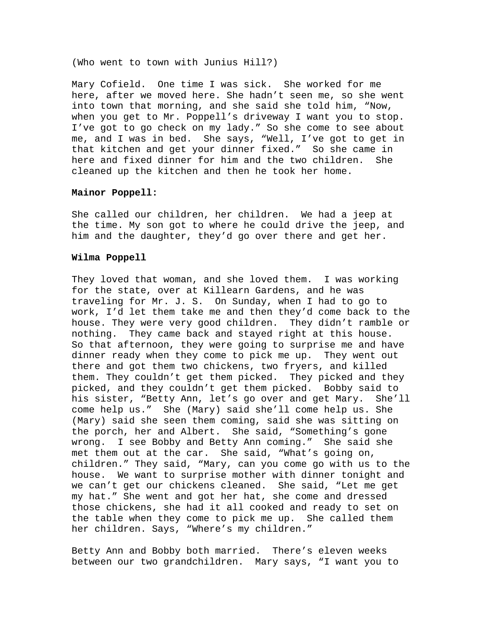(Who went to town with Junius Hill?)

Mary Cofield. One time I was sick. She worked for me here, after we moved here. She hadn't seen me, so she went into town that morning, and she said she told him, "Now, when you get to Mr. Poppell's driveway I want you to stop. I've got to go check on my lady." So she come to see about me, and I was in bed. She says, "Well, I've got to get in that kitchen and get your dinner fixed." So she came in here and fixed dinner for him and the two children. She cleaned up the kitchen and then he took her home.

# **Mainor Poppell:**

She called our children, her children. We had a jeep at the time. My son got to where he could drive the jeep, and him and the daughter, they'd go over there and get her.

# **Wilma Poppell**

They loved that woman, and she loved them. I was working for the state, over at Killearn Gardens, and he was traveling for Mr. J. S. On Sunday, when I had to go to work, I'd let them take me and then they'd come back to the house. They were very good children. They didn't ramble or nothing. They came back and stayed right at this house. So that afternoon, they were going to surprise me and have dinner ready when they come to pick me up. They went out there and got them two chickens, two fryers, and killed them. They couldn't get them picked. They picked and they picked, and they couldn't get them picked. Bobby said to his sister, "Betty Ann, let's go over and get Mary. She'll come help us." She (Mary) said she'll come help us. She (Mary) said she seen them coming, said she was sitting on the porch, her and Albert. She said, "Something's gone wrong. I see Bobby and Betty Ann coming." She said she met them out at the car. She said, "What's going on, children." They said, "Mary, can you come go with us to the house. We want to surprise mother with dinner tonight and we can't get our chickens cleaned. She said, "Let me get my hat." She went and got her hat, she come and dressed those chickens, she had it all cooked and ready to set on the table when they come to pick me up. She called them her children. Says, "Where's my children."

Betty Ann and Bobby both married. There's eleven weeks between our two grandchildren. Mary says, "I want you to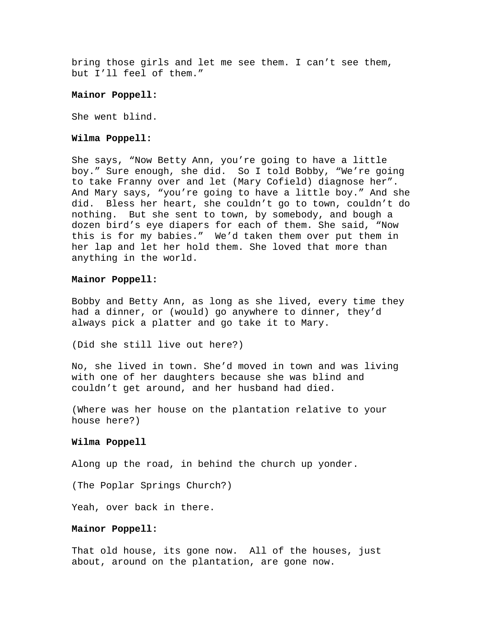bring those girls and let me see them. I can't see them, but I'll feel of them."

### **Mainor Poppell:**

She went blind.

#### **Wilma Poppell:**

She says, "Now Betty Ann, you're going to have a little boy." Sure enough, she did. So I told Bobby, "We're going to take Franny over and let (Mary Cofield) diagnose her". And Mary says, "you're going to have a little boy." And she did. Bless her heart, she couldn't go to town, couldn't do nothing. But she sent to town, by somebody, and bough a dozen bird's eye diapers for each of them. She said, "Now this is for my babies." We'd taken them over put them in her lap and let her hold them. She loved that more than anything in the world.

#### **Mainor Poppell:**

Bobby and Betty Ann, as long as she lived, every time they had a dinner, or (would) go anywhere to dinner, they'd always pick a platter and go take it to Mary.

(Did she still live out here?)

No, she lived in town. She'd moved in town and was living with one of her daughters because she was blind and couldn't get around, and her husband had died.

(Where was her house on the plantation relative to your house here?)

### **Wilma Poppell**

Along up the road, in behind the church up yonder.

(The Poplar Springs Church?)

Yeah, over back in there.

# **Mainor Poppell:**

That old house, its gone now. All of the houses, just about, around on the plantation, are gone now.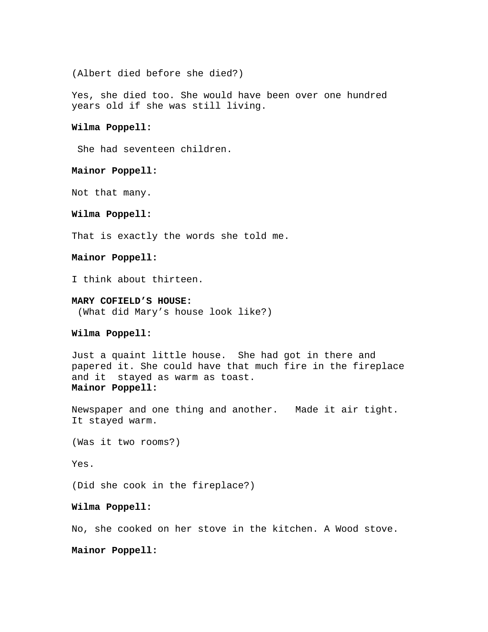(Albert died before she died?)

Yes, she died too. She would have been over one hundred years old if she was still living.

# **Wilma Poppell:**

She had seventeen children.

# **Mainor Poppell:**

Not that many.

# **Wilma Poppell:**

That is exactly the words she told me.

### **Mainor Poppell:**

I think about thirteen.

# **MARY COFIELD'S HOUSE:**

(What did Mary's house look like?)

# **Wilma Poppell:**

Just a quaint little house. She had got in there and papered it. She could have that much fire in the fireplace and it stayed as warm as toast. **Mainor Poppell:** 

Newspaper and one thing and another. Made it air tight. It stayed warm.

(Was it two rooms?)

Yes.

(Did she cook in the fireplace?)

# **Wilma Poppell:**

No, she cooked on her stove in the kitchen. A Wood stove.

### **Mainor Poppell:**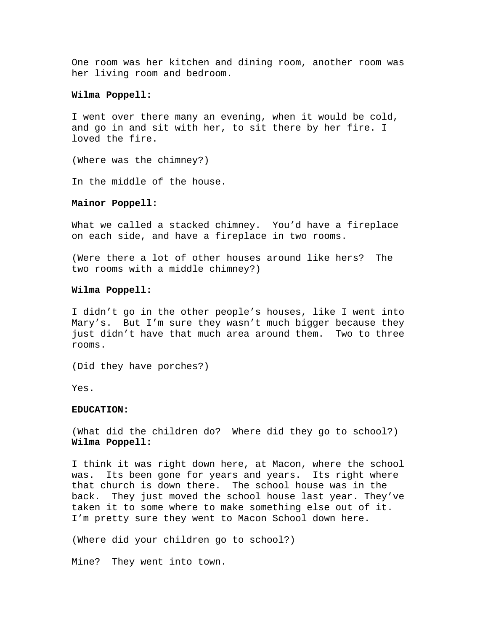One room was her kitchen and dining room, another room was her living room and bedroom.

# **Wilma Poppell:**

I went over there many an evening, when it would be cold, and go in and sit with her, to sit there by her fire. I loved the fire.

(Where was the chimney?)

In the middle of the house.

#### **Mainor Poppell:**

What we called a stacked chimney. You'd have a fireplace on each side, and have a fireplace in two rooms.

(Were there a lot of other houses around like hers? The two rooms with a middle chimney?)

# **Wilma Poppell:**

I didn't go in the other people's houses, like I went into Mary's. But I'm sure they wasn't much bigger because they just didn't have that much area around them. Two to three rooms.

(Did they have porches?)

Yes.

## **EDUCATION:**

(What did the children do? Where did they go to school?) **Wilma Poppell:** 

I think it was right down here, at Macon, where the school was. Its been gone for years and years. Its right where that church is down there. The school house was in the back. They just moved the school house last year. They've taken it to some where to make something else out of it. I'm pretty sure they went to Macon School down here.

(Where did your children go to school?)

Mine? They went into town.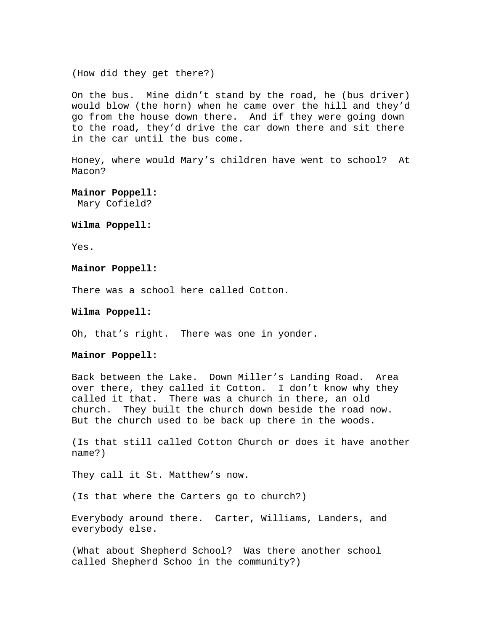(How did they get there?)

On the bus. Mine didn't stand by the road, he (bus driver) would blow (the horn) when he came over the hill and they'd go from the house down there. And if they were going down to the road, they'd drive the car down there and sit there in the car until the bus come.

Honey, where would Mary's children have went to school? At Macon?

**Mainor Poppell:**  Mary Cofield?

**Wilma Poppell:** 

Yes.

**Mainor Poppell:** 

There was a school here called Cotton.

**Wilma Poppell:** 

Oh, that's right. There was one in yonder.

**Mainor Poppell:** 

Back between the Lake. Down Miller's Landing Road. Area over there, they called it Cotton. I don't know why they called it that. There was a church in there, an old church. They built the church down beside the road now. But the church used to be back up there in the woods.

(Is that still called Cotton Church or does it have another name?)

They call it St. Matthew's now.

(Is that where the Carters go to church?)

Everybody around there. Carter, Williams, Landers, and everybody else.

(What about Shepherd School? Was there another school called Shepherd Schoo in the community?)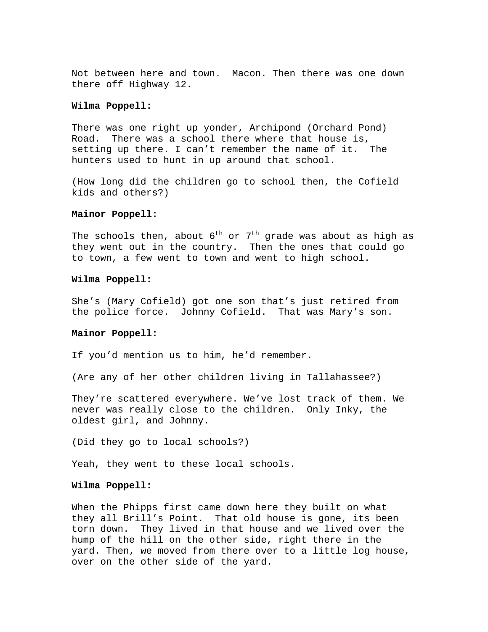Not between here and town. Macon. Then there was one down there off Highway 12.

# **Wilma Poppell:**

There was one right up yonder, Archipond (Orchard Pond) Road. There was a school there where that house is, setting up there. I can't remember the name of it. The hunters used to hunt in up around that school.

(How long did the children go to school then, the Cofield kids and others?)

# **Mainor Poppell:**

The schools then, about  $6^{th}$  or  $7^{th}$  grade was about as high as they went out in the country. Then the ones that could go to town, a few went to town and went to high school.

# **Wilma Poppell:**

She's (Mary Cofield) got one son that's just retired from the police force. Johnny Cofield. That was Mary's son.

# **Mainor Poppell:**

If you'd mention us to him, he'd remember.

(Are any of her other children living in Tallahassee?)

They're scattered everywhere. We've lost track of them. We never was really close to the children. Only Inky, the oldest girl, and Johnny.

(Did they go to local schools?)

Yeah, they went to these local schools.

### **Wilma Poppell:**

When the Phipps first came down here they built on what they all Brill's Point. That old house is gone, its been torn down. They lived in that house and we lived over the hump of the hill on the other side, right there in the yard. Then, we moved from there over to a little log house, over on the other side of the yard.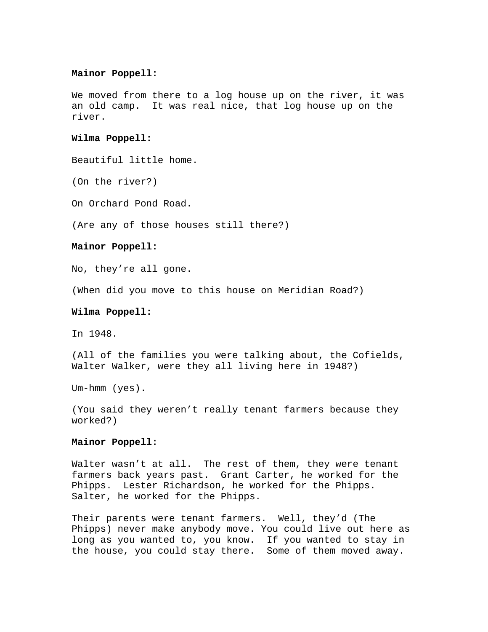#### **Mainor Poppell:**

We moved from there to a log house up on the river, it was an old camp. It was real nice, that log house up on the river.

### **Wilma Poppell:**

Beautiful little home.

(On the river?)

On Orchard Pond Road.

(Are any of those houses still there?)

### **Mainor Poppell:**

No, they're all gone.

(When did you move to this house on Meridian Road?)

#### **Wilma Poppell:**

In 1948.

(All of the families you were talking about, the Cofields, Walter Walker, were they all living here in 1948?)

Um-hmm (yes).

(You said they weren't really tenant farmers because they worked?)

### **Mainor Poppell:**

Walter wasn't at all. The rest of them, they were tenant farmers back years past. Grant Carter, he worked for the Phipps. Lester Richardson, he worked for the Phipps. Salter, he worked for the Phipps.

Their parents were tenant farmers. Well, they'd (The Phipps) never make anybody move. You could live out here as long as you wanted to, you know. If you wanted to stay in the house, you could stay there. Some of them moved away.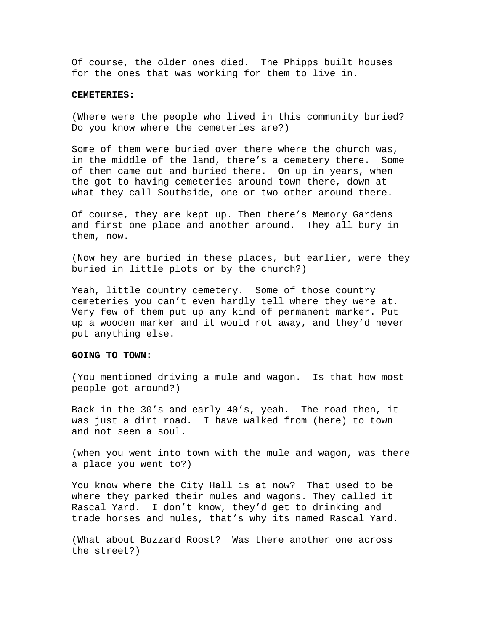Of course, the older ones died. The Phipps built houses for the ones that was working for them to live in.

#### **CEMETERIES:**

(Where were the people who lived in this community buried? Do you know where the cemeteries are?)

Some of them were buried over there where the church was, in the middle of the land, there's a cemetery there. Some of them came out and buried there. On up in years, when the got to having cemeteries around town there, down at what they call Southside, one or two other around there.

Of course, they are kept up. Then there's Memory Gardens and first one place and another around. They all bury in them, now.

(Now hey are buried in these places, but earlier, were they buried in little plots or by the church?)

Yeah, little country cemetery. Some of those country cemeteries you can't even hardly tell where they were at. Very few of them put up any kind of permanent marker. Put up a wooden marker and it would rot away, and they'd never put anything else.

### **GOING TO TOWN:**

(You mentioned driving a mule and wagon. Is that how most people got around?)

Back in the 30's and early 40's, yeah. The road then, it was just a dirt road. I have walked from (here) to town and not seen a soul.

(when you went into town with the mule and wagon, was there a place you went to?)

You know where the City Hall is at now? That used to be where they parked their mules and wagons. They called it Rascal Yard. I don't know, they'd get to drinking and trade horses and mules, that's why its named Rascal Yard.

(What about Buzzard Roost? Was there another one across the street?)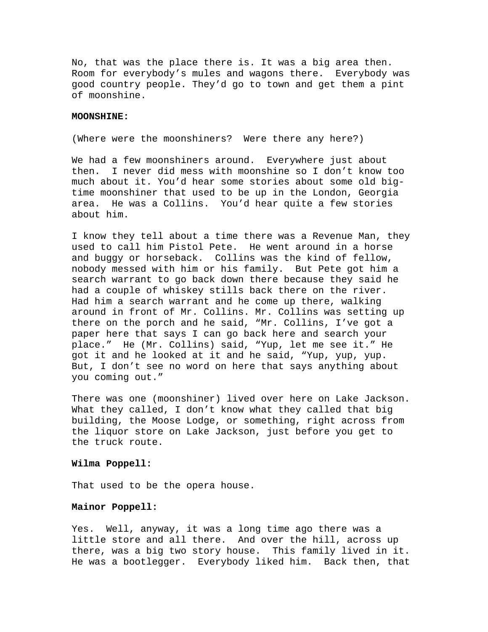No, that was the place there is. It was a big area then. Room for everybody's mules and wagons there. Everybody was good country people. They'd go to town and get them a pint of moonshine.

# **MOONSHINE:**

(Where were the moonshiners? Were there any here?)

We had a few moonshiners around. Everywhere just about then. I never did mess with moonshine so I don't know too much about it. You'd hear some stories about some old bigtime moonshiner that used to be up in the London, Georgia area. He was a Collins. You'd hear quite a few stories about him.

I know they tell about a time there was a Revenue Man, they used to call him Pistol Pete. He went around in a horse and buggy or horseback. Collins was the kind of fellow, nobody messed with him or his family. But Pete got him a search warrant to go back down there because they said he had a couple of whiskey stills back there on the river. Had him a search warrant and he come up there, walking around in front of Mr. Collins. Mr. Collins was setting up there on the porch and he said, "Mr. Collins, I've got a paper here that says I can go back here and search your place." He (Mr. Collins) said, "Yup, let me see it." He got it and he looked at it and he said, "Yup, yup, yup. But, I don't see no word on here that says anything about you coming out."

There was one (moonshiner) lived over here on Lake Jackson. What they called, I don't know what they called that big building, the Moose Lodge, or something, right across from the liquor store on Lake Jackson, just before you get to the truck route.

#### **Wilma Poppell:**

That used to be the opera house.

#### **Mainor Poppell:**

Yes. Well, anyway, it was a long time ago there was a little store and all there. And over the hill, across up there, was a big two story house. This family lived in it. He was a bootlegger. Everybody liked him. Back then, that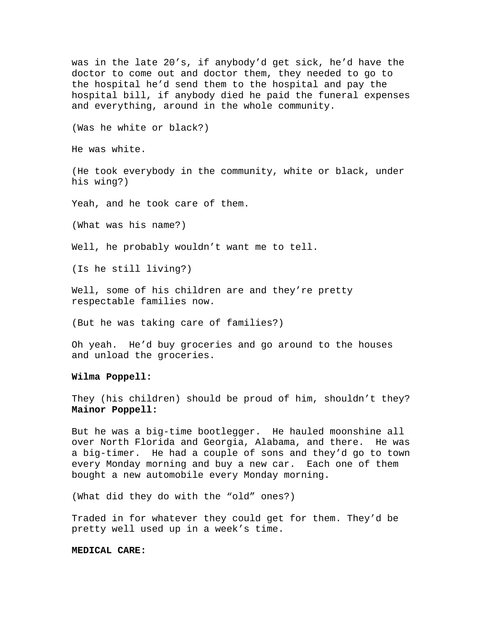was in the late 20's, if anybody'd get sick, he'd have the doctor to come out and doctor them, they needed to go to the hospital he'd send them to the hospital and pay the hospital bill, if anybody died he paid the funeral expenses and everything, around in the whole community. (Was he white or black?) He was white. (He took everybody in the community, white or black, under his wing?) Yeah, and he took care of them. (What was his name?) Well, he probably wouldn't want me to tell. (Is he still living?) Well, some of his children are and they're pretty respectable families now. (But he was taking care of families?) Oh yeah. He'd buy groceries and go around to the houses and unload the groceries. **Wilma Poppell:**  They (his children) should be proud of him, shouldn't they?

**Mainor Poppell:** 

But he was a big-time bootlegger. He hauled moonshine all over North Florida and Georgia, Alabama, and there. He was a big-timer. He had a couple of sons and they'd go to town every Monday morning and buy a new car. Each one of them bought a new automobile every Monday morning.

(What did they do with the "old" ones?)

Traded in for whatever they could get for them. They'd be pretty well used up in a week's time.

# **MEDICAL CARE:**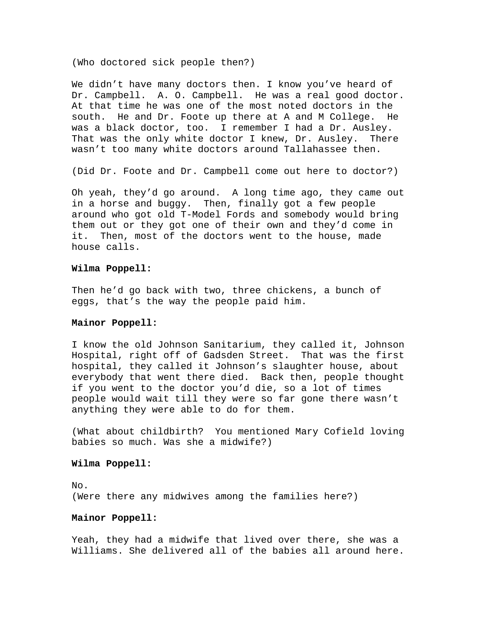(Who doctored sick people then?)

We didn't have many doctors then. I know you've heard of Dr. Campbell. A. O. Campbell. He was a real good doctor. At that time he was one of the most noted doctors in the south. He and Dr. Foote up there at A and M College. He was a black doctor, too. I remember I had a Dr. Ausley. That was the only white doctor I knew, Dr. Ausley. There wasn't too many white doctors around Tallahassee then.

(Did Dr. Foote and Dr. Campbell come out here to doctor?)

Oh yeah, they'd go around. A long time ago, they came out in a horse and buggy. Then, finally got a few people around who got old T-Model Fords and somebody would bring them out or they got one of their own and they'd come in it. Then, most of the doctors went to the house, made house calls.

# **Wilma Poppell:**

Then he'd go back with two, three chickens, a bunch of eggs, that's the way the people paid him.

# **Mainor Poppell:**

I know the old Johnson Sanitarium, they called it, Johnson Hospital, right off of Gadsden Street. That was the first hospital, they called it Johnson's slaughter house, about everybody that went there died. Back then, people thought if you went to the doctor you'd die, so a lot of times people would wait till they were so far gone there wasn't anything they were able to do for them.

(What about childbirth? You mentioned Mary Cofield loving babies so much. Was she a midwife?)

#### **Wilma Poppell:**

No. (Were there any midwives among the families here?)

# **Mainor Poppell:**

Yeah, they had a midwife that lived over there, she was a Williams. She delivered all of the babies all around here.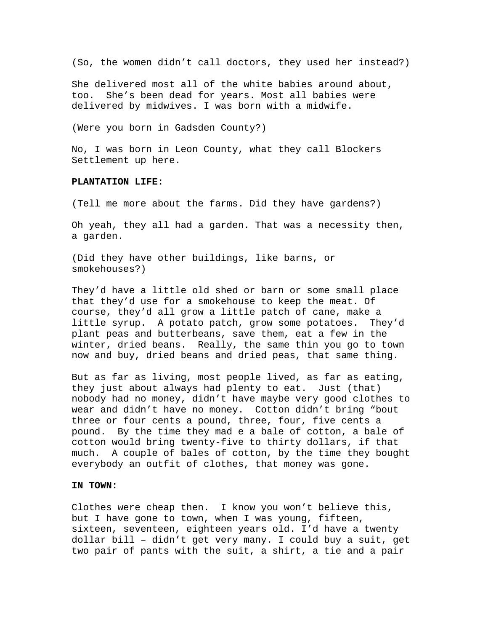(So, the women didn't call doctors, they used her instead?)

She delivered most all of the white babies around about, too. She's been dead for years. Most all babies were delivered by midwives. I was born with a midwife.

(Were you born in Gadsden County?)

No, I was born in Leon County, what they call Blockers Settlement up here.

# **PLANTATION LIFE:**

(Tell me more about the farms. Did they have gardens?)

Oh yeah, they all had a garden. That was a necessity then, a garden.

(Did they have other buildings, like barns, or smokehouses?)

They'd have a little old shed or barn or some small place that they'd use for a smokehouse to keep the meat. Of course, they'd all grow a little patch of cane, make a little syrup. A potato patch, grow some potatoes. They'd plant peas and butterbeans, save them, eat a few in the winter, dried beans. Really, the same thin you go to town now and buy, dried beans and dried peas, that same thing.

But as far as living, most people lived, as far as eating, they just about always had plenty to eat. Just (that) nobody had no money, didn't have maybe very good clothes to wear and didn't have no money. Cotton didn't bring "bout three or four cents a pound, three, four, five cents a pound. By the time they mad e a bale of cotton, a bale of cotton would bring twenty-five to thirty dollars, if that much. A couple of bales of cotton, by the time they bought everybody an outfit of clothes, that money was gone.

#### **IN TOWN:**

Clothes were cheap then. I know you won't believe this, but I have gone to town, when I was young, fifteen, sixteen, seventeen, eighteen years old. I'd have a twenty dollar bill – didn't get very many. I could buy a suit, get two pair of pants with the suit, a shirt, a tie and a pair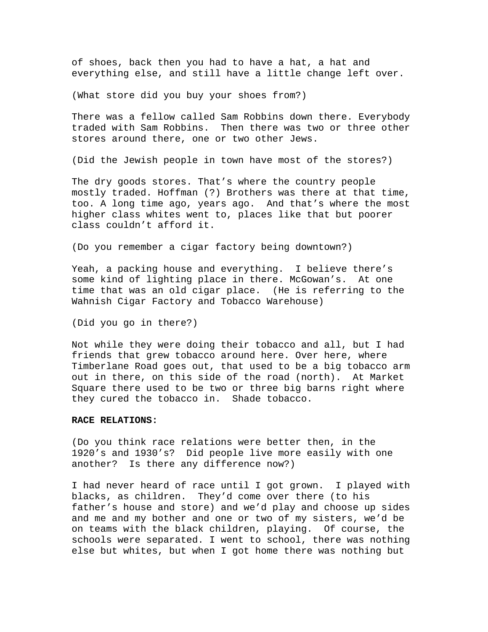of shoes, back then you had to have a hat, a hat and everything else, and still have a little change left over.

(What store did you buy your shoes from?)

There was a fellow called Sam Robbins down there. Everybody traded with Sam Robbins. Then there was two or three other stores around there, one or two other Jews.

(Did the Jewish people in town have most of the stores?)

The dry goods stores. That's where the country people mostly traded. Hoffman (?) Brothers was there at that time, too. A long time ago, years ago. And that's where the most higher class whites went to, places like that but poorer class couldn't afford it.

(Do you remember a cigar factory being downtown?)

Yeah, a packing house and everything. I believe there's some kind of lighting place in there. McGowan's. At one time that was an old cigar place. (He is referring to the Wahnish Cigar Factory and Tobacco Warehouse)

(Did you go in there?)

Not while they were doing their tobacco and all, but I had friends that grew tobacco around here. Over here, where Timberlane Road goes out, that used to be a big tobacco arm out in there, on this side of the road (north). At Market Square there used to be two or three big barns right where they cured the tobacco in. Shade tobacco.

# **RACE RELATIONS:**

(Do you think race relations were better then, in the 1920's and 1930's? Did people live more easily with one another? Is there any difference now?)

I had never heard of race until I got grown. I played with blacks, as children. They'd come over there (to his father's house and store) and we'd play and choose up sides and me and my bother and one or two of my sisters, we'd be on teams with the black children, playing. Of course, the schools were separated. I went to school, there was nothing else but whites, but when I got home there was nothing but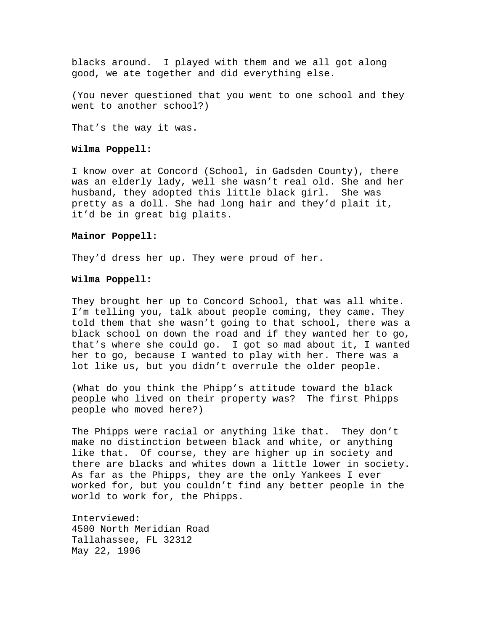blacks around. I played with them and we all got along good, we ate together and did everything else.

(You never questioned that you went to one school and they went to another school?)

That's the way it was.

# **Wilma Poppell:**

I know over at Concord (School, in Gadsden County), there was an elderly lady, well she wasn't real old. She and her husband, they adopted this little black girl. She was pretty as a doll. She had long hair and they'd plait it, it'd be in great big plaits.

## **Mainor Poppell:**

They'd dress her up. They were proud of her.

# **Wilma Poppell:**

They brought her up to Concord School, that was all white. I'm telling you, talk about people coming, they came. They told them that she wasn't going to that school, there was a black school on down the road and if they wanted her to go, that's where she could go. I got so mad about it, I wanted her to go, because I wanted to play with her. There was a lot like us, but you didn't overrule the older people.

(What do you think the Phipp's attitude toward the black people who lived on their property was? The first Phipps people who moved here?)

The Phipps were racial or anything like that. They don't make no distinction between black and white, or anything like that. Of course, they are higher up in society and there are blacks and whites down a little lower in society. As far as the Phipps, they are the only Yankees I ever worked for, but you couldn't find any better people in the world to work for, the Phipps.

Interviewed: 4500 North Meridian Road Tallahassee, FL 32312 May 22, 1996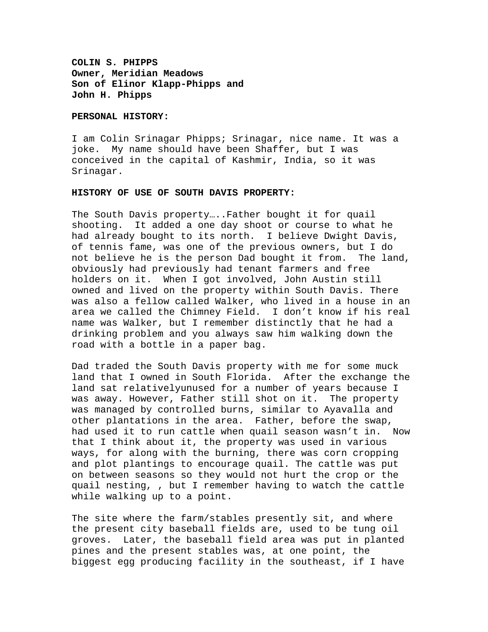**COLIN S. PHIPPS Owner, Meridian Meadows Son of Elinor Klapp-Phipps and John H. Phipps** 

# **PERSONAL HISTORY:**

I am Colin Srinagar Phipps; Srinagar, nice name. It was a joke. My name should have been Shaffer, but I was conceived in the capital of Kashmir, India, so it was Srinagar.

# **HISTORY OF USE OF SOUTH DAVIS PROPERTY:**

The South Davis property…..Father bought it for quail shooting. It added a one day shoot or course to what he had already bought to its north. I believe Dwight Davis, of tennis fame, was one of the previous owners, but I do not believe he is the person Dad bought it from. The land, obviously had previously had tenant farmers and free holders on it. When I got involved, John Austin still owned and lived on the property within South Davis. There was also a fellow called Walker, who lived in a house in an area we called the Chimney Field. I don't know if his real name was Walker, but I remember distinctly that he had a drinking problem and you always saw him walking down the road with a bottle in a paper bag.

Dad traded the South Davis property with me for some muck land that I owned in South Florida. After the exchange the land sat relativelyunused for a number of years because I was away. However, Father still shot on it. The property was managed by controlled burns, similar to Ayavalla and other plantations in the area. Father, before the swap, had used it to run cattle when quail season wasn't in. Now that I think about it, the property was used in various ways, for along with the burning, there was corn cropping and plot plantings to encourage quail. The cattle was put on between seasons so they would not hurt the crop or the quail nesting, , but I remember having to watch the cattle while walking up to a point.

The site where the farm/stables presently sit, and where the present city baseball fields are, used to be tung oil groves. Later, the baseball field area was put in planted pines and the present stables was, at one point, the biggest egg producing facility in the southeast, if I have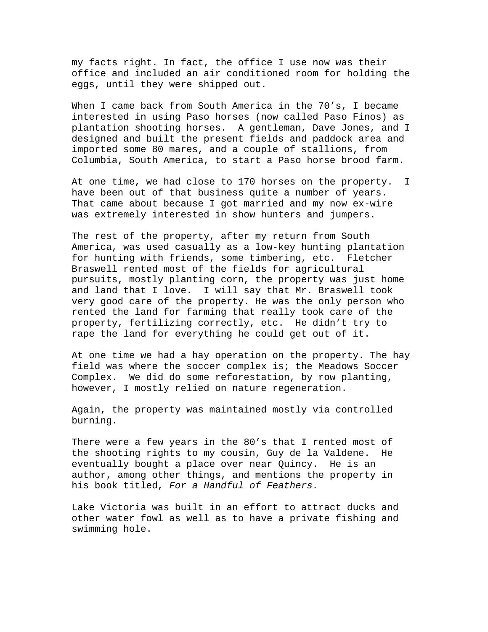my facts right. In fact, the office I use now was their office and included an air conditioned room for holding the eggs, until they were shipped out.

When I came back from South America in the 70's, I became interested in using Paso horses (now called Paso Finos) as plantation shooting horses. A gentleman, Dave Jones, and I designed and built the present fields and paddock area and imported some 80 mares, and a couple of stallions, from Columbia, South America, to start a Paso horse brood farm.

At one time, we had close to 170 horses on the property. I have been out of that business quite a number of years. That came about because I got married and my now ex-wire was extremely interested in show hunters and jumpers.

The rest of the property, after my return from South America, was used casually as a low-key hunting plantation for hunting with friends, some timbering, etc. Fletcher Braswell rented most of the fields for agricultural pursuits, mostly planting corn, the property was just home and land that I love. I will say that Mr. Braswell took very good care of the property. He was the only person who rented the land for farming that really took care of the property, fertilizing correctly, etc. He didn't try to rape the land for everything he could get out of it.

At one time we had a hay operation on the property. The hay field was where the soccer complex is; the Meadows Soccer Complex. We did do some reforestation, by row planting, however, I mostly relied on nature regeneration.

Again, the property was maintained mostly via controlled burning.

There were a few years in the 80's that I rented most of the shooting rights to my cousin, Guy de la Valdene. He eventually bought a place over near Quincy. He is an author, among other things, and mentions the property in his book titled, *For a Handful of Feathers.* 

Lake Victoria was built in an effort to attract ducks and other water fowl as well as to have a private fishing and swimming hole.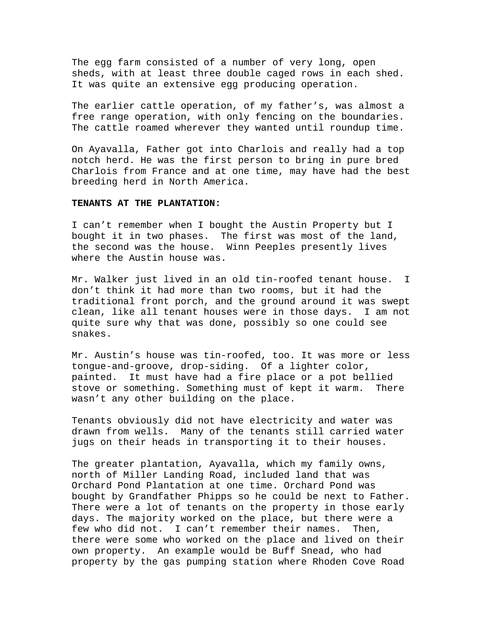The egg farm consisted of a number of very long, open sheds, with at least three double caged rows in each shed. It was quite an extensive egg producing operation.

The earlier cattle operation, of my father's, was almost a free range operation, with only fencing on the boundaries. The cattle roamed wherever they wanted until roundup time.

On Ayavalla, Father got into Charlois and really had a top notch herd. He was the first person to bring in pure bred Charlois from France and at one time, may have had the best breeding herd in North America.

# **TENANTS AT THE PLANTATION:**

I can't remember when I bought the Austin Property but I bought it in two phases. The first was most of the land, the second was the house. Winn Peeples presently lives where the Austin house was.

Mr. Walker just lived in an old tin-roofed tenant house. I don't think it had more than two rooms, but it had the traditional front porch, and the ground around it was swept clean, like all tenant houses were in those days. I am not quite sure why that was done, possibly so one could see snakes.

Mr. Austin's house was tin-roofed, too. It was more or less tongue-and-groove, drop-siding. Of a lighter color, painted. It must have had a fire place or a pot bellied stove or something. Something must of kept it warm. There wasn't any other building on the place.

Tenants obviously did not have electricity and water was drawn from wells. Many of the tenants still carried water jugs on their heads in transporting it to their houses.

The greater plantation, Ayavalla, which my family owns, north of Miller Landing Road, included land that was Orchard Pond Plantation at one time. Orchard Pond was bought by Grandfather Phipps so he could be next to Father. There were a lot of tenants on the property in those early days. The majority worked on the place, but there were a few who did not. I can't remember their names. Then, there were some who worked on the place and lived on their own property. An example would be Buff Snead, who had property by the gas pumping station where Rhoden Cove Road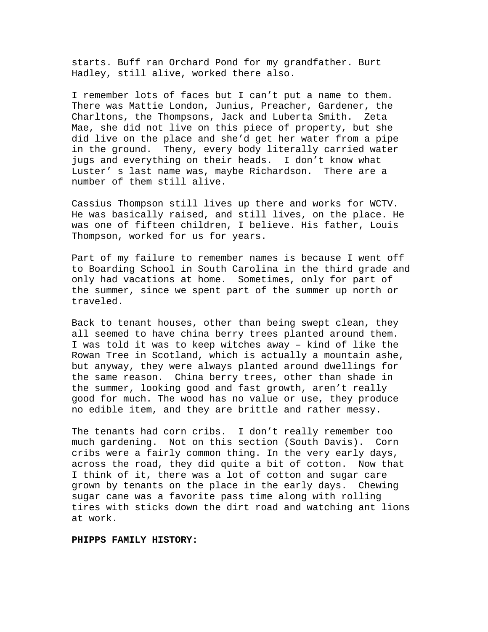starts. Buff ran Orchard Pond for my grandfather. Burt Hadley, still alive, worked there also.

I remember lots of faces but I can't put a name to them. There was Mattie London, Junius, Preacher, Gardener, the Charltons, the Thompsons, Jack and Luberta Smith. Zeta Mae, she did not live on this piece of property, but she did live on the place and she'd get her water from a pipe in the ground. Theny, every body literally carried water jugs and everything on their heads. I don't know what Luster' s last name was, maybe Richardson. There are a number of them still alive.

Cassius Thompson still lives up there and works for WCTV. He was basically raised, and still lives, on the place. He was one of fifteen children, I believe. His father, Louis Thompson, worked for us for years.

Part of my failure to remember names is because I went off to Boarding School in South Carolina in the third grade and only had vacations at home. Sometimes, only for part of the summer, since we spent part of the summer up north or traveled.

Back to tenant houses, other than being swept clean, they all seemed to have china berry trees planted around them. I was told it was to keep witches away – kind of like the Rowan Tree in Scotland, which is actually a mountain ashe, but anyway, they were always planted around dwellings for the same reason. China berry trees, other than shade in the summer, looking good and fast growth, aren't really good for much. The wood has no value or use, they produce no edible item, and they are brittle and rather messy.

The tenants had corn cribs. I don't really remember too much gardening. Not on this section (South Davis). Corn cribs were a fairly common thing. In the very early days, across the road, they did quite a bit of cotton. Now that I think of it, there was a lot of cotton and sugar care grown by tenants on the place in the early days. Chewing sugar cane was a favorite pass time along with rolling tires with sticks down the dirt road and watching ant lions at work.

# **PHIPPS FAMILY HISTORY:**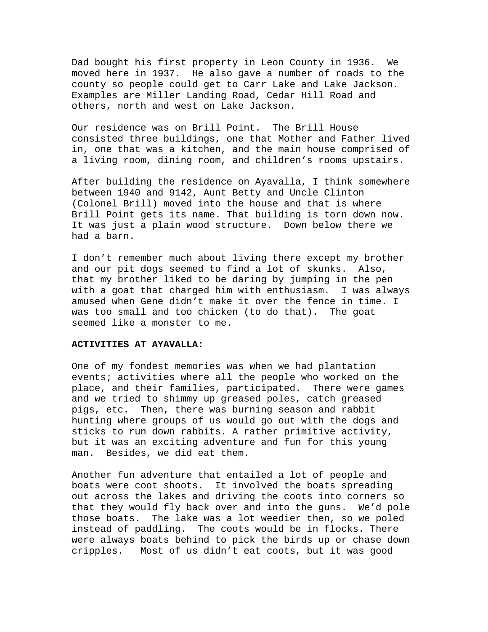Dad bought his first property in Leon County in 1936. We moved here in 1937. He also gave a number of roads to the county so people could get to Carr Lake and Lake Jackson. Examples are Miller Landing Road, Cedar Hill Road and others, north and west on Lake Jackson.

Our residence was on Brill Point. The Brill House consisted three buildings, one that Mother and Father lived in, one that was a kitchen, and the main house comprised of a living room, dining room, and children's rooms upstairs.

After building the residence on Ayavalla, I think somewhere between 1940 and 9142, Aunt Betty and Uncle Clinton (Colonel Brill) moved into the house and that is where Brill Point gets its name. That building is torn down now. It was just a plain wood structure. Down below there we had a barn.

I don't remember much about living there except my brother and our pit dogs seemed to find a lot of skunks. Also, that my brother liked to be daring by jumping in the pen with a goat that charged him with enthusiasm. I was always amused when Gene didn't make it over the fence in time. I was too small and too chicken (to do that). The goat seemed like a monster to me.

# **ACTIVITIES AT AYAVALLA:**

One of my fondest memories was when we had plantation events; activities where all the people who worked on the place, and their families, participated. There were games and we tried to shimmy up greased poles, catch greased pigs, etc. Then, there was burning season and rabbit hunting where groups of us would go out with the dogs and sticks to run down rabbits. A rather primitive activity, but it was an exciting adventure and fun for this young man. Besides, we did eat them.

Another fun adventure that entailed a lot of people and boats were coot shoots. It involved the boats spreading out across the lakes and driving the coots into corners so that they would fly back over and into the guns. We'd pole those boats. The lake was a lot weedier then, so we poled instead of paddling. The coots would be in flocks. There were always boats behind to pick the birds up or chase down cripples. Most of us didn't eat coots, but it was good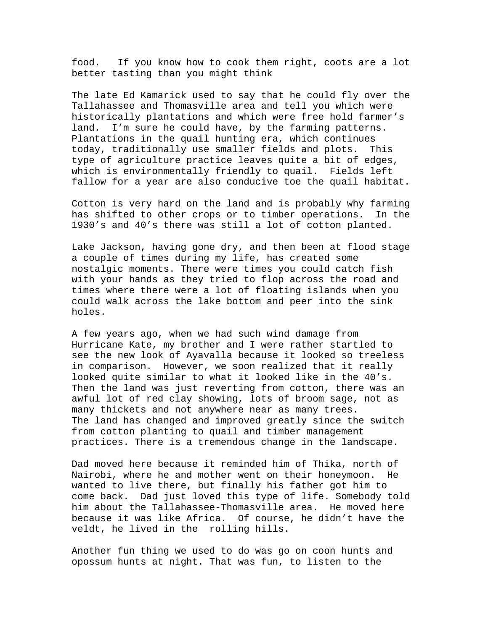food. If you know how to cook them right, coots are a lot better tasting than you might think

The late Ed Kamarick used to say that he could fly over the Tallahassee and Thomasville area and tell you which were historically plantations and which were free hold farmer's land. I'm sure he could have, by the farming patterns. Plantations in the quail hunting era, which continues today, traditionally use smaller fields and plots. This type of agriculture practice leaves quite a bit of edges, which is environmentally friendly to quail. Fields left fallow for a year are also conducive toe the quail habitat.

Cotton is very hard on the land and is probably why farming has shifted to other crops or to timber operations. In the 1930's and 40's there was still a lot of cotton planted.

Lake Jackson, having gone dry, and then been at flood stage a couple of times during my life, has created some nostalgic moments. There were times you could catch fish with your hands as they tried to flop across the road and times where there were a lot of floating islands when you could walk across the lake bottom and peer into the sink holes.

A few years ago, when we had such wind damage from Hurricane Kate, my brother and I were rather startled to see the new look of Ayavalla because it looked so treeless in comparison. However, we soon realized that it really looked quite similar to what it looked like in the 40's. Then the land was just reverting from cotton, there was an awful lot of red clay showing, lots of broom sage, not as many thickets and not anywhere near as many trees. The land has changed and improved greatly since the switch from cotton planting to quail and timber management practices. There is a tremendous change in the landscape.

Dad moved here because it reminded him of Thika, north of Nairobi, where he and mother went on their honeymoon. He wanted to live there, but finally his father got him to come back. Dad just loved this type of life. Somebody told him about the Tallahassee-Thomasville area. He moved here because it was like Africa. Of course, he didn't have the veldt, he lived in the rolling hills.

Another fun thing we used to do was go on coon hunts and opossum hunts at night. That was fun, to listen to the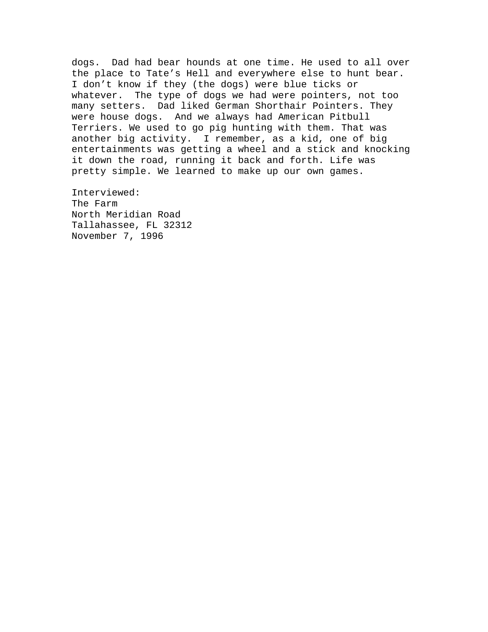dogs. Dad had bear hounds at one time. He used to all over the place to Tate's Hell and everywhere else to hunt bear. I don't know if they (the dogs) were blue ticks or whatever. The type of dogs we had were pointers, not too many setters. Dad liked German Shorthair Pointers. They were house dogs. And we always had American Pitbull Terriers. We used to go pig hunting with them. That was another big activity. I remember, as a kid, one of big entertainments was getting a wheel and a stick and knocking it down the road, running it back and forth. Life was pretty simple. We learned to make up our own games.

Interviewed: The Farm North Meridian Road Tallahassee, FL 32312 November 7, 1996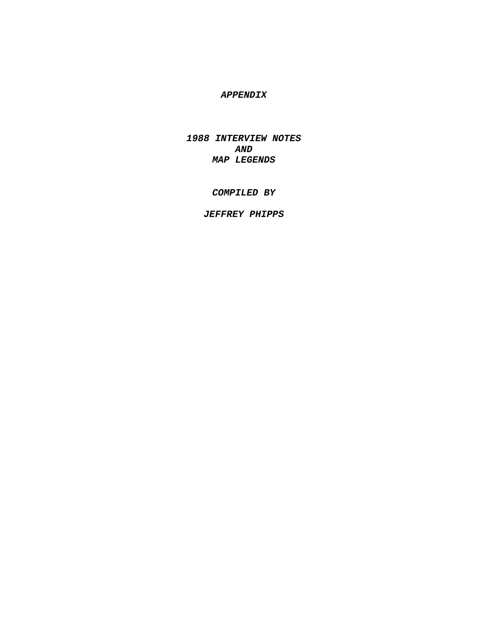# *APPENDIX*

*1988 INTERVIEW NOTES AND MAP LEGENDS* 

# *COMPILED BY*

# *JEFFREY PHIPPS*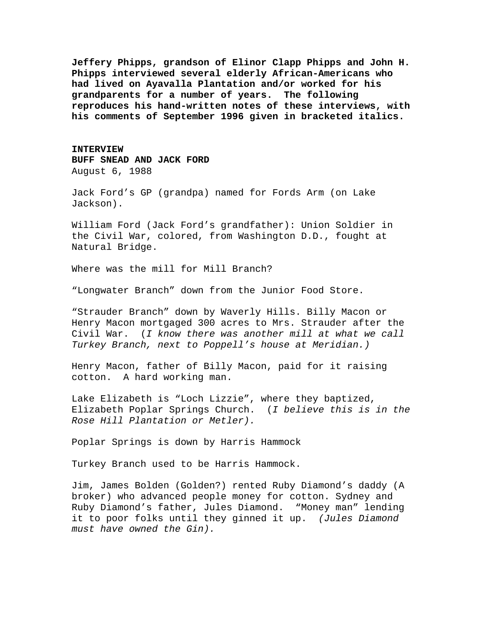**Jeffery Phipps, grandson of Elinor Clapp Phipps and John H. Phipps interviewed several elderly African-Americans who had lived on Ayavalla Plantation and/or worked for his grandparents for a number of years. The following reproduces his hand-written notes of these interviews, with his comments of September 1996 given in bracketed italics.** 

**INTERVIEW BUFF SNEAD AND JACK FORD**  August 6, 1988

Jack Ford's GP (grandpa) named for Fords Arm (on Lake Jackson).

William Ford (Jack Ford's grandfather): Union Soldier in the Civil War, colored, from Washington D.D., fought at Natural Bridge.

Where was the mill for Mill Branch?

"Longwater Branch" down from the Junior Food Store.

"Strauder Branch" down by Waverly Hills. Billy Macon or Henry Macon mortgaged 300 acres to Mrs. Strauder after the Civil War. (*I know there was another mill at what we call Turkey Branch, next to Poppell's house at Meridian.)* 

Henry Macon, father of Billy Macon, paid for it raising cotton. A hard working man.

Lake Elizabeth is "Loch Lizzie", where they baptized, Elizabeth Poplar Springs Church. (*I believe this is in the Rose Hill Plantation or Metler).*

Poplar Springs is down by Harris Hammock

Turkey Branch used to be Harris Hammock.

Jim, James Bolden (Golden?) rented Ruby Diamond's daddy (A broker) who advanced people money for cotton. Sydney and Ruby Diamond's father, Jules Diamond. "Money man" lending it to poor folks until they ginned it up. *(Jules Diamond must have owned the Gin).*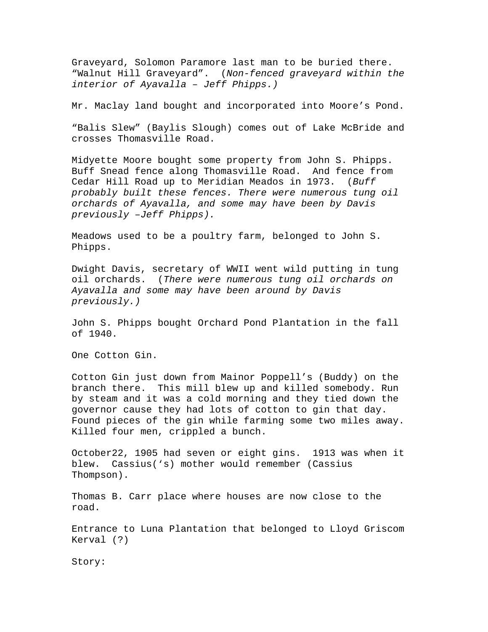Graveyard, Solomon Paramore last man to be buried there. "Walnut Hill Graveyard". (*Non-fenced graveyard within the interior of Ayavalla – Jeff Phipps.)* 

Mr. Maclay land bought and incorporated into Moore's Pond.

"Balis Slew" (Baylis Slough) comes out of Lake McBride and crosses Thomasville Road.

Midyette Moore bought some property from John S. Phipps. Buff Snead fence along Thomasville Road. And fence from Cedar Hill Road up to Meridian Meados in 1973. (*Buff probably built these fences. There were numerous tung oil orchards of Ayavalla, and some may have been by Davis previously –Jeff Phipps).*

Meadows used to be a poultry farm, belonged to John S. Phipps.

Dwight Davis, secretary of WWII went wild putting in tung oil orchards. (*There were numerous tung oil orchards on Ayavalla and some may have been around by Davis previously.)* 

John S. Phipps bought Orchard Pond Plantation in the fall of 1940.

One Cotton Gin.

Cotton Gin just down from Mainor Poppell's (Buddy) on the branch there. This mill blew up and killed somebody. Run by steam and it was a cold morning and they tied down the governor cause they had lots of cotton to gin that day. Found pieces of the gin while farming some two miles away. Killed four men, crippled a bunch.

October22, 1905 had seven or eight gins. 1913 was when it blew. Cassius('s) mother would remember (Cassius Thompson).

Thomas B. Carr place where houses are now close to the road.

Entrance to Luna Plantation that belonged to Lloyd Griscom Kerval (?)

Story: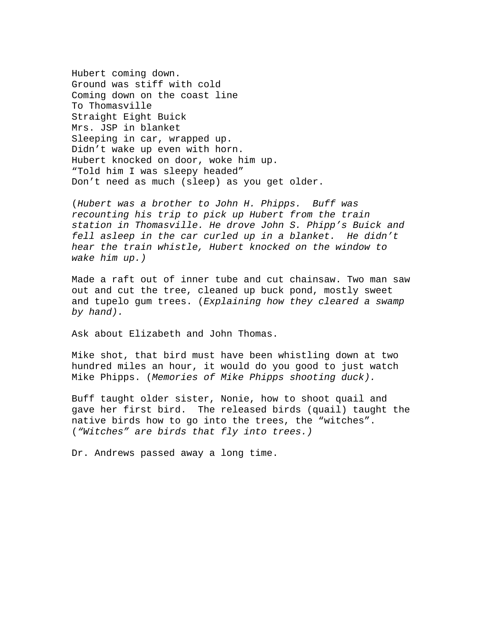Hubert coming down. Ground was stiff with cold Coming down on the coast line To Thomasville Straight Eight Buick Mrs. JSP in blanket Sleeping in car, wrapped up. Didn't wake up even with horn. Hubert knocked on door, woke him up. "Told him I was sleepy headed" Don't need as much (sleep) as you get older.

(*Hubert was a brother to John H. Phipps. Buff was recounting his trip to pick up Hubert from the train station in Thomasville. He drove John S. Phipp's Buick and fell asleep in the car curled up in a blanket. He didn't hear the train whistle, Hubert knocked on the window to wake him up.)* 

Made a raft out of inner tube and cut chainsaw. Two man saw out and cut the tree, cleaned up buck pond, mostly sweet and tupelo gum trees. (*Explaining how they cleared a swamp by hand).* 

Ask about Elizabeth and John Thomas.

Mike shot, that bird must have been whistling down at two hundred miles an hour, it would do you good to just watch Mike Phipps. (*Memories of Mike Phipps shooting duck).* 

Buff taught older sister, Nonie, how to shoot quail and gave her first bird. The released birds (quail) taught the native birds how to go into the trees, the "witches". (*"Witches" are birds that fly into trees.)* 

Dr. Andrews passed away a long time.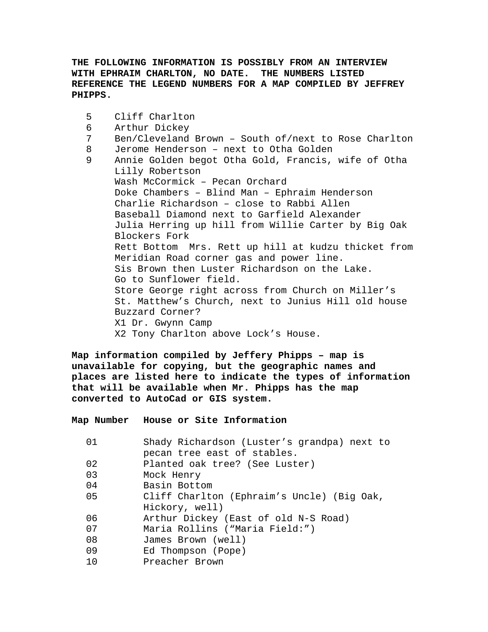# **THE FOLLOWING INFORMATION IS POSSIBLY FROM AN INTERVIEW WITH EPHRAIM CHARLTON, NO DATE. THE NUMBERS LISTED REFERENCE THE LEGEND NUMBERS FOR A MAP COMPILED BY JEFFREY PHIPPS.**

```
5 Cliff Charlton 
6 Arthur Dickey 
7 Ben/Cleveland Brown – South of/next to Rose Charlton 
8 Jerome Henderson – next to Otha Golden 
9 Annie Golden begot Otha Gold, Francis, wife of Otha 
    Lilly Robertson 
    Wash McCormick – Pecan Orchard 
    Doke Chambers – Blind Man – Ephraim Henderson 
     Charlie Richardson – close to Rabbi Allen 
    Baseball Diamond next to Garfield Alexander 
    Julia Herring up hill from Willie Carter by Big Oak 
    Blockers Fork 
    Rett Bottom Mrs. Rett up hill at kudzu thicket from 
    Meridian Road corner gas and power line. 
     Sis Brown then Luster Richardson on the Lake. 
    Go to Sunflower field. 
     Store George right across from Church on Miller's 
     St. Matthew's Church, next to Junius Hill old house 
    Buzzard Corner? 
    X1 Dr. Gwynn Camp 
    X2 Tony Charlton above Lock's House.
```
**Map information compiled by Jeffery Phipps – map is unavailable for copying, but the geographic names and places are listed here to indicate the types of information that will be available when Mr. Phipps has the map converted to AutoCad or GIS system.** 

**Map Number House or Site Information** 

| 01 | Shady Richardson (Luster's grandpa) next to |
|----|---------------------------------------------|
|    | pecan tree east of stables.                 |
| 02 | Planted oak tree? (See Luster)              |
| 03 | Mock Henry                                  |
| 04 | Basin Bottom                                |
| 05 | Cliff Charlton (Ephraim's Uncle) (Big Oak,  |
|    | Hickory, well)                              |
| 06 | Arthur Dickey (East of old N-S Road)        |
| 07 | Maria Rollins ("Maria Field:")              |
| 08 | James Brown (well)                          |
| 09 | Ed Thompson (Pope)                          |
| 10 | Preacher Brown                              |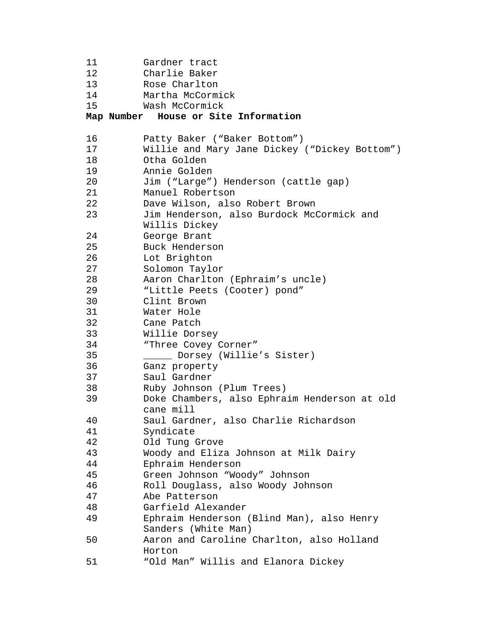```
11 Gardner tract 
12 Charlie Baker 
13 Rose Charlton 
14 Martha McCormick 
15 Wash McCormick 
Map Number House or Site Information 
16 Patty Baker ("Baker Bottom") 
17 Willie and Mary Jane Dickey ("Dickey Bottom") 
18 Otha Golden 
19 Annie Golden 
20 Jim ("Large") Henderson (cattle gap) 
21 Manuel Robertson 
22 Dave Wilson, also Robert Brown 
23 Jim Henderson, also Burdock McCormick and 
        Willis Dickey 
24 George Brant 
25 Buck Henderson 
26 Lot Brighton 
27 Solomon Taylor 
28 Aaron Charlton (Ephraim's uncle) 
29 "Little Peets (Cooter) pond" 
30 Clint Brown 
31 Water Hole 
32 Cane Patch 
33 Willie Dorsey 
34 "Three Covey Corner" 
35 _____ Dorsey (Willie's Sister) 
36 Ganz property 
37 Saul Gardner 
38 Ruby Johnson (Plum Trees) 
39 Doke Chambers, also Ephraim Henderson at old 
        cane mill 
40 Saul Gardner, also Charlie Richardson 
41 Syndicate 
42 Old Tung Grove 
43 Woody and Eliza Johnson at Milk Dairy 
44 Ephraim Henderson 
45 Green Johnson "Woody" Johnson 
46 Roll Douglass, also Woody Johnson 
47 Abe Patterson 
48 Garfield Alexander 
49 Ephraim Henderson (Blind Man), also Henry 
        Sanders (White Man) 
50 Aaron and Caroline Charlton, also Holland 
        Horton 
51 "Old Man" Willis and Elanora Dickey
```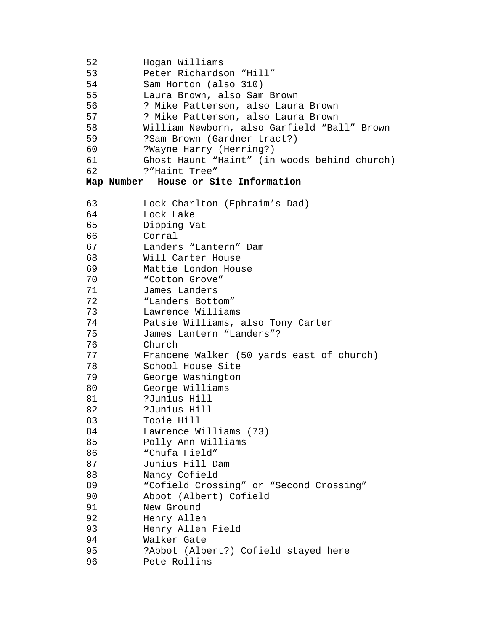```
52 Hogan Williams 
53 Peter Richardson "Hill" 
54 Sam Horton (also 310) 
55 Laura Brown, also Sam Brown 
56 ? Mike Patterson, also Laura Brown 
57 ? Mike Patterson, also Laura Brown 
58 William Newborn, also Garfield "Ball" Brown 
59 ?Sam Brown (Gardner tract?) 
60 ?Wayne Harry (Herring?) 
61 Ghost Haunt "Haint" (in woods behind church) 
62 ?"Haint Tree" 
Map Number House or Site Information 
63 Lock Charlton (Ephraim's Dad) 
64 Lock Lake 
65 Dipping Vat 
66 Corral 
67 Landers "Lantern" Dam 
68 Will Carter House 
69 Mattie London House 
70 "Cotton Grove" 
71 James Landers 
72 "Landers Bottom" 
73 Lawrence Williams 
74 Patsie Williams, also Tony Carter 
75 James Lantern "Landers"? 
76 Church 
77 Francene Walker (50 yards east of church) 
78 School House Site 
79 George Washington 
80 George Williams 
81 ?Junius Hill 
82 ?Junius Hill 
83 Tobie Hill 
84 Lawrence Williams (73) 
85 Polly Ann Williams 
86 "Chufa Field" 
87 Junius Hill Dam 
88 Nancy Cofield 
89 "Cofield Crossing" or "Second Crossing" 
90 Abbot (Albert) Cofield 
91 New Ground 
92 Henry Allen 
93 Henry Allen Field 
94 Walker Gate 
95 ?Abbot (Albert?) Cofield stayed here 
96 Pete Rollins
```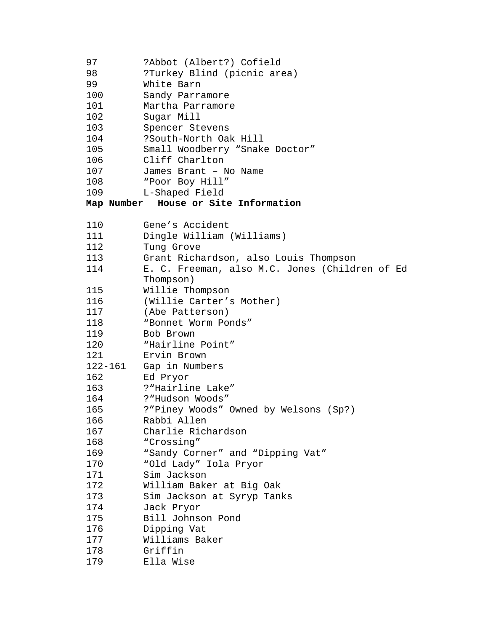| 97<br>98<br>99<br>100<br>101<br>102<br>103<br>104<br>105<br>106<br>107<br>108<br>109 | ?Abbot (Albert?) Cofield<br>?Turkey Blind (picnic area)<br>White Barn<br>Sandy Parramore<br>Martha Parramore<br>Sugar Mill<br>Spencer Stevens<br>?South-North Oak Hill<br>Small Woodberry "Snake Doctor"<br>Cliff Charlton<br>James Brant - No Name<br>"Poor Boy Hill"<br>L-Shaped Field<br>Map Number House or Site Information |
|--------------------------------------------------------------------------------------|----------------------------------------------------------------------------------------------------------------------------------------------------------------------------------------------------------------------------------------------------------------------------------------------------------------------------------|
| 110                                                                                  | Gene's Accident                                                                                                                                                                                                                                                                                                                  |
| 111                                                                                  | Dingle William (Williams)                                                                                                                                                                                                                                                                                                        |
| 112                                                                                  | Tung Grove                                                                                                                                                                                                                                                                                                                       |
| 113                                                                                  | Grant Richardson, also Louis Thompson                                                                                                                                                                                                                                                                                            |
| 114                                                                                  | E. C. Freeman, also M.C. Jones (Children of Ed                                                                                                                                                                                                                                                                                   |
|                                                                                      | Thompson)                                                                                                                                                                                                                                                                                                                        |
| 115                                                                                  | Willie Thompson                                                                                                                                                                                                                                                                                                                  |
| 116                                                                                  | (Willie Carter's Mother)                                                                                                                                                                                                                                                                                                         |
| 117                                                                                  | (Abe Patterson)                                                                                                                                                                                                                                                                                                                  |
| 118                                                                                  | "Bonnet Worm Ponds"                                                                                                                                                                                                                                                                                                              |
| 119                                                                                  | Bob Brown                                                                                                                                                                                                                                                                                                                        |
| 120                                                                                  | "Hairline Point"                                                                                                                                                                                                                                                                                                                 |
| 121                                                                                  | Ervin Brown                                                                                                                                                                                                                                                                                                                      |
| 122-161                                                                              | Gap in Numbers                                                                                                                                                                                                                                                                                                                   |
| 162                                                                                  | Ed Pryor                                                                                                                                                                                                                                                                                                                         |
| 163                                                                                  | ?"Hairline Lake"                                                                                                                                                                                                                                                                                                                 |
| 164                                                                                  | ? "Hudson Woods"                                                                                                                                                                                                                                                                                                                 |
| 165                                                                                  | ?"Piney Woods" Owned by Welsons (Sp?)                                                                                                                                                                                                                                                                                            |
| 166                                                                                  | Rabbi Allen                                                                                                                                                                                                                                                                                                                      |
| 167                                                                                  | Charlie Richardson                                                                                                                                                                                                                                                                                                               |
| 168                                                                                  | "Crossing"                                                                                                                                                                                                                                                                                                                       |
| 169                                                                                  | "Sandy Corner" and "Dipping Vat"                                                                                                                                                                                                                                                                                                 |
| 170                                                                                  | "Old Lady" Iola Pryor                                                                                                                                                                                                                                                                                                            |
| 171                                                                                  | Sim Jackson                                                                                                                                                                                                                                                                                                                      |
| 172                                                                                  | William Baker at Big Oak                                                                                                                                                                                                                                                                                                         |
| 173                                                                                  | Sim Jackson at Syryp Tanks                                                                                                                                                                                                                                                                                                       |
| 174                                                                                  | Jack Pryor                                                                                                                                                                                                                                                                                                                       |
| 175                                                                                  | Bill Johnson Pond                                                                                                                                                                                                                                                                                                                |
| 176                                                                                  | Dipping Vat                                                                                                                                                                                                                                                                                                                      |
| 177                                                                                  | Williams Baker<br>Griffin                                                                                                                                                                                                                                                                                                        |
| 178<br>179                                                                           | Ella Wise                                                                                                                                                                                                                                                                                                                        |
|                                                                                      |                                                                                                                                                                                                                                                                                                                                  |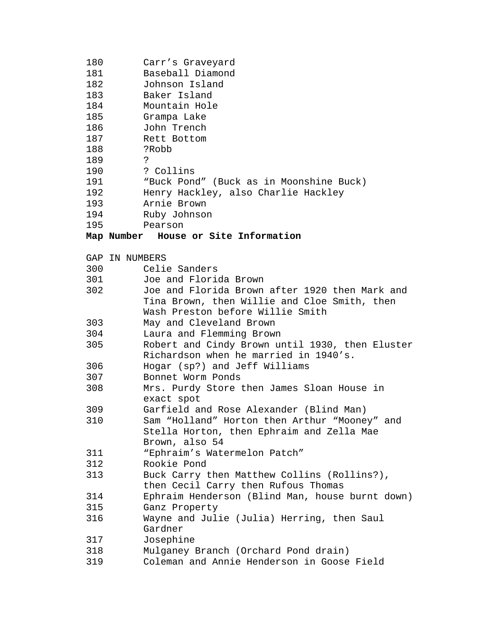| 180        | Carr's Graveyard                                                                 |  |
|------------|----------------------------------------------------------------------------------|--|
| 181        | Baseball Diamond                                                                 |  |
| 182        | Johnson Island                                                                   |  |
| 183        | Baker Island                                                                     |  |
| 184        | Mountain Hole                                                                    |  |
| 185        | Grampa Lake                                                                      |  |
| 186        | John Trench                                                                      |  |
| 187        | Rett Bottom                                                                      |  |
| 188        | ?Robb                                                                            |  |
| 189        | د:                                                                               |  |
| 190        | ? Collins                                                                        |  |
| 191        | "Buck Pond" (Buck as in Moonshine Buck)                                          |  |
| 192        | Henry Hackley, also Charlie Hackley                                              |  |
| 193        | Arnie Brown                                                                      |  |
| 194        | Ruby Johnson                                                                     |  |
| 195        | Pearson                                                                          |  |
|            | Map Number House or Site Information                                             |  |
|            |                                                                                  |  |
|            | GAP IN NUMBERS                                                                   |  |
| 300<br>301 | Celie Sanders<br>Joe and Florida Brown                                           |  |
|            | Joe and Florida Brown after 1920 then Mark and                                   |  |
| 302        |                                                                                  |  |
|            | Tina Brown, then Willie and Cloe Smith, then<br>Wash Preston before Willie Smith |  |
| 303        | May and Cleveland Brown                                                          |  |
| 304        | Laura and Flemming Brown                                                         |  |
| 305        | Robert and Cindy Brown until 1930, then Eluster                                  |  |
|            | Richardson when he married in 1940's.                                            |  |
| 306        | Hogar (sp?) and Jeff Williams                                                    |  |
| 307        | Bonnet Worm Ponds                                                                |  |
| 308        | Mrs. Purdy Store then James Sloan House in                                       |  |
|            | exact spot                                                                       |  |
| 309        | Garfield and Rose Alexander (Blind Man)                                          |  |
| 310        | Sam "Holland" Horton then Arthur "Mooney" and                                    |  |
|            | Stella Horton, then Ephraim and Zella Mae                                        |  |
|            | Brown, also 54                                                                   |  |
| 311        | "Ephraim's Watermelon Patch"                                                     |  |
| 312        | Rookie Pond                                                                      |  |
| 313        | Buck Carry then Matthew Collins (Rollins?),                                      |  |
|            | then Cecil Carry then Rufous Thomas                                              |  |
| 314        | Ephraim Henderson (Blind Man, house burnt down)                                  |  |
| 315        | Ganz Property                                                                    |  |
| 316        | Wayne and Julie (Julia) Herring, then Saul                                       |  |
|            | Gardner                                                                          |  |
| 317        | Josephine                                                                        |  |
| 318        | Mulganey Branch (Orchard Pond drain)                                             |  |
| 319        | Coleman and Annie Henderson in Goose Field                                       |  |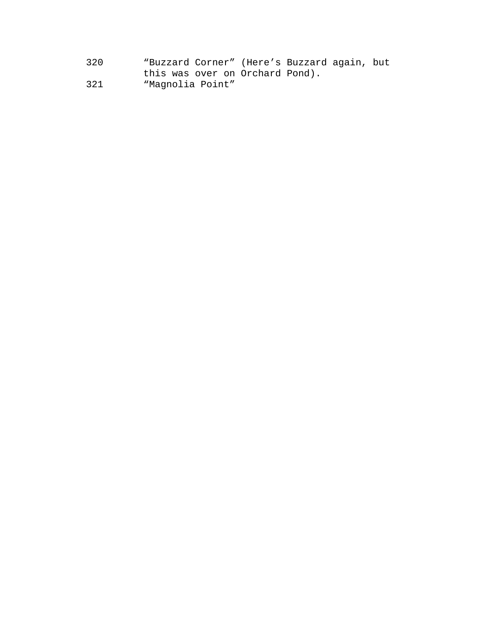320 "Buzzard Corner" (Here's Buzzard again, but this was over on Orchard Pond). 321 "Magnolia Point"